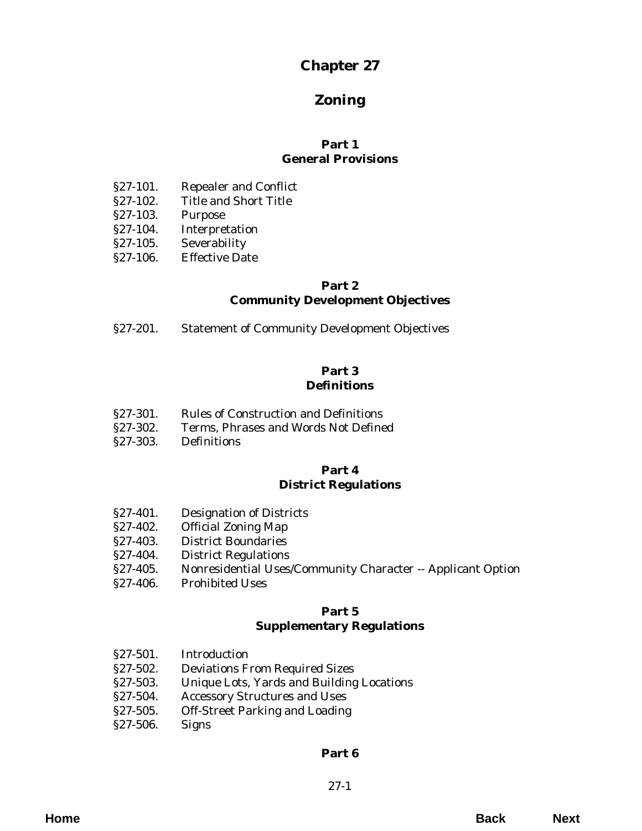# **Chapter 27**

# **Zoning**

# **Part 1 General Provisions**

- [§27-101. Repealer and Conflict](#page-4-0)
- §27-102. Title and Short Title
- §27-103. Purpose
- [§27-104. Interpretation](#page-5-0)
- §27-105. Severability
- §27-106. Effective Date

## **Part 2 Community Development Objectives**

[§27-201. Statement of Community Development Objectives](#page-6-0)

## **Part 3 Definitions**

- §27-301. Rules of Construction and Definitions
- [§27-302. Terms, Phrases and Words Not Defined](#page-12-0)
- §27-303. Definitions

# **Part 4 District Regulations**

- [§27-401. Designation of Districts](#page-40-0)
- §27-402. Official Zoning Map
- §27-403. District Boundaries
- [§27-404. District Regulations](#page-41-0)
- [§27-405. Nonresidential Uses/Community Character -- Applicant Option](#page-47-0)
- [§27-406. Prohibited Uses](#page-50-0)

#### **Part 5 Supplementary Regulations**

- §27-501. Introduction
- [§27-502. Deviations From Required Sizes](#page-52-0)
- [§27-503. Unique Lots, Yards and Building Locations](#page-53-0)
- [§27-504. Accessory Structures and Uses](#page-54-0)
- [§27-505. Off-Street Parking and Loading](#page-59-0)
- [§27-506. Signs](#page-66-0)

# **[Part 6](#page-76-0)**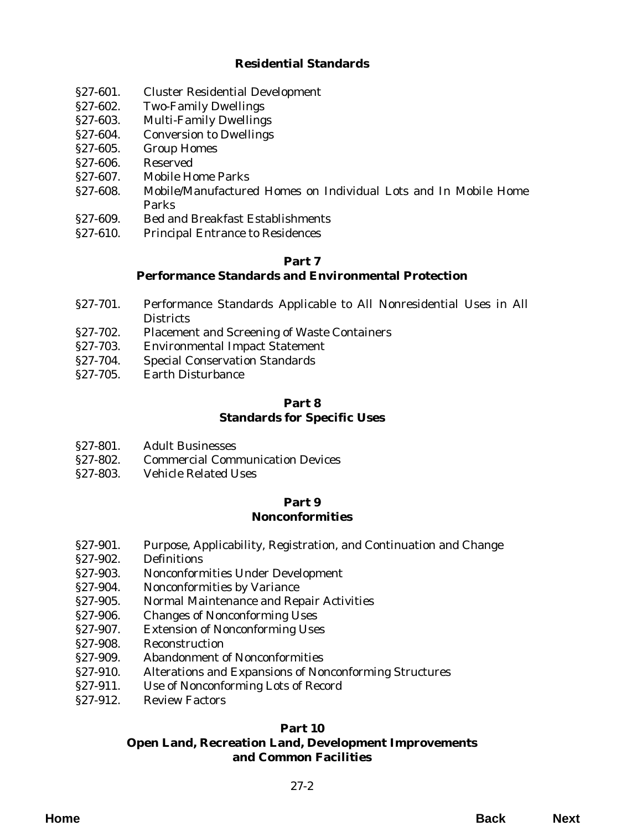# **Residential Standards**

- [§27-601. Cluster Residential Development](#page-76-0)
- §27-602. Two-Family Dwellings
- [§27-603. Multi-Family Dwellings](#page-78-0)
- [§27-604. Conversion to Dwellings](#page-81-0)
- §27-605. Group Homes
- §27-606. Reserved
- [§27-607. Mobile Home Parks](#page-82-0)
- [§27-608. Mobile/Manufactured Homes on Individual Lots and In Mobile Home](#page-85-0) Parks
- [§27-609. Bed and Breakfast Establishments](#page-86-0)
- §27-610. Principal Entrance to Residences

#### **Part 7 Performance Standards and Environmental Protection**

- [§27-701. Performance Standards Applicable to All Nonresidential Uses in All](#page-88-0) **Districts**
- [§27-702. Placement and Screening of Waste Containers](#page-93-0)
- [§27-703. Environmental Impact Statement](#page-94-0)
- [§27-704. Special Conservation Standards](#page-97-0)
- [§27-705. Earth Disturbance](#page-99-0)

#### **Part 8 [Standards for Specific Uses](#page-100-0)**

- §27-801. Adult Businesses
- [§27-802. Commercial Communication Devices](#page-103-0)
- [§27-803. Vehicle Related Uses](#page-108-0)

#### **Part 9 Nonconformities**

- [§27-901. Purpose, Applicability, Registration, and Continuation and Change](#page-112-0)
- §27-902. Definitions
- [§27-903. Nonconformities Under Development](#page-113-0)
- §27-904. Nonconformities by Variance
- [§27-905. Normal Maintenance and Repair Activities](#page-114-0)
- §27-906. Changes of Nonconforming Uses
- §27-907. Extension of Nonconforming Uses
- [§27-908. Reconstruction](#page-115-0)
- §27-909. Abandonment of Nonconformities
- [§27-910. Alterations and Expansions of Nonconforming Structures](#page-116-0)
- §27-911. Use of Nonconforming Lots of Record
- [§27-912. Review Factors](#page-117-0)

# **Part 10**

# **[Open Land, Recreation Land, Development Improvements](#page-118-0) and Common Facilities**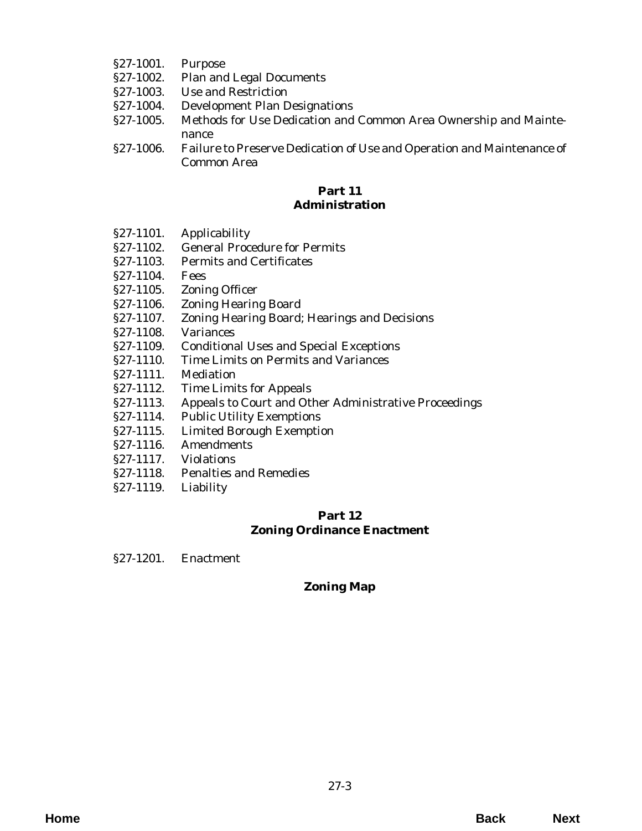- §27-1001. Purpose
- §27-1002. Plan and Legal Documents
- §27-1003. Use and Restriction
- §27-1004. Development Plan Designations
- [§27-1005. Methods for Use Dedication and Common Area Ownership and Mainte](#page-118-0)nance
- [§27-1006. Failure to Preserve Dedication of Use and Operation and Maintenance of](#page-120-0) Common Area

## **Part 11 Administration**

- §27-1101. Applicability
- [§27-1102. General Procedure for Permits](#page-122-0)
- [§27-1103. Permits and Certificates](#page-123-0)
- §27-1104. Fees
- [§27-1105. Zoning Officer](#page-127-0)
- [§27-1106. Zoning Hearing Board](#page-128-0)
- [§27-1107. Zoning Hearing Board; Hearings and Decisions](#page-130-0)
- [§27-1108. Variances](#page-132-0)
- [§27-1109. Conditional Uses and Special Exceptions](#page-133-0)
- [§27-1110. Time Limits on Permits and Variances](#page-137-0)
- §27-1111. Mediation
- §27-1112. Time Limits for Appeals
- [§27-1113. Appeals to Court and Other Administrative Proceedings](#page-138-0)
- §27-1114. Public Utility Exemptions
- §27-1115. Limited Borough Exemption
- §27-1116. Amendments
- §27-1117. Violations
- [§27-1118. Penalties and Remedies](#page-139-0)
- [§27-1119. Liability](#page-140-0)

# **Part 12 [Zoning Ordinance Enactment](#page-142-0)**

§27-1201. Enactment

# **[Zoning Map](#page-144-0)**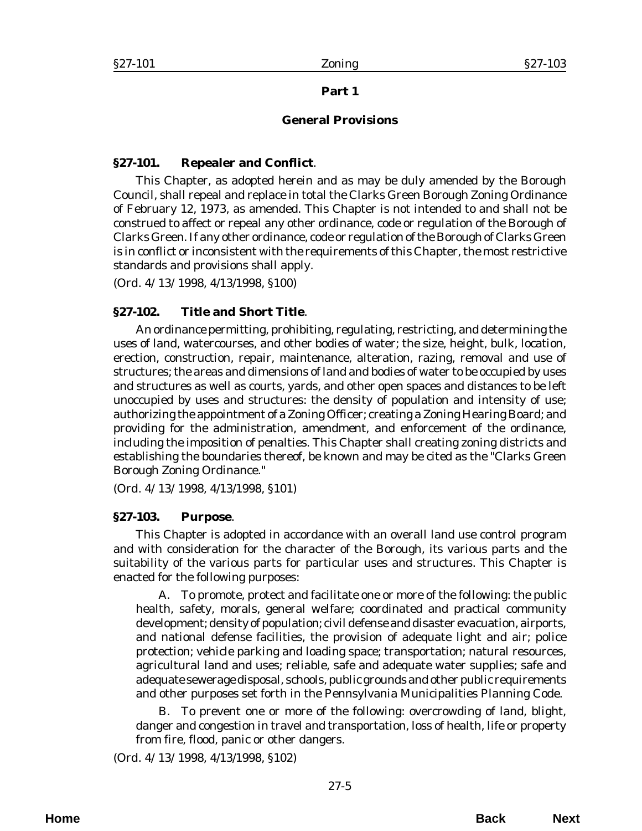# **Part 1**

#### **General Provisions**

#### <span id="page-4-0"></span>**§27-101. Repealer and Conflict**.

This Chapter, as adopted herein and as may be duly amended by the Borough Council, shall repeal and replace in total the Clarks Green Borough Zoning Ordinance of February 12, 1973, as amended. This Chapter is not intended to and shall not be construed to affect or repeal any other ordinance, code or regulation of the Borough of Clarks Green. If any other ordinance, code or regulation of the Borough of Clarks Green is in conflict or inconsistent with the requirements of this Chapter, the most restrictive standards and provisions shall apply.

(*Ord. 4/13/1998*, 4/13/1998, §100)

# **§27-102. Title and Short Title**.

An ordinance permitting, prohibiting, regulating, restricting, and determining the uses of land, watercourses, and other bodies of water; the size, height, bulk, location, erection, construction, repair, maintenance, alteration, razing, removal and use of structures; the areas and dimensions of land and bodies of water to be occupied by uses and structures as well as courts, yards, and other open spaces and distances to be left unoccupied by uses and structures: the density of population and intensity of use; authorizing the appointment of a Zoning Officer; creating a Zoning Hearing Board; and providing for the administration, amendment, and enforcement of the ordinance, including the imposition of penalties. This Chapter shall creating zoning districts and establishing the boundaries thereof, be known and may be cited as the "Clarks Green Borough Zoning Ordinance."

(*Ord. 4/13/1998*, 4/13/1998, §101)

#### **§27-103. Purpose**.

This Chapter is adopted in accordance with an overall land use control program and with consideration for the character of the Borough, its various parts and the suitability of the various parts for particular uses and structures. This Chapter is enacted for the following purposes:

A. To promote, protect and facilitate one or more of the following: the public health, safety, morals, general welfare; coordinated and practical community development; density of population; civil defense and disaster evacuation, airports, and national defense facilities, the provision of adequate light and air; police protection; vehicle parking and loading space; transportation; natural resources, agricultural land and uses; reliable, safe and adequate water supplies; safe and adequate sewerage disposal, schools, public grounds and other public requirements and other purposes set forth in the Pennsylvania Municipalities Planning Code.

B. To prevent one or more of the following: overcrowding of land, blight, danger and congestion in travel and transportation, loss of health, life or property from fire, flood, panic or other dangers.

(*Ord. 4/13/1998*, 4/13/1998, §102)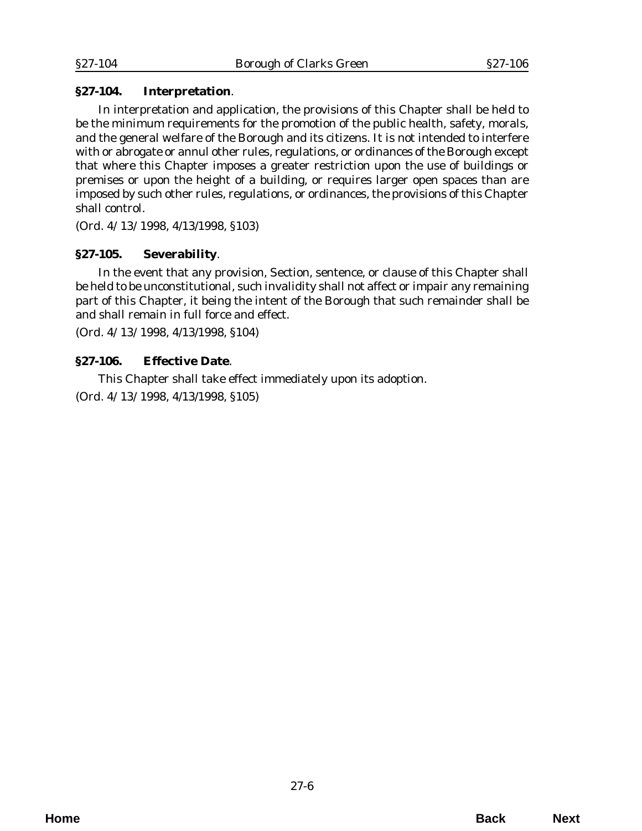# <span id="page-5-0"></span>**§27-104. Interpretation**.

In interpretation and application, the provisions of this Chapter shall be held to be the minimum requirements for the promotion of the public health, safety, morals, and the general welfare of the Borough and its citizens. It is not intended to interfere with or abrogate or annul other rules, regulations, or ordinances of the Borough except that where this Chapter imposes a greater restriction upon the use of buildings or premises or upon the height of a building, or requires larger open spaces than are imposed by such other rules, regulations, or ordinances, the provisions of this Chapter shall control.

(*Ord. 4/13/1998*, 4/13/1998, §103)

# **§27-105. Severability**.

In the event that any provision, Section, sentence, or clause of this Chapter shall be held to be unconstitutional, such invalidity shall not affect or impair any remaining part of this Chapter, it being the intent of the Borough that such remainder shall be and shall remain in full force and effect.

(*Ord. 4/13/1998*, 4/13/1998, §104)

# **§27-106. Effective Date**.

This Chapter shall take effect immediately upon its adoption.

(*Ord. 4/13/1998*, 4/13/1998, §105)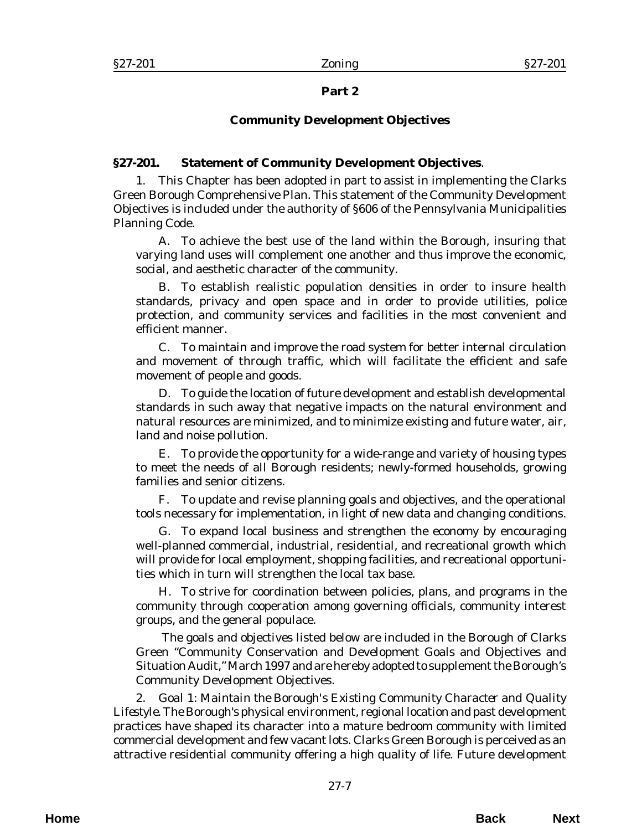# **Part 2**

# **Community Development Objectives**

# <span id="page-6-0"></span>**§27-201. Statement of Community Development Objectives**.

1. This Chapter has been adopted in part to assist in implementing the Clarks Green Borough Comprehensive Plan. This statement of the Community Development Objectives is included under the authority of §606 of the Pennsylvania Municipalities Planning Code.

A. To achieve the best use of the land within the Borough, insuring that varying land uses will complement one another and thus improve the economic, social, and aesthetic character of the community.

B. To establish realistic population densities in order to insure health standards, privacy and open space and in order to provide utilities, police protection, and community services and facilities in the most convenient and efficient manner.

C. To maintain and improve the road system for better internal circulation and movement of through traffic, which will facilitate the efficient and safe movement of people and goods.

D. To guide the location of future development and establish developmental standards in such away that negative impacts on the natural environment and natural resources are minimized, and to minimize existing and future water, air, land and noise pollution.

E. To provide the opportunity for a wide-range and variety of housing types to meet the needs of all Borough residents; newly-formed households, growing families and senior citizens.

F. To update and revise planning goals and objectives, and the operational tools necessary for implementation, in light of new data and changing conditions.

G. To expand local business and strengthen the economy by encouraging well-planned commercial, industrial, residential, and recreational growth which will provide for local employment, shopping facilities, and recreational opportunities which in turn will strengthen the local tax base.

H. To strive for coordination between policies, plans, and programs in the community through cooperation among governing officials, community interest groups, and the general populace.

 The goals and objectives listed below are included in the Borough of Clarks Green "Community Conservation and Development Goals and Objectives and Situation Audit," March 1997 and are hereby adopted to supplement the Borough's Community Development Objectives.

2. *Goal 1: Maintain the Borough's Existing Community Character and Quality Lifestyle*. The Borough's physical environment, regional location and past development practices have shaped its character into a mature bedroom community with limited commercial development and few vacant lots. Clarks Green Borough is perceived as an attractive residential community offering a high quality of life. Future development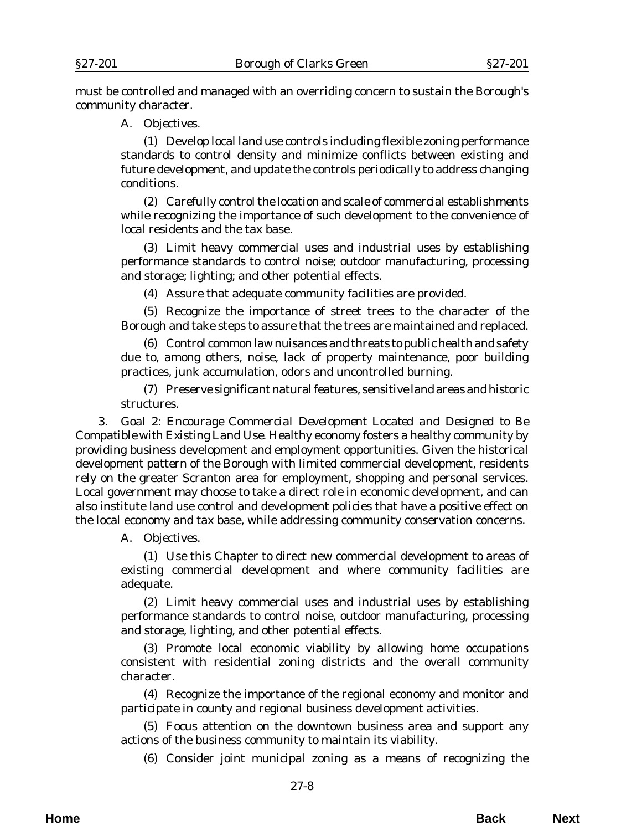must be controlled and managed with an overriding concern to sustain the Borough's community character.

A. *Objectives*.

(1) Develop local land use controls including flexible zoning performance standards to control density and minimize conflicts between existing and future development, and update the controls periodically to address changing conditions.

(2) Carefully control the location and scale of commercial establishments while recognizing the importance of such development to the convenience of local residents and the tax base.

(3) Limit heavy commercial uses and industrial uses by establishing performance standards to control noise; outdoor manufacturing, processing and storage; lighting; and other potential effects.

(4) Assure that adequate community facilities are provided.

(5) Recognize the importance of street trees to the character of the Borough and take steps to assure that the trees are maintained and replaced.

(6) Control common law nuisances and threats to public health and safety due to, among others, noise, lack of property maintenance, poor building practices, junk accumulation, odors and uncontrolled burning.

(7) Preserve significant natural features, sensitive land areas and historic structures.

3. *Goal 2: Encourage Commercial Development Located and Designed to Be Compatible with Existing Land Use*. Healthy economy fosters a healthy community by providing business development and employment opportunities. Given the historical development pattern of the Borough with limited commercial development, residents rely on the greater Scranton area for employment, shopping and personal services. Local government may choose to take a direct role in economic development, and can also institute land use control and development policies that have a positive effect on the local economy and tax base, while addressing community conservation concerns.

A. *Objectives*.

(1) Use this Chapter to direct new commercial development to areas of existing commercial development and where community facilities are adequate.

(2) Limit heavy commercial uses and industrial uses by establishing performance standards to control noise, outdoor manufacturing, processing and storage, lighting, and other potential effects.

(3) Promote local economic viability by allowing home occupations consistent with residential zoning districts and the overall community character.

(4) Recognize the importance of the regional economy and monitor and participate in county and regional business development activities.

(5) Focus attention on the downtown business area and support any actions of the business community to maintain its viability.

(6) Consider joint municipal zoning as a means of recognizing the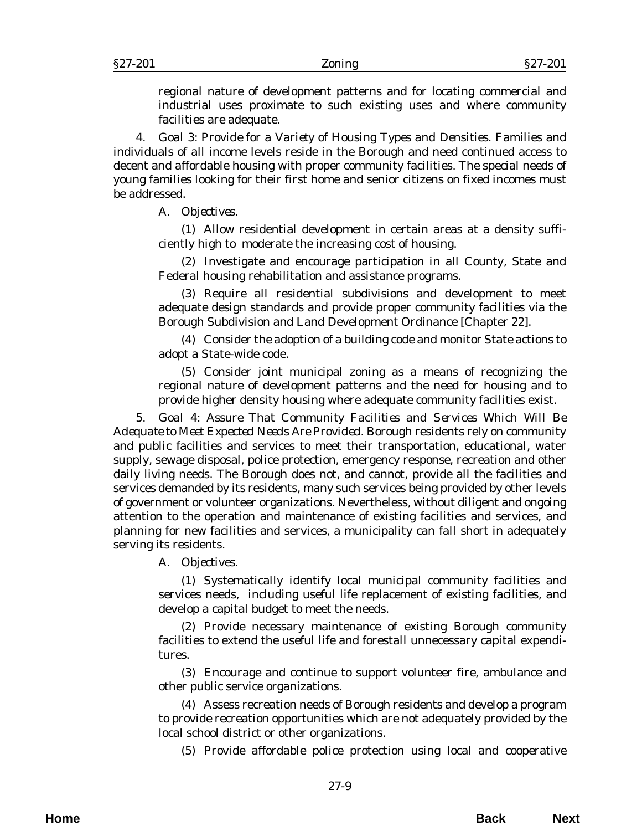regional nature of development patterns and for locating commercial and industrial uses proximate to such existing uses and where community facilities are adequate.

4. *Goal 3: Provide for a Variety of Housing Types and Densities*. Families and individuals of all income levels reside in the Borough and need continued access to decent and affordable housing with proper community facilities. The special needs of young families looking for their first home and senior citizens on fixed incomes must be addressed.

A. *Objectives*.

(1) Allow residential development in certain areas at a density sufficiently high to moderate the increasing cost of housing.

(2) Investigate and encourage participation in all County, State and Federal housing rehabilitation and assistance programs.

(3) Require all residential subdivisions and development to meet adequate design standards and provide proper community facilities via the Borough Subdivision and Land Development Ordinance [Chapter 22].

(4) Consider the adoption of a building code and monitor State actions to adopt a State-wide code.

(5) Consider joint municipal zoning as a means of recognizing the regional nature of development patterns and the need for housing and to provide higher density housing where adequate community facilities exist.

5. *Goal 4: Assure That Community Facilities and Services Which Will Be Adequate to Meet Expected Needs Are Provided*. Borough residents rely on community and public facilities and services to meet their transportation, educational, water supply, sewage disposal, police protection, emergency response, recreation and other daily living needs. The Borough does not, and cannot, provide all the facilities and services demanded by its residents, many such services being provided by other levels of government or volunteer organizations. Nevertheless, without diligent and ongoing attention to the operation and maintenance of existing facilities and services, and planning for new facilities and services, a municipality can fall short in adequately serving its residents.

A. *Objectives*.

(1) Systematically identify local municipal community facilities and services needs, including useful life replacement of existing facilities, and develop a capital budget to meet the needs.

(2) Provide necessary maintenance of existing Borough community facilities to extend the useful life and forestall unnecessary capital expenditures.

(3) Encourage and continue to support volunteer fire, ambulance and other public service organizations.

(4) Assess recreation needs of Borough residents and develop a program to provide recreation opportunities which are not adequately provided by the local school district or other organizations.

(5) Provide affordable police protection using local and cooperative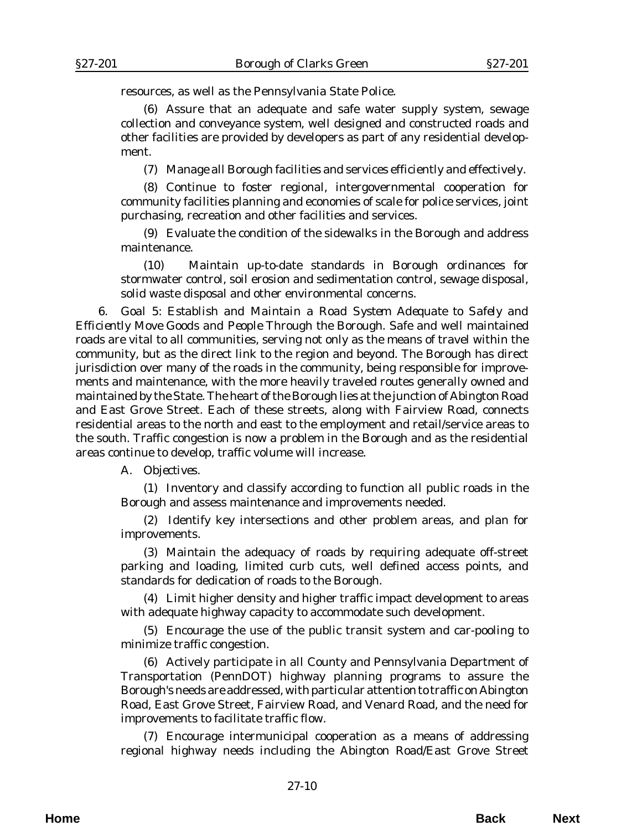resources, as well as the Pennsylvania State Police.

(6) Assure that an adequate and safe water supply system, sewage collection and conveyance system, well designed and constructed roads and other facilities are provided by developers as part of any residential development.

(7) Manage all Borough facilities and services efficiently and effectively.

(8) Continue to foster regional, intergovernmental cooperation for community facilities planning and economies of scale for police services, joint purchasing, recreation and other facilities and services.

(9) Evaluate the condition of the sidewalks in the Borough and address maintenance.

(10) Maintain up-to-date standards in Borough ordinances for stormwater control, soil erosion and sedimentation control, sewage disposal, solid waste disposal and other environmental concerns.

6. *Goal 5: Establish and Maintain a Road System Adequate to Safely and Efficiently Move Goods and People Through the Borough*. Safe and well maintained roads are vital to all communities, serving not only as the means of travel within the community, but as the direct link to the region and beyond. The Borough has direct jurisdiction over many of the roads in the community, being responsible for improvements and maintenance, with the more heavily traveled routes generally owned and maintained by the State. The heart of the Borough lies at the junction of Abington Road and East Grove Street. Each of these streets, along with Fairview Road, connects residential areas to the north and east to the employment and retail/service areas to the south. Traffic congestion is now a problem in the Borough and as the residential areas continue to develop, traffic volume will increase.

A. *Objectives*.

(1) Inventory and classify according to function all public roads in the Borough and assess maintenance and improvements needed.

(2) Identify key intersections and other problem areas, and plan for improvements.

(3) Maintain the adequacy of roads by requiring adequate off-street parking and loading, limited curb cuts, well defined access points, and standards for dedication of roads to the Borough.

(4) Limit higher density and higher traffic impact development to areas with adequate highway capacity to accommodate such development.

(5) Encourage the use of the public transit system and car-pooling to minimize traffic congestion.

(6) Actively participate in all County and Pennsylvania Department of Transportation (PennDOT) highway planning programs to assure the Borough's needs are addressed, with particular attention to traffic on Abington Road, East Grove Street, Fairview Road, and Venard Road, and the need for improvements to facilitate traffic flow.

(7) Encourage intermunicipal cooperation as a means of addressing regional highway needs including the Abington Road/East Grove Street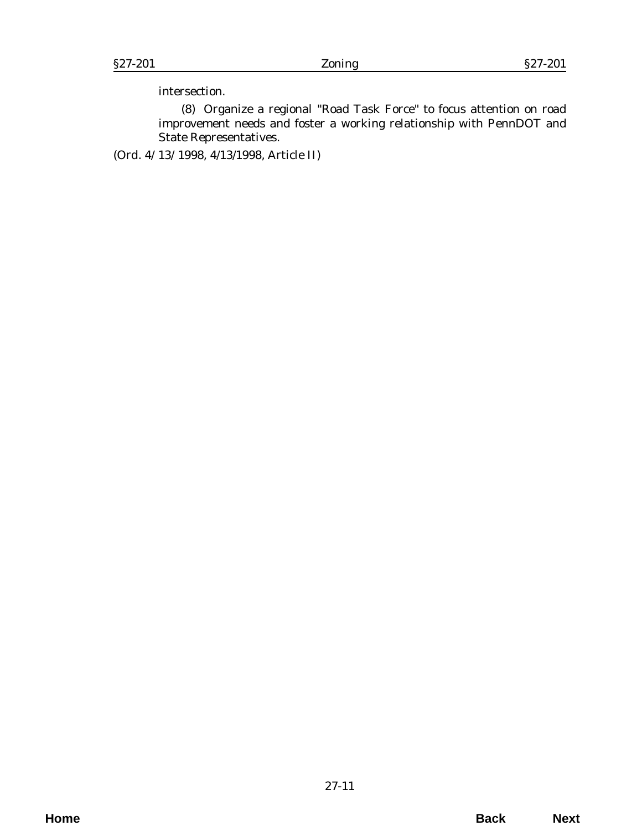intersection.

(8) Organize a regional "Road Task Force" to focus attention on road improvement needs and foster a working relationship with PennDOT and State Representatives.

(*Ord. 4/13/1998*, 4/13/1998, Article II)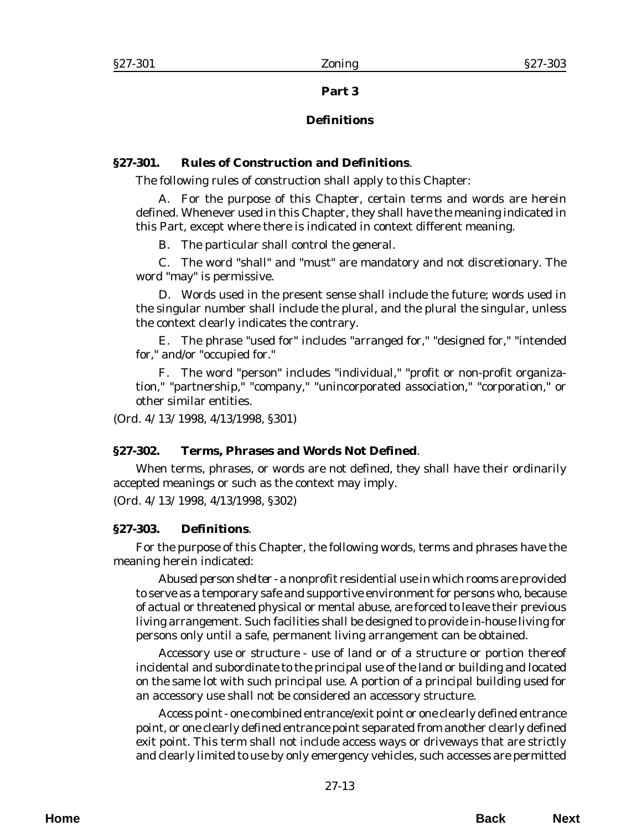## **Part 3**

# **Definitions**

# <span id="page-12-0"></span>**§27-301. Rules of Construction and Definitions**.

The following rules of construction shall apply to this Chapter:

A. For the purpose of this Chapter, certain terms and words are herein defined. Whenever used in this Chapter, they shall have the meaning indicated in this Part, except where there is indicated in context different meaning.

B. The particular shall control the general.

C. The word "shall" and "must" are mandatory and not discretionary. The word "may" is permissive.

D. Words used in the present sense shall include the future; words used in the singular number shall include the plural, and the plural the singular, unless the context clearly indicates the contrary.

E. The phrase "used for" includes "arranged for," "designed for," "intended for," and/or "occupied for."

F. The word "person" includes "individual," "profit or non-profit organization," "partnership," "company," "unincorporated association," "corporation," or other similar entities.

(*Ord. 4/13/1998*, 4/13/1998, §301)

#### **§27-302. Terms, Phrases and Words Not Defined**.

When terms, phrases, or words are not defined, they shall have their ordinarily accepted meanings or such as the context may imply.

(*Ord. 4/13/1998*, 4/13/1998, §302)

#### **§27-303. Definitions**.

For the purpose of this Chapter, the following words, terms and phrases have the meaning herein indicated:

*Abused person shelter* - a nonprofit residential use in which rooms are provided to serve as a temporary safe and supportive environment for persons who, because of actual or threatened physical or mental abuse, are forced to leave their previous living arrangement. Such facilities shall be designed to provide in-house living for persons only until a safe, permanent living arrangement can be obtained.

*Accessory use or structure* - use of land or of a structure or portion thereof incidental and subordinate to the principal use of the land or building and located on the same lot with such principal use. A portion of a principal building used for an accessory use shall not be considered an accessory structure.

*Access point* - one combined entrance/exit point or one clearly defined entrance point, or one clearly defined entrance point separated from another clearly defined exit point. This term shall not include access ways or driveways that are strictly and clearly limited to use by only emergency vehicles, such accesses are permitted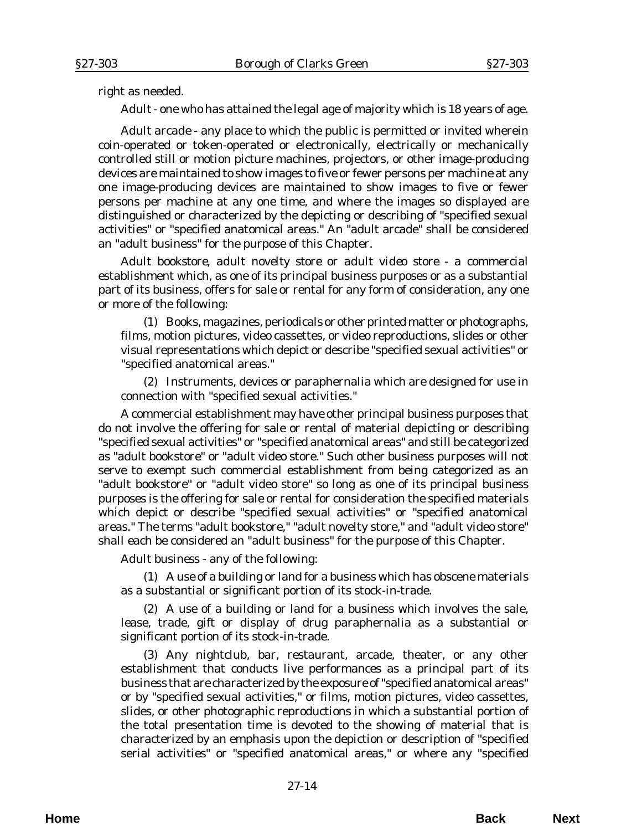right as needed.

*Adult* - one who has attained the legal age of majority which is 18 years of age.

*Adult arcade* - any place to which the public is permitted or invited wherein coin-operated or token-operated or electronically, electrically or mechanically controlled still or motion picture machines, projectors, or other image-producing devices are maintained to show images to five or fewer persons per machine at any one image-producing devices are maintained to show images to five or fewer persons per machine at any one time, and where the images so displayed are distinguished or characterized by the depicting or describing of "specified sexual activities" or "specified anatomical areas." An "adult arcade" shall be considered an "adult business" for the purpose of this Chapter.

*Adult bookstore, adult novelty store or adult video store* - a commercial establishment which, as one of its principal business purposes or as a substantial part of its business, offers for sale or rental for any form of consideration, any one or more of the following:

(1) Books, magazines, periodicals or other printed matter or photographs, films, motion pictures, video cassettes, or video reproductions, slides or other visual representations which depict or describe "specified sexual activities" or "specified anatomical areas."

(2) Instruments, devices or paraphernalia which are designed for use in connection with "specified sexual activities."

A commercial establishment may have other principal business purposes that do not involve the offering for sale or rental of material depicting or describing "specified sexual activities" or "specified anatomical areas" and still be categorized as "adult bookstore" or "adult video store." Such other business purposes will not serve to exempt such commercial establishment from being categorized as an "adult bookstore" or "adult video store" so long as one of its principal business purposes is the offering for sale or rental for consideration the specified materials which depict or describe "specified sexual activities" or "specified anatomical areas." The terms "adult bookstore," "adult novelty store," and "adult video store" shall each be considered an "adult business" for the purpose of this Chapter.

*Adult business* - any of the following:

(1) A use of a building or land for a business which has obscene materials as a substantial or significant portion of its stock-in-trade.

(2) A use of a building or land for a business which involves the sale, lease, trade, gift or display of drug paraphernalia as a substantial or significant portion of its stock-in-trade.

(3) Any nightclub, bar, restaurant, arcade, theater, or any other establishment that conducts live performances as a principal part of its business that are characterized by the exposure of "specified anatomical areas" or by "specified sexual activities," or films, motion pictures, video cassettes, slides, or other photographic reproductions in which a substantial portion of the total presentation time is devoted to the showing of material that is characterized by an emphasis upon the depiction or description of "specified serial activities" or "specified anatomical areas," or where any "specified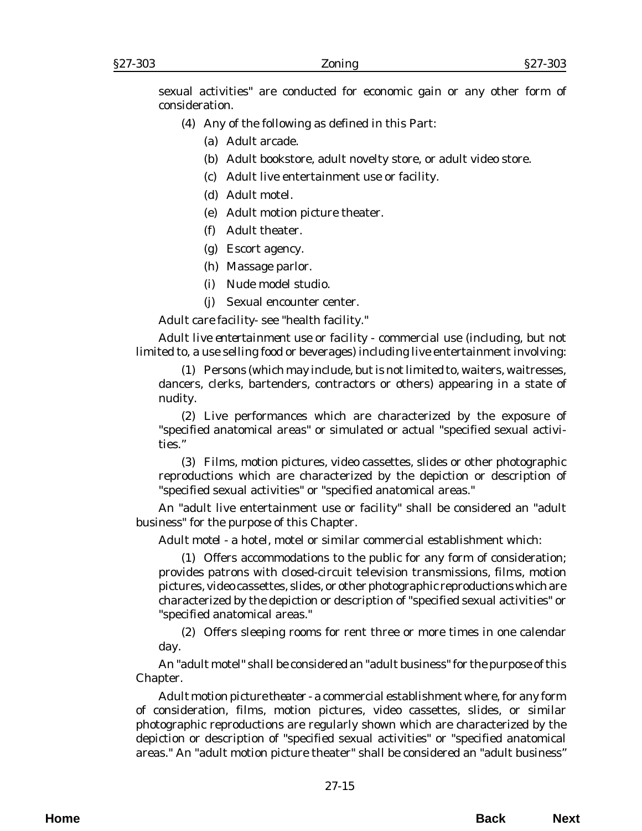sexual activities" are conducted for economic gain or any other form of consideration.

- (4) Any of the following as defined in this Part:
	- (a) Adult arcade.
	- (b) Adult bookstore, adult novelty store, or adult video store.
	- (c) Adult live entertainment use or facility.
	- (d) Adult motel.
	- (e) Adult motion picture theater.
	- (f) Adult theater.
	- (g) Escort agency.
	- (h) Massage parlor.
	- (i) Nude model studio.
	- (j) Sexual encounter center.

*Adult care facility*- see "health facility."

*Adult live entertainment use or facility* - commercial use (including, but not limited to, a use selling food or beverages) including live entertainment involving:

(1) Persons (which may include, but is not limited to, waiters, waitresses, dancers, clerks, bartenders, contractors or others) appearing in a state of nudity.

(2) Live performances which are characterized by the exposure of "specified anatomical areas" or simulated or actual "specified sexual activities."

(3) Films, motion pictures, video cassettes, slides or other photographic reproductions which are characterized by the depiction or description of "specified sexual activities" or "specified anatomical areas."

An "adult live entertainment use or facility" shall be considered an "adult business" for the purpose of this Chapter.

*Adult motel* - a hotel, motel or similar commercial establishment which:

(1) Offers accommodations to the public for any form of consideration; provides patrons with closed-circuit television transmissions, films, motion pictures, video cassettes, slides, or other photographic reproductions which are characterized by the depiction or description of "specified sexual activities" or "specified anatomical areas."

(2) Offers sleeping rooms for rent three or more times in one calendar day.

An "adult motel" shall be considered an "adult business" for the purpose of this Chapter.

*Adult motion picture theater* - a commercial establishment where, for any form of consideration, films, motion pictures, video cassettes, slides, or similar photographic reproductions are regularly shown which are characterized by the depiction or description of "specified sexual activities" or "specified anatomical areas." An "adult motion picture theater" shall be considered an "adult business"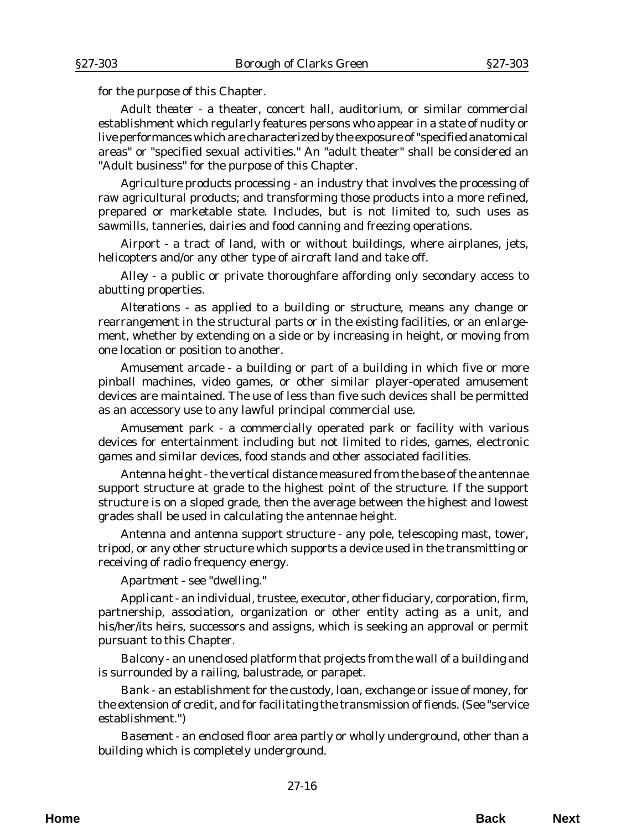for the purpose of this Chapter.

*Adult theater* - a theater, concert hall, auditorium, or similar commercial establishment which regularly features persons who appear in a state of nudity or live performances which are characterized by the exposure of "specified anatomical areas" or "specified sexual activities." An "adult theater" shall be considered an "Adult business" for the purpose of this Chapter.

*Agriculture products processing* - an industry that involves the processing of raw agricultural products; and transforming those products into a more refined, prepared or marketable state. Includes, but is not limited to, such uses as sawmills, tanneries, dairies and food canning and freezing operations.

*Airport* - a tract of land, with or without buildings, where airplanes, jets, helicopters and/or any other type of aircraft land and take off.

*Alley* - a public or private thoroughfare affording only secondary access to abutting properties.

*Alterations* - as applied to a building or structure, means any change or rearrangement in the structural parts or in the existing facilities, or an enlargement, whether by extending on a side or by increasing in height, or moving from one location or position to another.

*Amusement arcade* - a building or part of a building in which five or more pinball machines, video games, or other similar player-operated amusement devices are maintained. The use of less than five such devices shall be permitted as an accessory use to any lawful principal commercial use.

*Amusement park* - a commercially operated park or facility with various devices for entertainment including but not limited to rides, games, electronic games and similar devices, food stands and other associated facilities.

*Antenna height* - the vertical distance measured from the base of the antennae support structure at grade to the highest point of the structure. If the support structure is on a sloped grade, then the average between the highest and lowest grades shall be used in calculating the antennae height.

*Antenna and antenna support structure* - any pole, telescoping mast, tower, tripod, or any other structure which supports a device used in the transmitting or receiving of radio frequency energy.

*Apartment* - see "dwelling."

*Applicant* - an individual, trustee, executor, other fiduciary, corporation, firm, partnership, association, organization or other entity acting as a unit, and his/her/its heirs, successors and assigns, which is seeking an approval or permit pursuant to this Chapter.

*Balcony* - an unenclosed platform that projects from the wall of a building and is surrounded by a railing, balustrade, or parapet.

*Bank* - an establishment for the custody, loan, exchange or issue of money, for the extension of credit, and for facilitating the transmission of fiends. (See "service establishment.")

*Basement -* an enclosed floor area partly or wholly underground, other than a building which is completely underground.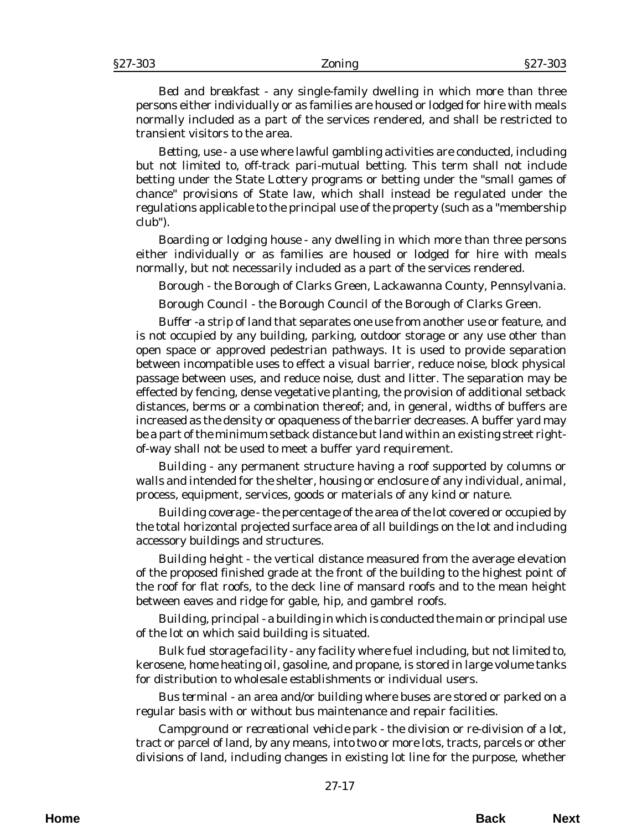*Bed and breakfast* - any single-family dwelling in which more than three persons either individually or as families are housed or lodged for hire with meals normally included as a part of the services rendered, and shall be restricted to transient visitors to the area.

*Betting, use* - a use where lawful gambling activities are conducted, including but not limited to, off-track pari-mutual betting. This term shall not include betting under the State Lottery programs or betting under the "small games of chance" provisions of State law, which shall instead be regulated under the regulations applicable to the principal use of the property (such as a "membership club").

*Boarding or lodging house* - any dwelling in which more than three persons either individually or as families are housed or lodged for hire with meals normally, but not necessarily included as a part of the services rendered.

*Borough* - the Borough of Clarks Green, Lackawanna County, Pennsylvania.

*Borough Council* - the Borough Council of the Borough of Clarks Green.

*Buffer* -a strip of land that separates one use from another use or feature, and is not occupied by any building, parking, outdoor storage or any use other than open space or approved pedestrian pathways. It is used to provide separation between incompatible uses to effect a visual barrier, reduce noise, block physical passage between uses, and reduce noise, dust and litter. The separation may be effected by fencing, dense vegetative planting, the provision of additional setback distances, berms or a combination thereof; and, in general, widths of buffers are increased as the density or opaqueness of the barrier decreases. A buffer yard may be a part of the minimum setback distance but land within an existing street rightof-way shall not be used to meet a buffer yard requirement.

*Building* - any permanent structure having a roof supported by columns or walls and intended for the shelter, housing or enclosure of any individual, animal, process, equipment, services, goods or materials of any kind or nature.

*Building coverage* - the percentage of the area of the lot covered or occupied by the total horizontal projected surface area of all buildings on the lot and including accessory buildings and structures.

*Building height* - the vertical distance measured from the average elevation of the proposed finished grade at the front of the building to the highest point of the roof for flat roofs, to the deck line of mansard roofs and to the mean height between eaves and ridge for gable, hip, and gambrel roofs.

*Building, principal* - a building in which is conducted the main or principal use of the lot on which said building is situated.

*Bulk fuel storage facility* - any facility where fuel including, but not limited to, kerosene, home heating oil, gasoline, and propane, is stored in large volume tanks for distribution to wholesale establishments or individual users.

*Bus terminal* - an area and/or building where buses are stored or parked on a regular basis with or without bus maintenance and repair facilities.

*Campground or recreational vehicle park* - the division or re-division of a lot, tract or parcel of land, by any means, into two or more lots, tracts, parcels or other divisions of land, including changes in existing lot line for the purpose, whether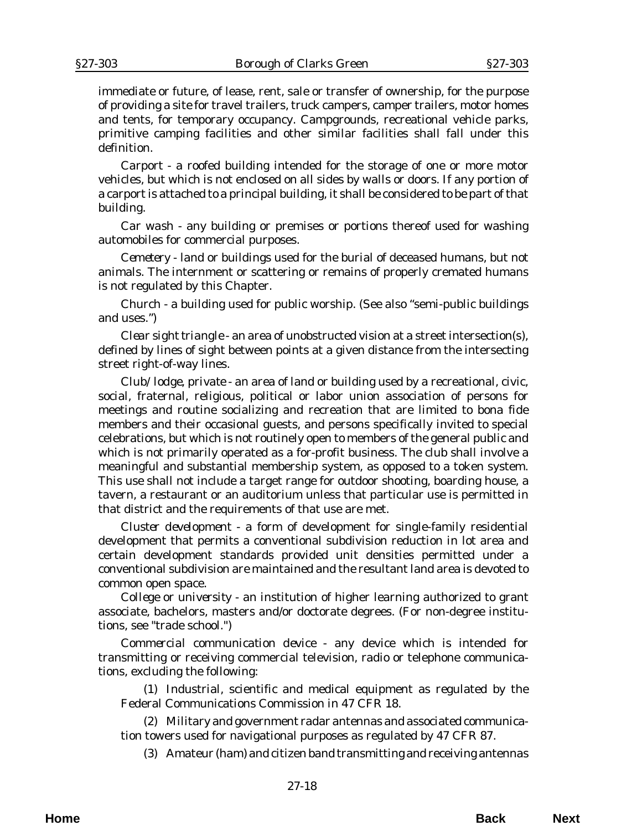immediate or future, of lease, rent, sale or transfer of ownership, for the purpose of providing a site for travel trailers, truck campers, camper trailers, motor homes and tents, for temporary occupancy. Campgrounds, recreational vehicle parks, primitive camping facilities and other similar facilities shall fall under this definition.

*Carport* - a roofed building intended for the storage of one or more motor vehicles, but which is not enclosed on all sides by walls or doors. If any portion of a carport is attached to a principal building, it shall be considered to be part of that building.

*Car wash* - any building or premises or portions thereof used for washing automobiles for commercial purposes.

*Cemetery* - land or buildings used for the burial of deceased humans, but not animals. The internment or scattering or remains of properly cremated humans is not regulated by this Chapter.

*Church* - a building used for public worship. (See also "semi-public buildings and uses.")

*Clear sight triangle* - an area of unobstructed vision at a street intersection(s), defined by lines of sight between points at a given distance from the intersecting street right-of-way lines.

*Club/lodge, private* - an area of land or building used by a recreational, civic, social, fraternal, religious, political or labor union association of persons for meetings and routine socializing and recreation that are limited to bona fide members and their occasional guests, and persons specifically invited to special celebrations, but which is not routinely open to members of the general public and which is not primarily operated as a for-profit business. The club shall involve a meaningful and substantial membership system, as opposed to a token system. This use shall not include a target range for outdoor shooting, boarding house, a tavern, a restaurant or an auditorium unless that particular use is permitted in that district and the requirements of that use are met.

*Cluster development* - a form of development for single-family residential development that permits a conventional subdivision reduction in lot area and certain development standards provided unit densities permitted under a conventional subdivision are maintained and the resultant land area is devoted to common open space.

*College or university* - an institution of higher learning authorized to grant associate, bachelors, masters and/or doctorate degrees. (For non-degree institutions, see "trade school.")

*Commercial communication device* - any device which is intended for transmitting or receiving commercial television, radio or telephone communications, excluding the following:

(1) Industrial, scientific and medical equipment as regulated by the Federal Communications Commission in 47 CFR 18.

(2) Military and government radar antennas and associated communication towers used for navigational purposes as regulated by 47 CFR 87.

(3) Amateur (ham) and citizen band transmitting and receiving antennas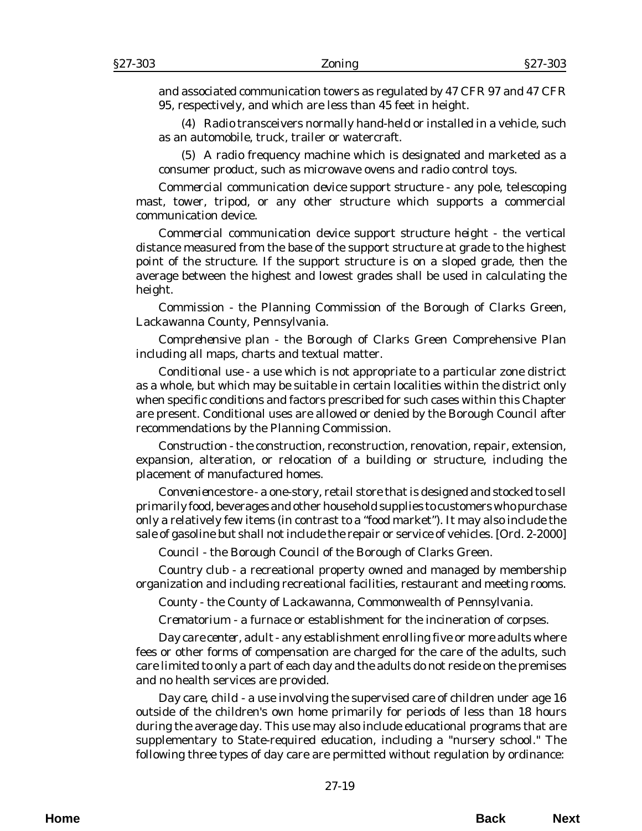and associated communication towers as regulated by 47 CFR 97 and 47 CFR 95, respectively, and which are less than 45 feet in height.

(4) Radio transceivers normally hand-held or installed in a vehicle, such as an automobile, truck, trailer or watercraft.

(5) A radio frequency machine which is designated and marketed as a consumer product, such as microwave ovens and radio control toys.

*Commercial communication device support structure* - any pole, telescoping mast, tower, tripod, or any other structure which supports a commercial communication device.

*Commercial communication device support structure height* - the vertical distance measured from the base of the support structure at grade to the highest point of the structure. If the support structure is on a sloped grade, then the average between the highest and lowest grades shall be used in calculating the height.

*Commission* - the Planning Commission of the Borough of Clarks Green, Lackawanna County, Pennsylvania.

*Comprehensive plan* - the Borough of Clarks Green Comprehensive Plan including all maps, charts and textual matter.

*Conditional use* - a use which is not appropriate to a particular zone district as a whole, but which may be suitable in certain localities within the district only when specific conditions and factors prescribed for such cases within this Chapter are present. Conditional uses are allowed or denied by the Borough Council after recommendations by the Planning Commission.

*Construction* - the construction, reconstruction, renovation, repair, extension, expansion, alteration, or relocation of a building or structure, including the placement of manufactured homes.

*Convenience store* - a one-story, retail store that is designed and stocked to sell primarily food, beverages and other household supplies to customers who purchase only a relatively few items (in contrast to a "food market"). It may also include the sale of gasoline but shall not include the repair or service of vehicles. [*Ord. 2-2000*]

*Council* - the Borough Council of the Borough of Clarks Green.

*Country club* - a recreational property owned and managed by membership organization and including recreational facilities, restaurant and meeting rooms.

*County* - the County of Lackawanna, Commonwealth of Pennsylvania.

*Crematorium* - a furnace or establishment for the incineration of corpses.

*Day care center, adult* - any establishment enrolling five or more adults where fees or other forms of compensation are charged for the care of the adults, such care limited to only a part of each day and the adults do not reside on the premises and no health services are provided.

*Day care, child -* a use involving the supervised care of children under age 16 outside of the children's own home primarily for periods of less than 18 hours during the average day. This use may also include educational programs that are supplementary to State-required education, including a "nursery school." The following three types of day care are permitted without regulation by ordinance: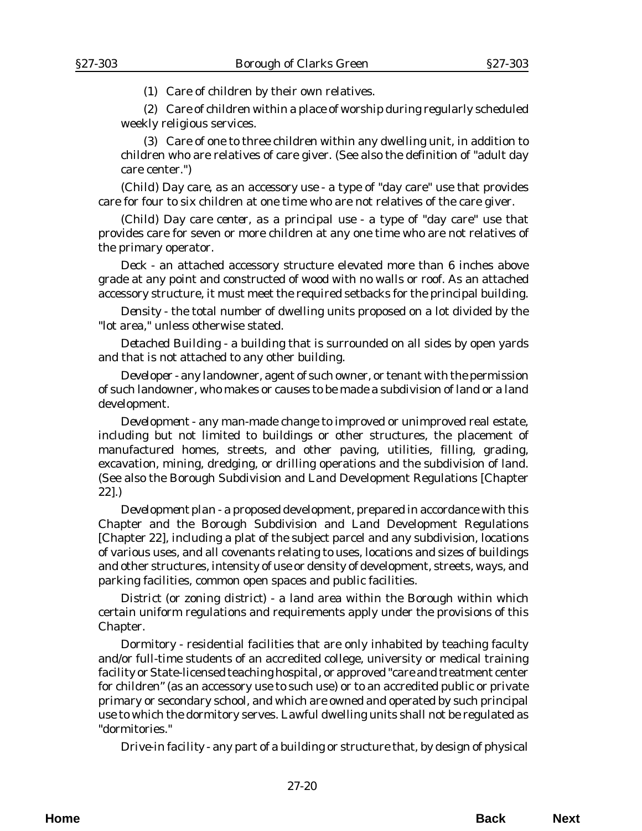(1) Care of children by their own relatives.

(2) Care of children within a place of worship during regularly scheduled weekly religious services.

(3) Care of one to three children within any dwelling unit, in addition to children who are relatives of care giver. (See also the definition of "adult day care center.")

*(Child) Day care, as an accessory use* - a type of "day care" use that provides care for four to six children at one time who are not relatives of the care giver.

*(Child) Day care center, as a principal use* - a type of "day care" use that provides care for seven or more children at any one time who are not relatives of the primary operator.

*Deck* - an attached accessory structure elevated more than 6 inches above grade at any point and constructed of wood with no walls or roof. As an attached accessory structure, it must meet the required setbacks for the principal building.

*Density* - the total number of dwelling units proposed on a lot divided by the "lot area," unless otherwise stated.

*Detached Building* - a building that is surrounded on all sides by open yards and that is not attached to any other building.

*Developer* - any landowner, agent of such owner, or tenant with the permission of such landowner, who makes or causes to be made a subdivision of land or a land development.

*Development* - any man-made change to improved or unimproved real estate, including but not limited to buildings or other structures, the placement of manufactured homes, streets, and other paving, utilities, filling, grading, excavation, mining, dredging, or drilling operations and the subdivision of land. (See also the Borough Subdivision and Land Development Regulations [Chapter 22].)

*Development plan* - a proposed development, prepared in accordance with this Chapter and the Borough Subdivision and Land Development Regulations [Chapter 22], including a plat of the subject parcel and any subdivision, locations of various uses, and all covenants relating to uses, locations and sizes of buildings and other structures, intensity of use or density of development, streets, ways, and parking facilities, common open spaces and public facilities.

*District (or zoning district)* - a land area within the Borough within which certain uniform regulations and requirements apply under the provisions of this Chapter.

*Dormitory* - residential facilities that are only inhabited by teaching faculty and/or full-time students of an accredited college, university or medical training facility or State-licensed teaching hospital, or approved "care and treatment center for children" (as an accessory use to such use) or to an accredited public or private primary or secondary school, and which are owned and operated by such principal use to which the dormitory serves. Lawful dwelling units shall not be regulated as "dormitories."

*Drive-in facility* - any part of a building or structure that, by design of physical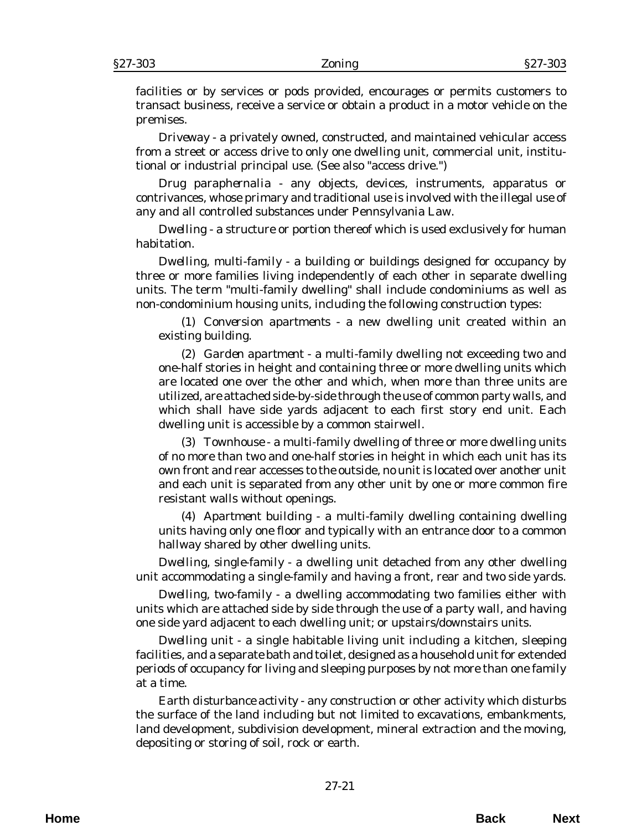facilities or by services or pods provided, encourages or permits customers to transact business, receive a service or obtain a product in a motor vehicle on the premises.

*Driveway* - a privately owned, constructed, and maintained vehicular access from a street or access drive to only one dwelling unit, commercial unit, institutional or industrial principal use. (See also "access drive.")

*Drug paraphernalia* - any objects, devices, instruments, apparatus or contrivances, whose primary and traditional use is involved with the illegal use of any and all controlled substances under Pennsylvania Law.

*Dwelling* - a structure or portion thereof which is used exclusively for human habitation.

*Dwelling, multi-family* - a building or buildings designed for occupancy by three or more families living independently of each other in separate dwelling units. The term "multi-family dwelling" shall include condominiums as well as non-condominium housing units, including the following construction types:

(1) *Conversion apartments* - a new dwelling unit created within an existing building.

(2) *Garden apartment* - a multi-family dwelling not exceeding two and one-half stories in height and containing three or more dwelling units which are located one over the other and which, when more than three units are utilized, are attached side-by-side through the use of common party walls, and which shall have side yards adjacent to each first story end unit. Each dwelling unit is accessible by a common stairwell.

(3) *Townhouse* - a multi-family dwelling of three or more dwelling units of no more than two and one-half stories in height in which each unit has its own front and rear accesses to the outside, no unit is located over another unit and each unit is separated from any other unit by one or more common fire resistant walls without openings.

(4) *Apartment building* - a multi-family dwelling containing dwelling units having only one floor and typically with an entrance door to a common hallway shared by other dwelling units.

*Dwelling, single-family* - a dwelling unit detached from any other dwelling unit accommodating a single-family and having a front, rear and two side yards.

*Dwelling, two-family* - a dwelling accommodating two families either with units which are attached side by side through the use of a party wall, and having one side yard adjacent to each dwelling unit; or upstairs/downstairs units.

*Dwelling unit* - a single habitable living unit including a kitchen, sleeping facilities, and a separate bath and toilet, designed as a household unit for extended periods of occupancy for living and sleeping purposes by not more than one family at a time.

*Earth disturbance activity* - any construction or other activity which disturbs the surface of the land including but not limited to excavations, embankments, land development, subdivision development, mineral extraction and the moving, depositing or storing of soil, rock or earth.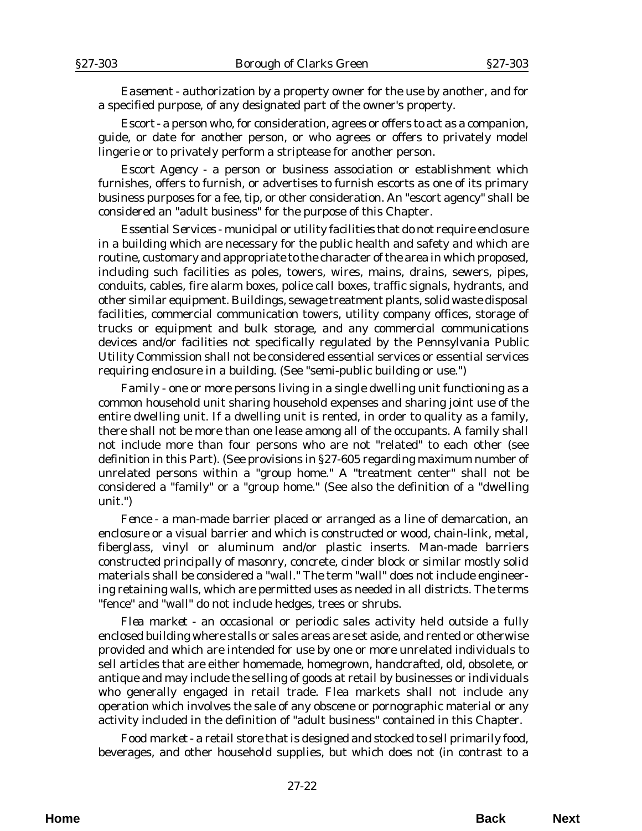*Easement* - authorization by a property owner for the use by another, and for a specified purpose, of any designated part of the owner's property.

*Escort* - a person who, for consideration, agrees or offers to act as a companion, guide, or date for another person, or who agrees or offers to privately model lingerie or to privately perform a striptease for another person.

*Escort Agency* - a person or business association or establishment which furnishes, offers to furnish, or advertises to furnish escorts as one of its primary business purposes for a fee, tip, or other consideration. An "escort agency" shall be considered an "adult business" for the purpose of this Chapter.

*Essential Services* - municipal or utility facilities that do not require enclosure in a building which are necessary for the public health and safety and which are routine, customary and appropriate to the character of the area in which proposed, including such facilities as poles, towers, wires, mains, drains, sewers, pipes, conduits, cables, fire alarm boxes, police call boxes, traffic signals, hydrants, and other similar equipment. Buildings, sewage treatment plants, solid waste disposal facilities, commercial communication towers, utility company offices, storage of trucks or equipment and bulk storage, and any commercial communications devices and/or facilities not specifically regulated by the Pennsylvania Public Utility Commission shall not be considered essential services or essential services requiring enclosure in a building. (See "semi-public building or use.")

*Family* - one or more persons living in a single dwelling unit functioning as a common household unit sharing household expenses and sharing joint use of the entire dwelling unit. If a dwelling unit is rented, in order to quality as a family, there shall not be more than one lease among all of the occupants. A family shall not include more than four persons who are not "related" to each other (see definition in this Part). (See provisions in §27-605 regarding maximum number of unrelated persons within a "group home." A "treatment center" shall not be considered a "family" or a "group home." (See also the definition of a "dwelling unit.")

*Fence* - a man-made barrier placed or arranged as a line of demarcation, an enclosure or a visual barrier and which is constructed or wood, chain-link, metal, fiberglass, vinyl or aluminum and/or plastic inserts. Man-made barriers constructed principally of masonry, concrete, cinder block or similar mostly solid materials shall be considered a "wall." The term "wall" does not include engineering retaining walls, which are permitted uses as needed in all districts. The terms "fence" and "wall" do not include hedges, trees or shrubs.

*Flea market* - an occasional or periodic sales activity held outside a fully enclosed building where stalls or sales areas are set aside, and rented or otherwise provided and which are intended for use by one or more unrelated individuals to sell articles that are either homemade, homegrown, handcrafted, old, obsolete, or antique and may include the selling of goods at retail by businesses or individuals who generally engaged in retail trade. Flea markets shall not include any operation which involves the sale of any obscene or pornographic material or any activity included in the definition of "adult business" contained in this Chapter.

*Food market* - a retail store that is designed and stocked to sell primarily food, beverages, and other household supplies, but which does not (in contrast to a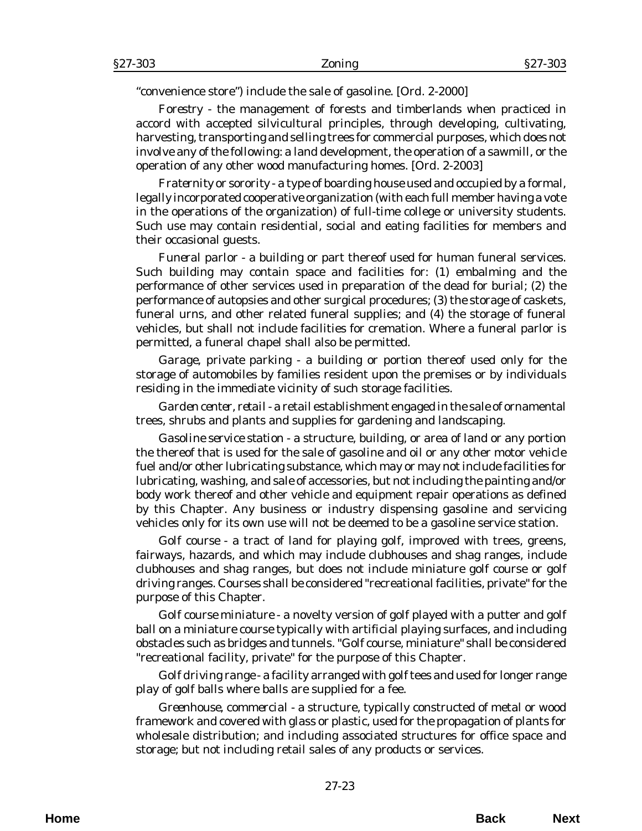"convenience store") include the sale of gasoline. [*Ord. 2-2000*]

*Forestry* - the management of forests and timberlands when practiced in accord with accepted silvicultural principles, through developing, cultivating, harvesting, transporting and selling trees for commercial purposes, which does not involve any of the following: a land development, the operation of a sawmill, or the operation of any other wood manufacturing homes. [*Ord. 2-2003*]

*Fraternity or sorority* - a type of boarding house used and occupied by a formal, legally incorporated cooperative organization (with each full member having a vote in the operations of the organization) of full-time college or university students. Such use may contain residential, social and eating facilities for members and their occasional guests.

*Funeral parlor* - a building or part thereof used for human funeral services. Such building may contain space and facilities for: (1) embalming and the performance of other services used in preparation of the dead for burial; (2) the performance of autopsies and other surgical procedures; (3) the storage of caskets, funeral urns, and other related funeral supplies; and (4) the storage of funeral vehicles, but shall not include facilities for cremation. Where a funeral parlor is permitted, a funeral chapel shall also be permitted.

*Garage, private parking* - a building or portion thereof used only for the storage of automobiles by families resident upon the premises or by individuals residing in the immediate vicinity of such storage facilities.

*Garden center, retail* - a retail establishment engaged in the sale of ornamental trees, shrubs and plants and supplies for gardening and landscaping.

*Gasoline service station* - a structure, building, or area of land or any portion the thereof that is used for the sale of gasoline and oil or any other motor vehicle fuel and/or other lubricating substance, which may or may not include facilities for lubricating, washing, and sale of accessories, but not including the painting and/or body work thereof and other vehicle and equipment repair operations as defined by this Chapter. Any business or industry dispensing gasoline and servicing vehicles only for its own use will not be deemed to be a gasoline service station.

*Golf course* - a tract of land for playing golf, improved with trees, greens, fairways, hazards, and which may include clubhouses and shag ranges, include clubhouses and shag ranges, but does not include miniature golf course or golf driving ranges. Courses shall be considered "recreational facilities, private" for the purpose of this Chapter.

*Golf course miniature* - a novelty version of golf played with a putter and golf ball on a miniature course typically with artificial playing surfaces, and including obstacles such as bridges and tunnels. "Golf course, miniature" shall be considered "recreational facility, private" for the purpose of this Chapter.

*Golf driving range* - a facility arranged with golf tees and used for longer range play of golf balls where balls are supplied for a fee.

*Greenhouse, commercial* - a structure, typically constructed of metal or wood framework and covered with glass or plastic, used for the propagation of plants for wholesale distribution; and including associated structures for office space and storage; but not including retail sales of any products or services.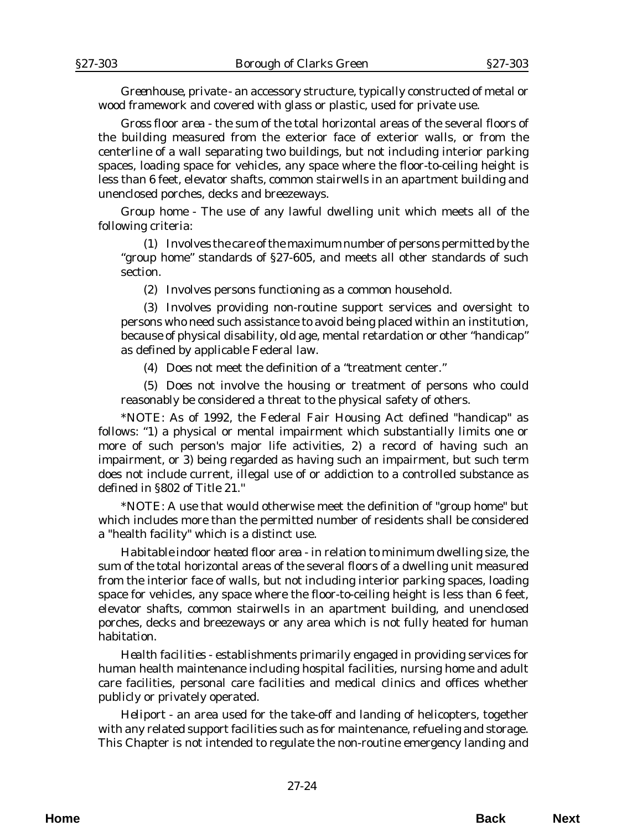*Greenhouse, private* - an accessory structure, typically constructed of metal or wood framework and covered with glass or plastic, used for private use.

*Gross floor area* - the sum of the total horizontal areas of the several floors of the building measured from the exterior face of exterior walls, or from the centerline of a wall separating two buildings, but not including interior parking spaces, loading space for vehicles, any space where the floor-to-ceiling height is less than 6 feet, elevator shafts, common stairwells in an apartment building and unenclosed porches, decks and breezeways.

*Group home* - The use of any lawful dwelling unit which meets all of the following criteria:

(1) Involves the care of the maximum number of persons permitted by the "group home" standards of §27-605, and meets all other standards of such section.

(2) Involves persons functioning as a common household.

(3) Involves providing non-routine support services and oversight to persons who need such assistance to avoid being placed within an institution, because of physical disability, old age, mental retardation or other "handicap" as defined by applicable Federal law.

(4) Does not meet the definition of a "treatment center."

(5) Does not involve the housing or treatment of persons who could reasonably be considered a threat to the physical safety of others.

\**NOTE*: As of 1992, the Federal Fair Housing Act defined "handicap" as follows: "1) a physical or mental impairment which substantially limits one or more of such person's major life activities, 2) a record of having such an impairment, or 3) being regarded as having such an impairment, but such term does not include current, illegal use of or addiction to a controlled substance as defined in §802 of Title 21.''

\**NOTE*: A use that would otherwise meet the definition of "group home" but which includes more than the permitted number of residents shall be considered a "health facility" which is a distinct use.

*Habitable indoor heated floor area* - in relation to minimum dwelling size, the sum of the total horizontal areas of the several floors of a dwelling unit measured from the interior face of walls, but not including interior parking spaces, loading space for vehicles, any space where the floor-to-ceiling height is less than 6 feet, elevator shafts, common stairwells in an apartment building, and unenclosed porches, decks and breezeways or any area which is not fully heated for human habitation.

*Health facilities* - establishments primarily engaged in providing services for human health maintenance including hospital facilities, nursing home and adult care facilities, personal care facilities and medical clinics and offices whether publicly or privately operated.

*Heliport* - an area used for the take-off and landing of helicopters, together with any related support facilities such as for maintenance, refueling and storage. This Chapter is not intended to regulate the non-routine emergency landing and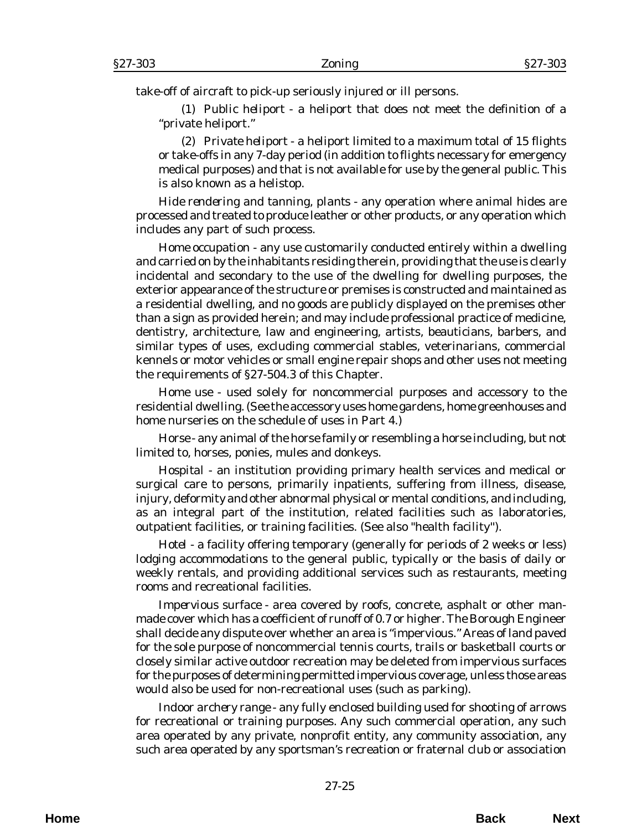take-off of aircraft to pick-up seriously injured or ill persons.

(1) *Public heliport* - a heliport that does not meet the definition of a "private heliport."

(2) *Private heliport* - a heliport limited to a maximum total of 15 flights or take-offs in any 7-day period (in addition to flights necessary for emergency medical purposes) and that is not available for use by the general public. This is also known as a helistop.

*Hide rendering and tanning, plants* - any operation where animal hides are processed and treated to produce leather or other products, or any operation which includes any part of such process.

*Home occupation* - any use customarily conducted entirely within a dwelling and carried on by the inhabitants residing therein, providing that the use is clearly incidental and secondary to the use of the dwelling for dwelling purposes, the exterior appearance of the structure or premises is constructed and maintained as a residential dwelling, and no goods are publicly displayed on the premises other than a sign as provided herein; and may include professional practice of medicine, dentistry, architecture, law and engineering, artists, beauticians, barbers, and similar types of uses, excluding commercial stables, veterinarians, commercial kennels or motor vehicles or small engine repair shops and other uses not meeting the requirements of §27-504.3 of this Chapter.

*Home use* - used solely for noncommercial purposes and accessory to the residential dwelling. (See the accessory uses home gardens, home greenhouses and home nurseries on the schedule of uses in Part 4.)

*Horse* - any animal of the horse family or resembling a horse including, but not limited to, horses, ponies, mules and donkeys.

*Hospital* - an institution providing primary health services and medical or surgical care to persons, primarily inpatients, suffering from illness, disease, injury, deformity and other abnormal physical or mental conditions, and including, as an integral part of the institution, related facilities such as laboratories, outpatient facilities, or training facilities. (See also "health facility'').

*Hotel* - a facility offering temporary (generally for periods of 2 weeks or less) lodging accommodations to the general public, typically or the basis of daily or weekly rentals, and providing additional services such as restaurants, meeting rooms and recreational facilities.

*Impervious surface* - area covered by roofs, concrete, asphalt or other manmade cover which has a coefficient of runoff of 0.7 or higher. The Borough Engineer shall decide any dispute over whether an area is "impervious." Areas of land paved for the sole purpose of noncommercial tennis courts, trails or basketball courts or closely similar active outdoor recreation may be deleted from impervious surfaces for the purposes of determining permitted impervious coverage, unless those areas would also be used for non-recreational uses (such as parking).

*Indoor archery range* - any fully enclosed building used for shooting of arrows for recreational or training purposes. Any such commercial operation, any such area operated by any private, nonprofit entity, any community association, any such area operated by any sportsman's recreation or fraternal club or association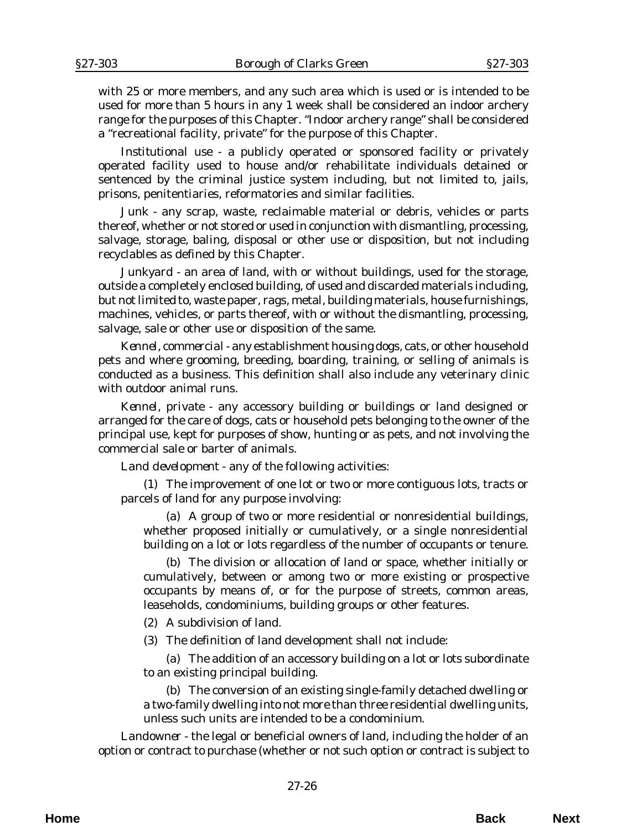with 25 or more members, and any such area which is used or is intended to be used for more than 5 hours in any 1 week shall be considered an indoor archery range for the purposes of this Chapter. "Indoor archery range" shall be considered a "recreational facility, private" for the purpose of this Chapter.

*Institutional use* - a publicly operated or sponsored facility or privately operated facility used to house and/or rehabilitate individuals detained or sentenced by the criminal justice system including, but not limited to, jails, prisons, penitentiaries, reformatories and similar facilities.

*Junk* - any scrap, waste, reclaimable material or debris, vehicles or parts thereof, whether or not stored or used in conjunction with dismantling, processing, salvage, storage, baling, disposal or other use or disposition, but not including recyclables as defined by this Chapter.

*Junkyard* - an area of land, with or without buildings, used for the storage, outside a completely enclosed building, of used and discarded materials including, but not limited to, waste paper, rags, metal, building materials, house furnishings, machines, vehicles, or parts thereof, with or without the dismantling, processing, salvage, sale or other use or disposition of the same.

*Kennel, commercial* - any establishment housing dogs, cats, or other household pets and where grooming, breeding, boarding, training, or selling of animals is conducted as a business. This definition shall also include any veterinary clinic with outdoor animal runs.

*Kennel, private* - any accessory building or buildings or land designed or arranged for the care of dogs, cats or household pets belonging to the owner of the principal use, kept for purposes of show, hunting or as pets, and not involving the commercial sale or barter of animals.

*Land development* - any of the following activities:

(1) The improvement of one lot or two or more contiguous lots, tracts or parcels of land for any purpose involving:

(a) A group of two or more residential or nonresidential buildings, whether proposed initially or cumulatively, or a single nonresidential building on a lot or lots regardless of the number of occupants or tenure.

(b) The division or allocation of land or space, whether initially or cumulatively, between or among two or more existing or prospective occupants by means of, or for the purpose of streets, common areas, leaseholds, condominiums, building groups or other features.

(2) A subdivision of land.

(3) The definition of land development shall not include:

(a) The addition of an accessory building on a lot or lots subordinate to an existing principal building.

(b) The conversion of an existing single-family detached dwelling or a two-family dwelling into not more than three residential dwelling units, unless such units are intended to be a condominium.

*Landowner* - the legal or beneficial owners of land, including the holder of an option or contract to purchase (whether or not such option or contract is subject to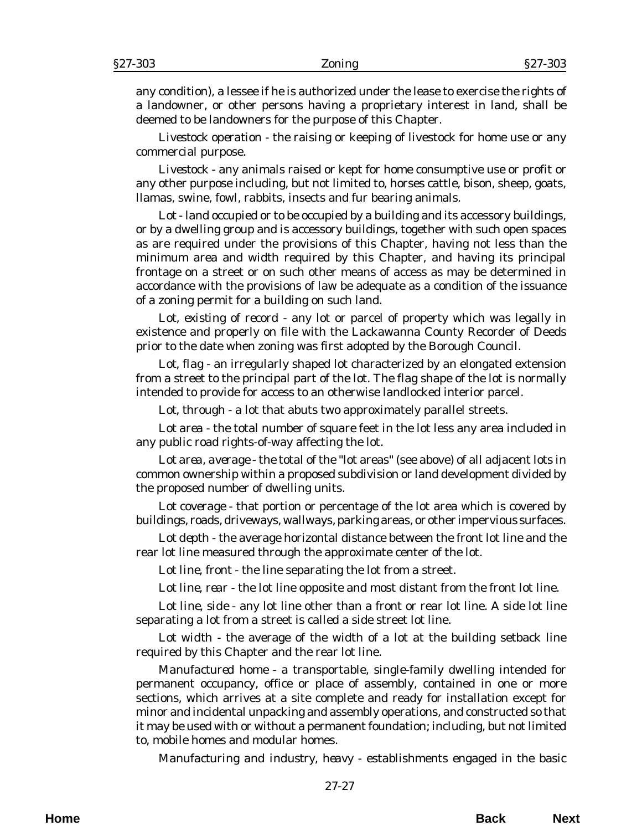any condition), a lessee if he is authorized under the lease to exercise the rights of a landowner, or other persons having a proprietary interest in land, shall be deemed to be landowners for the purpose of this Chapter.

*Livestock operation* - the raising or keeping of livestock for home use or any commercial purpose.

*Livestock* - any animals raised or kept for home consumptive use or profit or any other purpose including, but not limited to, horses cattle, bison, sheep, goats, llamas, swine, fowl, rabbits, insects and fur bearing animals.

*Lot* - land occupied or to be occupied by a building and its accessory buildings, or by a dwelling group and is accessory buildings, together with such open spaces as are required under the provisions of this Chapter, having not less than the minimum area and width required by this Chapter, and having its principal frontage on a street or on such other means of access as may be determined in accordance with the provisions of law be adequate as a condition of the issuance of a zoning permit for a building on such land.

*Lot, existing of record* - any lot or parcel of property which was legally in existence and properly on file with the Lackawanna County Recorder of Deeds prior to the date when zoning was first adopted by the Borough Council.

*Lot, flag* - an irregularly shaped lot characterized by an elongated extension from a street to the principal part of the lot. The flag shape of the lot is normally intended to provide for access to an otherwise landlocked interior parcel.

*Lot, through* - a lot that abuts two approximately parallel streets.

*Lot area* - the total number of square feet in the lot less any area included in any public road rights-of-way affecting the lot.

*Lot area, average* - the total of the "lot areas" (see above) of all adjacent lots in common ownership within a proposed subdivision or land development divided by the proposed number of dwelling units.

*Lot coverage* - that portion or percentage of the lot area which is covered by buildings, roads, driveways, wallways, parking areas, or other impervious surfaces.

*Lot depth* - the average horizontal distance between the front lot line and the rear lot line measured through the approximate center of the lot.

*Lot line, front* - the line separating the lot from a street.

*Lot line, rear* - the lot line opposite and most distant from the front lot line.

*Lot line, side* - any lot line other than a front or rear lot line. A side lot line separating a lot from a street is called a side street lot line.

*Lot width* - the average of the width of a lot at the building setback line required by this Chapter and the rear lot line.

*Manufactured home* - a transportable, single-family dwelling intended for permanent occupancy, office or place of assembly, contained in one or more sections, which arrives at a site complete and ready for installation except for minor and incidental unpacking and assembly operations, and constructed so that it may be used with or without a permanent foundation; including, but not limited to, mobile homes and modular homes.

*Manufacturing and industry, heavy* - establishments engaged in the basic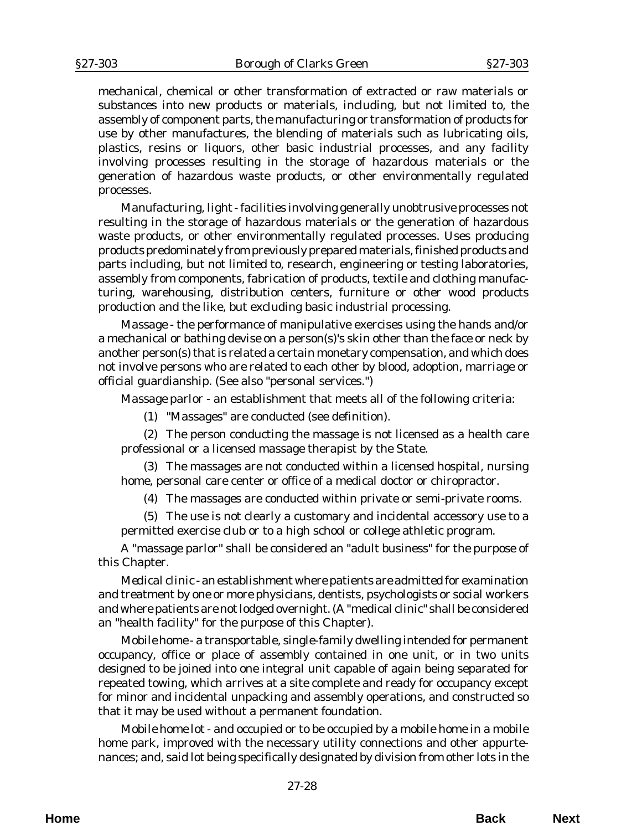mechanical, chemical or other transformation of extracted or raw materials or substances into new products or materials, including, but not limited to, the assembly of component parts, the manufacturing or transformation of products for use by other manufactures, the blending of materials such as lubricating oils, plastics, resins or liquors, other basic industrial processes, and any facility involving processes resulting in the storage of hazardous materials or the generation of hazardous waste products, or other environmentally regulated processes.

*Manufacturing, light* - facilities involving generally unobtrusive processes not resulting in the storage of hazardous materials or the generation of hazardous waste products, or other environmentally regulated processes. Uses producing products predominately from previously prepared materials, finished products and parts including, but not limited to, research, engineering or testing laboratories, assembly from components, fabrication of products, textile and clothing manufacturing, warehousing, distribution centers, furniture or other wood products production and the like, but excluding basic industrial processing.

*Massage* - the performance of manipulative exercises using the hands and/or a mechanical or bathing devise on a person(s)'s skin other than the face or neck by another person(s) that is related a certain monetary compensation, and which does not involve persons who are related to each other by blood, adoption, marriage or official guardianship. (See also "personal services.")

*Massage parlor* - an establishment that meets all of the following criteria:

(1) "Massages" are conducted (see definition).

(2) The person conducting the massage is not licensed as a health care professional or a licensed massage therapist by the State.

(3) The massages are not conducted within a licensed hospital, nursing home, personal care center or office of a medical doctor or chiropractor.

(4) The massages are conducted within private or semi-private rooms.

(5) The use is not clearly a customary and incidental accessory use to a permitted exercise club or to a high school or college athletic program.

A "massage parlor" shall be considered an "adult business" for the purpose of this Chapter.

*Medical clinic* - an establishment where patients are admitted for examination and treatment by one or more physicians, dentists, psychologists or social workers and where patients are not lodged overnight. (A "medical clinic" shall be considered an "health facility" for the purpose of this Chapter).

*Mobile home* - a transportable, single-family dwelling intended for permanent occupancy, office or place of assembly contained in one unit, or in two units designed to be joined into one integral unit capable of again being separated for repeated towing, which arrives at a site complete and ready for occupancy except for minor and incidental unpacking and assembly operations, and constructed so that it may be used without a permanent foundation.

*Mobile home lot* - and occupied or to be occupied by a mobile home in a mobile home park, improved with the necessary utility connections and other appurtenances; and, said lot being specifically designated by division from other lots in the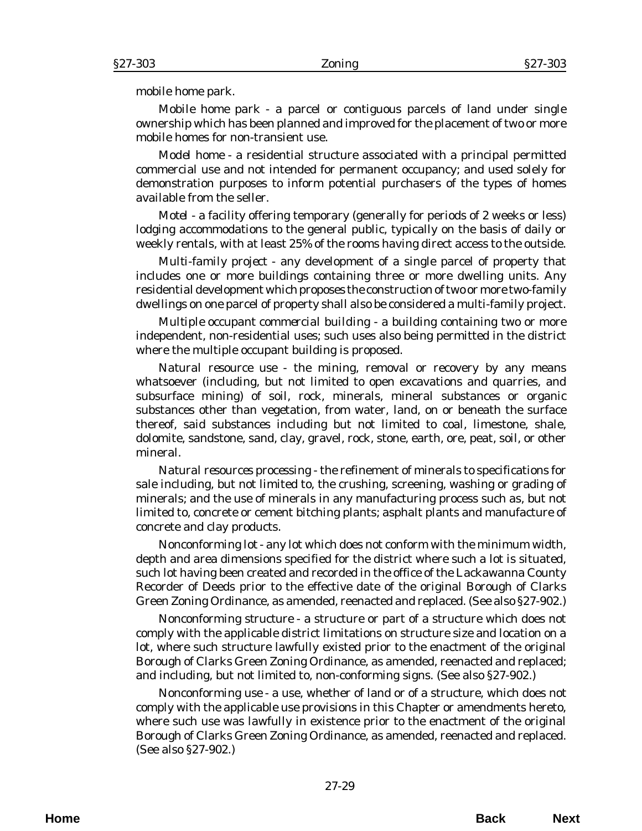mobile home park.

*Mobile home park* - a parcel or contiguous parcels of land under single ownership which has been planned and improved for the placement of two or more mobile homes for non-transient use.

*Model home* - a residential structure associated with a principal permitted commercial use and not intended for permanent occupancy; and used solely for demonstration purposes to inform potential purchasers of the types of homes available from the seller.

*Motel* - a facility offering temporary (generally for periods of 2 weeks or less) lodging accommodations to the general public, typically on the basis of daily or weekly rentals, with at least 25% of the rooms having direct access to the outside.

*Multi-family project* - any development of a single parcel of property that includes one or more buildings containing three or more dwelling units. Any residential development which proposes the construction of two or more two-family dwellings on one parcel of property shall also be considered a multi-family project.

*Multiple occupant commercial building* - a building containing two or more independent, non-residential uses; such uses also being permitted in the district where the multiple occupant building is proposed.

*Natural resource use* - the mining, removal or recovery by any means whatsoever (including, but not limited to open excavations and quarries, and subsurface mining) of soil, rock, minerals, mineral substances or organic substances other than vegetation, from water, land, on or beneath the surface thereof, said substances including but not limited to coal, limestone, shale, dolomite, sandstone, sand, clay, gravel, rock, stone, earth, ore, peat, soil, or other mineral.

*Natural resources processing* - the refinement of minerals to specifications for sale including, but not limited to, the crushing, screening, washing or grading of minerals; and the use of minerals in any manufacturing process such as, but not limited to, concrete or cement bitching plants; asphalt plants and manufacture of concrete and clay products.

*Nonconforming lot* - any lot which does not conform with the minimum width, depth and area dimensions specified for the district where such a lot is situated, such lot having been created and recorded in the office of the Lackawanna County Recorder of Deeds prior to the effective date of the original Borough of Clarks Green Zoning Ordinance, as amended, reenacted and replaced. (See also §27-902.)

*Nonconforming structure* - a structure or part of a structure which does not comply with the applicable district limitations on structure size and location on a lot, where such structure lawfully existed prior to the enactment of the original Borough of Clarks Green Zoning Ordinance, as amended, reenacted and replaced; and including, but not limited to, non-conforming signs. (See also §27-902.)

*Nonconforming use* - a use, whether of land or of a structure, which does not comply with the applicable use provisions in this Chapter or amendments hereto, where such use was lawfully in existence prior to the enactment of the original Borough of Clarks Green Zoning Ordinance, as amended, reenacted and replaced. (See also §27-902.)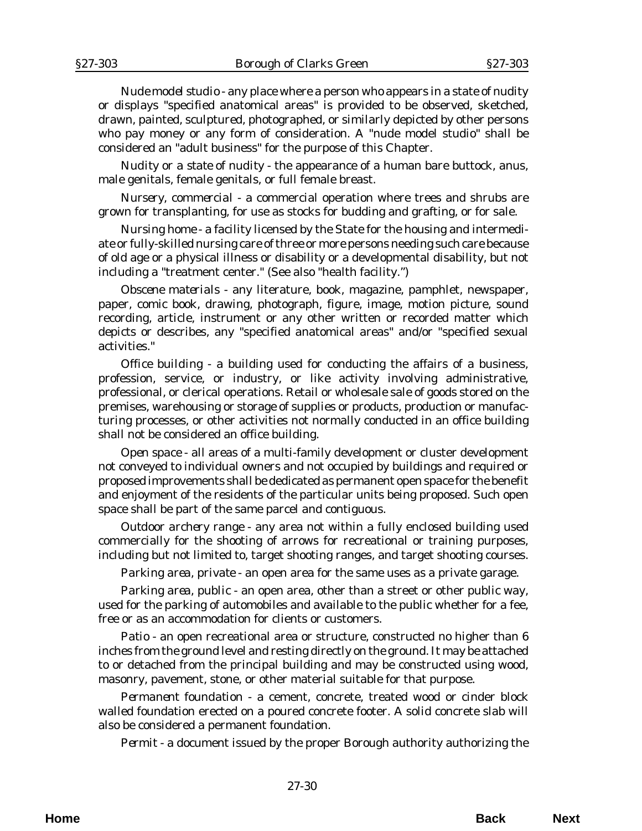*Nude model studio* - any place where a person who appears in a state of nudity or displays "specified anatomical areas" is provided to be observed, sketched, drawn, painted, sculptured, photographed, or similarly depicted by other persons who pay money or any form of consideration. A "nude model studio" shall be considered an "adult business" for the purpose of this Chapter.

*Nudity or a state of nudity* - the appearance of a human bare buttock, anus, male genitals, female genitals, or full female breast.

*Nursery, commercial* - a commercial operation where trees and shrubs are grown for transplanting, for use as stocks for budding and grafting, or for sale.

*Nursing home* - a facility licensed by the State for the housing and intermediate or fully-skilled nursing care of three or more persons needing such care because of old age or a physical illness or disability or a developmental disability, but not including a "treatment center." (See also "health facility.")

*Obscene materials* - any literature, book, magazine, pamphlet, newspaper, paper, comic book, drawing, photograph, figure, image, motion picture, sound recording, article, instrument or any other written or recorded matter which depicts or describes, any "specified anatomical areas" and/or "specified sexual activities."

*Office building* - a building used for conducting the affairs of a business, profession, service, or industry, or like activity involving administrative, professional, or clerical operations. Retail or wholesale sale of goods stored on the premises, warehousing or storage of supplies or products, production or manufacturing processes, or other activities not normally conducted in an office building shall not be considered an office building.

*Open space* - all areas of a multi-family development or cluster development not conveyed to individual owners and not occupied by buildings and required or proposed improvements shall be dedicated as permanent open space for the benefit and enjoyment of the residents of the particular units being proposed. Such open space shall be part of the same parcel and contiguous.

*Outdoor archery range* - any area not within a fully enclosed building used commercially for the shooting of arrows for recreational or training purposes, including but not limited to, target shooting ranges, and target shooting courses.

*Parking area, private* - an open area for the same uses as a private garage.

*Parking area, public* - an open area, other than a street or other public way, used for the parking of automobiles and available to the public whether for a fee, free or as an accommodation for clients or customers.

*Patio* - an open recreational area or structure, constructed no higher than 6 inches from the ground level and resting directly on the ground. It may be attached to or detached from the principal building and may be constructed using wood, masonry, pavement, stone, or other material suitable for that purpose.

*Permanent foundation* - a cement, concrete, treated wood or cinder block walled foundation erected on a poured concrete footer. A solid concrete slab will also be considered a permanent foundation.

*Permit* - a document issued by the proper Borough authority authorizing the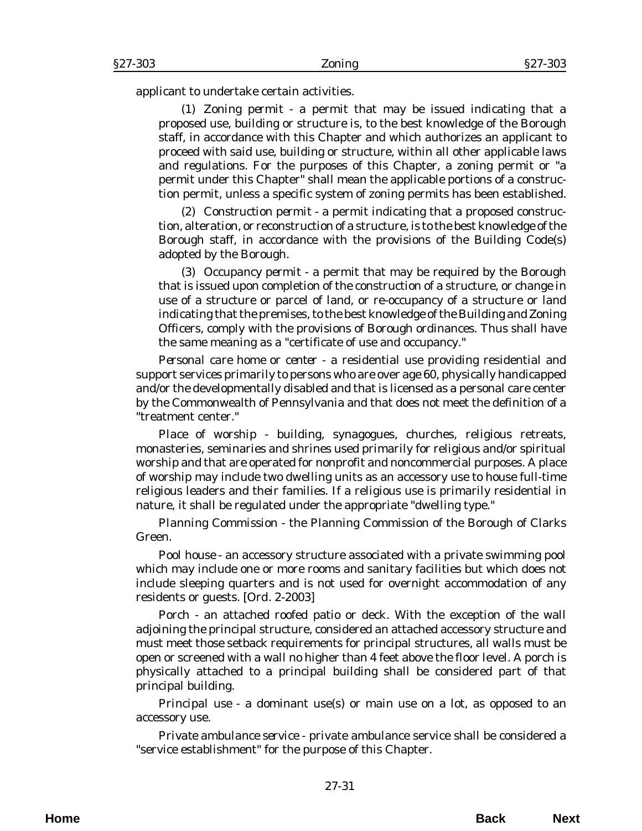applicant to undertake certain activities.

(1) *Zoning permit* - a permit that may be issued indicating that a proposed use, building or structure is, to the best knowledge of the Borough staff, in accordance with this Chapter and which authorizes an applicant to proceed with said use, building or structure, within all other applicable laws and regulations. For the purposes of this Chapter, a zoning permit or "a permit under this Chapter" shall mean the applicable portions of a construction permit, unless a specific system of zoning permits has been established.

(2) *Construction permit* - a permit indicating that a proposed construction, alteration, or reconstruction of a structure, is to the best knowledge of the Borough staff, in accordance with the provisions of the Building Code(s) adopted by the Borough.

(3) *Occupancy permit* - a permit that may be required by the Borough that is issued upon completion of the construction of a structure, or change in use of a structure or parcel of land, or re-occupancy of a structure or land indicating that the premises, to the best knowledge of the Building and Zoning Officers, comply with the provisions of Borough ordinances. Thus shall have the same meaning as a "certificate of use and occupancy."

*Personal care home or center* - a residential use providing residential and support services primarily to persons who are over age 60, physically handicapped and/or the developmentally disabled and that is licensed as a personal care center by the Commonwealth of Pennsylvania and that does not meet the definition of a "treatment center."

*Place of worship* - building, synagogues, churches, religious retreats, monasteries, seminaries and shrines used primarily for religious and/or spiritual worship and that are operated for nonprofit and noncommercial purposes. A place of worship may include two dwelling units as an accessory use to house full-time religious leaders and their families. If a religious use is primarily residential in nature, it shall be regulated under the appropriate "dwelling type."

*Planning Commission* - the Planning Commission of the Borough of Clarks Green.

*Pool house* - an accessory structure associated with a private swimming pool which may include one or more rooms and sanitary facilities but which does not include sleeping quarters and is not used for overnight accommodation of any residents or guests. [*Ord. 2-2003*]

*Porch* - an attached roofed patio or deck. With the exception of the wall adjoining the principal structure, considered an attached accessory structure and must meet those setback requirements for principal structures, all walls must be open or screened with a wall no higher than 4 feet above the floor level. A porch is physically attached to a principal building shall be considered part of that principal building.

*Principal use* - a dominant use(s) or main use on a lot, as opposed to an accessory use.

*Private ambulance service* - private ambulance service shall be considered a "service establishment" for the purpose of this Chapter.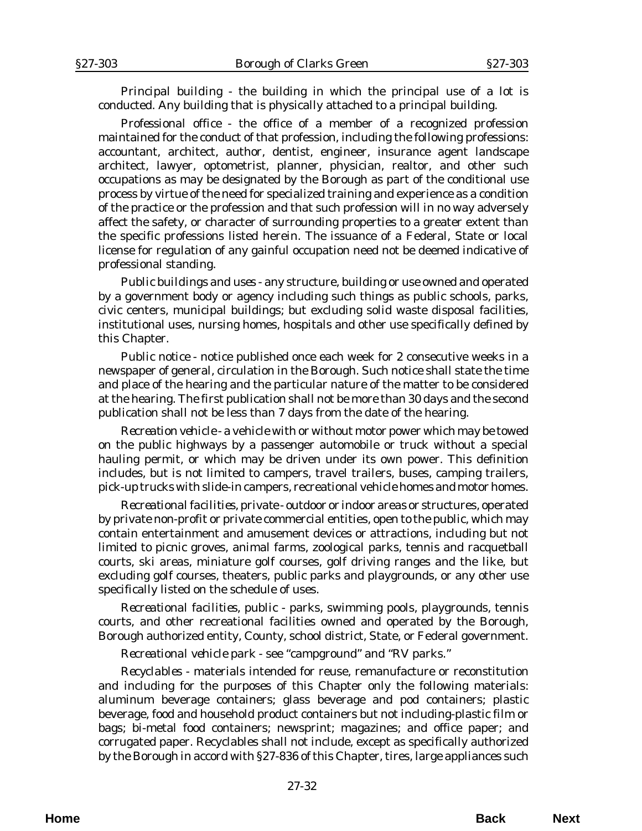*Principal building* - the building in which the principal use of a lot is conducted. Any building that is physically attached to a principal building.

*Professional office* - the office of a member of a recognized profession maintained for the conduct of that profession, including the following professions: accountant, architect, author, dentist, engineer, insurance agent landscape architect, lawyer, optometrist, planner, physician, realtor, and other such occupations as may be designated by the Borough as part of the conditional use process by virtue of the need for specialized training and experience as a condition of the practice or the profession and that such profession will in no way adversely affect the safety, or character of surrounding properties to a greater extent than the specific professions listed herein. The issuance of a Federal, State or local license for regulation of any gainful occupation need not be deemed indicative of professional standing.

*Public buildings and uses* - any structure, building or use owned and operated by a government body or agency including such things as public schools, parks, civic centers, municipal buildings; but excluding solid waste disposal facilities, institutional uses, nursing homes, hospitals and other use specifically defined by this Chapter.

*Public notice* - notice published once each week for 2 consecutive weeks in a newspaper of general, circulation in the Borough. Such notice shall state the time and place of the hearing and the particular nature of the matter to be considered at the hearing. The first publication shall not be more than 30 days and the second publication shall not be less than 7 days from the date of the hearing.

*Recreation vehicle* - a vehicle with or without motor power which may be towed on the public highways by a passenger automobile or truck without a special hauling permit, or which may be driven under its own power. This definition includes, but is not limited to campers, travel trailers, buses, camping trailers, pick-up trucks with slide-in campers, recreational vehicle homes and motor homes.

*Recreational facilities, private* - outdoor or indoor areas or structures, operated by private non-profit or private commercial entities, open to the public, which may contain entertainment and amusement devices or attractions, including but not limited to picnic groves, animal farms, zoological parks, tennis and racquetball courts, ski areas, miniature golf courses, golf driving ranges and the like, but excluding golf courses, theaters, public parks and playgrounds, or any other use specifically listed on the schedule of uses.

*Recreational facilities, public* - parks, swimming pools, playgrounds, tennis courts, and other recreational facilities owned and operated by the Borough, Borough authorized entity, County, school district, State, or Federal government.

*Recreational vehicle park* - see "campground" and "RV parks."

*Recyclables* - materials intended for reuse, remanufacture or reconstitution and including for the purposes of this Chapter only the following materials: aluminum beverage containers; glass beverage and pod containers; plastic beverage, food and household product containers but not including-plastic film or bags; bi-metal food containers; newsprint; magazines; and office paper; and corrugated paper. Recyclables shall not include, except as specifically authorized by the Borough in accord with §27-836 of this Chapter, tires, large appliances such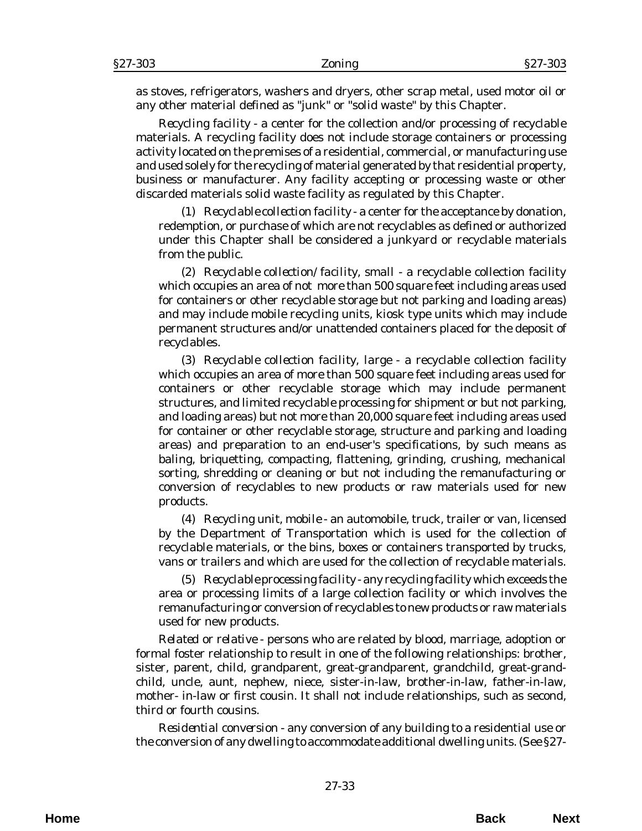as stoves, refrigerators, washers and dryers, other scrap metal, used motor oil or any other material defined as "junk" or "solid waste" by this Chapter.

*Recycling facility* - a center for the collection and/or processing of recyclable materials. A recycling facility does not include storage containers or processing activity located on the premises of a residential, commercial, or manufacturing use and used solely for the recycling of material generated by that residential property, business or manufacturer. Any facility accepting or processing waste or other discarded materials solid waste facility as regulated by this Chapter.

(1) *Recyclable collection facility* - a center for the acceptance by donation, redemption, or purchase of which are not recyclables as defined or authorized under this Chapter shall be considered a junkyard or recyclable materials from the public.

(2) *Recyclable collection/facility, small* - a recyclable collection facility which occupies an area of not more than 500 square feet including areas used for containers or other recyclable storage but not parking and loading areas) and may include mobile recycling units, kiosk type units which may include permanent structures and/or unattended containers placed for the deposit of recyclables.

(3) *Recyclable collection facility, large -* a recyclable collection facility which occupies an area of more than 500 square feet including areas used for containers or other recyclable storage which may include permanent structures, and limited recyclable processing for shipment or but not parking, and loading areas) but not more than 20,000 square feet including areas used for container or other recyclable storage, structure and parking and loading areas) and preparation to an end-user's specifications, by such means as baling, briquetting, compacting, flattening, grinding, crushing, mechanical sorting, shredding or cleaning or but not including the remanufacturing or conversion of recyclables to new products or raw materials used for new products.

(4) *Recycling unit, mobile* - an automobile, truck, trailer or van, licensed by the Department of Transportation which is used for the collection of recyclable materials, or the bins, boxes or containers transported by trucks, vans or trailers and which are used for the collection of recyclable materials.

(5) *Recyclable processing facility* - any recycling facility which exceeds the area or processing limits of a large collection facility or which involves the remanufacturing or conversion of recyclables to new products or raw materials used for new products.

*Related or relative* - persons who are related by blood, marriage, adoption or formal foster relationship to result in one of the following relationships: brother, sister, parent, child, grandparent, great-grandparent, grandchild, great-grandchild, uncle, aunt, nephew, niece, sister-in-law, brother-in-law, father-in-law, mother- in-law or first cousin. It shall not include relationships, such as second, third or fourth cousins.

*Residential conversion* - any conversion of any building to a residential use or the conversion of any dwelling to accommodate additional dwelling units. (See §27-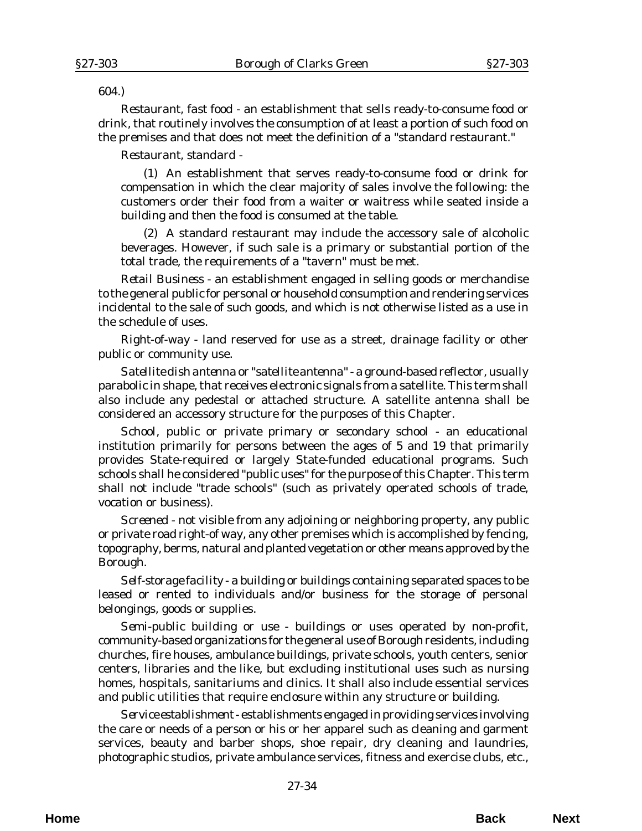#### 604.)

*Restaurant, fast food* - an establishment that sells ready-to-consume food or drink, that routinely involves the consumption of at least a portion of such food on the premises and that does not meet the definition of a "standard restaurant."

*Restaurant, standard* -

(1) An establishment that serves ready-to-consume food or drink for compensation in which the clear majority of sales involve the following: the customers order their food from a waiter or waitress while seated inside a building and then the food is consumed at the table.

(2) A standard restaurant may include the accessory sale of alcoholic beverages. However, if such sale is a primary or substantial portion of the total trade, the requirements of a "tavern" must be met.

*Retail Business* - an establishment engaged in selling goods or merchandise to the general public for personal or household consumption and rendering services incidental to the sale of such goods, and which is not otherwise listed as a use in the schedule of uses.

*Right-of-way* - land reserved for use as a street, drainage facility or other public or community use.

*Satellite dish antenna or "satellite antenna"* - a ground-based reflector, usually parabolic in shape, that receives electronic signals from a satellite. This term shall also include any pedestal or attached structure. A satellite antenna shall be considered an accessory structure for the purposes of this Chapter.

*School, public or private primary or secondary school* - an educational institution primarily for persons between the ages of 5 and 19 that primarily provides State-required or largely State-funded educational programs. Such schools shall he considered "public uses" for the purpose of this Chapter. This term shall not include "trade schools" (such as privately operated schools of trade, vocation or business).

*Screened* - not visible from any adjoining or neighboring property, any public or private road right-of way, any other premises which is accomplished by fencing, topography, berms, natural and planted vegetation or other means approved by the Borough.

*Self-storage facility* - a building or buildings containing separated spaces to be leased or rented to individuals and/or business for the storage of personal belongings, goods or supplies.

*Semi-public building or use* - buildings or uses operated by non-profit, community-based organizations for the general use of Borough residents, including churches, fire houses, ambulance buildings, private schools, youth centers, senior centers, libraries and the like, but excluding institutional uses such as nursing homes, hospitals, sanitariums and clinics. It shall also include essential services and public utilities that require enclosure within any structure or building.

*Service establishment* - establishments engaged in providing services involving the care or needs of a person or his or her apparel such as cleaning and garment services, beauty and barber shops, shoe repair, dry cleaning and laundries, photographic studios, private ambulance services, fitness and exercise clubs, etc.,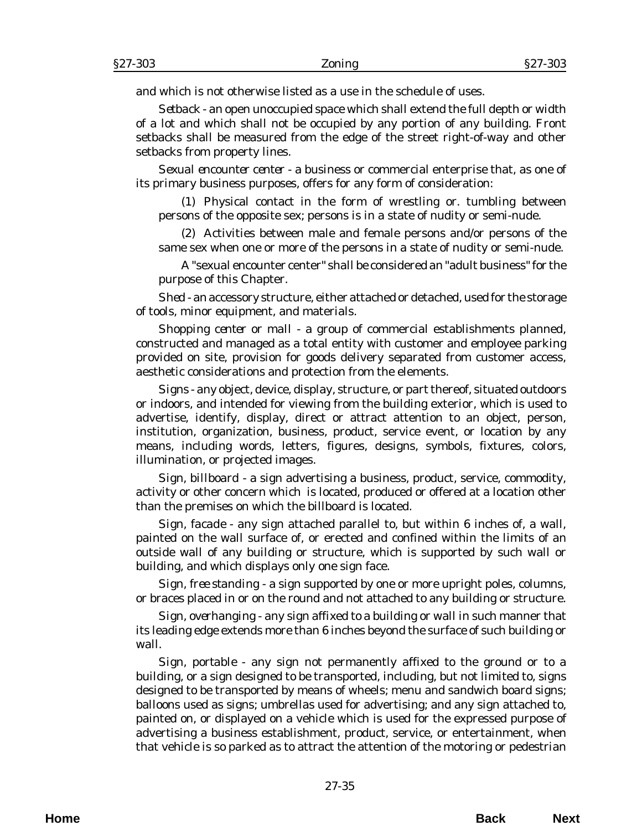and which is not otherwise listed as a use in the schedule of uses.

*Setback* - an open unoccupied space which shall extend the full depth or width of a lot and which shall not be occupied by any portion of any building. Front setbacks shall be measured from the edge of the street right-of-way and other setbacks from property lines.

*Sexual encounter center* - a business or commercial enterprise that, as one of its primary business purposes, offers for any form of consideration:

(1) Physical contact in the form of wrestling or. tumbling between persons of the opposite sex; persons is in a state of nudity or semi-nude.

(2) Activities between male and female persons and/or persons of the same sex when one or more of the persons in a state of nudity or semi-nude.

A "sexual encounter center" shall be considered an "adult business" for the purpose of this Chapter.

*Shed* - an accessory structure, either attached or detached, used for the storage of tools, minor equipment, and materials.

*Shopping center or mall* - a group of commercial establishments planned, constructed and managed as a total entity with customer and employee parking provided on site, provision for goods delivery separated from customer access, aesthetic considerations and protection from the elements.

*Signs* - any object, device, display, structure, or part thereof, situated outdoors or indoors, and intended for viewing from the building exterior, which is used to advertise, identify, display, direct or attract attention to an object, person, institution, organization, business, product, service event, or location by any means, including words, letters, figures, designs, symbols, fixtures, colors, illumination, or projected images.

*Sign, billboard* - a sign advertising a business, product, service, commodity, activity or other concern which is located, produced or offered at a location other than the premises on which the billboard is located.

*Sign, facade* - any sign attached parallel to, but within 6 inches of, a wall, painted on the wall surface of, or erected and confined within the limits of an outside wall of any building or structure, which is supported by such wall or building, and which displays only one sign face.

*Sign, free standing* - a sign supported by one or more upright poles, columns, or braces placed in or on the round and not attached to any building or structure.

*Sign, overhanging* - any sign affixed to a building or wall in such manner that its leading edge extends more than 6 inches beyond the surface of such building or wall.

*Sign, portable* - any sign not permanently affixed to the ground or to a building, or a sign designed to be transported, including, but not limited to, signs designed to be transported by means of wheels; menu and sandwich board signs; balloons used as signs; umbrellas used for advertising; and any sign attached to, painted on, or displayed on a vehicle which is used for the expressed purpose of advertising a business establishment, product, service, or entertainment, when that vehicle is so parked as to attract the attention of the motoring or pedestrian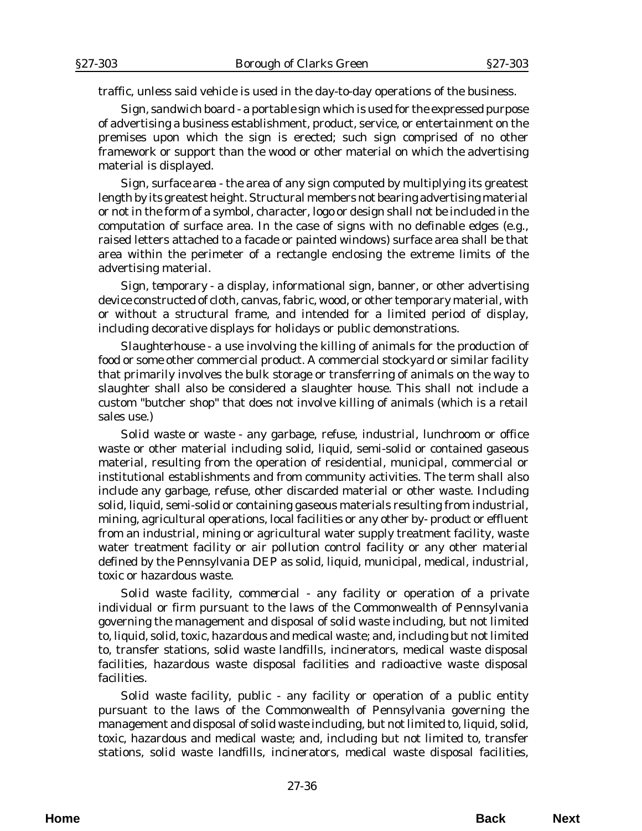traffic, unless said vehicle is used in the day-to-day operations of the business.

*Sign, sandwich board* - a portable sign which is used for the expressed purpose of advertising a business establishment, product, service, or entertainment on the premises upon which the sign is erected; such sign comprised of no other framework or support than the wood or other material on which the advertising material is displayed.

*Sign, surface area* - the area of any sign computed by multiplying its greatest length by its greatest height. Structural members not bearing advertising material or not in the form of a symbol, character, logo or design shall not be included in the computation of surface area. In the case of signs with no definable edges (e.g., raised letters attached to a facade or painted windows) surface area shall be that area within the perimeter of a rectangle enclosing the extreme limits of the advertising material.

*Sign, temporary* - a display, informational sign, banner, or other advertising device constructed of cloth, canvas, fabric, wood, or other temporary material, with or without a structural frame, and intended for a limited period of display, including decorative displays for holidays or public demonstrations.

*Slaughterhouse* - a use involving the killing of animals for the production of food or some other commercial product. A commercial stockyard or similar facility that primarily involves the bulk storage or transferring of animals on the way to slaughter shall also be considered a slaughter house. This shall not include a custom "butcher shop" that does not involve killing of animals (which is a retail sales use.)

*Solid waste or waste* - any garbage, refuse, industrial, lunchroom or office waste or other material including solid, liquid, semi-solid or contained gaseous material, resulting from the operation of residential, municipal, commercial or institutional establishments and from community activities. The term shall also include any garbage, refuse, other discarded material or other waste. Including solid, liquid, semi-solid or containing gaseous materials resulting from industrial, mining, agricultural operations, local facilities or any other by- product or effluent from an industrial, mining or agricultural water supply treatment facility, waste water treatment facility or air pollution control facility or any other material defined by the Pennsylvania DEP as solid, liquid, municipal, medical, industrial, toxic or hazardous waste.

*Solid waste facility, commercial* - any facility or operation of a private individual or firm pursuant to the laws of the Commonwealth of Pennsylvania governing the management and disposal of solid waste including, but not limited to, liquid, solid, toxic, hazardous and medical waste; and, including but not limited to, transfer stations, solid waste landfills, incinerators, medical waste disposal facilities, hazardous waste disposal facilities and radioactive waste disposal facilities.

*Solid waste facility, public* - any facility or operation of a public entity pursuant to the laws of the Commonwealth of Pennsylvania governing the management and disposal of solid waste including, but not limited to, liquid, solid, toxic, hazardous and medical waste; and, including but not limited to, transfer stations, solid waste landfills, incinerators, medical waste disposal facilities,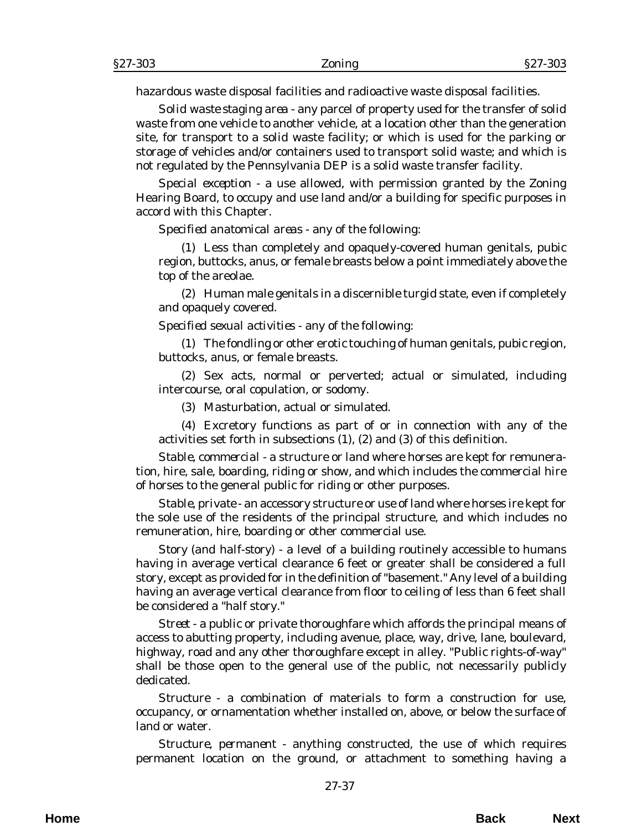hazardous waste disposal facilities and radioactive waste disposal facilities.

*Solid waste staging area* - any parcel of property used for the transfer of solid waste from one vehicle to another vehicle, at a location other than the generation site, for transport to a solid waste facility; or which is used for the parking or storage of vehicles and/or containers used to transport solid waste; and which is not regulated by the Pennsylvania DEP is a solid waste transfer facility.

*Special exception* - a use allowed, with permission granted by the Zoning Hearing Board, to occupy and use land and/or a building for specific purposes in accord with this Chapter.

*Specified anatomical areas* - any of the following:

(1) Less than completely and opaquely-covered human genitals, pubic region, buttocks, anus, or female breasts below a point immediately above the top of the areolae.

(2) Human male genitals in a discernible turgid state, even if completely and opaquely covered.

*Specified sexual activities* - any of the following:

(1) The fondling or other erotic touching of human genitals, pubic region, buttocks, anus, or female breasts.

(2) Sex acts, normal or perverted; actual or simulated, including intercourse, oral copulation, or sodomy.

(3) Masturbation, actual or simulated.

(4) Excretory functions as part of or in connection with any of the activities set forth in subsections (1), (2) and (3) of this definition.

*Stable, commercial* - a structure or land where horses are kept for remuneration, hire, sale, boarding, riding or show, and which includes the commercial hire of horses to the general public for riding or other purposes.

*Stable, private* - an accessory structure or use of land where horses ire kept for the sole use of the residents of the principal structure, and which includes no remuneration, hire, boarding or other commercial use.

*Story (and half-story)* - a level of a building routinely accessible to humans having in average vertical clearance 6 feet or greater shall be considered a full story, except as provided for in the definition of "basement." Any level of a building having an average vertical clearance from floor to ceiling of less than 6 feet shall be considered a "half story."

*Street* - a public or private thoroughfare which affords the principal means of access to abutting property, including avenue, place, way, drive, lane, boulevard, highway, road and any other thoroughfare except in alley. "Public rights-of-way" shall be those open to the general use of the public, not necessarily publicly dedicated.

*Structure* - a combination of materials to form a construction for use, occupancy, or ornamentation whether installed on, above, or below the surface of land or water.

*Structure, permanent* - anything constructed, the use of which requires permanent location on the ground, or attachment to something having a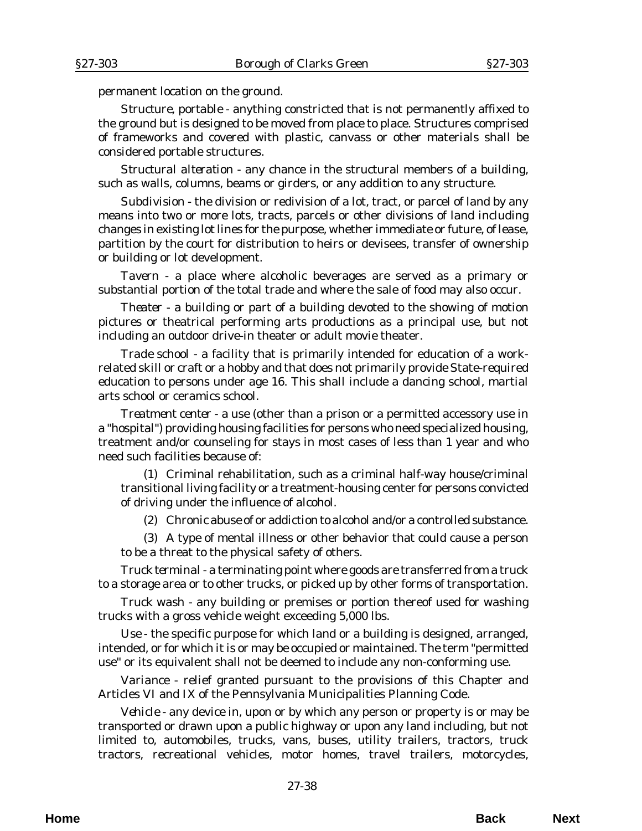permanent location on the ground.

*Structure, portable* - anything constricted that is not permanently affixed to the ground but is designed to be moved from place to place. Structures comprised of frameworks and covered with plastic, canvass or other materials shall be considered portable structures.

*Structural alteration* - any chance in the structural members of a building, such as walls, columns, beams or girders, or any addition to any structure.

*Subdivision* - the division or redivision of a lot, tract, or parcel of land by any means into two or more lots, tracts, parcels or other divisions of land including changes in existing lot lines for the purpose, whether immediate or future, of lease, partition by the court for distribution to heirs or devisees, transfer of ownership or building or lot development.

*Tavern* - a place where alcoholic beverages are served as a primary or substantial portion of the total trade and where the sale of food may also occur.

*Theater* - a building or part of a building devoted to the showing of motion pictures or theatrical performing arts productions as a principal use, but not including an outdoor drive-in theater or adult movie theater.

*Trade school* - a facility that is primarily intended for education of a workrelated skill or craft or a hobby and that does not primarily provide State-required education to persons under age 16. This shall include a dancing school, martial arts school or ceramics school.

*Treatment center* - a use (other than a prison or a permitted accessory use in a "hospital") providing housing facilities for persons who need specialized housing, treatment and/or counseling for stays in most cases of less than 1 year and who need such facilities because of:

(1) Criminal rehabilitation, such as a criminal half-way house/criminal transitional living facility or a treatment-housing center for persons convicted of driving under the influence of alcohol.

(2) Chronic abuse of or addiction to alcohol and/or a controlled substance.

(3) A type of mental illness or other behavior that could cause a person to be a threat to the physical safety of others.

*Truck terminal* - a terminating point where goods are transferred from a truck to a storage area or to other trucks, or picked up by other forms of transportation.

*Truck wash* - any building or premises or portion thereof used for washing trucks with a gross vehicle weight exceeding 5,000 lbs.

*Use* - the specific purpose for which land or a building is designed, arranged, intended, or for which it is or may be occupied or maintained. The term "permitted use" or its equivalent shall not be deemed to include any non-conforming use.

*Variance* - relief granted pursuant to the provisions of this Chapter and Articles VI and IX of the Pennsylvania Municipalities Planning Code.

*Vehicle* - any device in, upon or by which any person or property is or may be transported or drawn upon a public highway or upon any land including, but not limited to, automobiles, trucks, vans, buses, utility trailers, tractors, truck tractors, recreational vehicles, motor homes, travel trailers, motorcycles,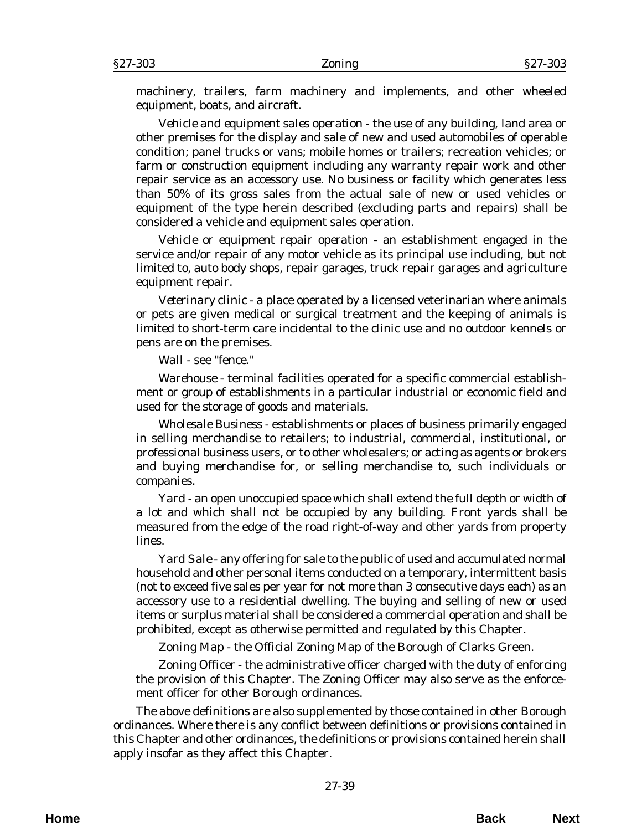machinery, trailers, farm machinery and implements, and other wheeled equipment, boats, and aircraft.

*Vehicle and equipment sales operation* - the use of any building, land area or other premises for the display and sale of new and used automobiles of operable condition; panel trucks or vans; mobile homes or trailers; recreation vehicles; or farm or construction equipment including any warranty repair work and other repair service as an accessory use. No business or facility which generates less than 50% of its gross sales from the actual sale of new or used vehicles or equipment of the type herein described (excluding parts and repairs) shall be considered a vehicle and equipment sales operation.

*Vehicle or equipment repair operation* - an establishment engaged in the service and/or repair of any motor vehicle as its principal use including, but not limited to, auto body shops, repair garages, truck repair garages and agriculture equipment repair.

*Veterinary clinic* - a place operated by a licensed veterinarian where animals or pets are given medical or surgical treatment and the keeping of animals is limited to short-term care incidental to the clinic use and no outdoor kennels or pens are on the premises.

*Wall* - see "fence."

*Warehouse* - terminal facilities operated for a specific commercial establishment or group of establishments in a particular industrial or economic field and used for the storage of goods and materials.

*Wholesale Business* - establishments or places of business primarily engaged in selling merchandise to retailers; to industrial, commercial, institutional, or professional business users, or to other wholesalers; or acting as agents or brokers and buying merchandise for, or selling merchandise to, such individuals or companies.

*Yard* - an open unoccupied space which shall extend the full depth or width of a lot and which shall not be occupied by any building. Front yards shall be measured from the edge of the road right-of-way and other yards from property lines.

*Yard Sale* - any offering for sale to the public of used and accumulated normal household and other personal items conducted on a temporary, intermittent basis (not to exceed five sales per year for not more than 3 consecutive days each) as an accessory use to a residential dwelling. The buying and selling of new or used items or surplus material shall be considered a commercial operation and shall be prohibited, except as otherwise permitted and regulated by this Chapter.

*Zoning Map* - the Official Zoning Map of the Borough of Clarks Green.

*Zoning Officer* - the administrative officer charged with the duty of enforcing the provision of this Chapter. The Zoning Officer may also serve as the enforcement officer for other Borough ordinances.

The above definitions are also supplemented by those contained in other Borough ordinances. Where there is any conflict between definitions or provisions contained in this Chapter and other ordinances, the definitions or provisions contained herein shall apply insofar as they affect this Chapter.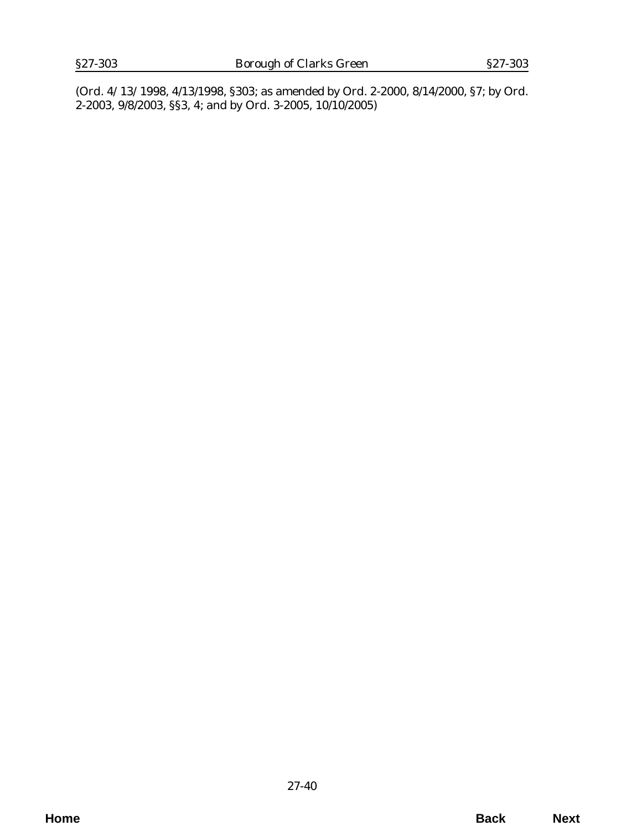(*Ord. 4/13/1998*, 4/13/1998, §303; as amended by *Ord. 2-2000*, 8/14/2000, §7; by *Ord. 2-2003*, 9/8/2003, §§3, 4; and by *Ord. 3-2005*, 10/10/2005)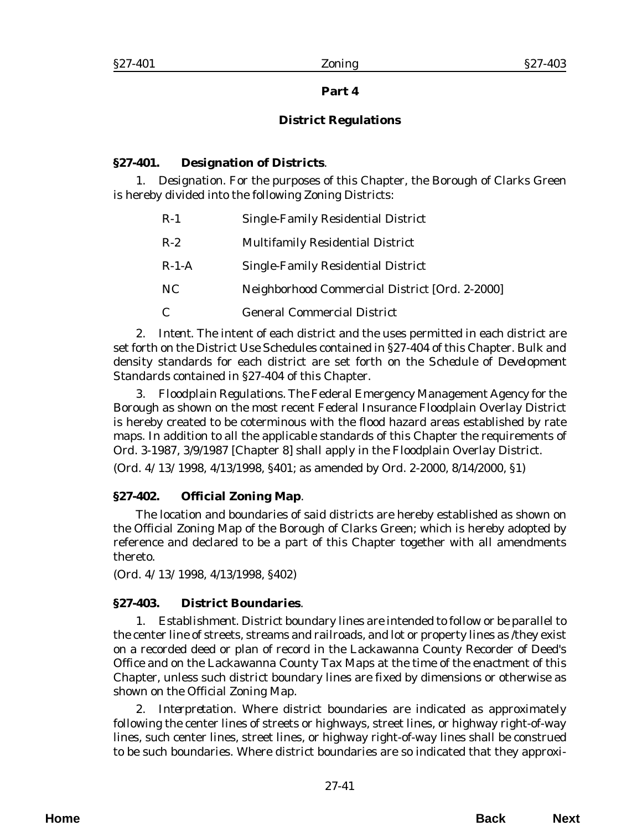# **Part 4**

# **District Regulations**

# **§27-401. Designation of Districts**.

1. *Designation*. For the purposes of this Chapter, the Borough of Clarks Green is hereby divided into the following Zoning Districts:

| $R-1$   | <b>Single-Family Residential District</b>      |
|---------|------------------------------------------------|
| $R-2$   | <b>Multifamily Residential District</b>        |
| $R-1-A$ | <b>Single-Family Residential District</b>      |
| NC      | Neighborhood Commercial District [Ord. 2-2000] |
| C       | <b>General Commercial District</b>             |

2. *Intent*. The intent of each district and the uses permitted in each district are set forth on the District Use Schedules contained in §27-404 of this Chapter. Bulk and density standards for each district are set forth on the *Schedule of Development Standards* contained in §27-404 of this Chapter.

3. *Floodplain Regulations*. The Federal Emergency Management Agency for the Borough as shown on the most recent Federal Insurance Floodplain Overlay District is hereby created to be coterminous with the flood hazard areas established by rate maps. In addition to all the applicable standards of this Chapter the requirements of *Ord. 3-1987*, 3/9/1987 [Chapter 8] shall apply in the Floodplain Overlay District.

(*Ord. 4/13/1998*, 4/13/1998, §401; as amended by *Ord. 2-2000*, 8/14/2000, §1)

# **§27-402. Official Zoning Map**.

The location and boundaries of said districts are hereby established as shown on the Official Zoning Map of the Borough of Clarks Green; which is hereby adopted by reference and declared to be a part of this Chapter together with all amendments thereto.

(*Ord. 4/13/1998*, 4/13/1998, §402)

# **§27-403. District Boundaries**.

1. *Establishment*. District boundary lines are intended to follow or be parallel to the center line of streets, streams and railroads, and lot or property lines as /they exist on a recorded deed or plan of record in the Lackawanna County Recorder of Deed's Office and on the Lackawanna County Tax Maps at the time of the enactment of this Chapter, unless such district boundary lines are fixed by dimensions or otherwise as shown on the Official Zoning Map.

2. *Interpretation.* Where district boundaries are indicated as approximately following the center lines of streets or highways, street lines, or highway right-of-way lines, such center lines, street lines, or highway right-of-way lines shall be construed to be such boundaries. Where district boundaries are so indicated that they approxi-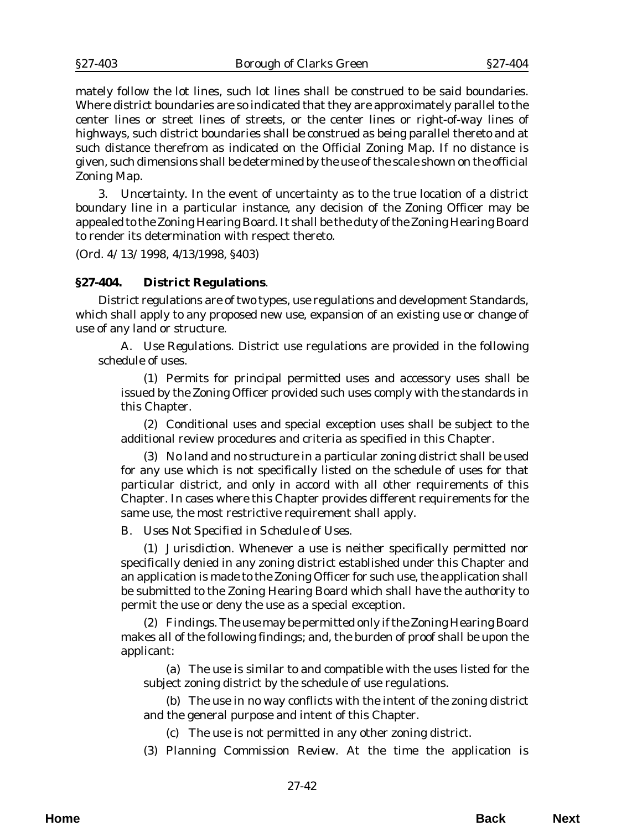mately follow the lot lines, such lot lines shall be construed to be said boundaries. Where district boundaries are so indicated that they are approximately parallel to the center lines or street lines of streets, or the center lines or right-of-way lines of highways, such district boundaries shall be construed as being parallel thereto and at such distance therefrom as indicated on the Official Zoning Map. If no distance is given, such dimensions shall be determined by the use of the scale shown on the official Zoning Map.

3. *Uncertainty*. In the event of uncertainty as to the true location of a district boundary line in a particular instance, any decision of the Zoning Officer may be appealed to the Zoning Hearing Board. It shall be the duty of the Zoning Hearing Board to render its determination with respect thereto.

(*Ord. 4/13/1998*, 4/13/1998, §403)

#### **§27-404. District Regulations**.

District regulations are of two types, use regulations and development Standards, which shall apply to any proposed new use, expansion of an existing use or change of use of any land or structure.

A. *Use Regulations*. District use regulations are provided in the following schedule of uses.

(1) Permits for principal permitted uses and accessory uses shall be issued by the Zoning Officer provided such uses comply with the standards in this Chapter.

(2) Conditional uses and special exception uses shall be subject to the additional review procedures and criteria as specified in this Chapter.

(3) No land and no structure in a particular zoning district shall be used for any use which is not specifically listed on the schedule of uses for that particular district, and only in accord with all other requirements of this Chapter. In cases where this Chapter provides different requirements for the same use, the most restrictive requirement shall apply.

B. *Uses Not Specified in Schedule of Uses*.

(1) *Jurisdiction*. Whenever a use is neither specifically permitted nor specifically denied in any zoning district established under this Chapter and an application is made to the Zoning Officer for such use, the application shall be submitted to the Zoning Hearing Board which shall have the authority to permit the use or deny the use as a special exception.

(2) *Findings*. The use may be permitted only if the Zoning Hearing Board makes all of the following findings; and, the burden of proof shall be upon the applicant:

(a) The use is similar to and compatible with the uses listed for the subject zoning district by the schedule of use regulations.

(b) The use in no way conflicts with the intent of the zoning district and the general purpose and intent of this Chapter.

(c) The use is not permitted in any other zoning district.

(3) *Planning Commission Review*. At the time the application is

**Home Back Next**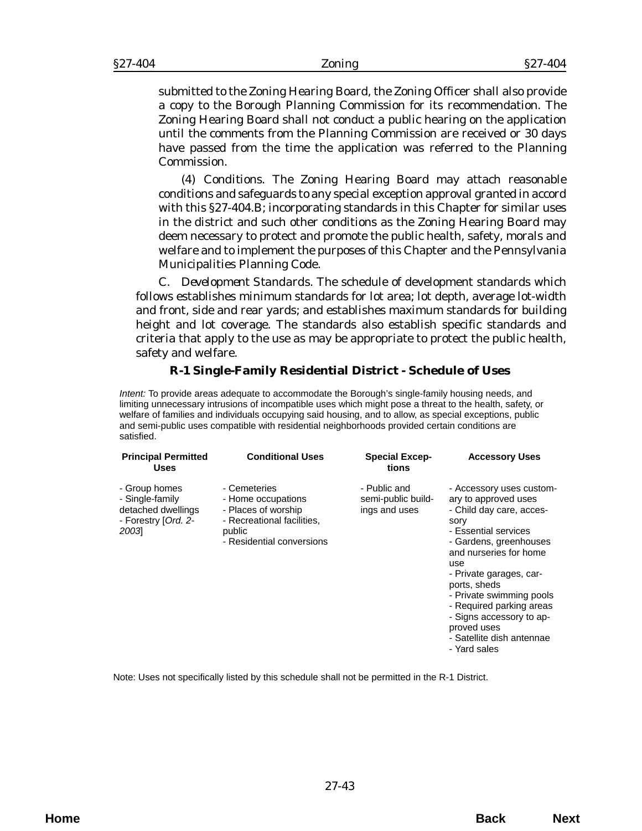submitted to the Zoning Hearing Board, the Zoning Officer shall also provide a copy to the Borough Planning Commission for its recommendation. The Zoning Hearing Board shall not conduct a public hearing on the application until the comments from the Planning Commission are received or 30 days have passed from the time the application was referred to the Planning Commission.

(4) *Conditions*. The Zoning Hearing Board may attach reasonable conditions and safeguards to any special exception approval granted in accord with this §27-404.B; incorporating standards in this Chapter for similar uses in the district and such other conditions as the Zoning Hearing Board may deem necessary to protect and promote the public health, safety, morals and welfare and to implement the purposes of this Chapter and the Pennsylvania Municipalities Planning Code.

C. *Development Standards*. The schedule of development standards which follows establishes minimum standards for lot area; lot depth, average lot-width and front, side and rear yards; and establishes maximum standards for building height and lot coverage. The standards also establish specific standards and criteria that apply to the use as may be appropriate to protect the public health, safety and welfare.

## **R-1 Single-Family Residential District - Schedule of Uses**

*Intent:* To provide areas adequate to accommodate the Borough's single-family housing needs, and limiting unnecessary intrusions of incompatible uses which might pose a threat to the health, safety, or welfare of families and individuals occupying said housing, and to allow, as special exceptions, public and semi-public uses compatible with residential neighborhoods provided certain conditions are satisfied.

| <b>Principal Permitted</b><br><b>Uses</b>                                             | <b>Conditional Uses</b>                                                                                                        | <b>Special Excep-</b><br>tions                      | <b>Accessory Uses</b>                                                                                                                                                                                                                                                                                                                                              |
|---------------------------------------------------------------------------------------|--------------------------------------------------------------------------------------------------------------------------------|-----------------------------------------------------|--------------------------------------------------------------------------------------------------------------------------------------------------------------------------------------------------------------------------------------------------------------------------------------------------------------------------------------------------------------------|
| - Group homes<br>- Single-family<br>detached dwellings<br>- Forestry [Ord. 2-<br>2003 | - Cemeteries<br>- Home occupations<br>- Places of worship<br>- Recreational facilities,<br>public<br>- Residential conversions | - Public and<br>semi-public build-<br>ings and uses | - Accessory uses custom-<br>ary to approved uses<br>- Child day care, acces-<br>sory<br>- Essential services<br>- Gardens, greenhouses<br>and nurseries for home<br>use<br>- Private garages, car-<br>ports, sheds<br>- Private swimming pools<br>- Required parking areas<br>- Signs accessory to ap-<br>proved uses<br>- Satellite dish antennae<br>- Yard sales |

Note: Uses not specifically listed by this schedule shall not be permitted in the R-1 District.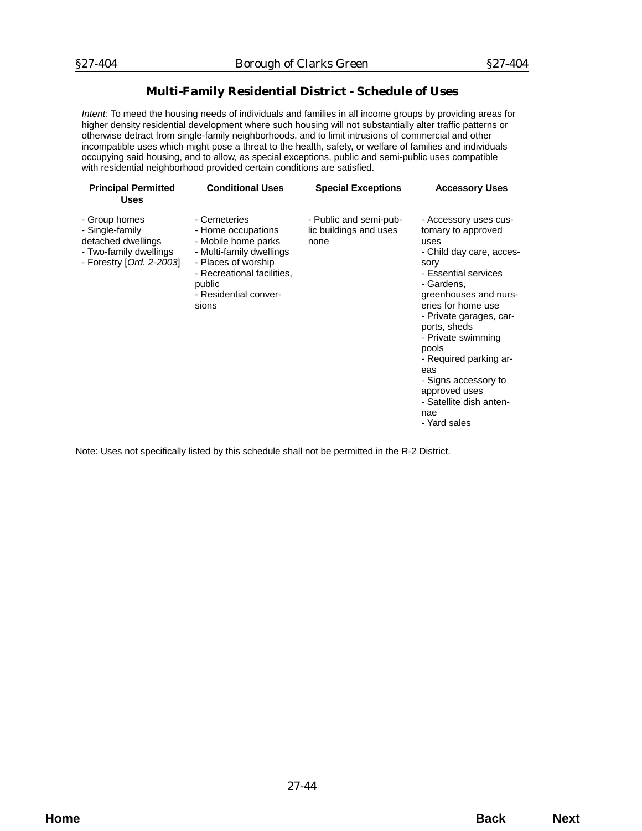## **Multi-Family Residential District - Schedule of Uses**

*Intent:* To meed the housing needs of individuals and families in all income groups by providing areas for higher density residential development where such housing will not substantially alter traffic patterns or otherwise detract from single-family neighborhoods, and to limit intrusions of commercial and other incompatible uses which might pose a threat to the health, safety, or welfare of families and individuals occupying said housing, and to allow, as special exceptions, public and semi-public uses compatible with residential neighborhood provided certain conditions are satisfied.

| <b>Principal Permitted</b><br><b>Uses</b>                                                                    | <b>Conditional Uses</b>                                                                                                                                                                | <b>Special Exceptions</b>                                | <b>Accessory Uses</b>                                                                                                                                                                                                                                                                                                                                                              |
|--------------------------------------------------------------------------------------------------------------|----------------------------------------------------------------------------------------------------------------------------------------------------------------------------------------|----------------------------------------------------------|------------------------------------------------------------------------------------------------------------------------------------------------------------------------------------------------------------------------------------------------------------------------------------------------------------------------------------------------------------------------------------|
| - Group homes<br>- Single-family<br>detached dwellings<br>- Two-family dwellings<br>- Forestry [Ord. 2-2003] | - Cemeteries<br>- Home occupations<br>- Mobile home parks<br>- Multi-family dwellings<br>- Places of worship<br>- Recreational facilities,<br>public<br>- Residential conver-<br>sions | - Public and semi-pub-<br>lic buildings and uses<br>none | - Accessory uses cus-<br>tomary to approved<br>uses<br>- Child day care, acces-<br>sory<br>- Essential services<br>- Gardens.<br>greenhouses and nurs-<br>eries for home use<br>- Private garages, car-<br>ports, sheds<br>- Private swimming<br>pools<br>- Required parking ar-<br>eas<br>- Signs accessory to<br>approved uses<br>- Satellite dish anten-<br>nae<br>- Yard sales |
|                                                                                                              |                                                                                                                                                                                        |                                                          |                                                                                                                                                                                                                                                                                                                                                                                    |

Note: Uses not specifically listed by this schedule shall not be permitted in the R-2 District.

27-44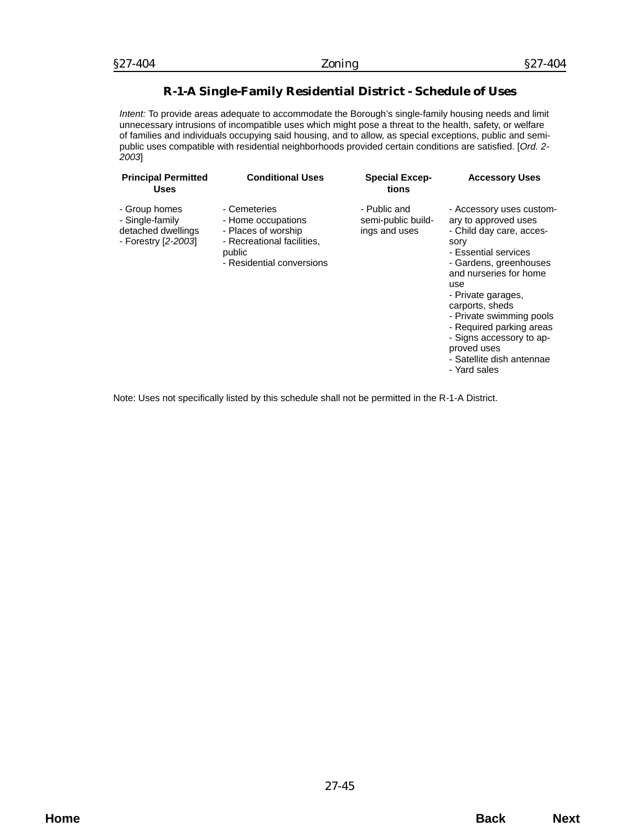## **R-1-A Single-Family Residential District - Schedule of Uses**

*Intent:* To provide areas adequate to accommodate the Borough's single-family housing needs and limit unnecessary intrusions of incompatible uses which might pose a threat to the health, safety, or welfare of families and individuals occupying said housing, and to allow, as special exceptions, public and semipublic uses compatible with residential neighborhoods provided certain conditions are satisfied. [*Ord. 2- 2003*]

| <b>Principal Permitted</b><br><b>Uses</b>                                     | <b>Conditional Uses</b>                                                                                                        | <b>Special Excep-</b><br>tions                      | <b>Accessory Uses</b>                                                                                                                                                                                                                                                                                                                                            |
|-------------------------------------------------------------------------------|--------------------------------------------------------------------------------------------------------------------------------|-----------------------------------------------------|------------------------------------------------------------------------------------------------------------------------------------------------------------------------------------------------------------------------------------------------------------------------------------------------------------------------------------------------------------------|
| - Group homes<br>- Single-family<br>detached dwellings<br>- Forestry [2-2003] | - Cemeteries<br>- Home occupations<br>- Places of worship<br>- Recreational facilities,<br>public<br>- Residential conversions | - Public and<br>semi-public build-<br>ings and uses | - Accessory uses custom-<br>ary to approved uses<br>- Child day care, acces-<br>sory<br>- Essential services<br>- Gardens, greenhouses<br>and nurseries for home<br>use<br>- Private garages,<br>carports, sheds<br>- Private swimming pools<br>- Required parking areas<br>- Signs accessory to ap-<br>proved uses<br>- Satellite dish antennae<br>- Yard sales |

Note: Uses not specifically listed by this schedule shall not be permitted in the R-1-A District.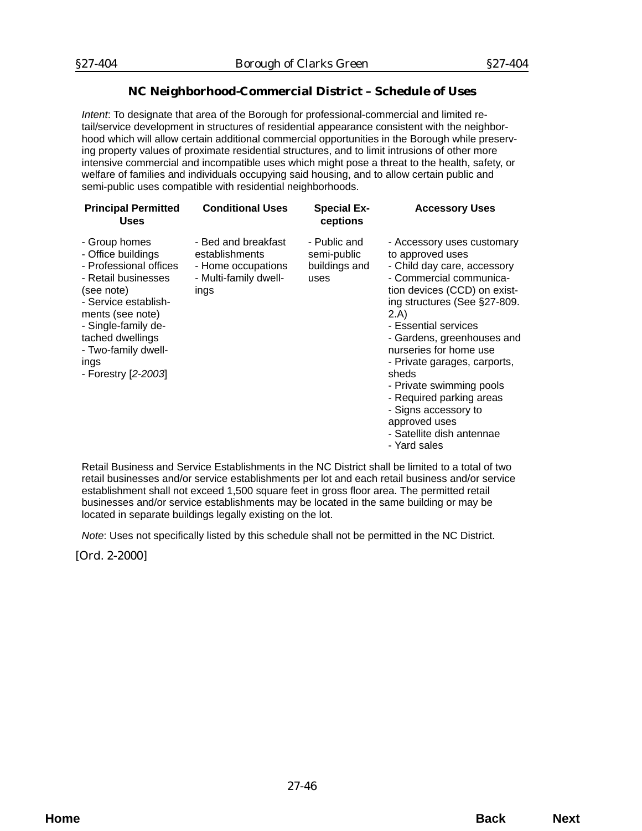# **NC Neighborhood-Commercial District – Schedule of Uses**

*Intent*: To designate that area of the Borough for professional-commercial and limited retail/service development in structures of residential appearance consistent with the neighborhood which will allow certain additional commercial opportunities in the Borough while preserving property values of proximate residential structures, and to limit intrusions of other more intensive commercial and incompatible uses which might pose a threat to the health, safety, or welfare of families and individuals occupying said housing, and to allow certain public and semi-public uses compatible with residential neighborhoods.

| <b>Principal Permitted</b><br><b>Uses</b>                                                                                                                                                                                                       | <b>Conditional Uses</b>                                                                      | <b>Special Ex-</b><br>ceptions                       | <b>Accessory Uses</b>                                                                                                                                                                                                                                                                                                                                                                                                                                   |
|-------------------------------------------------------------------------------------------------------------------------------------------------------------------------------------------------------------------------------------------------|----------------------------------------------------------------------------------------------|------------------------------------------------------|---------------------------------------------------------------------------------------------------------------------------------------------------------------------------------------------------------------------------------------------------------------------------------------------------------------------------------------------------------------------------------------------------------------------------------------------------------|
| - Group homes<br>- Office buildings<br>- Professional offices<br>- Retail businesses<br>(see note)<br>- Service establish-<br>ments (see note)<br>- Single-family de-<br>tached dwellings<br>- Two-family dwell-<br>ings<br>- Forestry [2-2003] | - Bed and breakfast<br>establishments<br>- Home occupations<br>- Multi-family dwell-<br>ings | - Public and<br>semi-public<br>buildings and<br>uses | - Accessory uses customary<br>to approved uses<br>- Child day care, accessory<br>- Commercial communica-<br>tion devices (CCD) on exist-<br>ing structures (See §27-809.<br>2.A)<br>- Essential services<br>- Gardens, greenhouses and<br>nurseries for home use<br>- Private garages, carports,<br>sheds<br>- Private swimming pools<br>- Required parking areas<br>- Signs accessory to<br>approved uses<br>- Satellite dish antennae<br>- Yard sales |

Retail Business and Service Establishments in the NC District shall be limited to a total of two retail businesses and/or service establishments per lot and each retail business and/or service establishment shall not exceed 1,500 square feet in gross floor area. The permitted retail businesses and/or service establishments may be located in the same building or may be located in separate buildings legally existing on the lot.

*Note*: Uses not specifically listed by this schedule shall not be permitted in the NC District.

[*Ord. 2-2000*]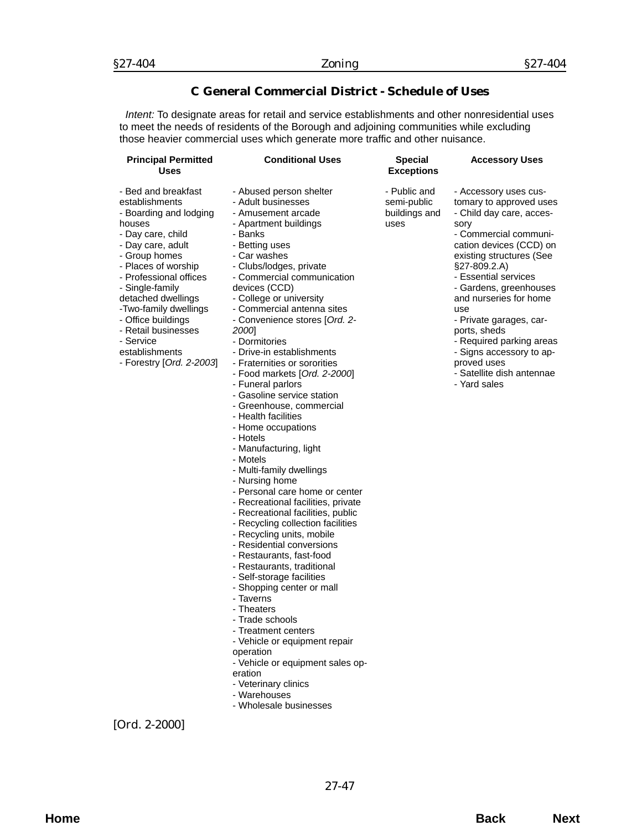## **C General Commercial District - Schedule of Uses**

*Intent:* To designate areas for retail and service establishments and other nonresidential uses to meet the needs of residents of the Borough and adjoining communities while excluding those heavier commercial uses which generate more traffic and other nuisance.

| <b>Principal Permitted</b><br><b>Uses</b>                                                                                                                                                                                                                                                                                                                       | <b>Conditional Uses</b>                                                                                                                                                                                                                                                                                                                                                                                                                                                                                                                                                                                                                                                                                                                                                                                                                                                                                                                                                                                                                                                                                                                                                                                                            | <b>Special</b><br><b>Exceptions</b>                  | <b>Accessory Uses</b>                                                                                                                                                                                                                                                                                                                                                                                                                    |
|-----------------------------------------------------------------------------------------------------------------------------------------------------------------------------------------------------------------------------------------------------------------------------------------------------------------------------------------------------------------|------------------------------------------------------------------------------------------------------------------------------------------------------------------------------------------------------------------------------------------------------------------------------------------------------------------------------------------------------------------------------------------------------------------------------------------------------------------------------------------------------------------------------------------------------------------------------------------------------------------------------------------------------------------------------------------------------------------------------------------------------------------------------------------------------------------------------------------------------------------------------------------------------------------------------------------------------------------------------------------------------------------------------------------------------------------------------------------------------------------------------------------------------------------------------------------------------------------------------------|------------------------------------------------------|------------------------------------------------------------------------------------------------------------------------------------------------------------------------------------------------------------------------------------------------------------------------------------------------------------------------------------------------------------------------------------------------------------------------------------------|
| - Bed and breakfast<br>establishments<br>- Boarding and lodging<br>houses<br>- Day care, child<br>- Day care, adult<br>- Group homes<br>- Places of worship<br>- Professional offices<br>- Single-family<br>detached dwellings<br>-Two-family dwellings<br>- Office buildings<br>- Retail businesses<br>- Service<br>establishments<br>- Forestry [Ord. 2-2003] | - Abused person shelter<br>- Adult businesses<br>- Amusement arcade<br>- Apartment buildings<br>- Banks<br>- Betting uses<br>- Car washes<br>- Clubs/lodges, private<br>- Commercial communication<br>devices (CCD)<br>- College or university<br>- Commercial antenna sites<br>- Convenience stores [Ord. 2-<br>2000]<br>- Dormitories<br>- Drive-in establishments<br>- Fraternities or sororities<br>- Food markets [Ord. 2-2000]<br>- Funeral parlors<br>- Gasoline service station<br>- Greenhouse, commercial<br>- Health facilities<br>- Home occupations<br>- Hotels<br>- Manufacturing, light<br>- Motels<br>- Multi-family dwellings<br>- Nursing home<br>- Personal care home or center<br>- Recreational facilities, private<br>- Recreational facilities, public<br>- Recycling collection facilities<br>- Recycling units, mobile<br>- Residential conversions<br>- Restaurants, fast-food<br>- Restaurants, traditional<br>- Self-storage facilities<br>- Shopping center or mall<br>- Taverns<br>- Theaters<br>Trade schools<br>- Treatment centers<br>- Vehicle or equipment repair<br>operation<br>- Vehicle or equipment sales op-<br>eration<br>- Veterinary clinics<br>- Warehouses<br>- Wholesale businesses | - Public and<br>semi-public<br>buildings and<br>uses | - Accessory uses cus-<br>tomary to approved uses<br>- Child day care, acces-<br>sory<br>- Commercial communi-<br>cation devices (CCD) on<br>existing structures (See<br>$§27-809.2.A)$<br>- Essential services<br>- Gardens, greenhouses<br>and nurseries for home<br>use<br>- Private garages, car-<br>ports, sheds<br>- Required parking areas<br>- Signs accessory to ap-<br>proved uses<br>- Satellite dish antennae<br>- Yard sales |

[*Ord. 2-2000*]

27-47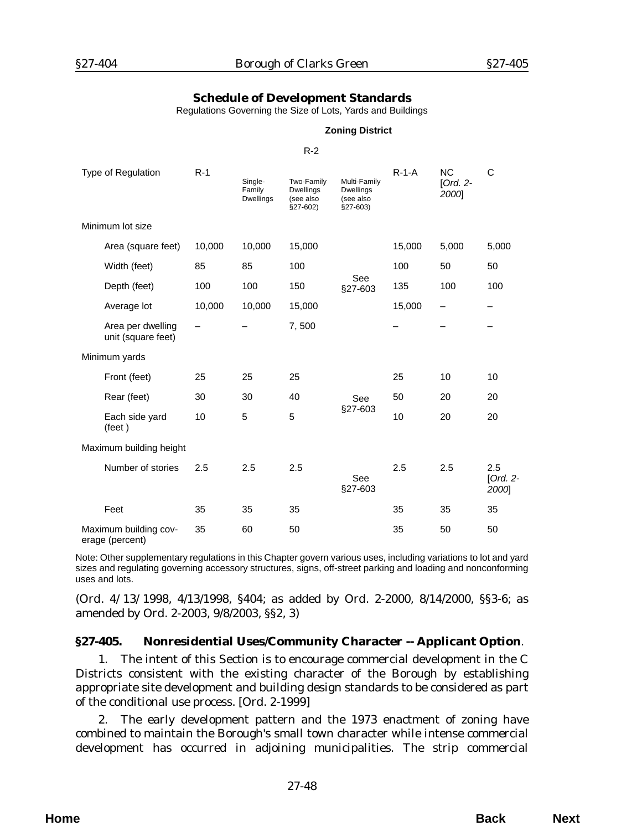### **Schedule of Development Standards**

Regulations Governing the Size of Lots, Yards and Buildings

#### **Zoning District**

#### R-2

| Type of Regulation                       | $R-1$  | Single-<br>Family<br><b>Dwellings</b> | Two-Family<br><b>Dwellings</b><br>(see also<br>$§27-602)$ | Multi-Family<br><b>Dwellings</b><br>(see also<br>$§27-603)$ | $R-1-A$ | <b>NC</b><br>[Ord. $2-$<br>2000] | C                          |
|------------------------------------------|--------|---------------------------------------|-----------------------------------------------------------|-------------------------------------------------------------|---------|----------------------------------|----------------------------|
| Minimum lot size                         |        |                                       |                                                           |                                                             |         |                                  |                            |
| Area (square feet)                       | 10,000 | 10,000                                | 15,000                                                    |                                                             | 15,000  | 5,000                            | 5,000                      |
| Width (feet)                             | 85     | 85                                    | 100                                                       |                                                             | 100     | 50                               | 50                         |
| Depth (feet)                             | 100    | 100                                   | 150                                                       | See<br>§27-603                                              | 135     | 100                              | 100                        |
| Average lot                              | 10,000 | 10,000                                | 15,000                                                    |                                                             | 15,000  |                                  |                            |
| Area per dwelling<br>unit (square feet)  |        |                                       | 7,500                                                     |                                                             |         |                                  |                            |
| Minimum yards                            |        |                                       |                                                           |                                                             |         |                                  |                            |
| Front (feet)                             | 25     | 25                                    | 25                                                        |                                                             | 25      | 10                               | 10                         |
| Rear (feet)                              | 30     | 30                                    | 40                                                        | See                                                         | 50      | 20                               | 20                         |
| Each side yard<br>$(\text{feet})$        | 10     | 5                                     | 5                                                         | §27-603                                                     | 10      | 20                               | 20                         |
| Maximum building height                  |        |                                       |                                                           |                                                             |         |                                  |                            |
| Number of stories                        | 2.5    | 2.5                                   | 2.5                                                       | See<br>§27-603                                              | 2.5     | 2.5                              | 2.5<br>[Ord. $2-$<br>2000] |
| Feet                                     | 35     | 35                                    | 35                                                        |                                                             | 35      | 35                               | 35                         |
| Maximum building cov-<br>erage (percent) | 35     | 60                                    | 50                                                        |                                                             | 35      | 50                               | 50                         |

Note: Other supplementary regulations in this Chapter govern various uses, including variations to lot and yard sizes and regulating governing accessory structures, signs, off-street parking and loading and nonconforming uses and lots.

(*Ord. 4/13/1998*, 4/13/1998, §404; as added by *Ord. 2-2000*, 8/14/2000, §§3-6; as amended by *Ord. 2-2003*, 9/8/2003, §§2, 3)

#### **§27-405. Nonresidential Uses/Community Character -- Applicant Option**.

1. The intent of this Section is to encourage commercial development in the C Districts consistent with the existing character of the Borough by establishing appropriate site development and building design standards to be considered as part of the conditional use process. [*Ord. 2-1999*]

2. The early development pattern and the 1973 enactment of zoning have combined to maintain the Borough's small town character while intense commercial development has occurred in adjoining municipalities. The strip commercial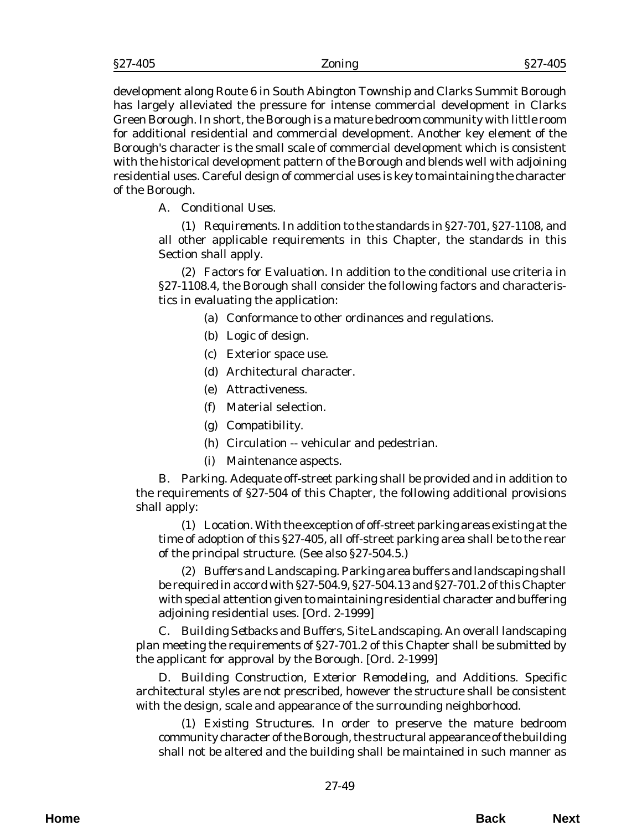| §27-405 | ∠oning | $-405$<br>$\S 27$<br>±VJ |
|---------|--------|--------------------------|
|         |        |                          |

development along Route 6 in South Abington Township and Clarks Summit Borough has largely alleviated the pressure for intense commercial development in Clarks Green Borough. In short, the Borough is a mature bedroom community with little room for additional residential and commercial development. Another key element of the Borough's character is the small scale of commercial development which is consistent with the historical development pattern of the Borough and blends well with adjoining residential uses. Careful design of commercial uses is key to maintaining the character of the Borough.

A. *Conditional Uses*.

(1) *Requirements*. In addition to the standards in §27-701, §27-1108, and all other applicable requirements in this Chapter, the standards in this Section shall apply.

(2) *Factors for Evaluation*. In addition to the conditional use criteria in §27-1108.4, the Borough shall consider the following factors and characteristics in evaluating the application:

- (a) Conformance to other ordinances and regulations.
- (b) Logic of design.
- (c) Exterior space use.
- (d) Architectural character.
- (e) Attractiveness.
- (f) Material selection.
- (g) Compatibility.
- (h) Circulation -- vehicular and pedestrian.
- (i) Maintenance aspects.

B. *Parking*. Adequate off-street parking shall be provided and in addition to the requirements of §27-504 of this Chapter, the following additional provisions shall apply:

(1) *Location*. With the exception of off-street parking areas existing at the time of adoption of this §27-405, all off-street parking area shall be to the rear of the principal structure. (See also §27-504.5.)

(2) *Buffers and Landscaping*. Parking area buffers and landscaping shall be required in accord with §27-504.9, §27-504.13 and §27-701.2 of this Chapter with special attention given to maintaining residential character and buffering adjoining residential uses. [*Ord. 2-1999*]

C. *Building Setbacks and Buffers, Site Landscaping*. An overall landscaping plan meeting the requirements of §27-701.2 of this Chapter shall be submitted by the applicant for approval by the Borough. [*Ord. 2-1999*]

D. *Building Construction, Exterior Remodeling, and Additions*. Specific architectural styles are not prescribed, however the structure shall be consistent with the design, scale and appearance of the surrounding neighborhood.

(1) *Existing Structures*. In order to preserve the mature bedroom community character of the Borough, the structural appearance of the building shall not be altered and the building shall be maintained in such manner as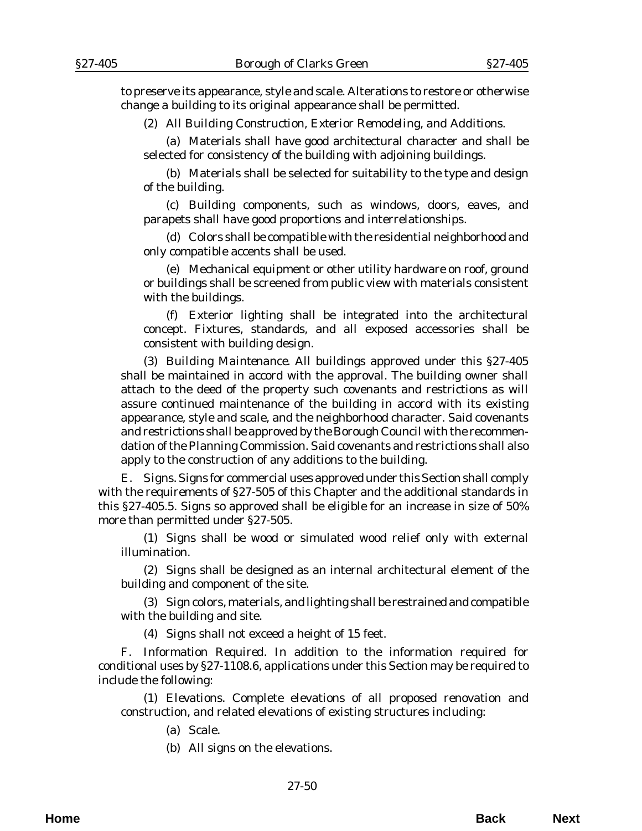to preserve its appearance, style and scale. Alterations to restore or otherwise change a building to its original appearance shall be permitted.

(2) *All Building Construction, Exterior Remodeling, and Additions*.

(a) Materials shall have good architectural character and shall be selected for consistency of the building with adjoining buildings.

(b) Materials shall be selected for suitability to the type and design of the building.

(c) Building components, such as windows, doors, eaves, and parapets shall have good proportions and interrelationships.

(d) Colors shall be compatible with the residential neighborhood and only compatible accents shall be used.

(e) Mechanical equipment or other utility hardware on roof, ground or buildings shall be screened from public view with materials consistent with the buildings.

(f) Exterior lighting shall be integrated into the architectural concept. Fixtures, standards, and all exposed accessories shall be consistent with building design.

(3) *Building Maintenance*. All buildings approved under this §27-405 shall be maintained in accord with the approval. The building owner shall attach to the deed of the property such covenants and restrictions as will assure continued maintenance of the building in accord with its existing appearance, style and scale, and the neighborhood character. Said covenants and restrictions shall be approved by the Borough Council with the recommendation of the Planning Commission. Said covenants and restrictions shall also apply to the construction of any additions to the building.

E. *Signs*. Signs for commercial uses approved under this Section shall comply with the requirements of §27-505 of this Chapter and the additional standards in this §27-405.5. Signs so approved shall be eligible for an increase in size of 50% more than permitted under §27-505.

(1) Signs shall be wood or simulated wood relief only with external illumination.

(2) Signs shall be designed as an internal architectural element of the building and component of the site.

(3) Sign colors, materials, and lighting shall be restrained and compatible with the building and site.

(4) Signs shall not exceed a height of 15 feet.

F. *Information Required*. In addition to the information required for conditional uses by §27-1108.6, applications under this Section may be required to include the following:

(1) *Elevations*. Complete elevations of all proposed renovation and construction, and related elevations of existing structures including:

(a) Scale.

(b) All signs on the elevations.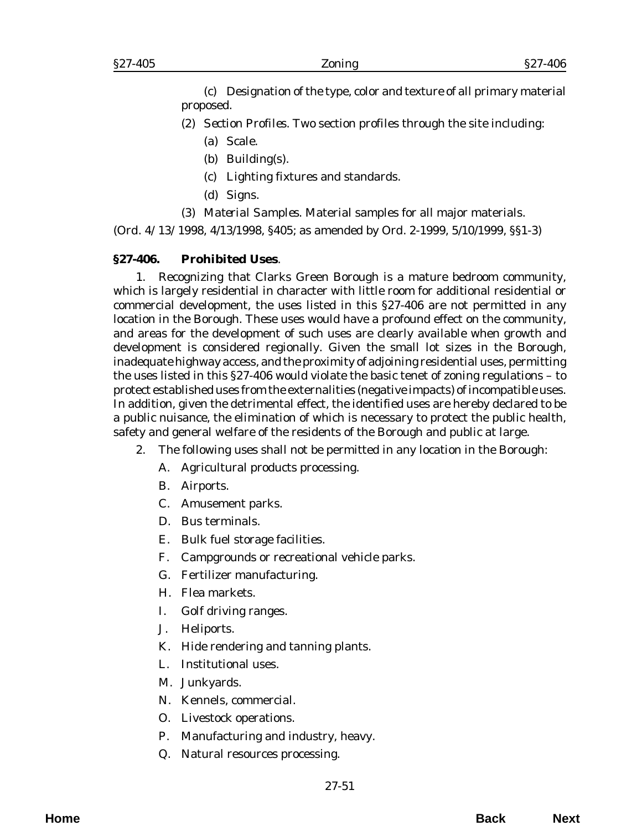(c) Designation of the type, color and texture of all primary material proposed.

- (2) *Section Profiles*. Two section profiles through the site including:
	- (a) Scale.
	- (b) Building(s).
	- (c) Lighting fixtures and standards.
	- (d) Signs.
- (3) *Material Samples*. Material samples for all major materials.

(*Ord. 4/13/1998*, 4/13/1998, §405; as amended by *Ord. 2-1999*, 5/10/1999, §§1-3)

## **§27-406. Prohibited Uses**.

1. Recognizing that Clarks Green Borough is a mature bedroom community, which is largely residential in character with little room for additional residential or commercial development, the uses listed in this §27-406 are not permitted in any location in the Borough. These uses would have a profound effect on the community, and areas for the development of such uses are clearly available when growth and development is considered regionally. Given the small lot sizes in the Borough, inadequate highway access, and the proximity of adjoining residential uses, permitting the uses listed in this §27-406 would violate the basic tenet of zoning regulations – to protect established uses from the externalities (negative impacts) of incompatible uses. In addition, given the detrimental effect, the identified uses are hereby declared to be a public nuisance, the elimination of which is necessary to protect the public health, safety and general welfare of the residents of the Borough and public at large.

- 2. The following uses shall not be permitted in any location in the Borough:
	- A. Agricultural products processing.
	- B. Airports.
	- C. Amusement parks.
	- D. Bus terminals.
	- E. Bulk fuel storage facilities.
	- F. Campgrounds or recreational vehicle parks.
	- G. Fertilizer manufacturing.
	- H. Flea markets.
	- I. Golf driving ranges.
	- J. Heliports.
	- K. Hide rendering and tanning plants.
	- L. Institutional uses.
	- M. Junkyards.
	- N. Kennels, commercial.
	- O. Livestock operations.
	- P. Manufacturing and industry, heavy.
	- Q. Natural resources processing.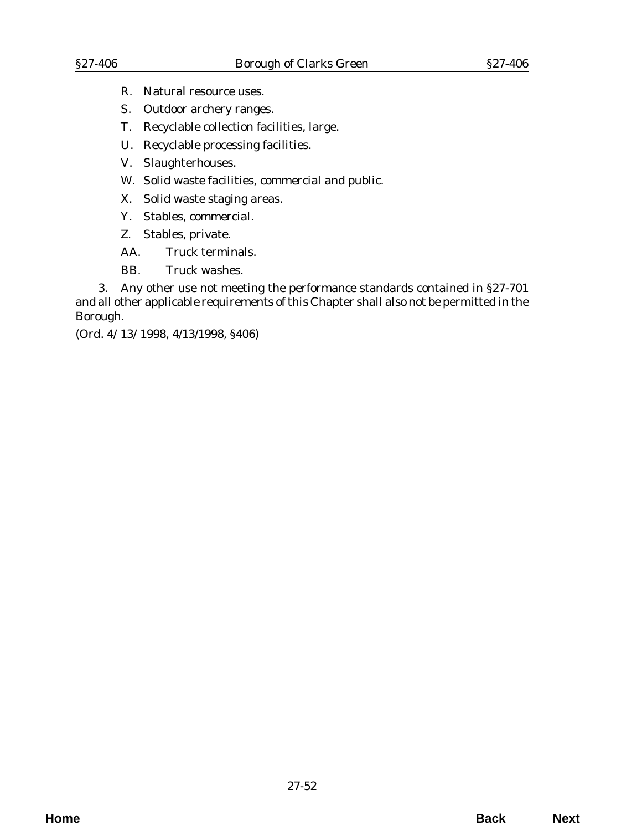- R. Natural resource uses.
- S. Outdoor archery ranges.
- T. Recyclable collection facilities, large.
- U. Recyclable processing facilities.
- V. Slaughterhouses.
- W. Solid waste facilities, commercial and public.
- X. Solid waste staging areas.
- Y. Stables, commercial.
- Z. Stables, private.
- AA. Truck terminals.
- BB. Truck washes.

3. Any other use not meeting the performance standards contained in §27-701 and all other applicable requirements of this Chapter shall also not be permitted in the Borough.

(*Ord. 4/13/1998*, 4/13/1998, §406)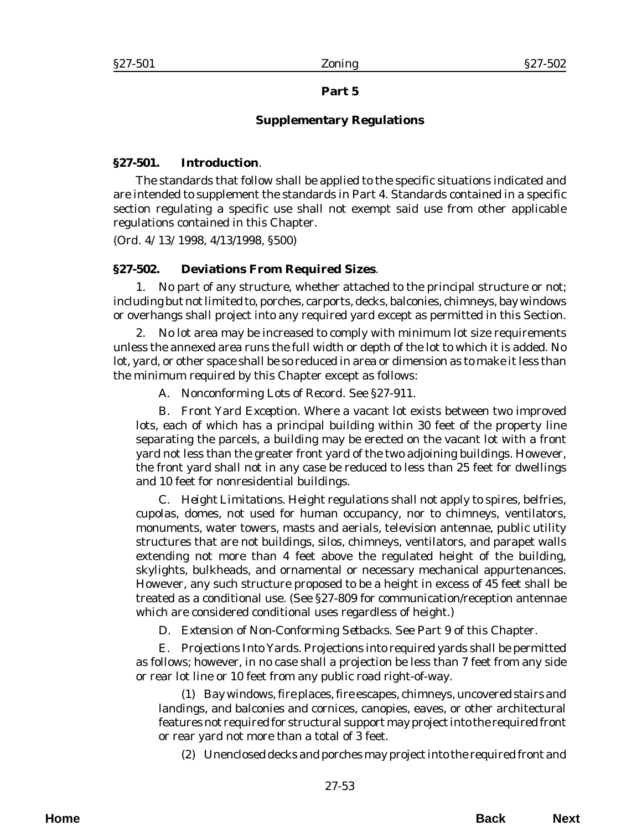### **Part 5**

### **Supplementary Regulations**

### **§27-501. Introduction**.

The standards that follow shall be applied to the specific situations indicated and are intended to supplement the standards in Part 4. Standards contained in a specific section regulating a specific use shall not exempt said use from other applicable regulations contained in this Chapter.

(*Ord. 4/13/1998*, 4/13/1998, §500)

### **§27-502. Deviations From Required Sizes**.

1. No part of any structure, whether attached to the principal structure or not; including but not limited to, porches, carports, decks, balconies, chimneys, bay windows or overhangs shall project into any required yard except as permitted in this Section.

2. No lot area may be increased to comply with minimum lot size requirements unless the annexed area runs the full width or depth of the lot to which it is added. No lot, yard, or other space shall be so reduced in area or dimension as to make it less than the minimum required by this Chapter except as follows:

A. *Nonconforming Lots of Record*. See §27-911.

B. *Front Yard Exception*. Where a vacant lot exists between two improved lots, each of which has a principal building within 30 feet of the property line separating the parcels, a building may be erected on the vacant lot with a front yard not less than the greater front yard of the two adjoining buildings. However, the front yard shall not in any case be reduced to less than 25 feet for dwellings and 10 feet for nonresidential buildings.

C. *Height Limitations*. Height regulations shall not apply to spires, belfries, cupolas, domes, not used for human occupancy, nor to chimneys, ventilators, monuments, water towers, masts and aerials, television antennae, public utility structures that are not buildings, silos, chimneys, ventilators, and parapet walls extending not more than 4 feet above the regulated height of the building, skylights, bulkheads, and ornamental or necessary mechanical appurtenances. However, any such structure proposed to be a height in excess of 45 feet shall be treated as a conditional use. (See §27-809 for communication/reception antennae which are considered conditional uses regardless of height.)

D. *Extension of Non-Conforming Setbacks*. See Part 9 of this Chapter.

E. *Projections Into Yards*. Projections into required yards shall be permitted as follows; however, in no case shall a projection be less than 7 feet from any side or rear lot line or 10 feet from any public road right-of-way.

(1) Bay windows, fire places, fire escapes, chimneys, uncovered stairs and landings, and balconies and cornices, canopies, eaves, or other architectural features not required for structural support may project into the required front or rear yard not more than a total of 3 feet.

(2) Unenclosed decks and porches may project into the required front and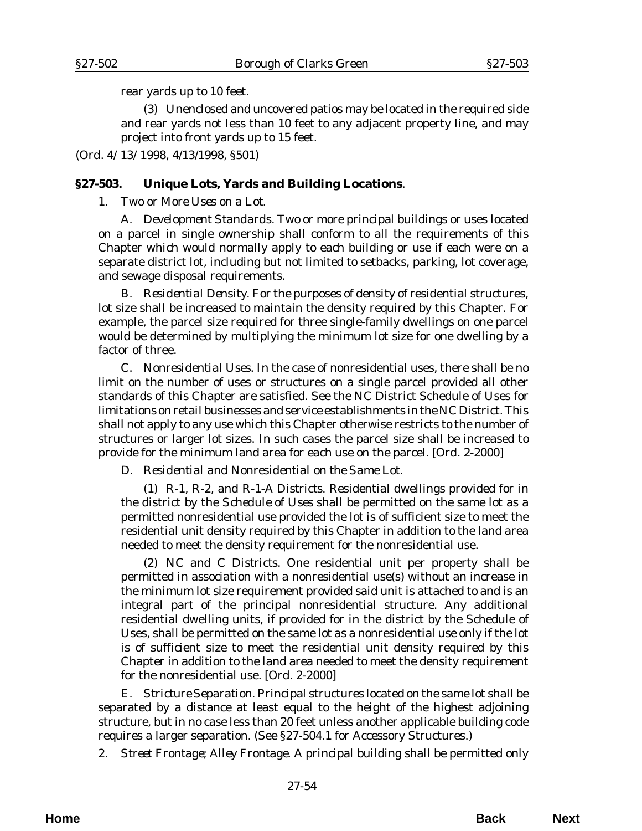rear yards up to 10 feet.

(3) Unenclosed and uncovered patios may be located in the required side and rear yards not less than 10 feet to any adjacent property line, and may project into front yards up to 15 feet.

(*Ord. 4/13/1998*, 4/13/1998, §501)

### **§27-503. Unique Lots, Yards and Building Locations**.

1. *Two or More Uses on a Lot*.

A. *Development Standards*. Two or more principal buildings or uses located on a parcel in single ownership shall conform to all the requirements of this Chapter which would normally apply to each building or use if each were on a separate district lot, including but not limited to setbacks, parking, lot coverage, and sewage disposal requirements.

B. *Residential Density*. For the purposes of density of residential structures, lot size shall be increased to maintain the density required by this Chapter. For example, the parcel size required for three single-family dwellings on one parcel would be determined by multiplying the minimum lot size for one dwelling by a factor of three.

C. *Nonresidential Uses*. In the case of nonresidential uses, there shall be no limit on the number of uses or structures on a single parcel provided all other standards of this Chapter are satisfied. See the NC District Schedule of Uses for limitations on retail businesses and service establishments in the NC District. This shall not apply to any use which this Chapter otherwise restricts to the number of structures or larger lot sizes. In such cases the parcel size shall be increased to provide for the minimum land area for each use on the parcel. [*Ord. 2-2000*]

D. *Residential and Nonresidential on the Same Lot*.

(1) *R-1, R-2, and R-1-A Districts*. Residential dwellings provided for in the district by the *Schedule of Uses* shall be permitted on the same lot as a permitted nonresidential use provided the lot is of sufficient size to meet the residential unit density required by this Chapter in addition to the land area needed to meet the density requirement for the nonresidential use.

(2) *NC and C Districts*. One residential unit per property shall be permitted in association with a nonresidential use(s) without an increase in the minimum lot size requirement provided said unit is attached to and is an integral part of the principal nonresidential structure. Any additional residential dwelling units, if provided for in the district by the Schedule of Uses, shall be permitted on the same lot as a nonresidential use only if the lot is of sufficient size to meet the residential unit density required by this Chapter in addition to the land area needed to meet the density requirement for the nonresidential use. [*Ord. 2-2000*]

E. *Stricture Separation*. Principal structures located on the same lot shall be separated by a distance at least equal to the height of the highest adjoining structure, but in no case less than 20 feet unless another applicable building code requires a larger separation. (See §27-504.1 for Accessory Structures.)

2. *Street Frontage; Alley Frontage*. A principal building shall be permitted only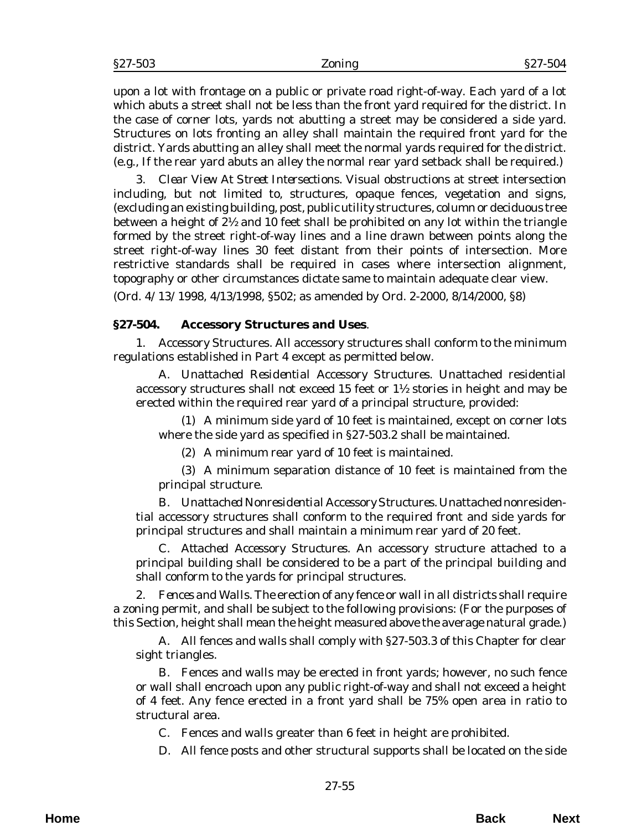upon a lot with frontage on a public or private road right-of-way. Each yard of a lot which abuts a street shall not be less than the front yard required for the district. In the case of corner lots, yards not abutting a street may be considered a side yard. Structures on lots fronting an alley shall maintain the required front yard for the district. Yards abutting an alley shall meet the normal yards required for the district. (e.g., If the rear yard abuts an alley the normal rear yard setback shall be required.)

3. *Clear View At Street Intersections*. Visual obstructions at street intersection including, but not limited to, structures, opaque fences, vegetation and signs, (excluding an existing building, post, public utility structures, column or deciduous tree between a height of  $2\frac{1}{2}$  and 10 feet shall be prohibited on any lot within the triangle formed by the street right-of-way lines and a line drawn between points along the street right-of-way lines 30 feet distant from their points of intersection. More restrictive standards shall be required in cases where intersection alignment, topography or other circumstances dictate same to maintain adequate clear view.

(*Ord. 4/13/1998*, 4/13/1998, §502; as amended by *Ord. 2-2000*, 8/14/2000, §8)

#### **§27-504. Accessory Structures and Uses**.

1. *Accessory* Structures. All accessory structures shall conform to the minimum regulations established in Part 4 except as permitted below.

A. *Unattached Residential Accessory Structures*. Unattached residential accessory structures shall not exceed 15 feet or  $1\frac{1}{2}$  stories in height and may be erected within the required rear yard of a principal structure, provided:

(1) A minimum side yard of 10 feet is maintained, except on corner lots where the side yard as specified in §27-503.2 shall be maintained.

(2) A minimum rear yard of 10 feet is maintained.

(3) A minimum separation distance of 10 feet is maintained from the principal structure.

B. *Unattached Nonresidential Accessory Structures*. Unattached nonresidential accessory structures shall conform to the required front and side yards for principal structures and shall maintain a minimum rear yard of 20 feet.

C. *Attached Accessory Structures*. An accessory structure attached to a principal building shall be considered to be a part of the principal building and shall conform to the yards for principal structures.

2. *Fences and Walls*. The erection of any fence or wall in all districts shall require a zoning permit, and shall be subject to the following provisions: (For the purposes of this Section, height shall mean the height measured above the average natural grade.)

A. All fences and walls shall comply with §27-503.3 of this Chapter for clear sight triangles.

B. Fences and walls may be erected in front yards; however, no such fence or wall shall encroach upon any public right-of-way and shall not exceed a height of 4 feet. Any fence erected in a front yard shall be 75% open area in ratio to structural area.

C. Fences and walls greater than 6 feet in height are prohibited.

D. All fence posts and other structural supports shall be located on the side

**Home Back Next**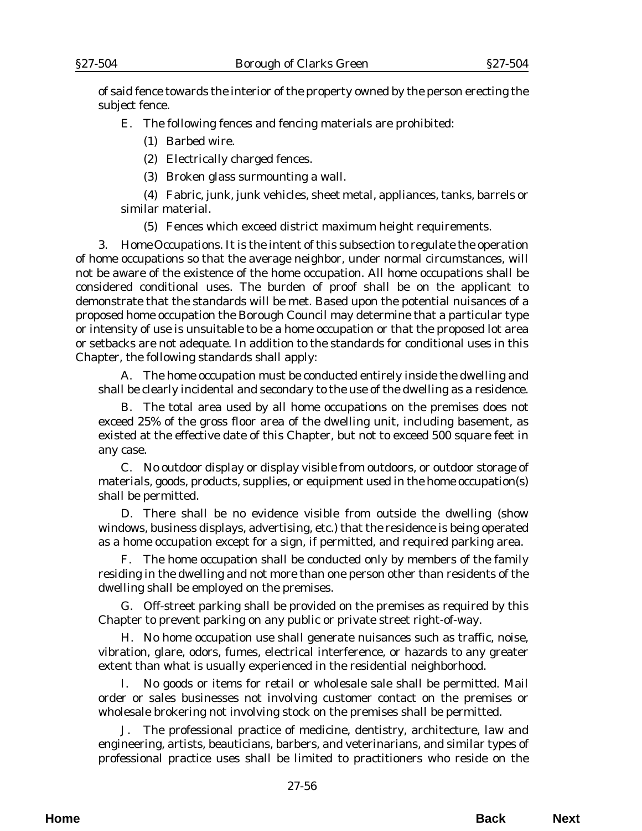of said fence towards the interior of the property owned by the person erecting the subject fence.

E. The following fences and fencing materials are prohibited:

(1) Barbed wire.

(2) Electrically charged fences.

(3) Broken glass surmounting a wall.

(4) Fabric, junk, junk vehicles, sheet metal, appliances, tanks, barrels or similar material.

(5) Fences which exceed district maximum height requirements.

3. *Home Occupations*. It is the intent of this subsection to regulate the operation of home occupations so that the average neighbor, under normal circumstances, will not be aware of the existence of the home occupation. All home occupations shall be considered conditional uses. The burden of proof shall be on the applicant to demonstrate that the standards will be met. Based upon the potential nuisances of a proposed home occupation the Borough Council may determine that a particular type or intensity of use is unsuitable to be a home occupation or that the proposed lot area or setbacks are not adequate. In addition to the standards for conditional uses in this Chapter, the following standards shall apply:

A. The home occupation must be conducted entirely inside the dwelling and shall be clearly incidental and secondary to the use of the dwelling as a residence.

B. The total area used by all home occupations on the premises does not exceed 25% of the gross floor area of the dwelling unit, including basement, as existed at the effective date of this Chapter, but not to exceed 500 square feet in any case.

C. No outdoor display or display visible from outdoors, or outdoor storage of materials, goods, products, supplies, or equipment used in the home occupation(s) shall be permitted.

D. There shall be no evidence visible from outside the dwelling (show windows, business displays, advertising, etc.) that the residence is being operated as a home occupation except for a sign, if permitted, and required parking area.

F. The home occupation shall be conducted only by members of the family residing in the dwelling and not more than one person other than residents of the dwelling shall be employed on the premises.

G. Off-street parking shall be provided on the premises as required by this Chapter to prevent parking on any public or private street right-of-way.

H. No home occupation use shall generate nuisances such as traffic, noise, vibration, glare, odors, fumes, electrical interference, or hazards to any greater extent than what is usually experienced in the residential neighborhood.

I. No goods or items for retail or wholesale sale shall be permitted. Mail order or sales businesses not involving customer contact on the premises or wholesale brokering not involving stock on the premises shall be permitted.

J. The professional practice of medicine, dentistry, architecture, law and engineering, artists, beauticians, barbers, and veterinarians, and similar types of professional practice uses shall be limited to practitioners who reside on the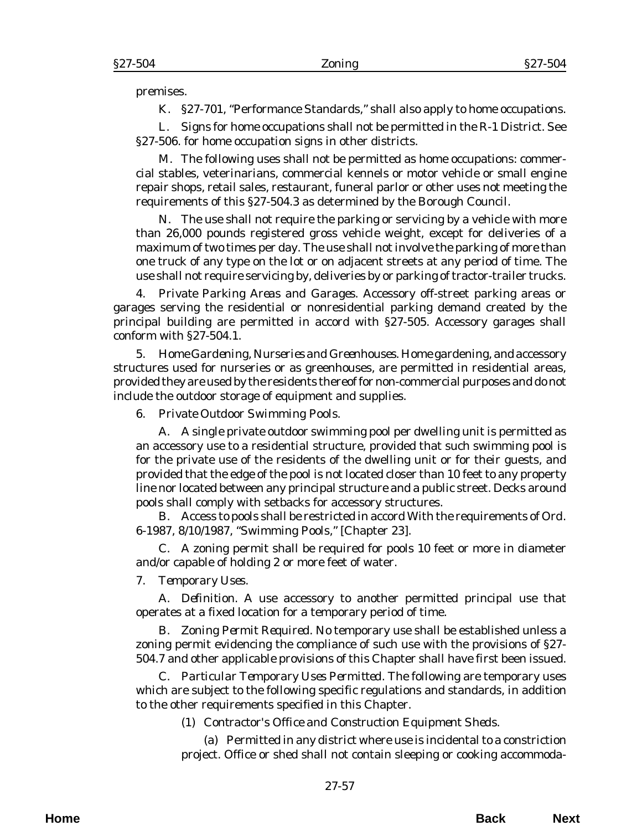premises.

K. §27-701, "Performance Standards," shall also apply to home occupations.

L. Signs for home occupations shall not be permitted in the R-1 District. See §27-506. for home occupation signs in other districts.

M. The following uses shall not be permitted as home occupations: commercial stables, veterinarians, commercial kennels or motor vehicle or small engine repair shops, retail sales, restaurant, funeral parlor or other uses not meeting the requirements of this §27-504.3 as determined by the Borough Council.

N. The use shall not require the parking or servicing by a vehicle with more than 26,000 pounds registered gross vehicle weight, except for deliveries of a maximum of two times per day. The use shall not involve the parking of more than one truck of any type on the lot or on adjacent streets at any period of time. The use shall not require servicing by, deliveries by or parking of tractor-trailer trucks.

4. *Private Parking Areas and Garages*. Accessory off-street parking areas or garages serving the residential or nonresidential parking demand created by the principal building are permitted in accord with §27-505. Accessory garages shall conform with §27-504.1.

5. *Home Gardening, Nurseries and Greenhouses*. Home gardening, and accessory structures used for nurseries or as greenhouses, are permitted in residential areas, provided they are used by the residents thereof for non-commercial purposes and do not include the outdoor storage of equipment and supplies.

6. *Private Outdoor Swimming Pools*.

A. A single private outdoor swimming pool per dwelling unit is permitted as an accessory use to a residential structure, provided that such swimming pool is for the private use of the residents of the dwelling unit or for their guests, and provided that the edge of the pool is not located closer than 10 feet to any property line nor located between any principal structure and a public street. Decks around pools shall comply with setbacks for accessory structures.

B. Access to pools shall be restricted in accord With the requirements of *Ord. 6-1987*, 8/10/1987, "Swimming Pools," [Chapter 23].

C. A zoning permit shall be required for pools 10 feet or more in diameter and/or capable of holding 2 or more feet of water.

7. *Temporary Uses*.

A. *Definition*. A use accessory to another permitted principal use that operates at a fixed location for a temporary period of time.

B. *Zoning Permit Required*. No temporary use shall be established unless a zoning permit evidencing the compliance of such use with the provisions of §27- 504.7 and other applicable provisions of this Chapter shall have first been issued.

C. *Particular Temporary Uses Permitted*. The following are temporary uses which are subject to the following specific regulations and standards, in addition to the other requirements specified in this Chapter.

(1) *Contractor's Office and Construction Equipment Sheds*.

(a) Permitted in any district where use is incidental to a constriction project. Office or shed shall not contain sleeping or cooking accommoda-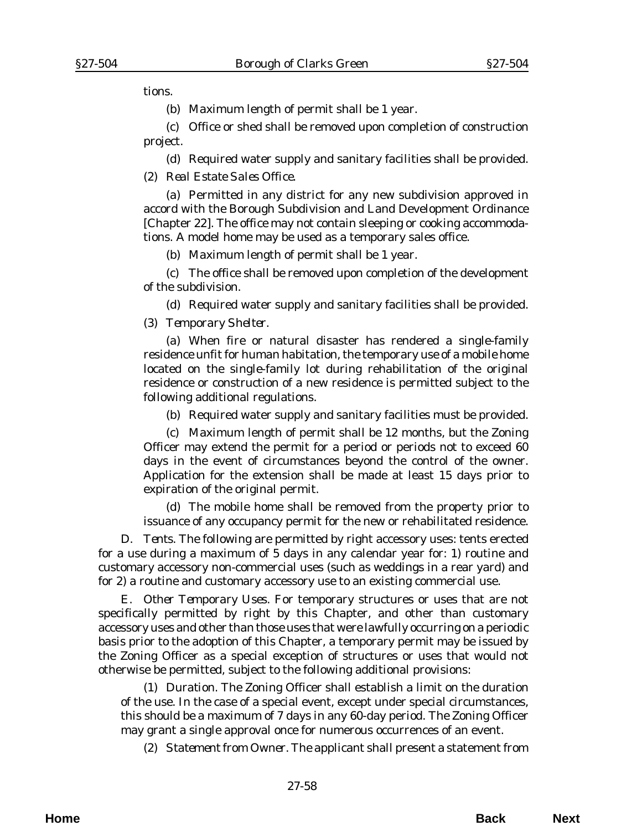tions.

(b) Maximum length of permit shall be 1 year.

(c) Office or shed shall be removed upon completion of construction project.

(d) Required water supply and sanitary facilities shall be provided.

(2) *Real Estate Sales Office*.

(a) Permitted in any district for any new subdivision approved in accord with the Borough Subdivision and Land Development Ordinance [Chapter 22]. The office may not contain sleeping or cooking accommodations. A model home may be used as a temporary sales office.

(b) Maximum length of permit shall be 1 year.

(c) The office shall be removed upon completion of the development of the subdivision.

(d) Required water supply and sanitary facilities shall be provided.

(3) *Temporary Shelter*.

(a) When fire or natural disaster has rendered a single-family residence unfit for human habitation, the temporary use of a mobile home located on the single-family lot during rehabilitation of the original residence or construction of a new residence is permitted subject to the following additional regulations.

(b) Required water supply and sanitary facilities must be provided.

(c) Maximum length of permit shall be 12 months, but the Zoning Officer may extend the permit for a period or periods not to exceed 60 days in the event of circumstances beyond the control of the owner. Application for the extension shall be made at least 15 days prior to expiration of the original permit.

(d) The mobile home shall be removed from the property prior to issuance of any occupancy permit for the new or rehabilitated residence.

D. *Tents*. The following are permitted by right accessory uses: tents erected for a use during a maximum of 5 days in any calendar year for: 1) routine and customary accessory non-commercial uses (such as weddings in a rear yard) and for 2) a routine and customary accessory use to an existing commercial use.

E. *Other Temporary Uses*. For temporary structures or uses that are not specifically permitted by right by this Chapter, and other than customary accessory uses and other than those uses that were lawfully occurring on a periodic basis prior to the adoption of this Chapter, a temporary permit may be issued by the Zoning Officer as a special exception of structures or uses that would not otherwise be permitted, subject to the following additional provisions:

(1) *Duration*. The Zoning Officer shall establish a limit on the duration of the use. In the case of a special event, except under special circumstances, this should be a maximum of 7 days in any 60-day period. The Zoning Officer may grant a single approval once for numerous occurrences of an event.

(2) *Statement from Owner*. The applicant shall present a statement from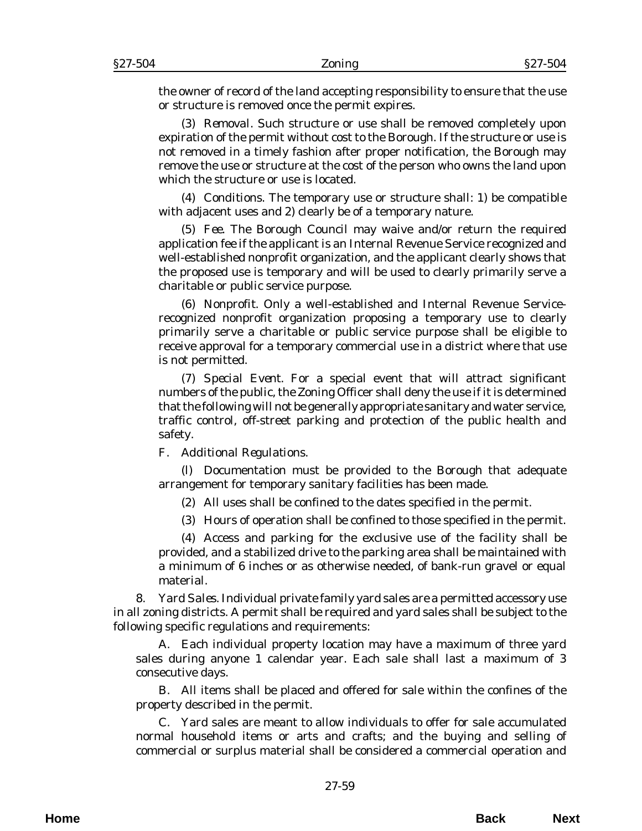the owner of record of the land accepting responsibility to ensure that the use or structure is removed once the permit expires.

(3) *Removal*. Such structure or use shall be removed completely upon expiration of the permit without cost to the Borough. If the structure or use is not removed in a timely fashion after proper notification, the Borough may remove the use or structure at the cost of the person who owns the land upon which the structure or use is located.

(4) *Conditions*. The temporary use or structure shall: 1) be compatible with adjacent uses and 2) clearly be of a temporary nature.

(5) *Fee*. The Borough Council may waive and/or return the required application fee if the applicant is an Internal Revenue Service recognized and well-established nonprofit organization, and the applicant clearly shows that the proposed use is temporary and will be used to clearly primarily serve a charitable or public service purpose.

(6) *Nonprofit*. Only a well-established and Internal Revenue Servicerecognized nonprofit organization proposing a temporary use to clearly primarily serve a charitable or public service purpose shall be eligible to receive approval for a temporary commercial use in a district where that use is not permitted.

(7) *Special Event*. For a special event that will attract significant numbers of the public, the Zoning Officer shall deny the use if it is determined that the following will not be generally appropriate sanitary and water service, traffic control, off-street parking and protection of the public health and safety.

F. *Additional Regulations*.

(l) Documentation must be provided to the Borough that adequate arrangement for temporary sanitary facilities has been made.

(2) All uses shall be confined to the dates specified in the permit.

(3) Hours of operation shall be confined to those specified in the permit.

(4) Access and parking for the exclusive use of the facility shall be provided, and a stabilized drive to the parking area shall be maintained with a minimum of 6 inches or as otherwise needed, of bank-run gravel or equal material.

8. *Yard Sales*. Individual private family yard sales are a permitted accessory use in all zoning districts. A permit shall be required and yard sales shall be subject to the following specific regulations and requirements:

A. Each individual property location may have a maximum of three yard sales during anyone 1 calendar year. Each sale shall last a maximum of 3 consecutive days.

B. All items shall be placed and offered for sale within the confines of the property described in the permit.

C. Yard sales are meant to allow individuals to offer for sale accumulated normal household items or arts and crafts; and the buying and selling of commercial or surplus material shall be considered a commercial operation and

**Home Back Next**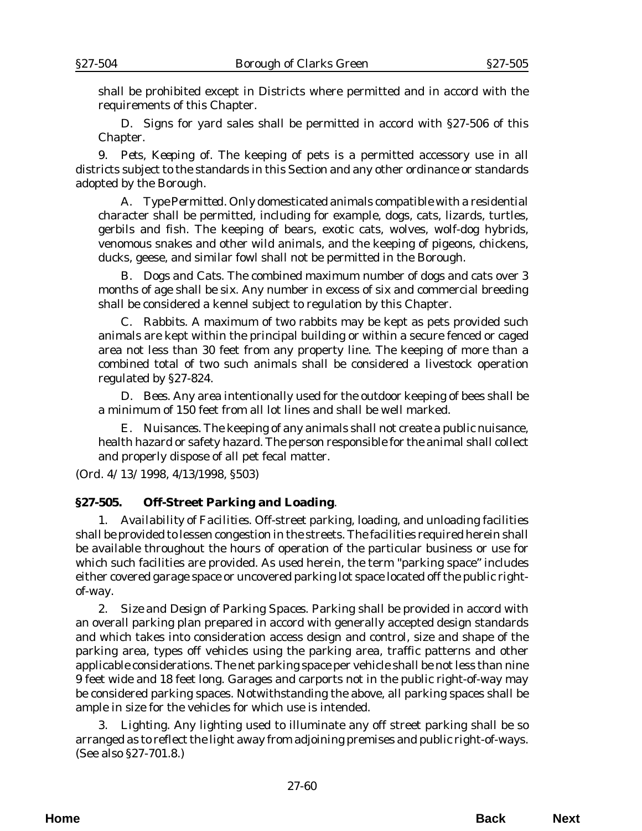shall be prohibited except in Districts where permitted and in accord with the requirements of this Chapter.

D. Signs for yard sales shall be permitted in accord with §27-506 of this Chapter.

9. *Pets, Keeping of.* The keeping of pets is a permitted accessory use in all districts subject to the standards in this Section and any other ordinance or standards adopted by the Borough.

A. *Type Permitted*. Only domesticated animals compatible with a residential character shall be permitted, including for example, dogs, cats, lizards, turtles, gerbils and fish. The keeping of bears, exotic cats, wolves, wolf-dog hybrids, venomous snakes and other wild animals, and the keeping of pigeons, chickens, ducks, geese, and similar fowl shall not be permitted in the Borough.

B. *Dogs and Cats*. The combined maximum number of dogs and cats over 3 months of age shall be six. Any number in excess of six and commercial breeding shall be considered a kennel subject to regulation by this Chapter.

C. *Rabbits*. A maximum of two rabbits may be kept as pets provided such animals are kept within the principal building or within a secure fenced or caged area not less than 30 feet from any property line. The keeping of more than a combined total of two such animals shall be considered a livestock operation regulated by §27-824.

D. *Bees*. Any area intentionally used for the outdoor keeping of bees shall be a minimum of 150 feet from all lot lines and shall be well marked.

E. *Nuisances*. The keeping of any animals shall not create a public nuisance, health hazard or safety hazard. The person responsible for the animal shall collect and properly dispose of all pet fecal matter.

(*Ord. 4/13/1998*, 4/13/1998, §503)

#### **§27-505. Off-Street Parking and Loading**.

1. *Availability of Facilities*. Off-street parking, loading, and unloading facilities shall be provided to lessen congestion in the streets. The facilities required herein shall be available throughout the hours of operation of the particular business or use for which such facilities are provided. As used herein, the term "parking space" includes either covered garage space or uncovered parking lot space located off the public rightof-way.

2. *Size and Design of Parking Spaces*. Parking shall be provided in accord with an overall parking plan prepared in accord with generally accepted design standards and which takes into consideration access design and control, size and shape of the parking area, types off vehicles using the parking area, traffic patterns and other applicable considerations. The net parking space per vehicle shall be not less than nine 9 feet wide and 18 feet long. Garages and carports not in the public right-of-way may be considered parking spaces. Notwithstanding the above, all parking spaces shall be ample in size for the vehicles for which use is intended.

3. *Lighting*. Any lighting used to illuminate any off street parking shall be so arranged as to reflect the light away from adjoining premises and public right-of-ways. (See also §27-701.8.)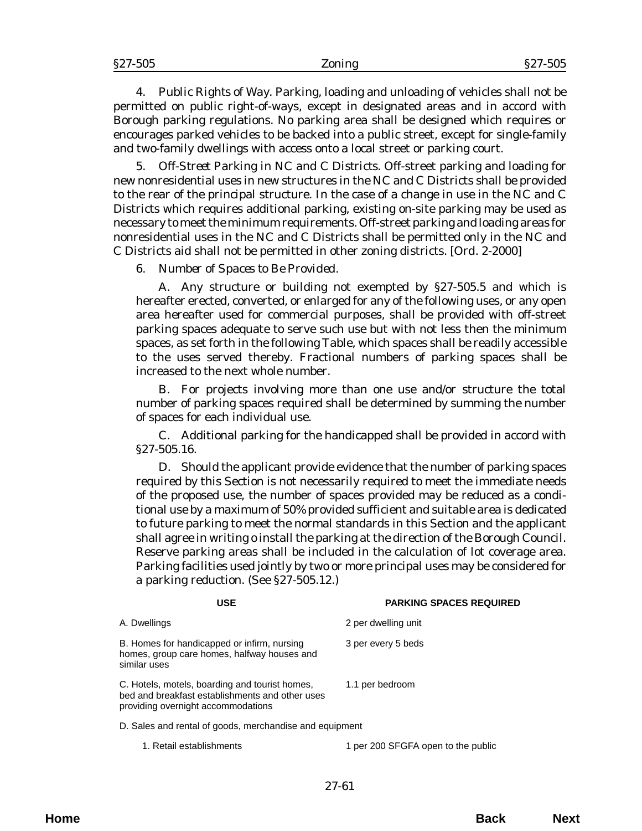4. *Public Rights of Way*. Parking, loading and unloading of vehicles shall not be permitted on public right-of-ways, except in designated areas and in accord with Borough parking regulations. No parking area shall be designed which requires or encourages parked vehicles to be backed into a public street, except for single-family and two-family dwellings with access onto a local street or parking court.

5. *Off-Street Parking in NC and C Districts*. Off-street parking and loading for new nonresidential uses in new structures in the NC and C Districts shall be provided to the rear of the principal structure. In the case of a change in use in the NC and C Districts which requires additional parking, existing on-site parking may be used as necessary to meet the minimum requirements. Off-street parking and loading areas for nonresidential uses in the NC and C Districts shall be permitted only in the NC and C Districts aid shall not be permitted in other zoning districts. [*Ord. 2-2000*]

6. *Number of Spaces to Be Provided*.

A. Any structure or building not exempted by §27-505.5 and which is hereafter erected, converted, or enlarged for any of the following uses, or any open area hereafter used for commercial purposes, shall be provided with off-street parking spaces adequate to serve such use but with not less then the minimum spaces, as set forth in the following Table, which spaces shall be readily accessible to the uses served thereby. Fractional numbers of parking spaces shall be increased to the next whole number.

B. For projects involving more than one use and/or structure the total number of parking spaces required shall be determined by summing the number of spaces for each individual use.

C. Additional parking for the handicapped shall be provided in accord with §27-505.16.

D. Should the applicant provide evidence that the number of parking spaces required by this Section is not necessarily required to meet the immediate needs of the proposed use, the number of spaces provided may be reduced as a conditional use by a maximum of 50% provided sufficient and suitable area is dedicated to future parking to meet the normal standards in this Section and the applicant shall agree in writing o install the parking at the direction of the Borough Council. Reserve parking areas shall be included in the calculation of lot coverage area. Parking facilities used jointly by two or more principal uses may be considered for a parking reduction. (See §27-505.12.)

| <b>USE</b>                                                                                                                              | <b>PARKING SPACES REQUIRED</b> |
|-----------------------------------------------------------------------------------------------------------------------------------------|--------------------------------|
| A. Dwellings                                                                                                                            | 2 per dwelling unit            |
| B. Homes for handicapped or infirm, nursing<br>homes, group care homes, halfway houses and<br>similar uses                              | 3 per every 5 beds             |
| C. Hotels, motels, boarding and tourist homes,<br>bed and breakfast establishments and other uses<br>providing overnight accommodations | 1.1 per bedroom                |
| D. Sales and rental of goods, merchandise and equipment                                                                                 |                                |

1. Retail establishments 1 per 200 SFGFA open to the public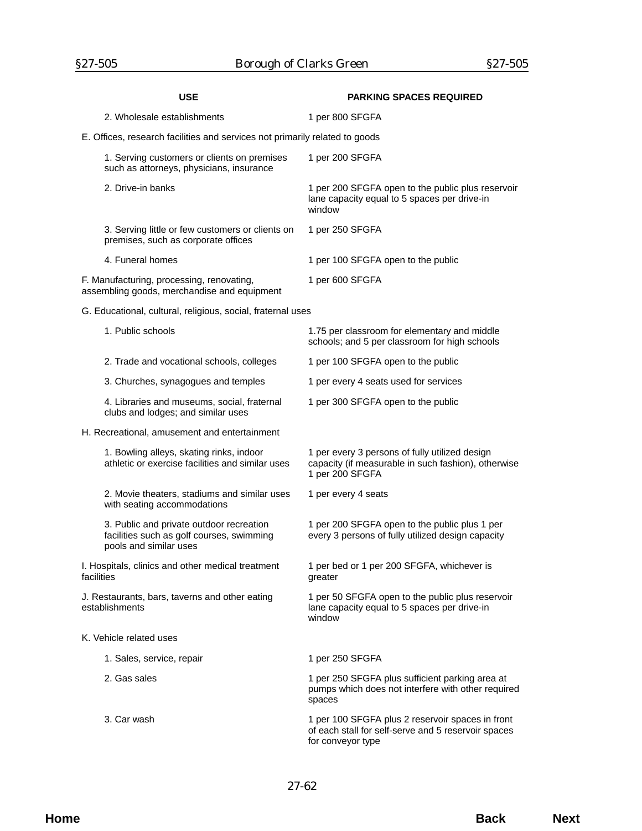| USE                                                                                                             | <b>PARKING SPACES REQUIRED</b>                                                                                               |  |
|-----------------------------------------------------------------------------------------------------------------|------------------------------------------------------------------------------------------------------------------------------|--|
| 2. Wholesale establishments                                                                                     | 1 per 800 SFGFA                                                                                                              |  |
| E. Offices, research facilities and services not primarily related to goods                                     |                                                                                                                              |  |
| 1. Serving customers or clients on premises<br>such as attorneys, physicians, insurance                         | 1 per 200 SFGFA                                                                                                              |  |
| 2. Drive-in banks                                                                                               | 1 per 200 SFGFA open to the public plus reservoir<br>lane capacity equal to 5 spaces per drive-in<br>window                  |  |
| 3. Serving little or few customers or clients on<br>premises, such as corporate offices                         | 1 per 250 SFGFA                                                                                                              |  |
| 4. Funeral homes                                                                                                | 1 per 100 SFGFA open to the public                                                                                           |  |
| F. Manufacturing, processing, renovating,<br>assembling goods, merchandise and equipment                        | 1 per 600 SFGFA                                                                                                              |  |
| G. Educational, cultural, religious, social, fraternal uses                                                     |                                                                                                                              |  |
| 1. Public schools                                                                                               | 1.75 per classroom for elementary and middle<br>schools; and 5 per classroom for high schools                                |  |
| 2. Trade and vocational schools, colleges                                                                       | 1 per 100 SFGFA open to the public                                                                                           |  |
| 3. Churches, synagogues and temples                                                                             | 1 per every 4 seats used for services                                                                                        |  |
| 4. Libraries and museums, social, fraternal<br>clubs and lodges; and similar uses                               | 1 per 300 SFGFA open to the public                                                                                           |  |
| H. Recreational, amusement and entertainment                                                                    |                                                                                                                              |  |
| 1. Bowling alleys, skating rinks, indoor<br>athletic or exercise facilities and similar uses                    | 1 per every 3 persons of fully utilized design<br>capacity (if measurable in such fashion), otherwise<br>1 per 200 SFGFA     |  |
| 2. Movie theaters, stadiums and similar uses<br>with seating accommodations                                     | 1 per every 4 seats                                                                                                          |  |
| 3. Public and private outdoor recreation<br>facilities such as golf courses, swimming<br>pools and similar uses | 1 per 200 SFGFA open to the public plus 1 per<br>every 3 persons of fully utilized design capacity                           |  |
| I. Hospitals, clinics and other medical treatment<br>facilities                                                 | 1 per bed or 1 per 200 SFGFA, whichever is<br>greater                                                                        |  |
| J. Restaurants, bars, taverns and other eating<br>establishments                                                | 1 per 50 SFGFA open to the public plus reservoir<br>lane capacity equal to 5 spaces per drive-in<br>window                   |  |
| K. Vehicle related uses                                                                                         |                                                                                                                              |  |
| 1. Sales, service, repair                                                                                       | 1 per 250 SFGFA                                                                                                              |  |
| 2. Gas sales                                                                                                    | 1 per 250 SFGFA plus sufficient parking area at<br>pumps which does not interfere with other required<br>spaces              |  |
| 3. Car wash                                                                                                     | 1 per 100 SFGFA plus 2 reservoir spaces in front<br>of each stall for self-serve and 5 reservoir spaces<br>for conveyor type |  |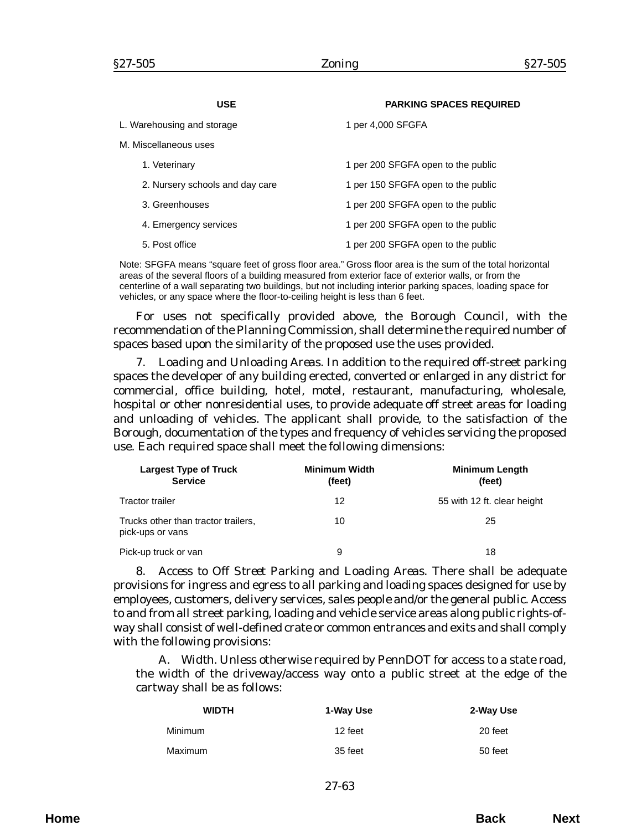| USE                             | <b>PARKING SPACES REQUIRED</b>     |
|---------------------------------|------------------------------------|
| L. Warehousing and storage      | 1 per 4,000 SFGFA                  |
| M. Miscellaneous uses           |                                    |
| 1. Veterinary                   | 1 per 200 SFGFA open to the public |
| 2. Nursery schools and day care | 1 per 150 SFGFA open to the public |
| 3. Greenhouses                  | 1 per 200 SFGFA open to the public |
| 4. Emergency services           | 1 per 200 SFGFA open to the public |
| 5. Post office                  | 1 per 200 SFGFA open to the public |

Note: SFGFA means "square feet of gross floor area." Gross floor area is the sum of the total horizontal areas of the several floors of a building measured from exterior face of exterior walls, or from the centerline of a wall separating two buildings, but not including interior parking spaces, loading space for vehicles, or any space where the floor-to-ceiling height is less than 6 feet.

For uses not specifically provided above, the Borough Council, with the recommendation of the Planning Commission, shall determine the required number of spaces based upon the similarity of the proposed use the uses provided.

7. *Loading and Unloading Areas*. In addition to the required off-street parking spaces the developer of any building erected, converted or enlarged in any district for commercial, office building, hotel, motel, restaurant, manufacturing, wholesale, hospital or other nonresidential uses, to provide adequate off street areas for loading and unloading of vehicles. The applicant shall provide, to the satisfaction of the Borough, documentation of the types and frequency of vehicles servicing the proposed use. Each required space shall meet the following dimensions:

| <b>Largest Type of Truck</b><br><b>Service</b>          | <b>Minimum Width</b><br>(feet) | <b>Minimum Length</b><br>(feet) |
|---------------------------------------------------------|--------------------------------|---------------------------------|
| <b>Tractor trailer</b>                                  | 12                             | 55 with 12 ft. clear height     |
| Trucks other than tractor trailers,<br>pick-ups or vans | 10                             | 25                              |
| Pick-up truck or van                                    | 9                              | 18                              |

8. *Access to Off Street Parking and Loading Areas*. There shall be adequate provisions for ingress and egress to all parking and loading spaces designed for use by employees, customers, delivery services, sales people and/or the general public. Access to and from all street parking, loading and vehicle service areas along public rights-ofway shall consist of well-defined crate or common entrances and exits and shall comply with the following provisions:

A. *Width*. Unless otherwise required by PennDOT for access to a state road, the width of the driveway/access way onto a public street at the edge of the cartway shall be as follows:

| <b>WIDTH</b> | 1-Way Use | 2-Way Use |
|--------------|-----------|-----------|
| Minimum      | 12 feet   | 20 feet   |
| Maximum      | 35 feet   | 50 feet   |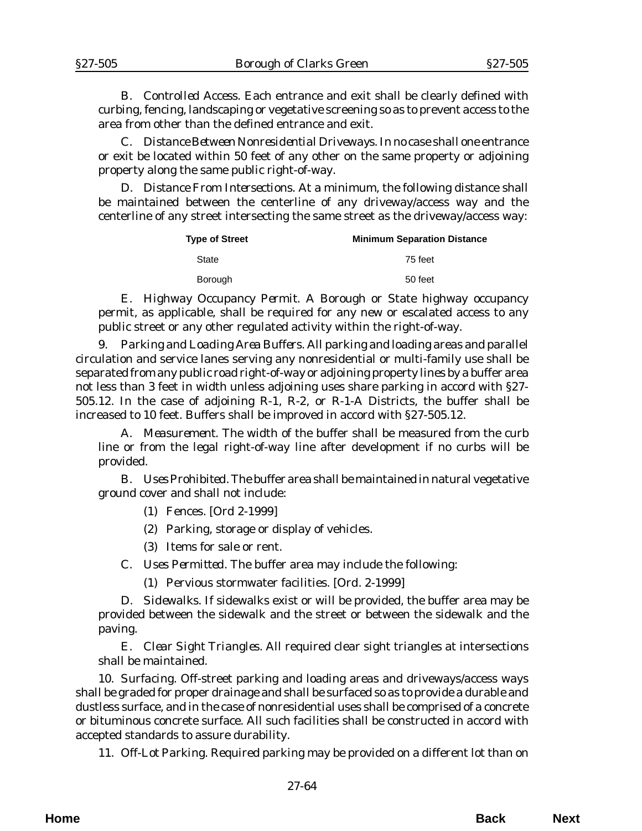B. *Controlled Access.* Each entrance and exit shall be clearly defined with curbing, fencing, landscaping or vegetative screening so as to prevent access to the area from other than the defined entrance and exit.

C. *Distance Between Nonresidential Driveways*. In no case shall one entrance or exit be located within 50 feet of any other on the same property or adjoining property along the same public right-of-way.

D. *Distance From Intersections*. At a minimum, the following distance shall be maintained between the centerline of any driveway/access way and the centerline of any street intersecting the same street as the driveway/access way:

| <b>Type of Street</b> | <b>Minimum Separation Distance</b> |
|-----------------------|------------------------------------|
| State                 | 75 feet                            |
| <b>Borough</b>        | 50 feet                            |

E. *Highway Occupancy Permit*. A Borough or State highway occupancy permit, as applicable, shall be required for any new or escalated access to any public street or any other regulated activity within the right-of-way.

9. *Parking and Loading Area Buffers*. All parking and loading areas and parallel circulation and service lanes serving any nonresidential or multi-family use shall be separated from any public road right-of-way or adjoining property lines by a buffer area not less than 3 feet in width unless adjoining uses share parking in accord with §27- 505.12. In the case of adjoining R-1, R-2, or R-1-A Districts, the buffer shall be increased to 10 feet. Buffers shall be improved in accord with §27-505.12.

A. *Measurement*. The width of the buffer shall be measured from the curb line or from the legal right-of-way line after development if no curbs will be provided.

B. *Uses Prohibited*. The buffer area shall be maintained in natural vegetative ground cover and shall not include:

(1) Fences. [*Ord 2-1999*]

(2) Parking, storage or display of vehicles.

(3) Items for sale or rent.

C. *Uses Permitted*. The buffer area may include the following:

(1) Pervious stormwater facilities. [*Ord. 2-1999*]

D. *Sidewalks*. If sidewalks exist or will be provided, the buffer area may be provided between the sidewalk and the street or between the sidewalk and the paving.

E. *Clear Sight Triangles*. All required clear sight triangles at intersections shall be maintained.

10. *Surfacing*. Off-street parking and loading areas and driveways/access ways shall be graded for proper drainage and shall be surfaced so as to provide a durable and dustless surface, and in the case of nonresidential uses shall be comprised of a concrete or bituminous concrete surface. All such facilities shall be constructed in accord with accepted standards to assure durability.

11. *Off-Lot Parking*. Required parking may be provided on a different lot than on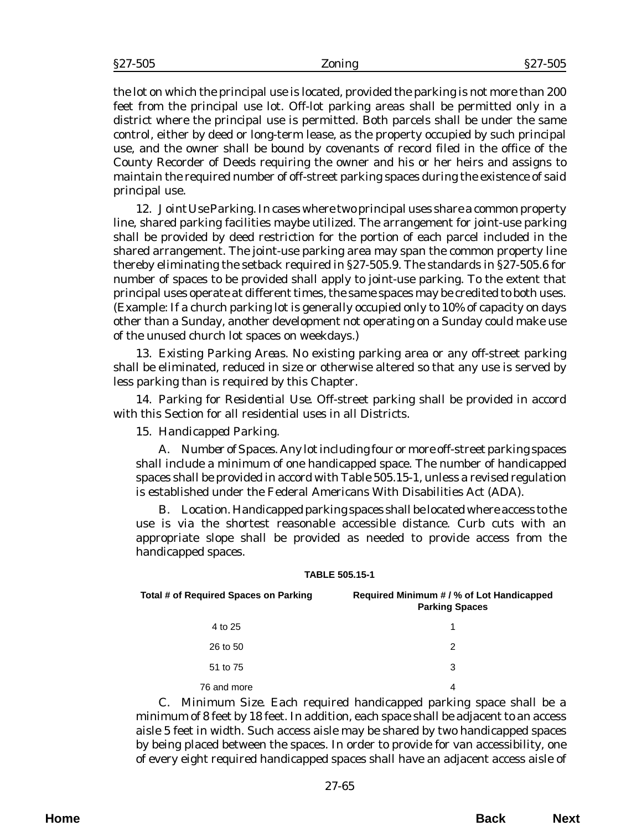the lot on which the principal use is located, provided the parking is not more than 200 feet from the principal use lot. Off-lot parking areas shall be permitted only in a district where the principal use is permitted. Both parcels shall be under the same control, either by deed or long-term lease, as the property occupied by such principal use, and the owner shall be bound by covenants of record filed in the office of the County Recorder of Deeds requiring the owner and his or her heirs and assigns to maintain the required number of off-street parking spaces during the existence of said principal use.

12. *Joint Use Parking*. In cases where two principal uses share a common property line, shared parking facilities maybe utilized. The arrangement for joint-use parking shall be provided by deed restriction for the portion of each parcel included in the shared arrangement. The joint-use parking area may span the common property line thereby eliminating the setback required in §27-505.9. The standards in §27-505.6 for number of spaces to be provided shall apply to joint-use parking. To the extent that principal uses operate at different times, the same spaces may be credited to both uses. (Example: If a church parking lot is generally occupied only to 10% of capacity on days other than a Sunday, another development not operating on a Sunday could make use of the unused church lot spaces on weekdays.)

13. *Existing Parking Areas.* No existing parking area or any off-street parking shall be eliminated, reduced in size or otherwise altered so that any use is served by less parking than is required by this Chapter.

14. *Parking for Residential Use*. Off-street parking shall be provided in accord with this Section for all residential uses in all Districts.

#### 15. *Handicapped Parking*.

A. *Number of Spaces.* Any lot including four or more off-street parking spaces shall include a minimum of one handicapped space. The number of handicapped spaces shall be provided in accord with Table 505.15-1, unless a revised regulation is established under the Federal Americans With Disabilities Act (ADA).

B. *Location.* Handicapped parking spaces shall be located where access to the use is via the shortest reasonable accessible distance. Curb cuts with an appropriate slope shall be provided as needed to provide access from the handicapped spaces.

#### **TABLE 505.15-1**

| Total # of Required Spaces on Parking | Required Minimum # / % of Lot Handicapped<br><b>Parking Spaces</b> |
|---------------------------------------|--------------------------------------------------------------------|
| 4 to 25                               |                                                                    |
| 26 to 50                              | 2                                                                  |
| 51 to 75                              | 3                                                                  |
| 76 and more                           | 4                                                                  |

C. *Minimum Size*. Each required handicapped parking space shall be a minimum of 8 feet by 18 feet. In addition, each space shall be adjacent to an access aisle 5 feet in width. Such access aisle may be shared by two handicapped spaces by being placed between the spaces. In order to provide for van accessibility, one of every eight required handicapped spaces shall have an adjacent access aisle of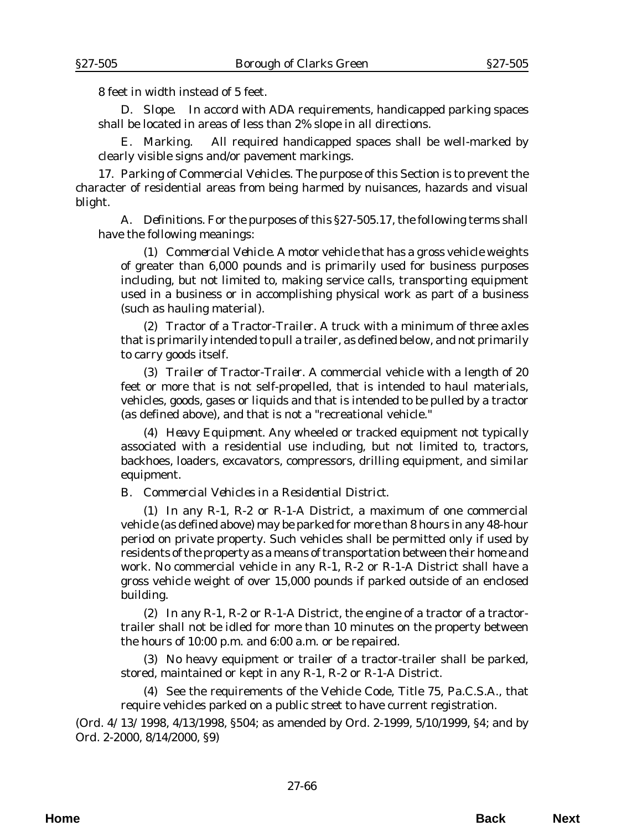8 feet in width instead of 5 feet.

D. *Slope*. In accord with ADA requirements, handicapped parking spaces shall be located in areas of less than 2% slope in all directions.

E. *Marking*. All required handicapped spaces shall be well-marked by clearly visible signs and/or pavement markings.

17. *Parking of Commercial Vehicles*. The purpose of this Section is to prevent the character of residential areas from being harmed by nuisances, hazards and visual blight.

A. *Definitions*. For the purposes of this §27-505.17, the following terms shall have the following meanings:

(1) *Commercial Vehicle*. A motor vehicle that has a gross vehicle weights of greater than 6,000 pounds and is primarily used for business purposes including, but not limited to, making service calls, transporting equipment used in a business or in accomplishing physical work as part of a business (such as hauling material).

(2) *Tractor of a Tractor-Trailer*. A truck with a minimum of three axles that is primarily intended to pull a trailer, as defined below, and not primarily to carry goods itself.

(3) *Trailer of Tractor-Trailer*. A commercial vehicle with a length of 20 feet or more that is not self-propelled, that is intended to haul materials, vehicles, goods, gases or liquids and that is intended to be pulled by a tractor (as defined above), and that is not a "recreational vehicle."

(4) *Heavy Equipment*. Any wheeled or tracked equipment not typically associated with a residential use including, but not limited to, tractors, backhoes, loaders, excavators, compressors, drilling equipment, and similar equipment.

B. *Commercial Vehicles in a Residential District*.

(1) In any R-1, R-2 or R-1-A District, a maximum of one commercial vehicle (as defined above) may be parked for more than 8 hours in any 48-hour period on private property. Such vehicles shall be permitted only if used by residents of the property as a means of transportation between their home and work. No commercial vehicle in any R-1, R-2 or R-1-A District shall have a gross vehicle weight of over 15,000 pounds if parked outside of an enclosed building.

(2) In any R-1, R-2 or R-1-A District, the engine of a tractor of a tractortrailer shall not be idled for more than 10 minutes on the property between the hours of 10:00 p.m. and 6:00 a.m. or be repaired.

(3) No heavy equipment or trailer of a tractor-trailer shall be parked, stored, maintained or kept in any R-1, R-2 or R-1-A District.

(4) See the requirements of the Vehicle Code, Title 75, Pa.C.S.A., that require vehicles parked on a public street to have current registration.

(*Ord. 4/13/1998*, 4/13/1998, §504; as amended by *Ord. 2-1999*, 5/10/1999, §4; and by *Ord. 2-2000*, 8/14/2000, §9)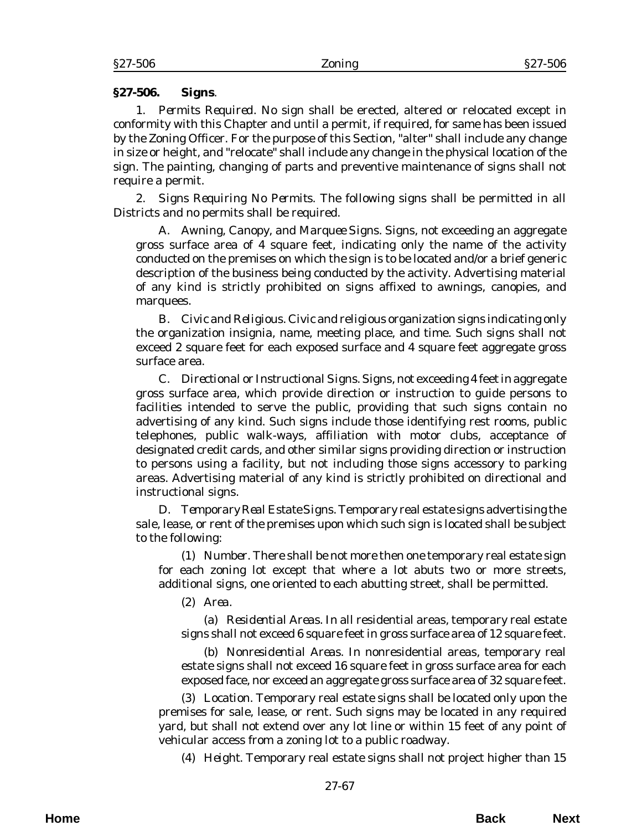#### §27-506 Zoning §27-506

### **§27-506. Signs**.

1. *Permits Required*. No sign shall be erected, altered or relocated except in conformity with this Chapter and until a permit, if required, for same has been issued by the Zoning Officer. For the purpose of this Section, "alter" shall include any change in size or height, and "relocate" shall include any change in the physical location of the sign. The painting, changing of parts and preventive maintenance of signs shall not require a permit.

2. *Signs Requiring No Permits*. The following signs shall be permitted in all Districts and no permits shall be required.

A. *Awning, Canopy, and Marquee Signs*. Signs, not exceeding an aggregate gross surface area of 4 square feet, indicating only the name of the activity conducted on the premises on which the sign is to be located and/or a brief generic description of the business being conducted by the activity. Advertising material of any kind is strictly prohibited on signs affixed to awnings, canopies, and marquees.

B. *Civic and Religious*. Civic and religious organization signs indicating only the organization insignia, name, meeting place, and time. Such signs shall not exceed 2 square feet for each exposed surface and 4 square feet aggregate gross surface area.

C. *Directional or Instructional Signs*. Signs, not exceeding 4 feet in aggregate gross surface area, which provide direction or instruction to guide persons to facilities intended to serve the public, providing that such signs contain no advertising of any kind. Such signs include those identifying rest rooms, public telephones, public walk-ways, affiliation with motor clubs, acceptance of designated credit cards, and other similar signs providing direction or instruction to persons using a facility, but not including those signs accessory to parking areas. Advertising material of any kind is strictly prohibited on directional and instructional signs.

D. *Temporary Real Estate Signs*. Temporary real estate signs advertising the sale, lease, or rent of the premises upon which such sign is located shall be subject to the following:

(1) *Number*. There shall be not more then one temporary real estate sign for each zoning lot except that where a lot abuts two or more streets, additional signs, one oriented to each abutting street, shall be permitted.

(2) *Area*.

(a) *Residential Areas*. In all residential areas, temporary real estate signs shall not exceed 6 square feet in gross surface area of 12 square feet.

(b) *Nonresidential Areas*. In nonresidential areas, temporary real estate signs shall not exceed 16 square feet in gross surface area for each exposed face, nor exceed an aggregate gross surface area of 32 square feet.

(3) *Location*. Temporary real estate signs shall be located only upon the premises for sale, lease, or rent. Such signs may be located in any required yard, but shall not extend over any lot line or within 15 feet of any point of vehicular access from a zoning lot to a public roadway.

(4) *Height*. Temporary real estate signs shall not project higher than 15

**Home Back Next**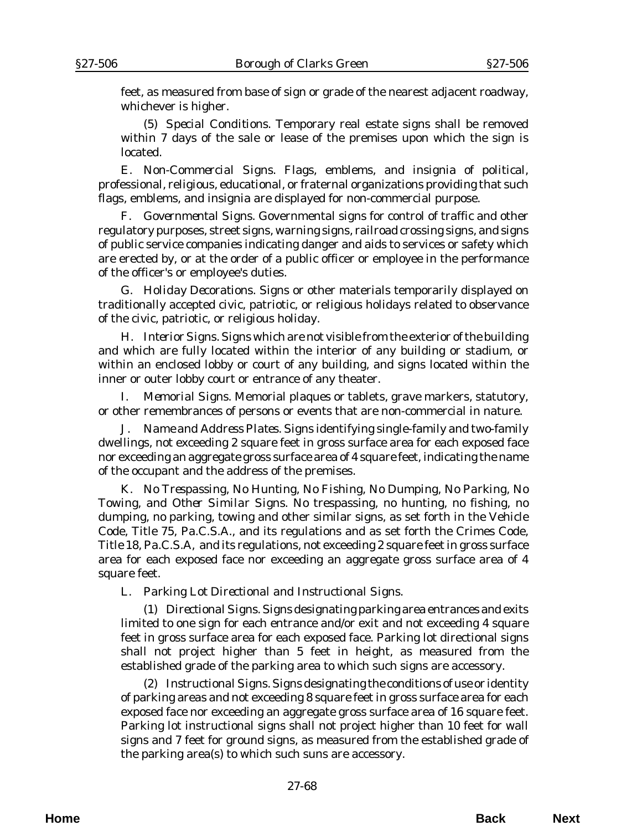feet, as measured from base of sign or grade of the nearest adjacent roadway, whichever is higher.

(5) *Special Conditions*. Temporary real estate signs shall be removed within 7 days of the sale or lease of the premises upon which the sign is located.

E. *Non-Commercial Signs*. Flags, emblems, and insignia of political, professional, religious, educational, or fraternal organizations providing that such flags, emblems, and insignia are displayed for non-commercial purpose.

F. *Governmental Signs*. Governmental signs for control of traffic and other regulatory purposes, street signs, warning signs, railroad crossing signs, and signs of public service companies indicating danger and aids to services or safety which are erected by, or at the order of a public officer or employee in the performance of the officer's or employee's duties.

G. *Holiday Decorations*. Signs or other materials temporarily displayed on traditionally accepted civic, patriotic, or religious holidays related to observance of the civic, patriotic, or religious holiday.

H. *Interior Signs*. Signs which are not visible from the exterior of the building and which are fully located within the interior of any building or stadium, or within an enclosed lobby or court of any building, and signs located within the inner or outer lobby court or entrance of any theater.

I. *Memorial Signs*. Memorial plaques or tablets, grave markers, statutory, or other remembrances of persons or events that are non-commercial in nature.

J. *Name and Address Plates*. Signs identifying single-family and two-family dwellings, not exceeding 2 square feet in gross surface area for each exposed face nor exceeding an aggregate gross surface area of 4 square feet, indicating the name of the occupant and the address of the premises.

K. *No Trespassing, No Hunting, No Fishing, No Dumping, No Parking, No Towing, and Other Similar Signs*. No trespassing, no hunting, no fishing, no dumping, no parking, towing and other similar signs, as set forth in the Vehicle Code, Title 75, Pa.C.S.A., and its regulations and as set forth the Crimes Code, Title 18, Pa.C.S.A, and its regulations, not exceeding 2 square feet in gross surface area for each exposed face nor exceeding an aggregate gross surface area of 4 square feet.

L. *Parking Lot Directional and Instructional Signs*.

(1) *Directional Signs*. Signs designating parking area entrances and exits limited to one sign for each entrance and/or exit and not exceeding 4 square feet in gross surface area for each exposed face. Parking lot directional signs shall not project higher than 5 feet in height, as measured from the established grade of the parking area to which such signs are accessory.

(2) *Instructional Signs*. Signs designating the conditions of use or identity of parking areas and not exceeding 8 square feet in gross surface area for each exposed face nor exceeding an aggregate gross surface area of 16 square feet. Parking lot instructional signs shall not project higher than 10 feet for wall signs and 7 feet for ground signs, as measured from the established grade of the parking area(s) to which such suns are accessory.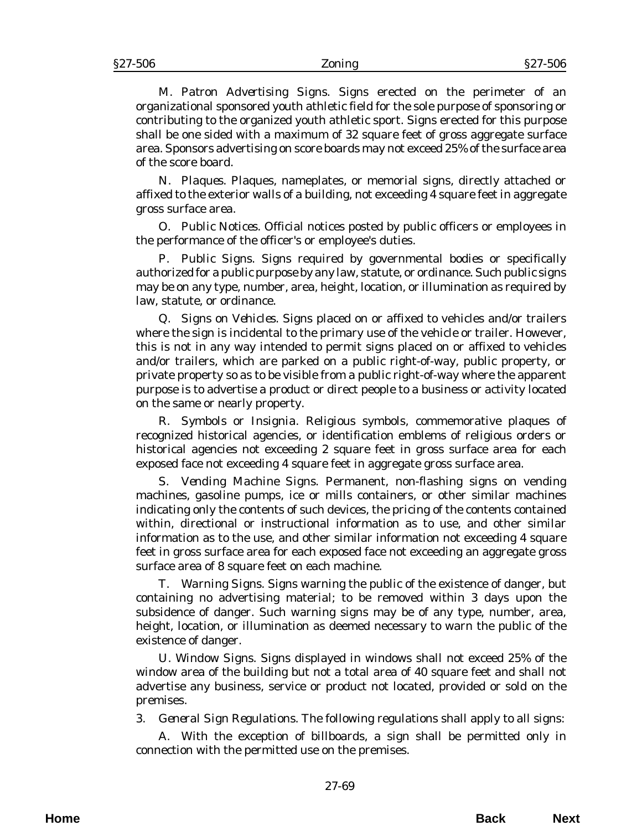M. *Patron Advertising Signs*. Signs erected on the perimeter of an organizational sponsored youth athletic field for the sole purpose of sponsoring or contributing to the organized youth athletic sport. Signs erected for this purpose shall be one sided with a maximum of 32 square feet of gross aggregate surface area. Sponsors advertising on score boards may not exceed 25% of the surface area of the score board.

N. *Plaques*. Plaques, nameplates, or memorial signs, directly attached or affixed to the exterior walls of a building, not exceeding 4 square feet in aggregate gross surface area.

O. *Public Notices*. Official notices posted by public officers or employees in the performance of the officer's or employee's duties.

P. *Public Signs*. Signs required by governmental bodies or specifically authorized for a public purpose by any law, statute, or ordinance. Such public signs may be on any type, number, area, height, location, or illumination as required by law, statute, or ordinance.

Q. *Signs on Vehicles*. Signs placed on or affixed to vehicles and/or trailers where the sign is incidental to the primary use of the vehicle or trailer. However, this is not in any way intended to permit signs placed on or affixed to vehicles and/or trailers, which are parked on a public right-of-way, public property, or private property so as to be visible from a public right-of-way where the apparent purpose is to advertise a product or direct people to a business or activity located on the same or nearly property.

R. *Symbols or Insignia*. Religious symbols, commemorative plaques of recognized historical agencies, or identification emblems of religious orders or historical agencies not exceeding 2 square feet in gross surface area for each exposed face not exceeding 4 square feet in aggregate gross surface area.

S. *Vending Machine Signs*. Permanent, non-flashing signs on vending machines, gasoline pumps, ice or mills containers, or other similar machines indicating only the contents of such devices, the pricing of the contents contained within, directional or instructional information as to use, and other similar information as to the use, and other similar information not exceeding 4 square feet in gross surface area for each exposed face not exceeding an aggregate gross surface area of 8 square feet on each machine.

T. *Warning Signs*. Signs warning the public of the existence of danger, but containing no advertising material; to be removed within 3 days upon the subsidence of danger. Such warning signs may be of any type, number, area, height, location, or illumination as deemed necessary to warn the public of the existence of danger.

U. *Window Signs*. Signs displayed in windows shall not exceed 25% of the window area of the building but not a total area of 40 square feet and shall not advertise any business, service or product not located, provided or sold on the premises.

3. *General Sign Regulations.* The following regulations shall apply to all signs:

A. With the exception of billboards, a sign shall be permitted only in connection with the permitted use on the premises.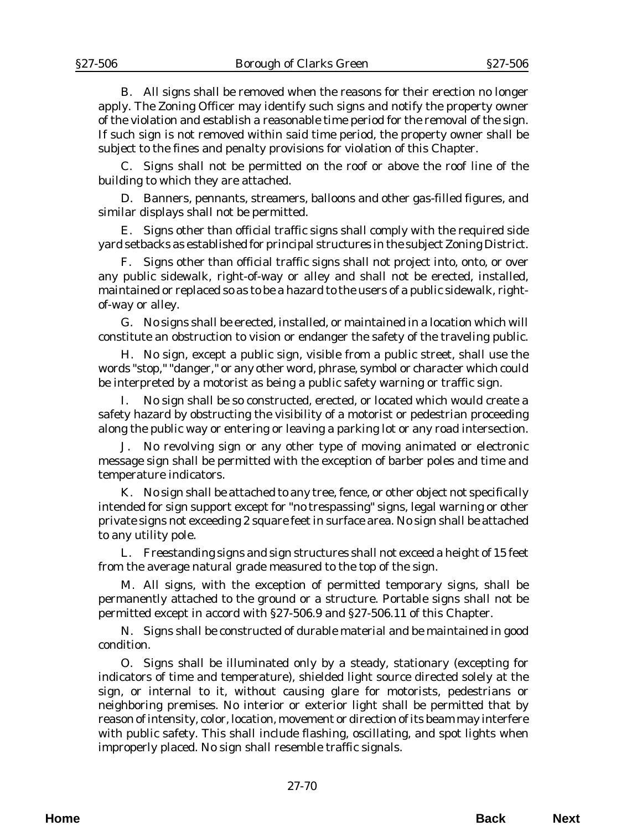B. All signs shall be removed when the reasons for their erection no longer apply. The Zoning Officer may identify such signs and notify the property owner of the violation and establish a reasonable time period for the removal of the sign. If such sign is not removed within said time period, the property owner shall be subject to the fines and penalty provisions for violation of this Chapter.

C. Signs shall not be permitted on the roof or above the roof line of the building to which they are attached.

D. Banners, pennants, streamers, balloons and other gas-filled figures, and similar displays shall not be permitted.

E. Signs other than official traffic signs shall comply with the required side yard setbacks as established for principal structures in the subject Zoning District.

F. Signs other than official traffic signs shall not project into, onto, or over any public sidewalk, right-of-way or alley and shall not be erected, installed, maintained or replaced so as to be a hazard to the users of a public sidewalk, rightof-way or alley.

G. No signs shall be erected, installed, or maintained in a location which will constitute an obstruction to vision or endanger the safety of the traveling public.

H. No sign, except a public sign, visible from a public street, shall use the words "stop," "danger," or any other word, phrase, symbol or character which could be interpreted by a motorist as being a public safety warning or traffic sign.

I. No sign shall be so constructed, erected, or located which would create a safety hazard by obstructing the visibility of a motorist or pedestrian proceeding along the public way or entering or leaving a parking lot or any road intersection.

J. No revolving sign or any other type of moving animated or electronic message sign shall be permitted with the exception of barber poles and time and temperature indicators.

K. No sign shall be attached to any tree, fence, or other object not specifically intended for sign support except for "no trespassing" signs, legal warning or other private signs not exceeding 2 square feet in surface area. No sign shall be attached to any utility pole.

L. Freestanding signs and sign structures shall not exceed a height of 15 feet from the average natural grade measured to the top of the sign.

M. All signs, with the exception of permitted temporary signs, shall be permanently attached to the ground or a structure. Portable signs shall not be permitted except in accord with §27-506.9 and §27-506.11 of this Chapter.

N. Signs shall be constructed of durable material and be maintained in good condition.

O. Signs shall be illuminated only by a steady, stationary (excepting for indicators of time and temperature), shielded light source directed solely at the sign, or internal to it, without causing glare for motorists, pedestrians or neighboring premises. No interior or exterior light shall be permitted that by reason of intensity, color, location, movement or direction of its beam may interfere with public safety. This shall include flashing, oscillating, and spot lights when improperly placed. No sign shall resemble traffic signals.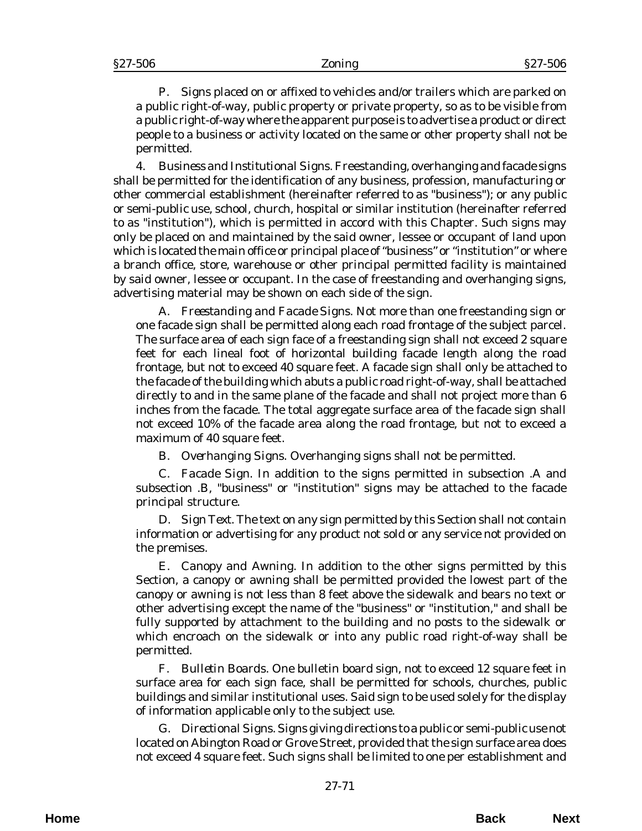P. Signs placed on or affixed to vehicles and/or trailers which are parked on a public right-of-way, public property or private property, so as to be visible from a public right-of-way where the apparent purpose is to advertise a product or direct people to a business or activity located on the same or other property shall not be permitted.

4. *Business and Institutional Signs*. Freestanding, overhanging and facade signs shall be permitted for the identification of any business, profession, manufacturing or other commercial establishment (hereinafter referred to as "business"); or any public or semi-public use, school, church, hospital or similar institution (hereinafter referred to as "institution"), which is permitted in accord with this Chapter. Such signs may only be placed on and maintained by the said owner, lessee or occupant of land upon which is located the main office or principal place of "business" or "institution" or where a branch office, store, warehouse or other principal permitted facility is maintained by said owner, lessee or occupant. In the case of freestanding and overhanging signs, advertising material may be shown on each side of the sign.

A. *Freestanding and Facade Signs*. Not more than one freestanding sign *or* one facade sign shall be permitted along each road frontage of the subject parcel. The surface area of each sign face of a freestanding sign shall not exceed 2 square feet for each lineal foot of horizontal building facade length along the road frontage, but not to exceed 40 square feet. A facade sign shall only be attached to the facade of the building which abuts a public road right-of-way, shall be attached directly to and in the same plane of the facade and shall not project more than 6 inches from the facade. The total aggregate surface area of the facade sign shall not exceed 10% of the facade area along the road frontage, but not to exceed a maximum of 40 square feet.

B. *Overhanging Signs*. Overhanging signs shall not be permitted.

C. *Facade Sign*. In addition to the signs permitted in subsection .A and subsection .B, "business" or "institution" signs may be attached to the facade principal structure.

D. *Sign Text*. The text on any sign permitted by this Section shall not contain information or advertising for any product not sold or any service not provided on the premises.

E. *Canopy and Awning*. In addition to the other signs permitted by this Section, a canopy or awning shall be permitted provided the lowest part of the canopy or awning is not less than 8 feet above the sidewalk and bears no text or other advertising except the name of the "business" or "institution," and shall be fully supported by attachment to the building and no posts to the sidewalk or which encroach on the sidewalk or into any public road right-of-way shall be permitted.

F. *Bulletin Boards*. One bulletin board sign, not to exceed 12 square feet in surface area for each sign face, shall be permitted for schools, churches, public buildings and similar institutional uses. Said sign to be used solely for the display of information applicable only to the subject use.

G. *Directional Signs*. Signs giving directions to a public or semi-public use not located on Abington Road or Grove Street, provided that the sign surface area does not exceed 4 square feet. Such signs shall be limited to one per establishment and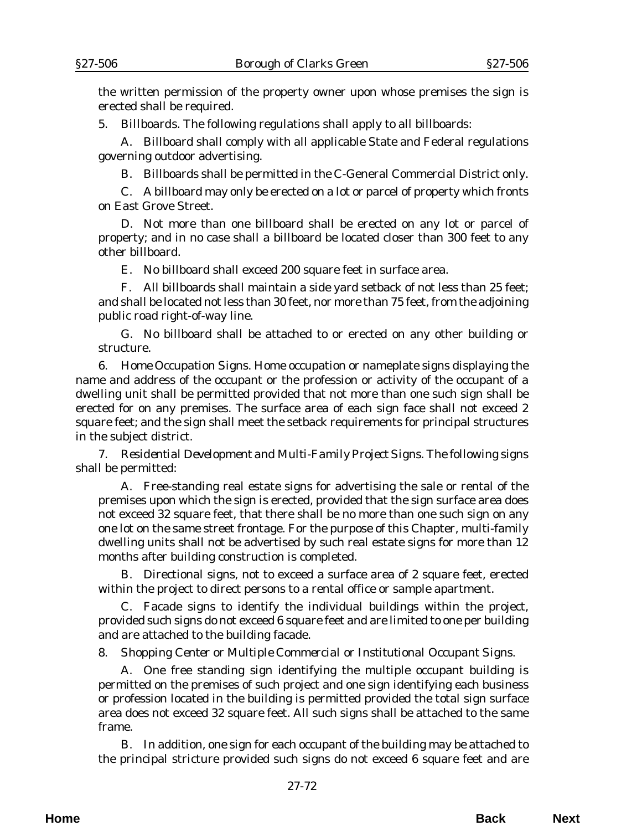the written permission of the property owner upon whose premises the sign is erected shall be required.

5. *Billboards*. The following regulations shall apply to all billboards:

A. Billboard shall comply with all applicable State and Federal regulations governing outdoor advertising.

B. Billboards shall be permitted in the C-General Commercial District only.

C. A billboard may only be erected on a lot or parcel of property which fronts on East Grove Street.

D. Not more than one billboard shall be erected on any lot or parcel of property; and in no case shall a billboard be located closer than 300 feet to any other billboard.

E. No billboard shall exceed 200 square feet in surface area.

F. All billboards shall maintain a side yard setback of not less than 25 feet; and shall be located not less than 30 feet, nor more than 75 feet, from the adjoining public road right-of-way line.

G. No billboard shall be attached to or erected on any other building or structure.

6. *Home Occupation Signs*. Home occupation or nameplate signs displaying the name and address of the occupant or the profession or activity of the occupant of a dwelling unit shall be permitted provided that not more than one such sign shall be erected for on any premises. The surface area of each sign face shall not exceed 2 square feet; and the sign shall meet the setback requirements for principal structures in the subject district.

7. *Residential Development and Multi-Family Project Signs.* The following signs shall be permitted:

A. Free-standing real estate signs for advertising the sale or rental of the premises upon which the sign is erected, provided that the sign surface area does not exceed 32 square feet, that there shall be no more than one such sign on any one lot on the same street frontage. For the purpose of this Chapter, multi-family dwelling units shall not be advertised by such real estate signs for more than 12 months after building construction is completed.

B. Directional signs, not to exceed a surface area of 2 square feet, erected within the project to direct persons to a rental office or sample apartment.

C. Facade signs to identify the individual buildings within the project, provided such signs do not exceed 6 square feet and are limited to one per building and are attached to the building facade.

8. *Shopping Center or Multiple Commercial or Institutional Occupant Signs*.

A. One free standing sign identifying the multiple occupant building is permitted on the premises of such project and one sign identifying each business or profession located in the building is permitted provided the total sign surface area does not exceed 32 square feet. All such signs shall be attached to the same frame.

B. In addition, one sign for each occupant of the building may be attached to the principal stricture provided such signs do not exceed 6 square feet and are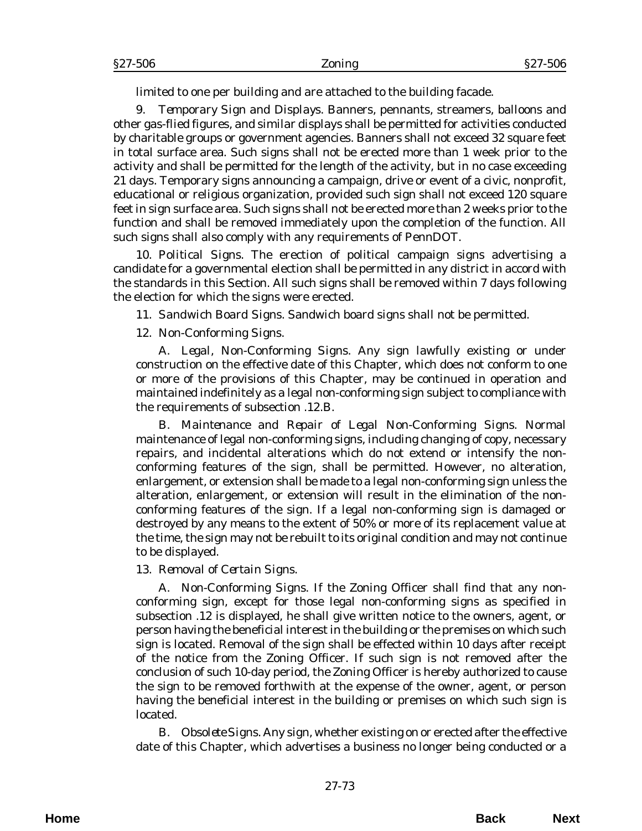limited to one per building and are attached to the building facade.

9. *Temporary Sign and Displays*. Banners, pennants, streamers, balloons and other gas-flied figures, and similar displays shall be permitted for activities conducted by charitable groups or government agencies. Banners shall not exceed 32 square feet in total surface area. Such signs shall not be erected more than 1 week prior to the activity and shall be permitted for the length of the activity, but in no case exceeding 21 days. Temporary signs announcing a campaign, drive or event of a civic, nonprofit, educational or religious organization, provided such sign shall not exceed 120 square feet in sign surface area. Such signs shall not be erected more than 2 weeks prior to the function and shall be removed immediately upon the completion of the function. All such signs shall also comply with any requirements of PennDOT.

10. *Political Signs.* The erection of political campaign signs advertising a candidate for a governmental election shall be permitted in any district in accord with the standards in this Section. All such signs shall be removed within 7 days following the election for which the signs were erected.

11. *Sandwich Board Signs*. Sandwich board signs shall not be permitted.

## 12. *Non-Conforming Signs*.

A. *Legal, Non-Conforming Signs*. Any sign lawfully existing or under construction on the effective date of this Chapter, which does not conform to one or more of the provisions of this Chapter, may be continued in operation and maintained indefinitely as a legal non-conforming sign subject to compliance with the requirements of subsection .12.B.

B. *Maintenance and Repair of Legal Non-Conforming Signs*. Normal maintenance of legal non-conforming signs, including changing of copy, necessary repairs, and incidental alterations which do not extend or intensify the nonconforming features of the sign, shall be permitted. However, no alteration, enlargement, or extension shall be made to a legal non-conforming sign unless the alteration, enlargement, or extension will result in the elimination of the nonconforming features of the sign. If a legal non-conforming sign is damaged or destroyed by any means to the extent of 50% or more of its replacement value at the time, the sign may not be rebuilt to its original condition and may not continue to be displayed.

#### 13. *Removal of Certain Signs*.

A. *Non-Conforming Signs*. If the Zoning Officer shall find that any nonconforming sign, except for those legal non-conforming signs as specified in subsection .12 is displayed, he shall give written notice to the owners, agent, or person having the beneficial interest in the building or the premises on which such sign is located. Removal of the sign shall be effected within 10 days after receipt of the notice from the Zoning Officer. If such sign is not removed after the conclusion of such 10-day period, the Zoning Officer is hereby authorized to cause the sign to be removed forthwith at the expense of the owner, agent, or person having the beneficial interest in the building or premises on which such sign is located.

B. *Obsolete Signs.* Any sign, whether existing on or erected after the effective date of this Chapter, which advertises a business no longer being conducted or a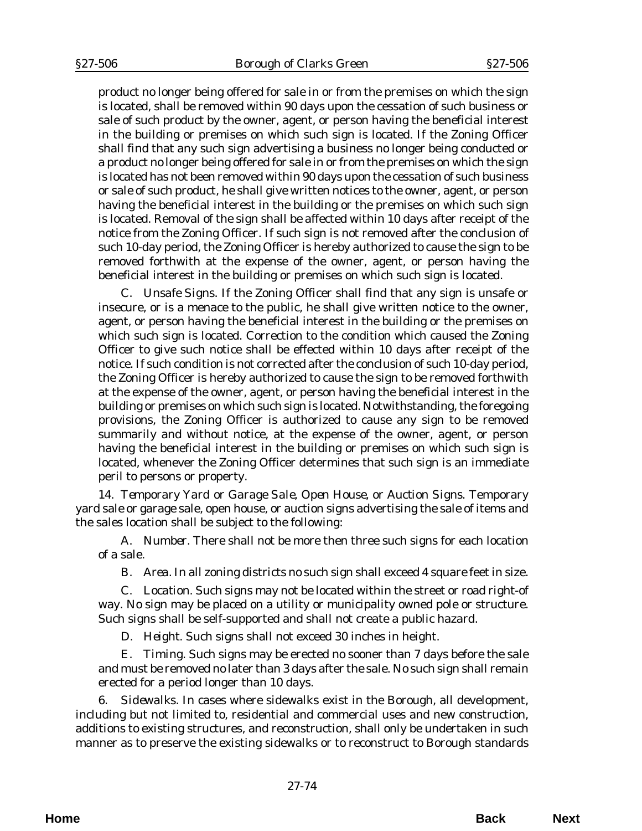product no longer being offered for sale in or from the premises on which the sign is located, shall be removed within 90 days upon the cessation of such business or sale of such product by the owner, agent, or person having the beneficial interest in the building or premises on which such sign is located. If the Zoning Officer shall find that any such sign advertising a business no longer being conducted or a product no longer being offered for sale in or from the premises on which the sign is located has not been removed within 90 days upon the cessation of such business or sale of such product, he shall give written notices to the owner, agent, or person having the beneficial interest in the building or the premises on which such sign is located. Removal of the sign shall be affected within 10 days after receipt of the notice from the Zoning Officer. If such sign is not removed after the conclusion of such 10-day period, the Zoning Officer is hereby authorized to cause the sign to be removed forthwith at the expense of the owner, agent, or person having the beneficial interest in the building or premises on which such sign is located.

C. *Unsafe Signs.* If the Zoning Officer shall find that any sign is unsafe or insecure, or is a menace to the public, he shall give written notice to the owner, agent, or person having the beneficial interest in the building or the premises on which such sign is located. Correction to the condition which caused the Zoning Officer to give such notice shall be effected within 10 days after receipt of the notice. If such condition is not corrected after the conclusion of such 10-day period, the Zoning Officer is hereby authorized to cause the sign to be removed forthwith at the expense of the owner, agent, or person having the beneficial interest in the building or premises on which such sign is located. Notwithstanding, the foregoing provisions, the Zoning Officer is authorized to cause any sign to be removed summarily and without notice, at the expense of the owner, agent, or person having the beneficial interest in the building or premises on which such sign is located, whenever the Zoning Officer determines that such sign is an immediate peril to persons or property.

14. *Temporary Yard or Garage Sale, Open House, or Auction Signs*. Temporary yard sale or garage sale, open house, or auction signs advertising the sale of items and the sales location shall be subject to the following:

A. *Number*. There shall not be more then three such signs for each location of a sale.

B. *Area*. In all zoning districts no such sign shall exceed 4 square feet in size.

C. *Location*. Such signs may not be located within the street or road right-of way. No sign may be placed on a utility or municipality owned pole or structure. Such signs shall be self-supported and shall not create a public hazard.

D. *Height.* Such signs shall not exceed 30 inches in height.

E. *Timing*. Such signs may be erected no sooner than 7 days before the sale and must be removed no later than 3 days after the sale. No such sign shall remain erected for a period longer than 10 days.

6. *Sidewalks*. In cases where sidewalks exist in the Borough, all development, including but not limited to, residential and commercial uses and new construction, additions to existing structures, and reconstruction, shall only be undertaken in such manner as to preserve the existing sidewalks or to reconstruct to Borough standards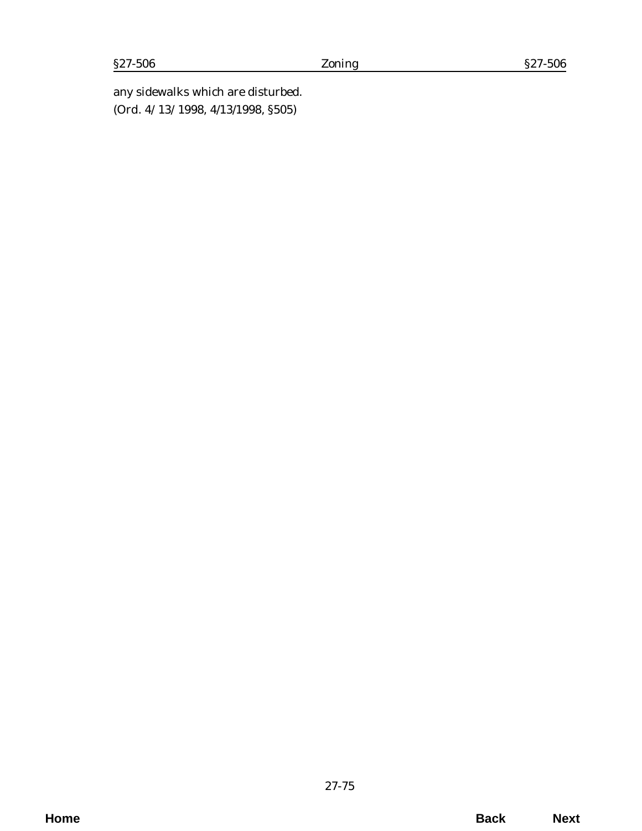any sidewalks which are disturbed. (*Ord. 4/13/1998*, 4/13/1998, §505)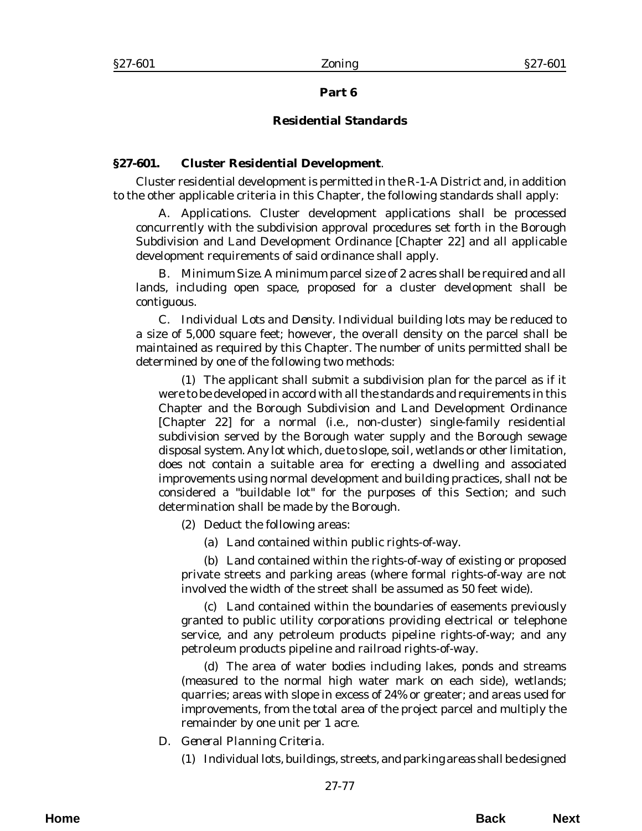## **Part 6**

# **Residential Standards**

## **§27-601. Cluster Residential Development**.

Cluster residential development is permitted in the R-1-A District and, in addition to the other applicable criteria in this Chapter, the following standards shall apply:

A. *Applications*. Cluster development applications shall be processed concurrently with the subdivision approval procedures set forth in the Borough Subdivision and Land Development Ordinance [Chapter 22] and all applicable development requirements of said ordinance shall apply.

B. *Minimum Size*. A minimum parcel size of 2 acres shall be required and all lands, including open space, proposed for a cluster development shall be contiguous.

C. *Individual Lots and Density*. Individual building lots may be reduced to a size of 5,000 square feet; however, the overall density on the parcel shall be maintained as required by this Chapter. The number of units permitted shall be determined by one of the following two methods:

(1) The applicant shall submit a subdivision plan for the parcel as if it were to be developed in accord with all the standards and requirements in this Chapter and the Borough Subdivision and Land Development Ordinance [Chapter 22] for a normal (i.e., non-cluster) single-family residential subdivision served by the Borough water supply and the Borough sewage disposal system. Any lot which, due to slope, soil, wetlands or other limitation, does not contain a suitable area for erecting a dwelling and associated improvements using normal development and building practices, shall not be considered a "buildable lot" for the purposes of this Section; and such determination shall be made by the Borough.

(2) Deduct the following areas:

(a) Land contained within public rights-of-way.

(b) Land contained within the rights-of-way of existing or proposed private streets and parking areas (where formal rights-of-way are not involved the width of the street shall be assumed as 50 feet wide).

(c) Land contained within the boundaries of easements previously granted to public utility corporations providing electrical or telephone service, and any petroleum products pipeline rights-of-way; and any petroleum products pipeline and railroad rights-of-way.

(d) The area of water bodies including lakes, ponds and streams (measured to the normal high water mark on each side), wetlands; quarries; areas with slope in excess of 24% or greater; and areas used for improvements, from the total area of the project parcel and multiply the remainder by one unit per 1 acre.

- D. *General Planning Criteria*.
	- (1) Individual lots, buildings, streets, and parking areas shall be designed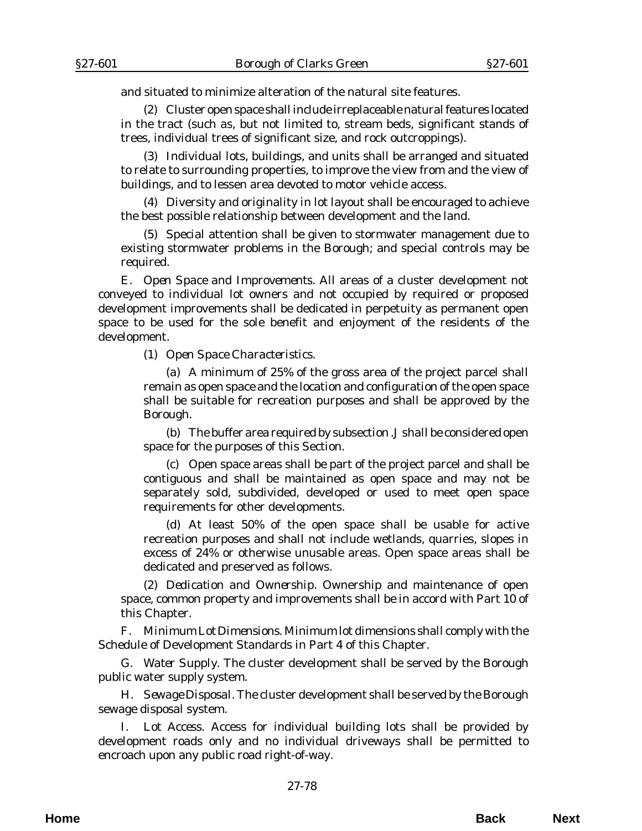and situated to minimize alteration of the natural site features.

(2) Cluster open space shall include irreplaceable natural features located in the tract (such as, but not limited to, stream beds, significant stands of trees, individual trees of significant size, and rock outcroppings).

(3) Individual lots, buildings, and units shall be arranged and situated to relate to surrounding properties, to improve the view from and the view of buildings, and to lessen area devoted to motor vehicle access.

(4) Diversity and originality in lot layout shall be encouraged to achieve the best possible relationship between development and the land.

(5) Special attention shall be given to stormwater management due to existing stormwater problems in the Borough; and special controls may be required.

E. *Open Space and Improvements*. All areas of a cluster development not conveyed to individual lot owners and not occupied by required or proposed development improvements shall be dedicated in perpetuity as permanent open space to be used for the sole benefit and enjoyment of the residents of the development.

(1) *Open Space Characteristics*.

(a) A minimum of 25% of the gross area of the project parcel shall remain as open space and the location and configuration of the open space shall be suitable for recreation purposes and shall be approved by the Borough.

(b) The buffer area required by subsection .J shall be considered open space for the purposes of this Section.

(c) Open space areas shall be part of the project parcel and shall be contiguous and shall be maintained as open space and may not be separately sold, subdivided, developed or used to meet open space requirements for other developments.

(d) At least 50% of the open space shall be usable for active recreation purposes and shall not include wetlands, quarries, slopes in excess of 24% or otherwise unusable areas. Open space areas shall be dedicated and preserved as follows.

(2) *Dedication and Ownership*. Ownership and maintenance of open space, common property and improvements shall be in accord with Part 10 of this Chapter.

F. *Minimum Lot Dimensions*. Minimum lot dimensions shall comply with the Schedule of Development Standards in Part 4 of this Chapter.

G. *Water Supply*. The cluster development shall be served by the Borough public water supply system.

H. *Sewage Disposal*. The cluster development shall be served by the Borough sewage disposal system.

Lot Access. Access for individual building lots shall be provided by development roads only and no individual driveways shall be permitted to encroach upon any public road right-of-way.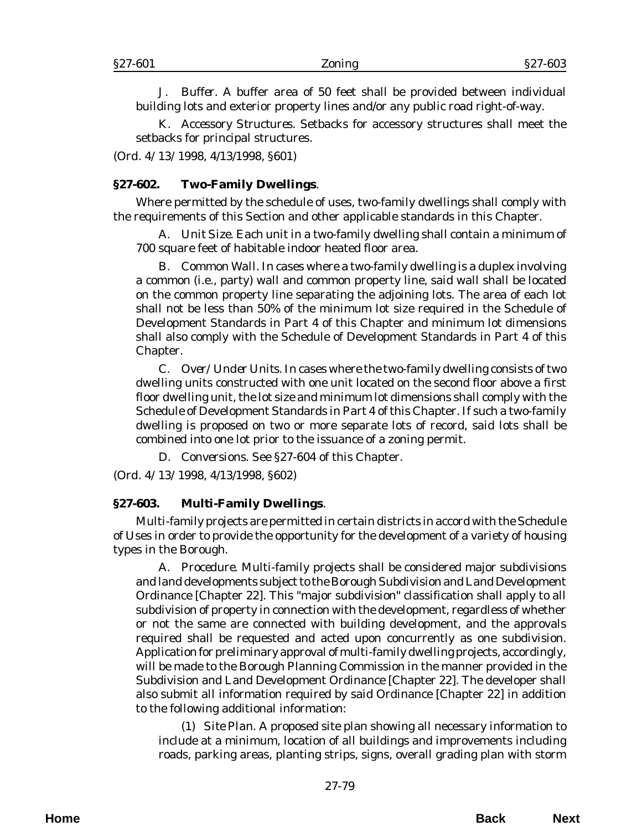J. *Buffer.* A buffer area of 50 feet shall be provided between individual building lots and exterior property lines and/or any public road right-of-way.

K. *Accessory Structures*. Setbacks for accessory structures shall meet the setbacks for principal structures.

(*Ord. 4/13/1998*, 4/13/1998, §601)

### **§27-602. Two-Family Dwellings**.

Where permitted by the schedule of uses, two-family dwellings shall comply with the requirements of this Section and other applicable standards in this Chapter.

A. *Unit Size*. Each unit in a two-family dwelling shall contain a minimum of 700 square feet of habitable indoor heated floor area.

B. *Common Wall*. In cases where a two-family dwelling is a duplex involving a common (i.e., party) wall and common property line, said wall shall be located on the common property line separating the adjoining lots. The area of each lot shall not be less than 50% of the minimum lot size required in the Schedule of Development Standards in Part 4 of this Chapter and minimum lot dimensions shall also comply with the Schedule of Development Standards in Part 4 of this Chapter.

C. *Over/Under Units*. In cases where the two-family dwelling consists of two dwelling units constructed with one unit located on the second floor above a first floor dwelling unit, the lot size and minimum lot dimensions shall comply with the Schedule of Development Standards in Part 4 of this Chapter. If such a two-family dwelling is proposed on two or more separate lots of record, said lots shall be combined into one lot prior to the issuance of a zoning permit.

D. *Conversions*. See §27-604 of this Chapter.

(*Ord. 4/13/1998*, 4/13/1998, §602)

#### **§27-603. Multi-Family Dwellings**.

Multi-family projects are permitted in certain districts in accord with the Schedule of Uses in order to provide the opportunity for the development of a variety of housing types in the Borough.

A. *Procedure*. Multi-family projects shall be considered major subdivisions and land developments subject to the Borough Subdivision and Land Development Ordinance [Chapter 22]. This "major subdivision" classification shall apply to all subdivision of property in connection with the development, regardless of whether or not the same are connected with building development, and the approvals required shall be requested and acted upon concurrently as one subdivision. Application for preliminary approval of multi-family dwelling projects, accordingly, will be made to the Borough Planning Commission in the manner provided in the Subdivision and Land Development Ordinance [Chapter 22]. The developer shall also submit all information required by said Ordinance [Chapter 22] in addition to the following additional information:

(1) *Site Plan*. A proposed site plan showing all necessary information to include at a minimum, location of all buildings and improvements including roads, parking areas, planting strips, signs, overall grading plan with storm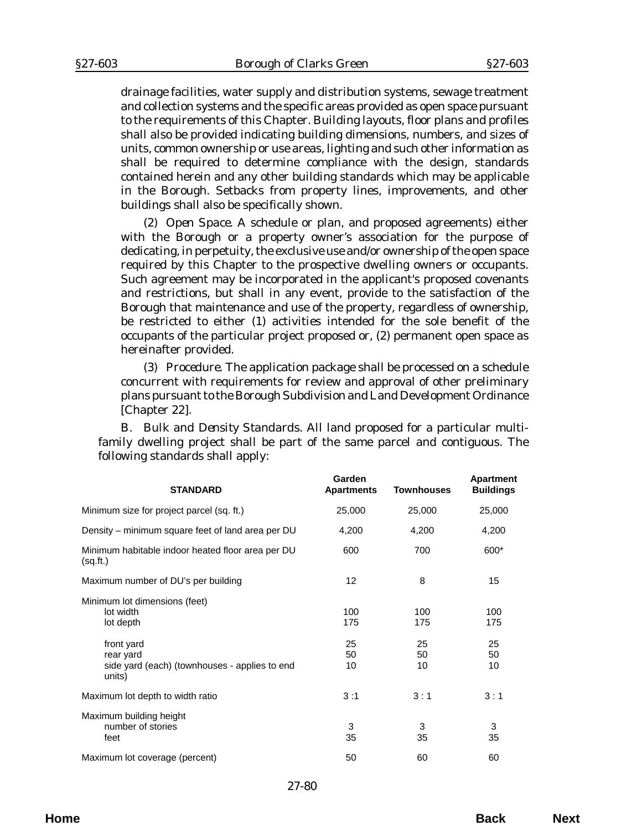drainage facilities, water supply and distribution systems, sewage treatment and collection systems and the specific areas provided as open space pursuant to the requirements of this Chapter. Building layouts, floor plans and profiles shall also be provided indicating building dimensions, numbers, and sizes of units, common ownership or use areas, lighting and such other information as shall be required to determine compliance with the design, standards contained herein and any other building standards which may be applicable in the Borough. Setbacks from property lines, improvements, and other buildings shall also be specifically shown.

(2) *Open Space*. A schedule or plan, and proposed agreements) either with the Borough or a property owner's association for the purpose of dedicating, in perpetuity, the exclusive use and/or ownership of the open space required by this Chapter to the prospective dwelling owners or occupants. Such agreement may be incorporated in the applicant's proposed covenants and restrictions, but shall in any event, provide to the satisfaction of the Borough that maintenance and use of the property, regardless of ownership, be restricted to either (1) activities intended for the sole benefit of the occupants of the particular project proposed or, (2) permanent open space as hereinafter provided.

(3) *Procedure*. The application package shall be processed on a schedule concurrent with requirements for review and approval of other preliminary plans pursuant to the Borough Subdivision and Land Development Ordinance [Chapter 22].

B. *Bulk and Density Standards*. All land proposed for a particular multifamily dwelling project shall be part of the same parcel and contiguous. The following standards shall apply:

| <b>STANDARD</b>                                                                    | Garden<br><b>Apartments</b> | <b>Townhouses</b> | <b>Apartment</b><br><b>Buildings</b> |
|------------------------------------------------------------------------------------|-----------------------------|-------------------|--------------------------------------|
| Minimum size for project parcel (sq. ft.)                                          | 25,000                      | 25,000            | 25,000                               |
| Density – minimum square feet of land area per DU                                  | 4,200                       | 4,200             | 4,200                                |
| Minimum habitable indoor heated floor area per DU<br>(sq.fit.)                     | 600                         | 700               | 600*                                 |
| Maximum number of DU's per building                                                | 12                          | 8                 | 15                                   |
| Minimum lot dimensions (feet)<br>lot width<br>lot depth                            | 100<br>175                  | 100<br>175        | 100<br>175                           |
| front yard<br>rear yard<br>side yard (each) (townhouses - applies to end<br>units) | 25<br>50<br>10              | 25<br>50<br>10    | 25<br>50<br>10                       |
| Maximum lot depth to width ratio                                                   | 3:1                         | 3:1               | 3:1                                  |
| Maximum building height<br>number of stories<br>feet                               | 3<br>35                     | 3<br>35           | 3<br>35                              |
| Maximum lot coverage (percent)                                                     | 50                          | 60                | 60                                   |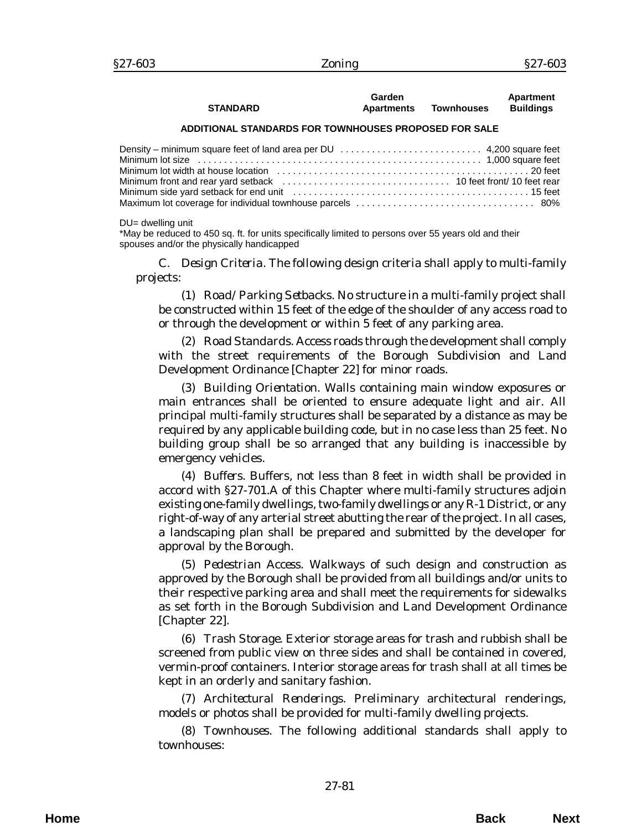| <b>STANDARD</b> | Garden<br>Apartments | <b>Townhouses</b> | Apartment<br><b>Buildings</b> |
|-----------------|----------------------|-------------------|-------------------------------|
|                 |                      |                   |                               |

#### **ADDITIONAL STANDARDS FOR TOWNHOUSES PROPOSED FOR SALE**

| Minimum lot size expansion of the control of the size of the control of the control of the matrix of the matrix of the set of the matrix of the set of the set of the set of the set of the set of the set of the set of the s |  |
|--------------------------------------------------------------------------------------------------------------------------------------------------------------------------------------------------------------------------------|--|
|                                                                                                                                                                                                                                |  |
| Minimum front and rear yard setback entitled in the content of the set of the front of the rear metal of the rear                                                                                                              |  |
|                                                                                                                                                                                                                                |  |
|                                                                                                                                                                                                                                |  |

DU= dwelling unit

\*May be reduced to 450 sq. ft. for units specifically limited to persons over 55 years old and their spouses and/or the physically handicapped

C. *Design Criteria*. The following design criteria shall apply to multi-family projects:

(1) *Road/Parking Setbacks*. No structure in a multi-family project shall be constructed within 15 feet of the edge of the shoulder of any access road to or through the development or within 5 feet of any parking area.

(2) *Road Standards*. Access roads through the development shall comply with the street requirements of the Borough Subdivision and Land Development Ordinance [Chapter 22] for minor roads.

(3) *Building Orientation*. Walls containing main window exposures or main entrances shall be oriented to ensure adequate light and air. All principal multi-family structures shall be separated by a distance as may be required by any applicable building code, but in no case less than 25 feet. No building group shall be so arranged that any building is inaccessible by emergency vehicles.

(4) *Buffers*. Buffers, not less than 8 feet in width shall be provided in accord with §27-701.A of this Chapter where multi-family structures adjoin existing one-family dwellings, two-family dwellings or any R-1 District, or any right-of-way of any arterial street abutting the rear of the project. In all cases, a landscaping plan shall be prepared and submitted by the developer for approval by the Borough.

(5) *Pedestrian Access*. Walkways of such design and construction as approved by the Borough shall be provided from all buildings and/or units to their respective parking area and shall meet the requirements for sidewalks as set forth in the Borough Subdivision and Land Development Ordinance [Chapter 22].

(6) *Trash Storage*. Exterior storage areas for trash and rubbish shall be screened from public view on three sides and shall be contained in covered, vermin-proof containers. Interior storage areas for trash shall at all times be kept in an orderly and sanitary fashion.

(7) *Architectural Renderings*. Preliminary architectural renderings, models or photos shall be provided for multi-family dwelling projects.

(8) *Townhouses*. The following additional standards shall apply to townhouses: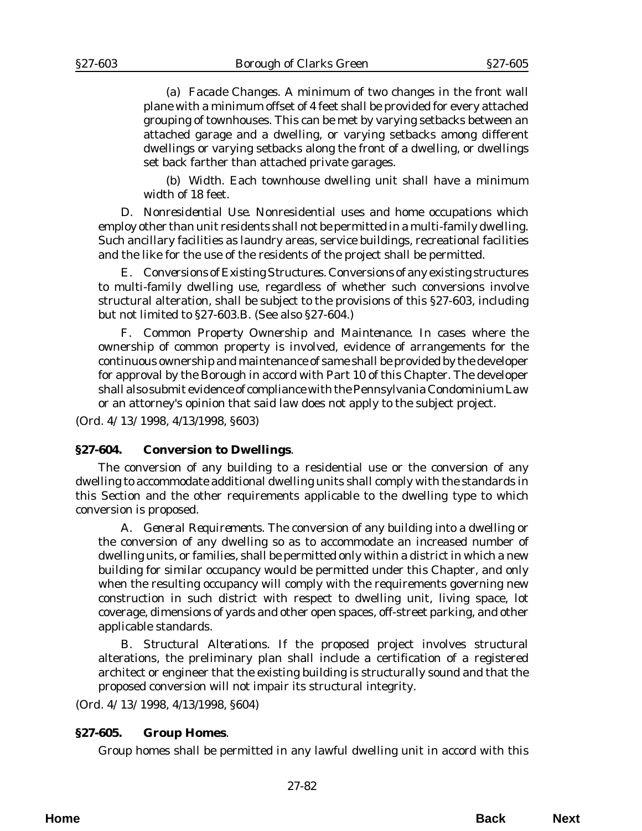(a) *Facade Changes*. A minimum of two changes in the front wall plane with a minimum offset of 4 feet shall be provided for every attached grouping of townhouses. This can be met by varying setbacks between an attached garage and a dwelling, or varying setbacks among different dwellings or varying setbacks along the front of a dwelling, or dwellings set back farther than attached private garages.

(b) *Width*. Each townhouse dwelling unit shall have a minimum width of 18 feet.

D. *Nonresidential Use.* Nonresidential uses and home occupations which employ other than unit residents shall not be permitted in a multi-family dwelling. Such ancillary facilities as laundry areas, service buildings, recreational facilities and the like for the use of the residents of the project shall be permitted.

E. *Conversions of Existing Structures*. Conversions of any existing structures to multi-family dwelling use, regardless of whether such conversions involve structural alteration, shall be subject to the provisions of this §27-603, including but not limited to §27-603.B. (See also §27-604.)

F. *Common Property Ownership and Maintenance*. In cases where the ownership of common property is involved, evidence of arrangements for the continuous ownership and maintenance of same shall be provided by the developer for approval by the Borough in accord with Part 10 of this Chapter. The developer shall also submit evidence of compliance with the Pennsylvania Condominium Law or an attorney's opinion that said law does not apply to the subject project.

(*Ord. 4/13/1998*, 4/13/1998, §603)

## **§27-604. Conversion to Dwellings**.

The conversion of any building to a residential use or the conversion of any dwelling to accommodate additional dwelling units shall comply with the standards in this Section and the other requirements applicable to the dwelling type to which conversion is proposed.

A. *General Requirements*. The conversion of any building into a dwelling or the conversion of any dwelling so as to accommodate an increased number of dwelling units, or families, shall be permitted only within a district in which a new building for similar occupancy would be permitted under this Chapter, and only when the resulting occupancy will comply with the requirements governing new construction in such district with respect to dwelling unit, living space, lot coverage, dimensions of yards and other open spaces, off-street parking, and other applicable standards.

B. *Structural Alterations*. If the proposed project involves structural alterations, the preliminary plan shall include a certification of a registered architect or engineer that the existing building is structurally sound and that the proposed conversion will not impair its structural integrity.

(*Ord. 4/13/1998*, 4/13/1998, §604)

## **§27-605. Group Homes**.

Group homes shall be permitted in any lawful dwelling unit in accord with this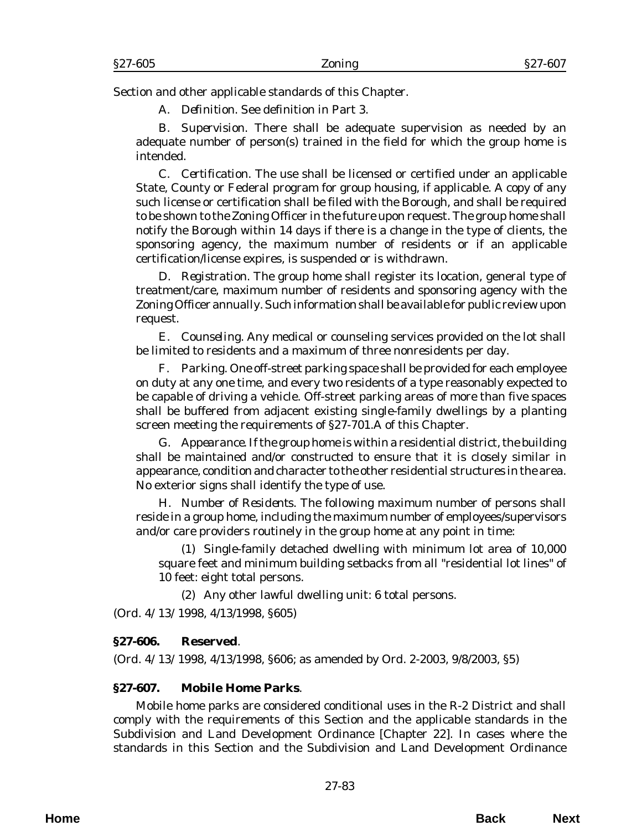Section and other applicable standards of this Chapter.

A. *Definition*. See definition in Part 3.

B. *Supervision*. There shall be adequate supervision as needed by an adequate number of person(s) trained in the field for which the group home is intended.

C. *Certification*. The use shall be licensed or certified under an applicable State, County or Federal program for group housing, if applicable. A copy of any such license or certification shall be filed with the Borough, and shall be required to be shown to the Zoning Officer in the future upon request. The group home shall notify the Borough within 14 days if there is a change in the type of clients, the sponsoring agency, the maximum number of residents or if an applicable certification/license expires, is suspended or is withdrawn.

D. *Registration*. The group home shall register its location, general type of treatment/care, maximum number of residents and sponsoring agency with the Zoning Officer annually. Such information shall be available for public review upon request.

E. *Counseling*. Any medical or counseling services provided on the lot shall be limited to residents and a maximum of three nonresidents per day.

F. *Parking*. One off-street parking space shall be provided for each employee on duty at any one time, and every two residents of a type reasonably expected to be capable of driving a vehicle. Off-street parking areas of more than five spaces shall be buffered from adjacent existing single-family dwellings by a planting screen meeting the requirements of §27-701.A of this Chapter.

G. *Appearance*. If the group home is within a residential district, the building shall be maintained and/or constructed to ensure that it is closely similar in appearance, condition and character to the other residential structures in the area. No exterior signs shall identify the type of use.

H. *Number of Residents*. The following maximum number of persons shall reside in a group home, including the maximum number of employees/supervisors and/or care providers routinely in the group home at any point in time:

(1) Single-family detached dwelling with minimum lot area of 10,000 square feet and minimum building setbacks from all "residential lot lines" of 10 feet: eight total persons.

(2) Any other lawful dwelling unit: 6 total persons.

(*Ord. 4/13/1998*, 4/13/1998, §605)

## **§27-606. Reserved**.

(*Ord. 4/13/1998*, 4/13/1998, §606; as amended by *Ord. 2-2003*, 9/8/2003, §5)

## **§27-607. Mobile Home Parks**.

Mobile home parks are considered conditional uses in the R-2 District and shall comply with the requirements of this Section and the applicable standards in the Subdivision and Land Development Ordinance [Chapter 22]. In cases where the standards in this Section and the Subdivision and Land Development Ordinance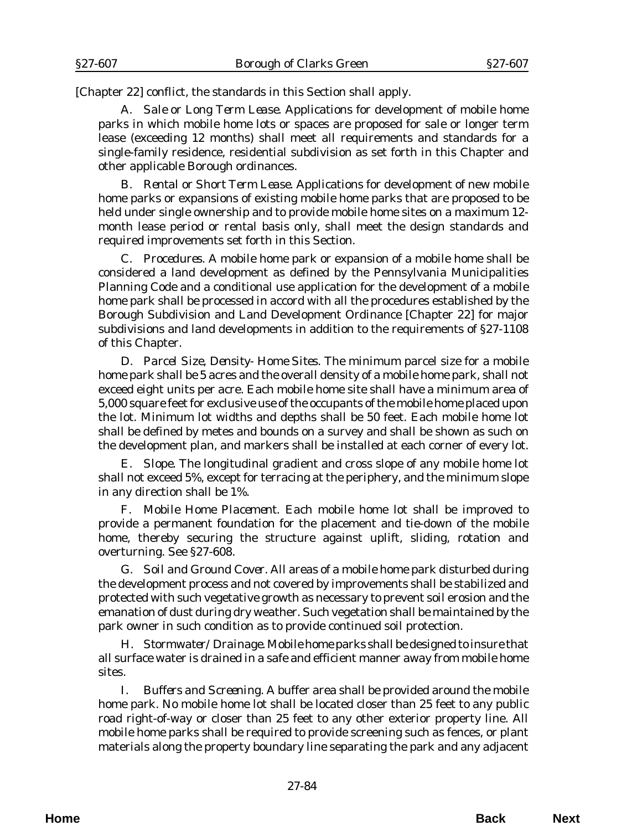[Chapter 22] conflict, the standards in this Section shall apply.

A. *Sale or Long Term Lease*. Applications for development of mobile home parks in which mobile home lots or spaces are proposed for sale or longer term lease (exceeding 12 months) shall meet all requirements and standards for a single-family residence, residential subdivision as set forth in this Chapter and other applicable Borough ordinances.

B. *Rental or Short Term Lease*. Applications for development of new mobile home parks or expansions of existing mobile home parks that are proposed to be held under single ownership and to provide mobile home sites on a maximum 12 month lease period or rental basis only, shall meet the design standards and required improvements set forth in this Section.

C. *Procedures*. A mobile home park or expansion of a mobile home shall be considered a land development as defined by the Pennsylvania Municipalities Planning Code and a conditional use application for the development of a mobile home park shall be processed in accord with all the procedures established by the Borough Subdivision and Land Development Ordinance [Chapter 22] for major subdivisions and land developments in addition to the requirements of §27-1108 of this Chapter.

D. *Parcel Size, Density- Home Sites*. The minimum parcel size for a mobile home park shall be 5 acres and the overall density of a mobile home park, shall not exceed eight units per acre. Each mobile home site shall have a minimum area of 5,000 square feet for exclusive use of the occupants of the mobile home placed upon the lot. Minimum lot widths and depths shall be 50 feet. Each mobile home lot shall be defined by metes and bounds on a survey and shall be shown as such on the development plan, and markers shall be installed at each corner of every lot.

E. *Slope*. The longitudinal gradient and cross slope of any mobile home lot shall not exceed 5%, except for terracing at the periphery, and the minimum slope in any direction shall be 1%.

F. *Mobile Home Placement*. Each mobile home lot shall be improved to provide a permanent foundation for the placement and tie-down of the mobile home, thereby securing the structure against uplift, sliding, rotation and overturning. See §27-608.

G. *Soil and Ground Cover*. All areas of a mobile home park disturbed during the development process and not covered by improvements shall be stabilized and protected with such vegetative growth as necessary to prevent soil erosion and the emanation of dust during dry weather. Such vegetation shall be maintained by the park owner in such condition as to provide continued soil protection.

H. *Stormwater/Drainage*. Mobile home parks shall be designed to insure that all surface water is drained in a safe and efficient manner away from mobile home sites.

I. *Buffers and Screening*. A buffer area shall be provided around the mobile home park. No mobile home lot shall be located closer than 25 feet to any public road right-of-way or closer than 25 feet to any other exterior property line. All mobile home parks shall be required to provide screening such as fences, or plant materials along the property boundary line separating the park and any adjacent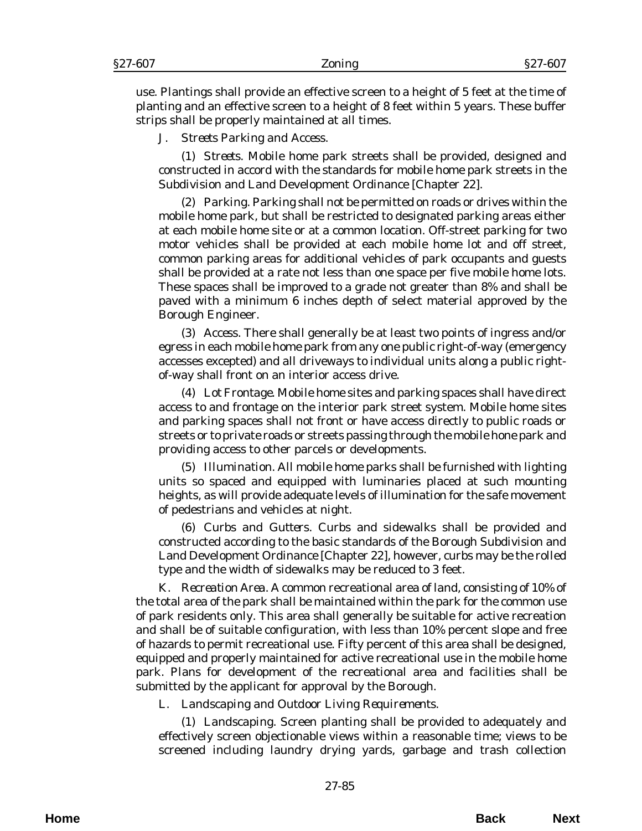use. Plantings shall provide an effective screen to a height of 5 feet at the time of planting and an effective screen to a height of 8 feet within 5 years. These buffer strips shall be properly maintained at all times.

## J. *Streets Parking and Access*.

(1) *Streets*. Mobile home park streets shall be provided, designed and constructed in accord with the standards for mobile home park streets in the Subdivision and Land Development Ordinance [Chapter 22].

(2) *Parking*. Parking shall not be permitted on roads or drives within the mobile home park, but shall be restricted to designated parking areas either at each mobile home site or at a common location. Off-street parking for two motor vehicles shall be provided at each mobile home lot and off street, common parking areas for additional vehicles of park occupants and guests shall be provided at a rate not less than one space per five mobile home lots. These spaces shall be improved to a grade not greater than 8% and shall be paved with a minimum 6 inches depth of select material approved by the Borough Engineer.

(3) *Access.* There shall generally be at least two points of ingress and/or egress in each mobile home park from any one public right-of-way (emergency accesses excepted) and all driveways to individual units along a public rightof-way shall front on an interior access drive.

(4) *Lot Frontage*. Mobile home sites and parking spaces shall have direct access to and frontage on the interior park street system. Mobile home sites and parking spaces shall not front or have access directly to public roads or streets or to private roads or streets passing through the mobile hone park and providing access to other parcels or developments.

(5) *Illumination*. All mobile home parks shall be furnished with lighting units so spaced and equipped with luminaries placed at such mounting heights, as will provide adequate levels of illumination for the safe movement of pedestrians and vehicles at night.

(6) *Curbs and Gutters.* Curbs and sidewalks shall be provided and constructed according to the basic standards of the Borough Subdivision and Land Development Ordinance [Chapter 22], however, curbs may be the rolled type and the width of sidewalks may be reduced to 3 feet.

K. *Recreation Area*. A common recreational area of land, consisting of 10% of the total area of the park shall be maintained within the park for the common use of park residents only. This area shall generally be suitable for active recreation and shall be of suitable configuration, with less than 10% percent slope and free of hazards to permit recreational use. Fifty percent of this area shall be designed, equipped and properly maintained for active recreational use in the mobile home park. Plans for development of the recreational area and facilities shall be submitted by the applicant for approval by the Borough.

L. *Landscaping and Outdoor Living Requirements*.

(1) *Landscaping*. Screen planting shall be provided to adequately and effectively screen objectionable views within a reasonable time; views to be screened including laundry drying yards, garbage and trash collection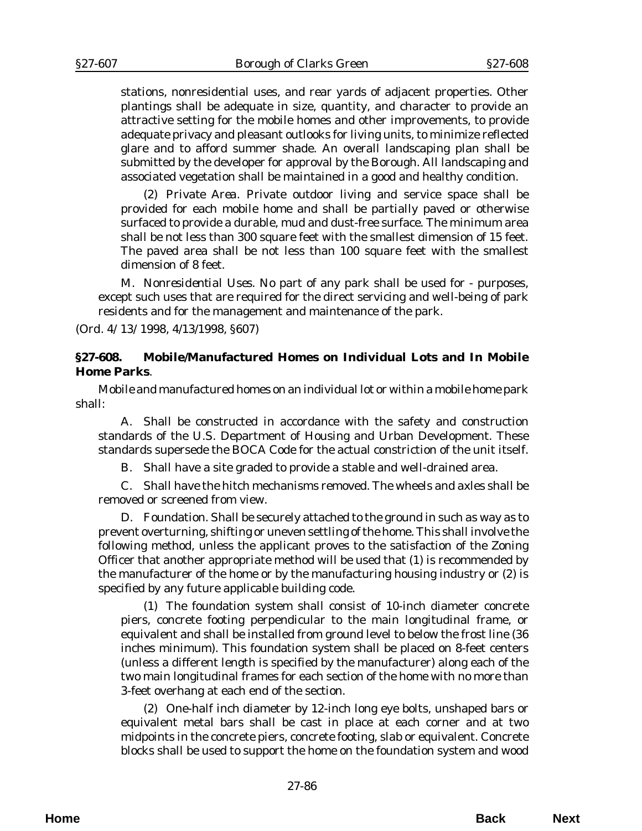stations, nonresidential uses, and rear yards of adjacent properties. Other plantings shall be adequate in size, quantity, and character to provide an attractive setting for the mobile homes and other improvements, to provide adequate privacy and pleasant outlooks for living units, to minimize reflected glare and to afford summer shade. An overall landscaping plan shall be submitted by the developer for approval by the Borough. All landscaping and associated vegetation shall be maintained in a good and healthy condition.

(2) *Private Area.* Private outdoor living and service space shall be provided for each mobile home and shall be partially paved or otherwise surfaced to provide a durable, mud and dust-free surface. The minimum area shall be not less than 300 square feet with the smallest dimension of 15 feet. The paved area shall be not less than 100 square feet with the smallest dimension of 8 feet.

M. *Nonresidential Uses*. No part of any park shall be used for - purposes, except such uses that are required for the direct servicing and well-being of park residents and for the management and maintenance of the park.

(*Ord. 4/13/1998*, 4/13/1998, §607)

## **§27-608. Mobile/Manufactured Homes on Individual Lots and In Mobile Home Parks**.

Mobile and manufactured homes on an individual lot or within a mobile home park shall:

A. Shall be constructed in accordance with the safety and construction standards of the U.S. Department of Housing and Urban Development. These standards supersede the BOCA Code for the actual constriction of the unit itself.

B. Shall have a site graded to provide a stable and well-drained area.

C. Shall have the hitch mechanisms removed. The wheels and axles shall be removed or screened from view.

D. Foundation. Shall be securely attached to the ground in such as way as to prevent overturning, shifting or uneven settling of the home. This shall involve the following method, unless the applicant proves to the satisfaction of the Zoning Officer that another appropriate method will be used that (1) is recommended by the manufacturer of the home or by the manufacturing housing industry or (2) is specified by any future applicable building code.

(1) The foundation system shall consist of 10-inch diameter concrete piers, concrete footing perpendicular to the main longitudinal frame, or equivalent and shall be installed from ground level to below the frost line (36 inches minimum). This foundation system shall be placed on 8-feet centers (unless a different length is specified by the manufacturer) along each of the two main longitudinal frames for each section of the home with no more than 3-feet overhang at each end of the section.

(2) One-half inch diameter by 12-inch long eye bolts, unshaped bars or equivalent metal bars shall be cast in place at each corner and at two midpoints in the concrete piers, concrete footing, slab or equivalent. Concrete blocks shall be used to support the home on the foundation system and wood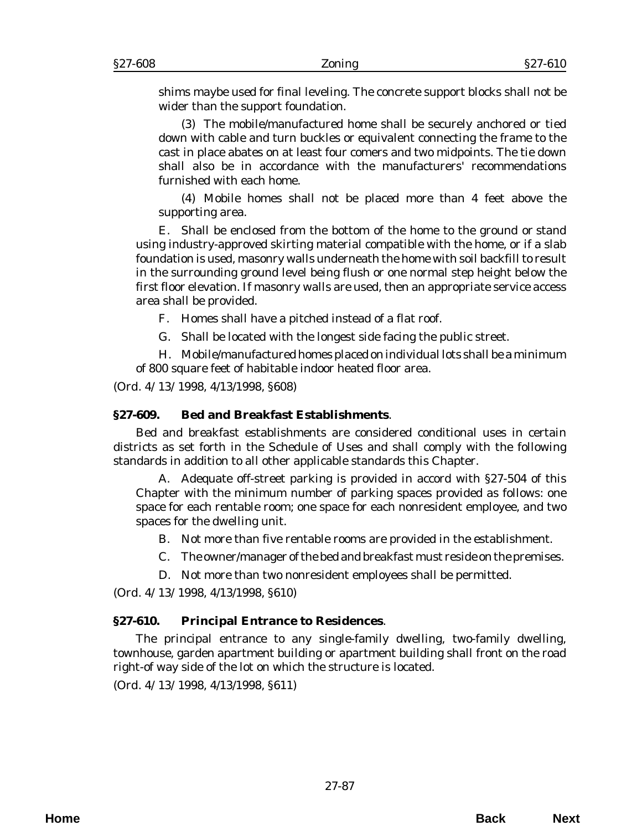shims maybe used for final leveling. The concrete support blocks shall not be wider than the support foundation.

(3) The mobile/manufactured home shall be securely anchored or tied down with cable and turn buckles or equivalent connecting the frame to the cast in place abates on at least four comers and two midpoints. The tie down shall also be in accordance with the manufacturers' recommendations furnished with each home.

(4) Mobile homes shall not be placed more than 4 feet above the supporting area.

E. Shall be enclosed from the bottom of the home to the ground or stand using industry-approved skirting material compatible with the home, or if a slab foundation is used, masonry walls underneath the home with soil backfill to result in the surrounding ground level being flush or one normal step height below the first floor elevation. If masonry walls are used, then an appropriate service access area shall be provided.

F. Homes shall have a pitched instead of a flat roof.

G. Shall be located with the longest side facing the public street.

H. Mobile/manufactured homes placed on individual lots shall be a minimum of 800 square feet of habitable indoor heated floor area.

(*Ord. 4/13/1998*, 4/13/1998, §608)

# **§27-609. Bed and Breakfast Establishments**.

Bed and breakfast establishments are considered conditional uses in certain districts as set forth in the Schedule of Uses and shall comply with the following standards in addition to all other applicable standards this Chapter.

A. Adequate off-street parking is provided in accord with §27-504 of this Chapter with the minimum number of parking spaces provided as follows: one space for each rentable room; one space for each nonresident employee, and two spaces for the dwelling unit.

B. Not more than five rentable rooms are provided in the establishment.

C. The owner/manager of the bed and breakfast must reside on the premises.

D. Not more than two nonresident employees shall be permitted.

(*Ord. 4/13/1998*, 4/13/1998, §610)

# **§27-610. Principal Entrance to Residences**.

The principal entrance to any single-family dwelling, two-family dwelling, townhouse, garden apartment building or apartment building shall front on the road right-of way side of the lot on which the structure is located.

(*Ord. 4/13/1998*, 4/13/1998, §611)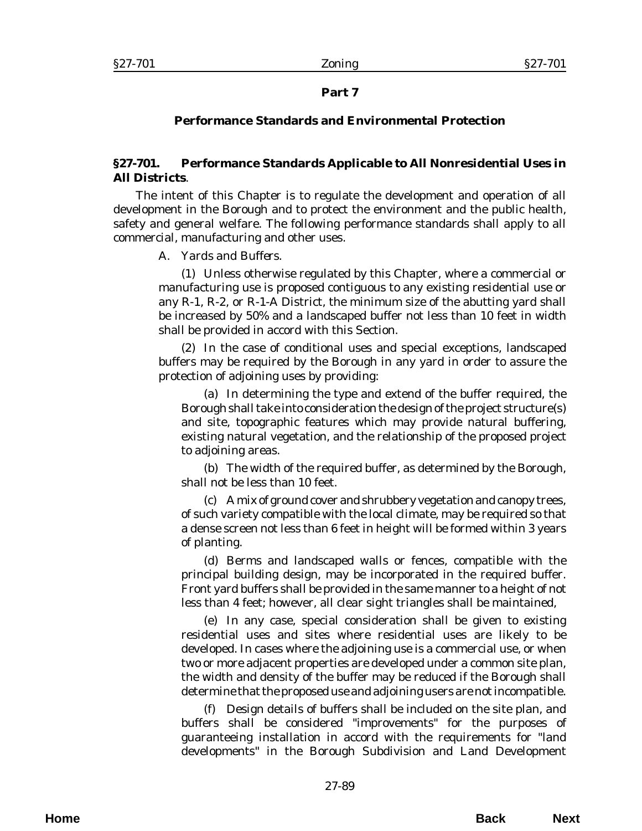# **Part 7**

# **Performance Standards and Environmental Protection**

# **§27-701. Performance Standards Applicable to All Nonresidential Uses in All Districts**.

The intent of this Chapter is to regulate the development and operation of all development in the Borough and to protect the environment and the public health, safety and general welfare. The following performance standards shall apply to all commercial, manufacturing and other uses.

# A. *Yards and Buffers*.

(1) Unless otherwise regulated by this Chapter, where a commercial or manufacturing use is proposed contiguous to any existing residential use or any R-1, R-2, or R-1-A District, the minimum size of the abutting yard shall be increased by 50% and a landscaped buffer not less than 10 feet in width shall be provided in accord with this Section.

(2) In the case of conditional uses and special exceptions, landscaped buffers may be required by the Borough in any yard in order to assure the protection of adjoining uses by providing:

(a) In determining the type and extend of the buffer required, the Borough shall take into consideration the design of the project structure(s) and site, topographic features which may provide natural buffering, existing natural vegetation, and the relationship of the proposed project to adjoining areas.

(b) The width of the required buffer, as determined by the Borough, shall not be less than 10 feet.

(c) A mix of ground cover and shrubbery vegetation and canopy trees, of such variety compatible with the local climate, may be required so that a dense screen not less than 6 feet in height will be formed within 3 years of planting.

(d) Berms and landscaped walls or fences, compatible with the principal building design, may be incorporated in the required buffer. Front yard buffers shall be provided in the same manner to a height of not less than 4 feet; however, all clear sight triangles shall be maintained,

(e) In any case, special consideration shall be given to existing residential uses and sites where residential uses are likely to be developed. In cases where the adjoining use is a commercial use, or when two or more adjacent properties are developed under a common site plan, the width and density of the buffer may be reduced if the Borough shall determine that the proposed use and adjoining users are not incompatible.

(f) Design details of buffers shall be included on the site plan, and buffers shall be considered "improvements" for the purposes of guaranteeing installation in accord with the requirements for "land developments" in the Borough Subdivision and Land Development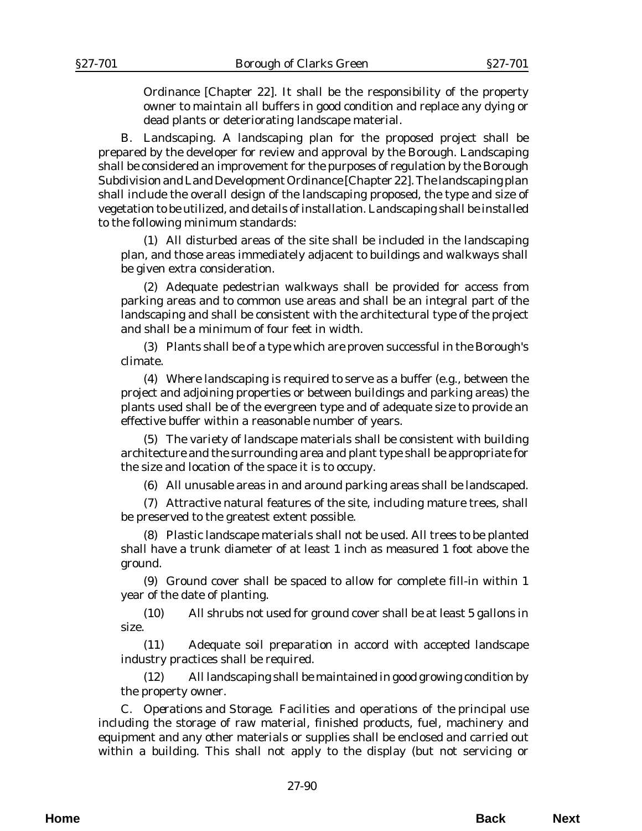Ordinance [Chapter 22]. It shall be the responsibility of the property owner to maintain all buffers in good condition and replace any dying or dead plants or deteriorating landscape material.

B. *Landscaping*. A landscaping plan for the proposed project shall be prepared by the developer for review and approval by the Borough. Landscaping shall be considered an improvement for the purposes of regulation by the Borough Subdivision and Land Development Ordinance [Chapter 22]. The landscaping plan shall include the overall design of the landscaping proposed, the type and size of vegetation to be utilized, and details of installation. Landscaping shall be installed to the following minimum standards:

(1) All disturbed areas of the site shall be included in the landscaping plan, and those areas immediately adjacent to buildings and walkways shall be given extra consideration.

(2) Adequate pedestrian walkways shall be provided for access from parking areas and to common use areas and shall be an integral part of the landscaping and shall be consistent with the architectural type of the project and shall be a minimum of four feet in width.

(3) Plants shall be of a type which are proven successful in the Borough's climate.

(4) Where landscaping is required to serve as a buffer (e.g., between the project and adjoining properties or between buildings and parking areas) the plants used shall be of the evergreen type and of adequate size to provide an effective buffer within a reasonable number of years.

(5) The variety of landscape materials shall be consistent with building architecture and the surrounding area and plant type shall be appropriate for the size and location of the space it is to occupy.

(6) All unusable areas in and around parking areas shall be landscaped.

(7) Attractive natural features of the site, including mature trees, shall be preserved to the greatest extent possible.

(8) Plastic landscape materials shall not be used. All trees to be planted shall have a trunk diameter of at least 1 inch as measured 1 foot above the ground.

(9) Ground cover shall be spaced to allow for complete fill-in within 1 year of the date of planting.

(10) All shrubs not used for ground cover shall be at least 5 gallons in size.

(11) Adequate soil preparation in accord with accepted landscape industry practices shall be required.

(12) All landscaping shall be maintained in good growing condition by the property owner.

C. *Operations and Storage*. Facilities and operations of the principal use including the storage of raw material, finished products, fuel, machinery and equipment and any other materials or supplies shall be enclosed and carried out within a building. This shall not apply to the display (but not servicing or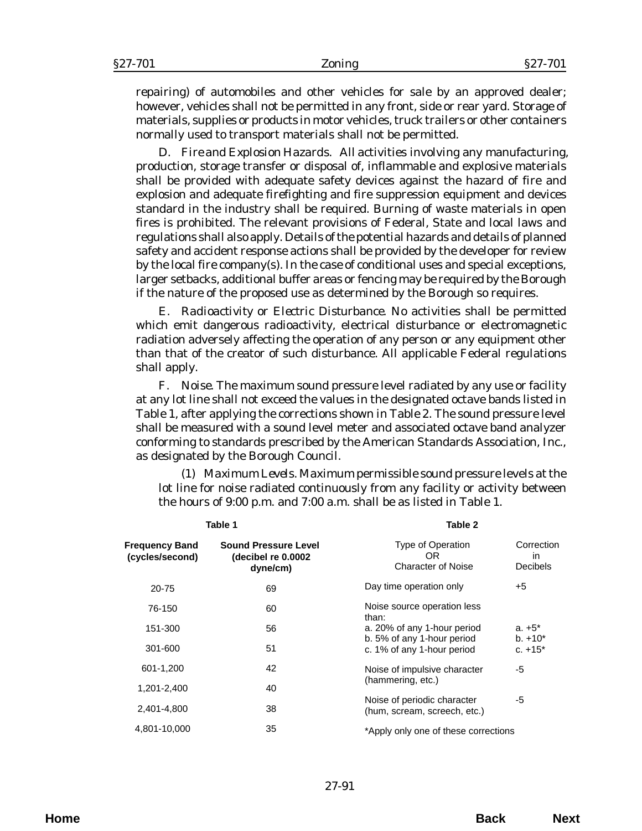repairing) of automobiles and other vehicles for sale by an approved dealer; however, vehicles shall not be permitted in any front, side or rear yard. Storage of materials, supplies or products in motor vehicles, truck trailers or other containers normally used to transport materials shall not be permitted.

D. *Fire and Explosion Hazards*. All activities involving any manufacturing, production, storage transfer or disposal of, inflammable and explosive materials shall be provided with adequate safety devices against the hazard of fire and explosion and adequate firefighting and fire suppression equipment and devices standard in the industry shall be required. Burning of waste materials in open fires is prohibited. The relevant provisions of Federal, State and local laws and regulations shall also apply. Details of the potential hazards and details of planned safety and accident response actions shall be provided by the developer for review by the local fire company(s). In the case of conditional uses and special exceptions, larger setbacks, additional buffer areas or fencing may be required by the Borough if the nature of the proposed use as determined by the Borough so requires.

E. *Radioactivity or Electric Disturbance*. No activities shall be permitted which emit dangerous radioactivity, electrical disturbance or electromagnetic radiation adversely affecting the operation of any person or any equipment other than that of the creator of such disturbance. All applicable Federal regulations shall apply.

F. *Noise*. The maximum sound pressure level radiated by any use or facility at any lot line shall not exceed the values in the designated octave bands listed in Table 1, after applying the corrections shown in Table 2. The sound pressure level shall be measured with a sound level meter and associated octave band analyzer conforming to standards prescribed by the American Standards Association, Inc., as designated by the Borough Council.

(1) *Maximum Levels*. Maximum permissible sound pressure levels at the lot line for noise radiated continuously from any facility or activity between the hours of 9:00 p.m. and 7:00 a.m. shall be as listed in Table 1.

| Table 1                                                        |                                                             |                                                            |  |
|----------------------------------------------------------------|-------------------------------------------------------------|------------------------------------------------------------|--|
| <b>Sound Pressure Level</b><br>(decibel re 0.0002)<br>dyne/cm) | Type of Operation<br>OR.<br><b>Character of Noise</b>       | Correction<br>in<br>Decibels                               |  |
| 69                                                             | Day time operation only                                     | +5                                                         |  |
| 60                                                             | Noise source operation less<br>than:                        |                                                            |  |
| 56                                                             | a. 20% of any 1-hour period                                 | $a. +5^*$<br>$b. +10*$                                     |  |
| 51                                                             | c. 1% of any 1-hour period                                  | c. $+15^*$                                                 |  |
| 42                                                             | Noise of impulsive character                                | -5                                                         |  |
| 40                                                             |                                                             |                                                            |  |
| 38                                                             | Noise of periodic character<br>(hum, scream, screech, etc.) | -5                                                         |  |
| 35                                                             | *Apply only one of these corrections                        |                                                            |  |
|                                                                |                                                             | Table 2<br>b. 5% of any 1-hour period<br>(hammering, etc.) |  |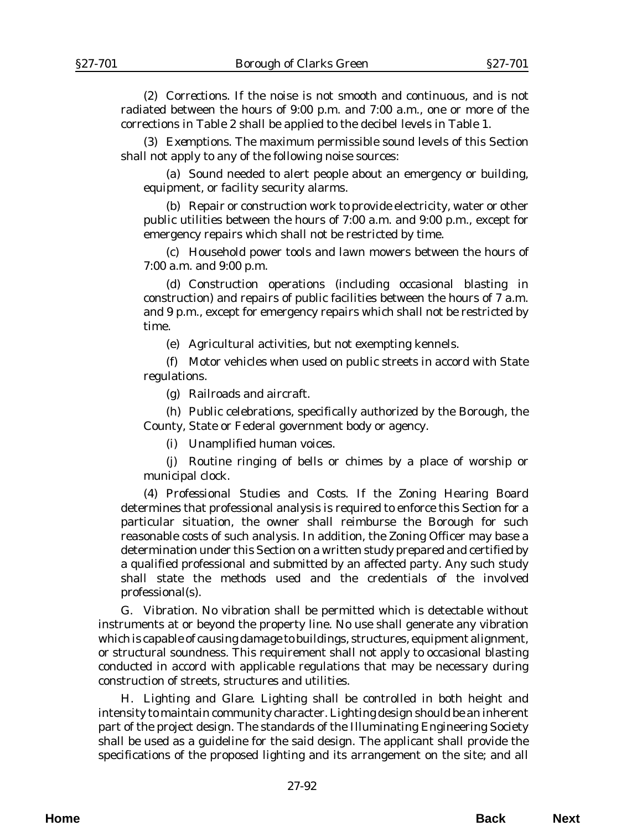(2) *Corrections*. If the noise is not smooth and continuous, and is not radiated between the hours of 9:00 p.m. and 7:00 a.m., one or more of the corrections in Table 2 shall be applied to the decibel levels in Table 1.

(3) *Exemptions*. The maximum permissible sound levels of this Section shall not apply to any of the following noise sources:

(a) Sound needed to alert people about an emergency or building, equipment, or facility security alarms.

(b) Repair or construction work to provide electricity, water or other public utilities between the hours of 7:00 a.m. and 9:00 p.m., except for emergency repairs which shall not be restricted by time.

(c) Household power tools and lawn mowers between the hours of 7:00 a.m. and 9:00 p.m.

(d) Construction operations (including occasional blasting in construction) and repairs of public facilities between the hours of 7 a.m. and 9 p.m., except for emergency repairs which shall not be restricted by time.

(e) Agricultural activities, but not exempting kennels.

(f) Motor vehicles when used on public streets in accord with State regulations.

(g) Railroads and aircraft.

(h) Public celebrations, specifically authorized by the Borough, the County, State or Federal government body or agency.

(i) Unamplified human voices.

(j) Routine ringing of bells or chimes by a place of worship or municipal clock.

(4) *Professional Studies and Costs*. If the Zoning Hearing Board determines that professional analysis is required to enforce this Section for a particular situation, the owner shall reimburse the Borough for such reasonable costs of such analysis. In addition, the Zoning Officer may base a determination under this Section on a written study prepared and certified by a qualified professional and submitted by an affected party. Any such study shall state the methods used and the credentials of the involved professional(s).

G. *Vibration*. No vibration shall be permitted which is detectable without instruments at or beyond the property line. No use shall generate any vibration which is capable of causing damage to buildings, structures, equipment alignment, or structural soundness. This requirement shall not apply to occasional blasting conducted in accord with applicable regulations that may be necessary during construction of streets, structures and utilities.

H. *Lighting and Glare*. Lighting shall be controlled in both height and intensity to maintain community character. Lighting design should be an inherent part of the project design. The standards of the Illuminating Engineering Society shall be used as a guideline for the said design. The applicant shall provide the specifications of the proposed lighting and its arrangement on the site; and all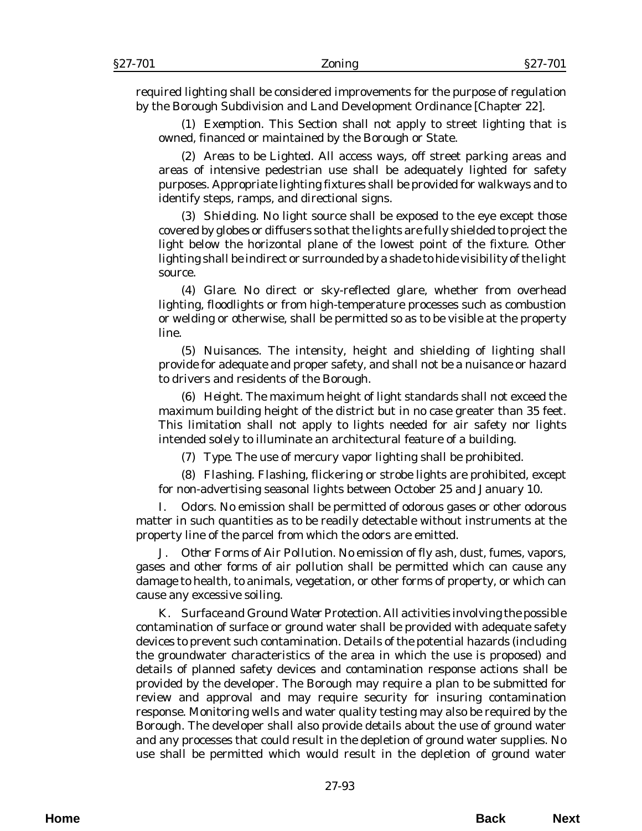required lighting shall be considered improvements for the purpose of regulation by the Borough Subdivision and Land Development Ordinance [Chapter 22].

(1) *Exemption*. This Section shall not apply to street lighting that is owned, financed or maintained by the Borough or State.

(2) *Areas to be Lighted*. All access ways, off street parking areas and areas of intensive pedestrian use shall be adequately lighted for safety purposes. Appropriate lighting fixtures shall be provided for walkways and to identify steps, ramps, and directional signs.

(3) *Shielding*. No light source shall be exposed to the eye except those covered by globes or diffusers so that the lights are fully shielded to project the light below the horizontal plane of the lowest point of the fixture. Other lighting shall be indirect or surrounded by a shade to hide visibility of the light source.

(4) *Glare*. No direct or sky-reflected glare, whether from overhead lighting, floodlights or from high-temperature processes such as combustion or welding or otherwise, shall be permitted so as to be visible at the property line.

(5) *Nuisances*. The intensity, height and shielding of lighting shall provide for adequate and proper safety, and shall not be a nuisance or hazard to drivers and residents of the Borough.

(6) *Height*. The maximum height of light standards shall not exceed the maximum building height of the district but in no case greater than 35 feet. This limitation shall not apply to lights needed for air safety nor lights intended solely to illuminate an architectural feature of a building.

(7) *Type*. The use of mercury vapor lighting shall be prohibited.

(8) *Flashing*. Flashing, flickering or strobe lights are prohibited, except for non-advertising seasonal lights between October 25 and January 10.

I. *Odors*. No emission shall be permitted of odorous gases or other odorous matter in such quantities as to be readily detectable without instruments at the property line of the parcel from which the odors are emitted.

J. *Other Forms of Air Pollution*. No emission of fly ash, dust, fumes, vapors, gases and other forms of air pollution shall be permitted which can cause any damage to health, to animals, vegetation, or other forms of property, or which can cause any excessive soiling.

K. *Surface and Ground Water Protection*. All activities involving the possible contamination of surface or ground water shall be provided with adequate safety devices to prevent such contamination. Details of the potential hazards (including the groundwater characteristics of the area in which the use is proposed) and details of planned safety devices and contamination response actions shall be provided by the developer. The Borough may require a plan to be submitted for review and approval and may require security for insuring contamination response. Monitoring wells and water quality testing may also be required by the Borough. The developer shall also provide details about the use of ground water and any processes that could result in the depletion of ground water supplies. No use shall be permitted which would result in the depletion of ground water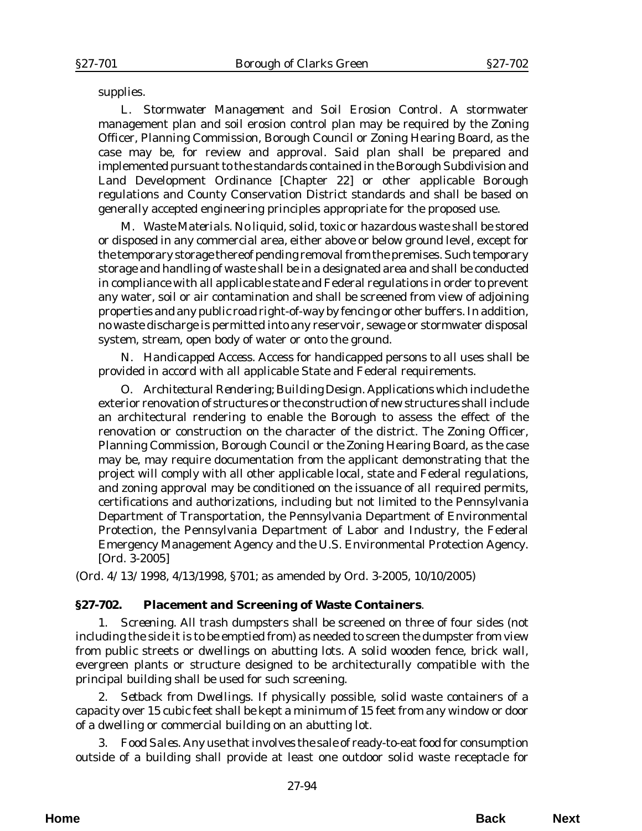supplies.

L. *Stormwater Management and Soil Erosion Control*. A stormwater management plan and soil erosion control plan may be required by the Zoning Officer, Planning Commission, Borough Council or Zoning Hearing Board, as the case may be, for review and approval. Said plan shall be prepared and implemented pursuant to the standards contained in the Borough Subdivision and Land Development Ordinance [Chapter 22] or other applicable Borough regulations and County Conservation District standards and shall be based on generally accepted engineering principles appropriate for the proposed use.

M. *Waste Materials*. No liquid, solid, toxic or hazardous waste shall be stored or disposed in any commercial area, either above or below ground level, except for the temporary storage thereof pending removal from the premises. Such temporary storage and handling of waste shall be in a designated area and shall be conducted in compliance with all applicable state and Federal regulations in order to prevent any water, soil or air contamination and shall be screened from view of adjoining properties and any public road right-of-way by fencing or other buffers. In addition, no waste discharge is permitted into any reservoir, sewage or stormwater disposal system, stream, open body of water or onto the ground.

N. *Handicapped Access*. Access for handicapped persons to all uses shall be provided in accord with all applicable State and Federal requirements.

O. *Architectural Rendering; Building Design*. Applications which include the exterior renovation of structures or the construction of new structures shall include an architectural rendering to enable the Borough to assess the effect of the renovation or construction on the character of the district. The Zoning Officer, Planning Commission, Borough Council or the Zoning Hearing Board, as the case may be, may require documentation from the applicant demonstrating that the project will comply with all other applicable local, state and Federal regulations, and zoning approval may be conditioned on the issuance of all required permits, certifications and authorizations, including but not limited to the Pennsylvania Department of Transportation, the Pennsylvania Department of Environmental Protection, the Pennsylvania Department of Labor and Industry, the Federal Emergency Management Agency and the U.S. Environmental Protection Agency. [*Ord. 3-2005*]

(*Ord. 4/13/1998*, 4/13/1998, §701; as amended by *Ord. 3-2005*, 10/10/2005)

## **§27-702. Placement and Screening of Waste Containers**.

1. *Screening*. All trash dumpsters shall be screened on three of four sides (not including the side it is to be emptied from) as needed to screen the dumpster from view from public streets or dwellings on abutting lots. A solid wooden fence, brick wall, evergreen plants or structure designed to be architecturally compatible with the principal building shall be used for such screening.

2. *Setback from Dwellings*. If physically possible, solid waste containers of a capacity over 15 cubic feet shall be kept a minimum of 15 feet from any window or door of a dwelling or commercial building on an abutting lot.

3. *Food Sales*. Any use that involves the sale of ready-to-eat food for consumption outside of a building shall provide at least one outdoor solid waste receptacle for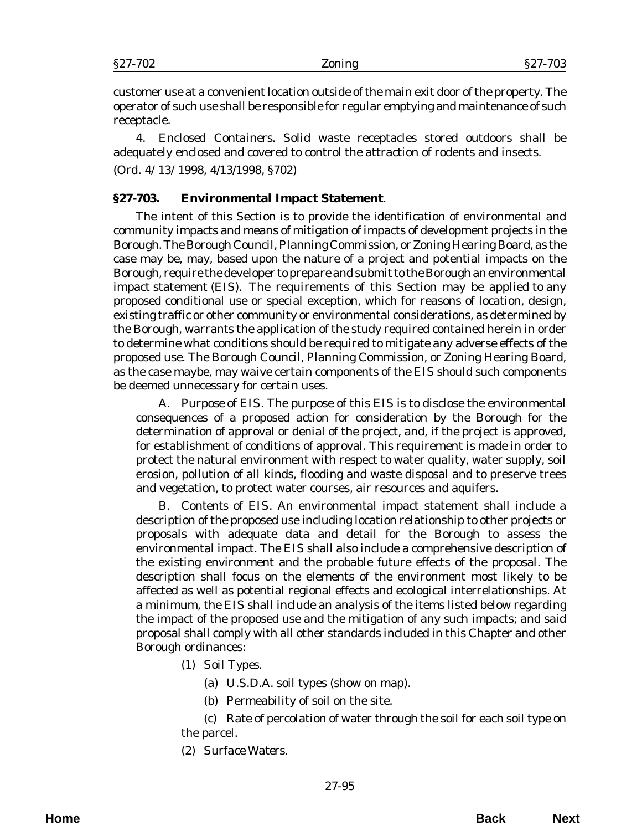customer use at a convenient location outside of the main exit door of the property. The operator of such use shall be responsible for regular emptying and maintenance of such receptacle.

4. *Enclosed Containers*. Solid waste receptacles stored outdoors shall be adequately enclosed and covered to control the attraction of rodents and insects. (*Ord. 4/13/1998*, 4/13/1998, §702)

## **§27-703. Environmental Impact Statement**.

The intent of this Section is to provide the identification of environmental and community impacts and means of mitigation of impacts of development projects in the Borough. The Borough Council, Planning Commission, or Zoning Hearing Board, as the case may be, may, based upon the nature of a project and potential impacts on the Borough, require the developer to prepare and submit to the Borough an environmental impact statement (EIS). The requirements of this Section may be applied to any proposed conditional use or special exception, which for reasons of location, design, existing traffic or other community or environmental considerations, as determined by the Borough, warrants the application of the study required contained herein in order to determine what conditions should be required to mitigate any adverse effects of the proposed use. The Borough Council, Planning Commission, or Zoning Hearing Board, as the case maybe, may waive certain components of the EIS should such components be deemed unnecessary for certain uses.

A. *Purpose of EIS*. The purpose of this EIS is to disclose the environmental consequences of a proposed action for consideration by the Borough for the determination of approval or denial of the project, and, if the project is approved, for establishment of conditions of approval. This requirement is made in order to protect the natural environment with respect to water quality, water supply, soil erosion, pollution of all kinds, flooding and waste disposal and to preserve trees and vegetation, to protect water courses, air resources and aquifers.

B. *Contents of EIS*. An environmental impact statement shall include a description of the proposed use including location relationship to other projects or proposals with adequate data and detail for the Borough to assess the environmental impact. The EIS shall also include a comprehensive description of the existing environment and the probable future effects of the proposal. The description shall focus on the elements of the environment most likely to be affected as well as potential regional effects and ecological interrelationships. At a minimum, the EIS shall include an analysis of the items listed below regarding the impact of the proposed use and the mitigation of any such impacts; and said proposal shall comply with all other standards included in this Chapter and other Borough ordinances:

- (1) *Soil Types*.
	- (a) U.S.D.A. soil types (show on map).
	- (b) Permeability of soil on the site.

(c) Rate of percolation of water through the soil for each soil type on the parcel.

(2) *Surface Waters*.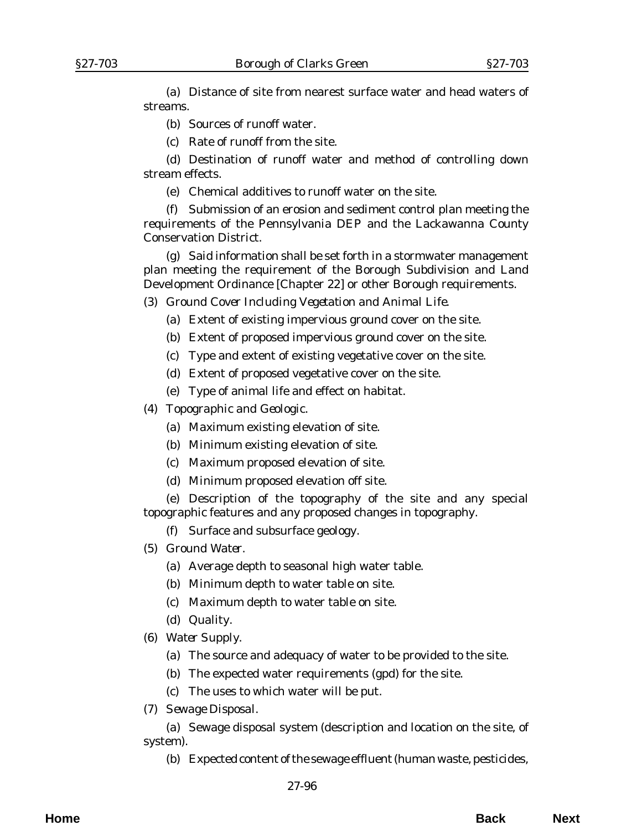(a) Distance of site from nearest surface water and head waters of streams.

- (b) Sources of runoff water.
- (c) Rate of runoff from the site.

(d) Destination of runoff water and method of controlling down stream effects.

(e) Chemical additives to runoff water on the site.

(f) Submission of an erosion and sediment control plan meeting the requirements of the Pennsylvania DEP and the Lackawanna County Conservation District.

(g) Said information shall be set forth in a stormwater management plan meeting the requirement of the Borough Subdivision and Land Development Ordinance [Chapter 22] or other Borough requirements.

- (3) *Ground Cover Including Vegetation and Animal Life*.
	- (a) Extent of existing impervious ground cover on the site.
	- (b) Extent of proposed impervious ground cover on the site.
	- (c) Type and extent of existing vegetative cover on the site.
	- (d) Extent of proposed vegetative cover on the site.
	- (e) Type of animal life and effect on habitat.
- (4) *Topographic and Geologic*.
	- (a) Maximum existing elevation of site.
	- (b) Minimum existing elevation of site.
	- (c) Maximum proposed elevation of site.
	- (d) Minimum proposed elevation off site.

(e) Description of the topography of the site and any special topographic features and any proposed changes in topography.

- (f) Surface and subsurface geology.
- (5) *Ground Water*.
	- (a) Average depth to seasonal high water table.
	- (b) Minimum depth to water table on site.
	- (c) Maximum depth to water table on site.
	- (d) Quality.
- (6) *Water Supply*.
	- (a) The source and adequacy of water to be provided to the site.
	- (b) The expected water requirements (gpd) for the site.
	- (c) The uses to which water will be put.
- (7) *Sewage Disposal.*

(a) Sewage disposal system (description and location on the site, of system).

(b) Expected content of the sewage effluent (human waste, pesticides,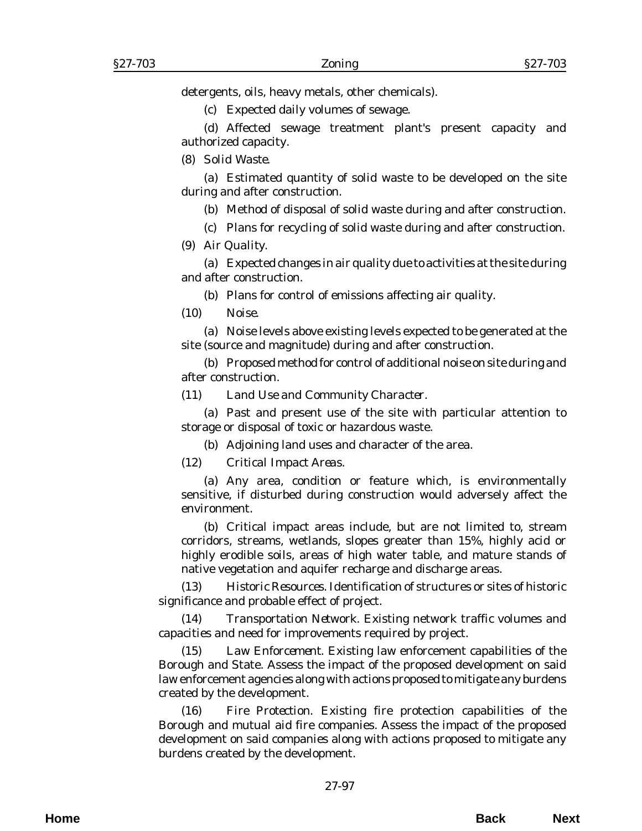detergents, oils, heavy metals, other chemicals).

(c) Expected daily volumes of sewage.

(d) Affected sewage treatment plant's present capacity and authorized capacity.

(8) *Solid Waste*.

(a) Estimated quantity of solid waste to be developed on the site during and after construction.

(b) Method of disposal of solid waste during and after construction.

(c) Plans for recycling of solid waste during and after construction.

(9) *Air Quality.*

(a) Expected changes in air quality due to activities at the site during and after construction.

(b) Plans for control of emissions affecting air quality.

(10) *Noise*.

(a) Noise levels above existing levels expected to be generated at the site (source and magnitude) during and after construction.

(b) Proposed method for control of additional noise on site during and after construction.

## (11) *Land Use and Community Character*.

(a) Past and present use of the site with particular attention to storage or disposal of toxic or hazardous waste.

(b) Adjoining land uses and character of the area.

(12) *Critical Impact Areas*.

(a) Any area, condition or feature which, is environmentally sensitive, if disturbed during construction would adversely affect the environment.

(b) Critical impact areas include, but are not limited to, stream corridors, streams, wetlands, slopes greater than 15%, highly acid or highly erodible soils, areas of high water table, and mature stands of native vegetation and aquifer recharge and discharge areas.

(13) *Historic Resources*. Identification of structures or sites of historic significance and probable effect of project.

(14) *Transportation Network*. Existing network traffic volumes and capacities and need for improvements required by project.

(15) *Law Enforcement*. Existing law enforcement capabilities of the Borough and State. Assess the impact of the proposed development on said law enforcement agencies along with actions proposed to mitigate any burdens created by the development.

(16) *Fire Protection*. Existing fire protection capabilities of the Borough and mutual aid fire companies. Assess the impact of the proposed development on said companies along with actions proposed to mitigate any burdens created by the development.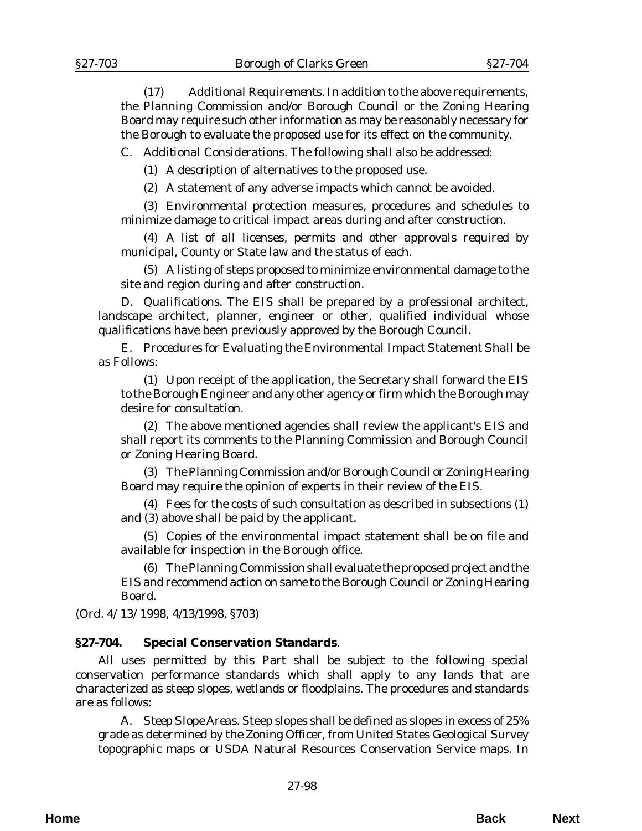(17) *Additional Requirements*. In addition to the above requirements, the Planning Commission and/or Borough Council or the Zoning Hearing Board may require such other information as may be reasonably necessary for the Borough to evaluate the proposed use for its effect on the community.

C. *Additional Considerations*. The following shall also be addressed:

(1) A description of alternatives to the proposed use.

(2) A statement of any adverse impacts which cannot be avoided.

(3) Environmental protection measures, procedures and schedules to minimize damage to critical impact areas during and after construction.

(4) A list of all licenses, permits and other approvals required by municipal, County or State law and the status of each.

(5) A listing of steps proposed to minimize environmental damage to the site and region during and after construction.

D. *Qualifications*. The EIS shall be prepared by a professional architect, landscape architect, planner, engineer or other, qualified individual whose qualifications have been previously approved by the Borough Council.

E. *Procedures for Evaluating the Environmental Impact Statement Shall be as Follows:*

(1) Upon receipt of the application, the Secretary shall forward the EIS to the Borough Engineer and any other agency or firm which the Borough may desire for consultation.

(2) The above mentioned agencies shall review the applicant's EIS and shall report its comments to the Planning Commission and Borough Council or Zoning Hearing Board.

(3) The Planning Commission and/or Borough Council or Zoning Hearing Board may require the opinion of experts in their review of the EIS.

(4) Fees for the costs of such consultation as described in subsections (1) and (3) above shall be paid by the applicant.

(5) Copies of the environmental impact statement shall be on file and available for inspection in the Borough office.

(6) The Planning Commission shall evaluate the proposed project and the EIS and recommend action on same to the Borough Council or Zoning Hearing Board.

(*Ord. 4/13/1998*, 4/13/1998, §703)

## **§27-704. Special Conservation Standards**.

All uses permitted by this Part shall be subject to the following special conservation performance standards which shall apply to any lands that are characterized as steep slopes, wetlands or floodplains. The procedures and standards are as follows:

A. *Steep Slope Areas*. Steep slopes shall be defined as slopes in excess of 25% grade as determined by the Zoning Officer, from United States Geological Survey topographic maps or USDA Natural Resources Conservation Service maps. In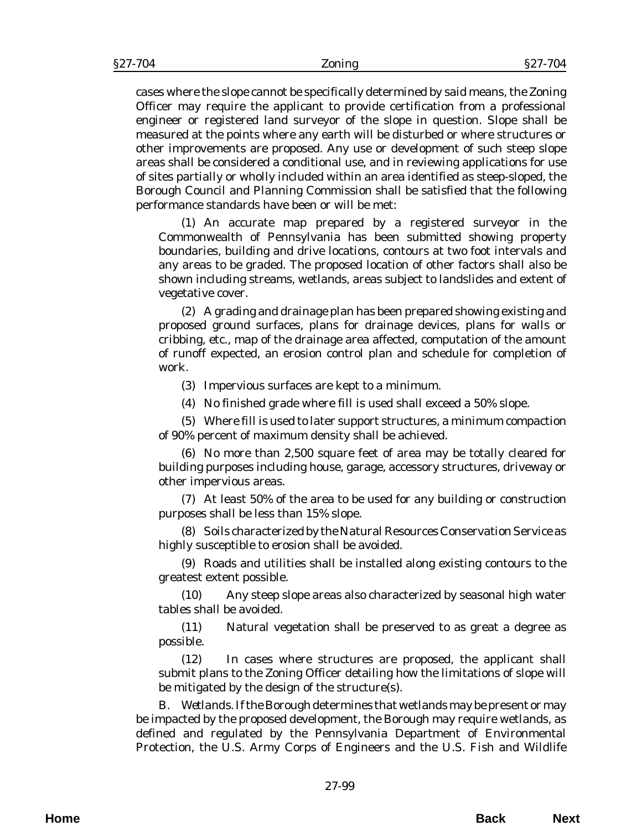cases where the slope cannot be specifically determined by said means, the Zoning Officer may require the applicant to provide certification from a professional engineer or registered land surveyor of the slope in question. Slope shall be measured at the points where any earth will be disturbed or where structures or other improvements are proposed. Any use or development of such steep slope areas shall be considered a conditional use, and in reviewing applications for use of sites partially or wholly included within an area identified as steep-sloped, the Borough Council and Planning Commission shall be satisfied that the following performance standards have been or will be met:

(1) An accurate map prepared by a registered surveyor in the Commonwealth of Pennsylvania has been submitted showing property boundaries, building and drive locations, contours at two foot intervals and any areas to be graded. The proposed location of other factors shall also be shown including streams, wetlands, areas subject to landslides and extent of vegetative cover.

(2) A grading and drainage plan has been prepared showing existing and proposed ground surfaces, plans for drainage devices, plans for walls or cribbing, etc., map of the drainage area affected, computation of the amount of runoff expected, an erosion control plan and schedule for completion of work.

(3) Impervious surfaces are kept to a minimum.

(4) No finished grade where fill is used shall exceed a 50% slope.

(5) Where fill is used to later support structures, a minimum compaction of 90% percent of maximum density shall be achieved.

(6) No more than 2,500 square feet of area may be totally cleared for building purposes including house, garage, accessory structures, driveway or other impervious areas.

(7) At least 50% of the area to be used for any building or construction purposes shall be less than 15% slope.

(8) Soils characterized by the Natural Resources Conservation Service as highly susceptible to erosion shall be avoided.

(9) Roads and utilities shall be installed along existing contours to the greatest extent possible.

(10) Any steep slope areas also characterized by seasonal high water tables shall be avoided.

(11) Natural vegetation shall be preserved to as great a degree as possible.

(12) In cases where structures are proposed, the applicant shall submit plans to the Zoning Officer detailing how the limitations of slope will be mitigated by the design of the structure(s).

B. *Wetlands*. If the Borough determines that wetlands may be present or may be impacted by the proposed development, the Borough may require wetlands, as defined and regulated by the Pennsylvania Department of Environmental Protection, the U.S. Army Corps of Engineers and the U.S. Fish and Wildlife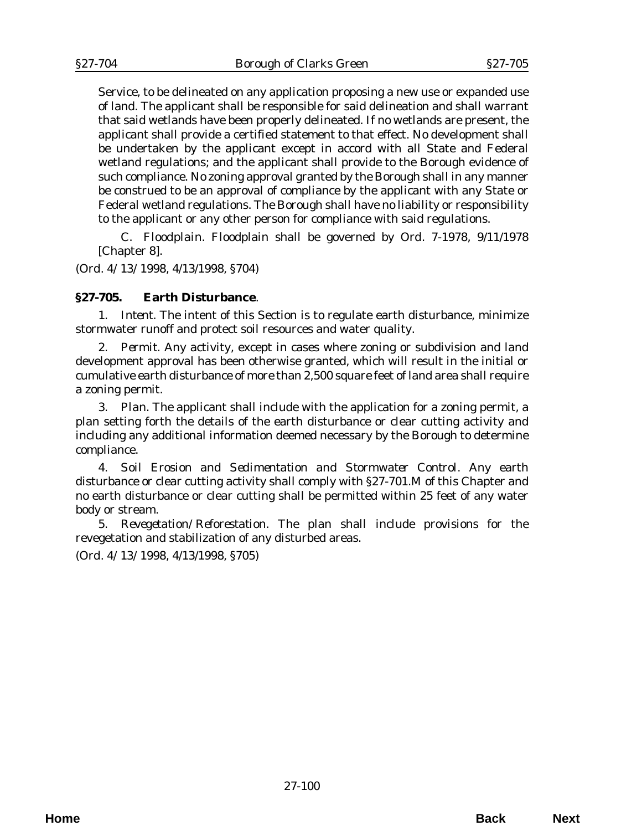Service, to be delineated on any application proposing a new use or expanded use of land. The applicant shall be responsible for said delineation and shall warrant that said wetlands have been properly delineated. If no wetlands are present, the applicant shall provide a certified statement to that effect. No development shall be undertaken by the applicant except in accord with all State and Federal wetland regulations; and the applicant shall provide to the Borough evidence of such compliance. No zoning approval granted by the Borough shall in any manner be construed to be an approval of compliance by the applicant with any State or Federal wetland regulations. The Borough shall have no liability or responsibility to the applicant or any other person for compliance with said regulations.

C. *Floodplain*. Floodplain shall be governed by *Ord. 7-1978*, 9/11/1978 [Chapter 8].

(*Ord. 4/13/1998*, 4/13/1998, §704)

## **§27-705. Earth Disturbance**.

1. *Intent.* The intent of this Section is to regulate earth disturbance, minimize stormwater runoff and protect soil resources and water quality.

2. *Permit*. Any activity, except in cases where zoning or subdivision and land development approval has been otherwise granted, which will result in the initial or cumulative earth disturbance of more than 2,500 square feet of land area shall require a zoning permit.

3. *Plan*. The applicant shall include with the application for a zoning permit, a plan setting forth the details of the earth disturbance or clear cutting activity and including any additional information deemed necessary by the Borough to determine compliance.

4. *Soil Erosion and Sedimentation and Stormwater Control*. Any earth disturbance or clear cutting activity shall comply with §27-701.M of this Chapter and no earth disturbance or clear cutting shall be permitted within 25 feet of any water body or stream.

5. *Revegetation/Reforestation*. The plan shall include provisions for the revegetation and stabilization of any disturbed areas.

(*Ord. 4/13/1998*, 4/13/1998, §705)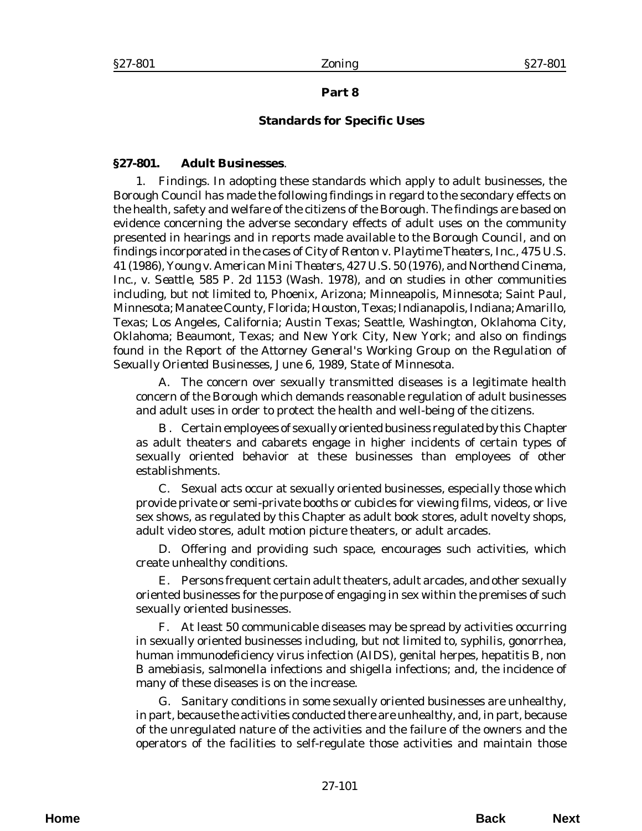## **Part 8**

### **Standards for Specific Uses**

#### **§27-801. Adult Businesses**.

1. *Findings.* In adopting these standards which apply to adult businesses, the Borough Council has made the following findings in regard to the secondary effects on the health, safety and welfare of the citizens of the Borough. The findings are based on evidence concerning the adverse secondary effects of adult uses on the community presented in hearings and in reports made available to the Borough Council, and on findings incorporated in the cases of *City of Renton v. Playtime Theaters, Inc.,* 475 U.S. 41 (1986), *Young v. American Mini Theaters,* 427 U.S. 50 (1976), and *Northend Cinema, Inc., v. Seattle*, 585 P. 2d 1153 (Wash. 1978), and on studies in other communities including, but not limited to, Phoenix, Arizona; Minneapolis, Minnesota; Saint Paul, Minnesota; Manatee County, Florida; Houston, Texas; Indianapolis, Indiana; Amarillo, Texas; Los Angeles, California; Austin Texas; Seattle, Washington, Oklahoma City, Oklahoma; Beaumont, Texas; and New York City, New York; and also on findings found in the *Report of the Attorney General's Working Group on the Regulation of Sexually Oriented Businesses*, June 6, 1989, State of Minnesota.

A. The concern over sexually transmitted diseases is a legitimate health concern of the Borough which demands reasonable regulation of adult businesses and adult uses in order to protect the health and well-being of the citizens.

B . Certain employees of sexually oriented business regulated by this Chapter as adult theaters and cabarets engage in higher incidents of certain types of sexually oriented behavior at these businesses than employees of other establishments.

C. Sexual acts occur at sexually oriented businesses, especially those which provide private or semi-private booths or cubicles for viewing films, videos, or live sex shows, as regulated by this Chapter as adult book stores, adult novelty shops, adult video stores, adult motion picture theaters, or adult arcades.

D. Offering and providing such space, encourages such activities, which create unhealthy conditions.

E. Persons frequent certain adult theaters, adult arcades, and other sexually oriented businesses for the purpose of engaging in sex within the premises of such sexually oriented businesses.

F. At least 50 communicable diseases may be spread by activities occurring in sexually oriented businesses including, but not limited to, syphilis, gonorrhea, human immunodeficiency virus infection (AIDS), genital herpes, hepatitis B, non B amebiasis, salmonella infections and shigella infections; and, the incidence of many of these diseases is on the increase.

G. Sanitary conditions in some sexually oriented businesses are unhealthy, in part, because the activities conducted there are unhealthy, and, in part, because of the unregulated nature of the activities and the failure of the owners and the operators of the facilities to self-regulate those activities and maintain those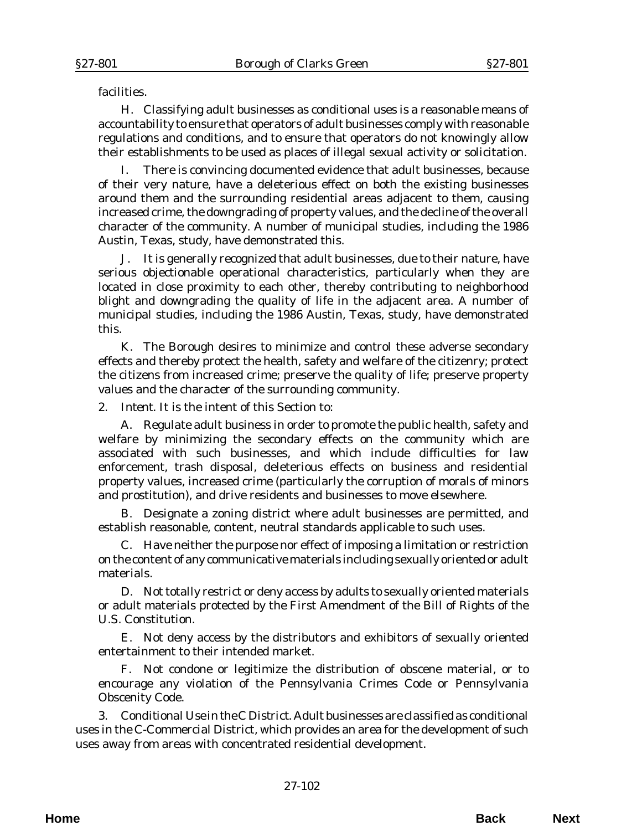facilities.

H. Classifying adult businesses as conditional uses is a reasonable means of accountability to ensure that operators of adult businesses comply with reasonable regulations and conditions, and to ensure that operators do not knowingly allow their establishments to be used as places of illegal sexual activity or solicitation.

I. There is convincing documented evidence that adult businesses, because of their very nature, have a deleterious effect on both the existing businesses around them and the surrounding residential areas adjacent to them, causing increased crime, the downgrading of property values, and the decline of the overall character of the community. A number of municipal studies, including the 1986 Austin, Texas, study, have demonstrated this.

J. It is generally recognized that adult businesses, due to their nature, have serious objectionable operational characteristics, particularly when they are located in close proximity to each other, thereby contributing to neighborhood blight and downgrading the quality of life in the adjacent area. A number of municipal studies, including the 1986 Austin, Texas, study, have demonstrated this.

K. The Borough desires to minimize and control these adverse secondary effects and thereby protect the health, safety and welfare of the citizenry; protect the citizens from increased crime; preserve the quality of life; preserve property values and the character of the surrounding community.

2. *Intent*. It is the intent of this Section to:

A. Regulate adult business in order to promote the public health, safety and welfare by minimizing the secondary effects on the community which are associated with such businesses, and which include difficulties for law enforcement, trash disposal, deleterious effects on business and residential property values, increased crime (particularly the corruption of morals of minors and prostitution), and drive residents and businesses to move elsewhere.

B. Designate a zoning district where adult businesses are permitted, and establish reasonable, content, neutral standards applicable to such uses.

C. Have neither the purpose nor effect of imposing a limitation or restriction on the content of any communicative materials including sexually oriented or adult materials.

D. Not totally restrict or deny access by adults to sexually oriented materials or adult materials protected by the First Amendment of the Bill of Rights of the U.S. Constitution.

E. Not deny access by the distributors and exhibitors of sexually oriented entertainment to their intended market.

F. Not condone or legitimize the distribution of obscene material, or to encourage any violation of the Pennsylvania Crimes Code or Pennsylvania Obscenity Code.

3. *Conditional Use in the C District*. Adult businesses are classified as conditional uses in the C-Commercial District, which provides an area for the development of such uses away from areas with concentrated residential development.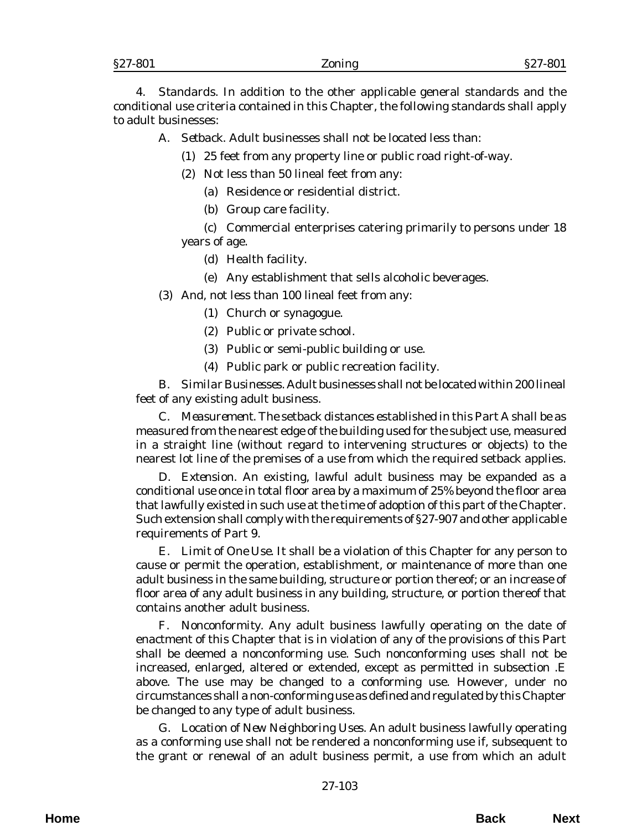4. *Standards*. In addition to the other applicable general standards and the conditional use criteria contained in this Chapter, the following standards shall apply to adult businesses:

A. *Setback.* Adult businesses shall not be located less than:

(1) 25 feet from any property line or public road right-of-way.

- (2) Not less than 50 lineal feet from any:
	- (a) Residence or residential district.
	- (b) Group care facility.

(c) Commercial enterprises catering primarily to persons under 18 years of age.

- (d) Health facility.
- (e) Any establishment that sells alcoholic beverages.

(3) And, not less than 100 lineal feet from any:

- (1) Church or synagogue.
- (2) Public or private school.
- (3) Public or semi-public building or use.
- (4) Public park or public recreation facility.

B. *Similar Businesses.* Adult businesses shall not be located within 200 lineal feet of any existing adult business.

C. *Measurement*. The setback distances established in this Part A shall be as measured from the nearest edge of the building used for the subject use, measured in a straight line (without regard to intervening structures or objects) to the nearest lot line of the premises of a use from which the required setback applies.

D. *Extension*. An existing, lawful adult business may be expanded as a conditional use once in total floor area by a maximum of 25% beyond the floor area that lawfully existed in such use at the time of adoption of this part of the Chapter. Such extension shall comply with the requirements of §27-907 and other applicable requirements of Part 9.

E. *Limit of One Use*. It shall be a violation of this Chapter for any person to cause or permit the operation, establishment, or maintenance of more than one adult business in the same building, structure or portion thereof; or an increase of floor area of any adult business in any building, structure, or portion thereof that contains another adult business.

F. *Nonconformity*. Any adult business lawfully operating on the date of enactment of this Chapter that is in violation of any of the provisions of this Part shall be deemed a nonconforming use. Such nonconforming uses shall not be increased, enlarged, altered or extended, except as permitted in subsection .E above. The use may be changed to a conforming use. However, under no circumstances shall a non-conforming use as defined and regulated by this Chapter be changed to any type of adult business.

G. *Location of New Neighboring Uses*. An adult business lawfully operating as a conforming use shall not be rendered a nonconforming use if, subsequent to the grant or renewal of an adult business permit, a use from which an adult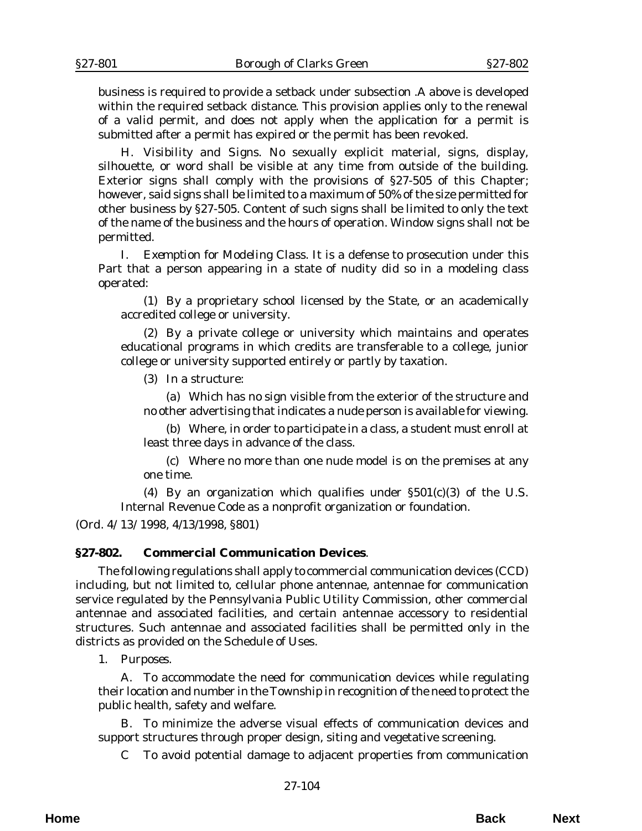business is required to provide a setback under subsection .A above is developed within the required setback distance. This provision applies only to the renewal of a valid permit, and does not apply when the application for a permit is submitted after a permit has expired or the permit has been revoked.

H. *Visibility and Signs*. No sexually explicit material, signs, display, silhouette, or word shall be visible at any time from outside of the building. Exterior signs shall comply with the provisions of §27-505 of this Chapter; however, said signs shall be limited to a maximum of 50% of the size permitted for other business by §27-505. Content of such signs shall be limited to only the text of the name of the business and the hours of operation. Window signs shall not be permitted.

I. *Exemption for Modeling Class*. It is a defense to prosecution under this Part that a person appearing in a state of nudity did so in a modeling class operated:

(1) By a proprietary school licensed by the State, or an academically accredited college or university.

(2) By a private college or university which maintains and operates educational programs in which credits are transferable to a college, junior college or university supported entirely or partly by taxation.

(3) In a structure:

(a) Which has no sign visible from the exterior of the structure and no other advertising that indicates a nude person is available for viewing.

(b) Where, in order to participate in a class, a student must enroll at least three days in advance of the class.

(c) Where no more than one nude model is on the premises at any one time.

(4) By an organization which qualifies under  $\S501(c)(3)$  of the U.S. Internal Revenue Code as a nonprofit organization or foundation.

(*Ord. 4/13/1998*, 4/13/1998, §801)

#### **§27-802. Commercial Communication Devices**.

The following regulations shall apply to commercial communication devices (CCD) including, but not limited to, cellular phone antennae, antennae for communication service regulated by the Pennsylvania Public Utility Commission, other commercial antennae and associated facilities, and certain antennae accessory to residential structures. Such antennae and associated facilities shall be permitted only in the districts as provided on the Schedule of Uses.

1. *Purposes*.

A. To accommodate the need for communication devices while regulating their location and number in the Township in recognition of the need to protect the public health, safety and welfare.

B. To minimize the adverse visual effects of communication devices and support structures through proper design, siting and vegetative screening.

C To avoid potential damage to adjacent properties from communication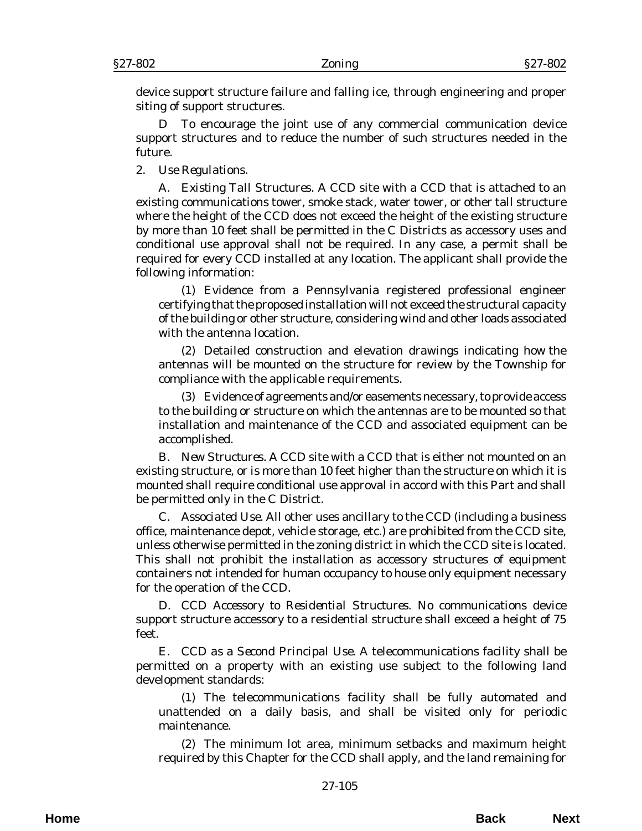device support structure failure and falling ice, through engineering and proper siting of support structures.

D To encourage the joint use of any commercial communication device support structures and to reduce the number of such structures needed in the future.

2. *Use Regulations*.

A. *Existing Tall Structures*. A CCD site with a CCD that is attached to an existing communications tower, smoke stack, water tower, or other tall structure where the height of the CCD does not exceed the height of the existing structure by more than 10 feet shall be permitted in the C Districts as accessory uses and conditional use approval shall not be required. In any case, a permit shall be required for every CCD installed at any location. The applicant shall provide the following information:

(1) Evidence from a Pennsylvania registered professional engineer certifying that the proposed installation will not exceed the structural capacity of the building or other structure, considering wind and other loads associated with the antenna location.

 (2) Detailed construction and elevation drawings indicating how the antennas will be mounted on the structure for review by the Township for compliance with the applicable requirements.

(3) Evidence of agreements and/or easements necessary, to provide access to the building or structure on which the antennas are to be mounted so that installation and maintenance of the CCD and associated equipment can be accomplished.

B. *New Structures*. A CCD site with a CCD that is either not mounted on an existing structure, or is more than 10 feet higher than the structure on which it is mounted shall require conditional use approval in accord with this Part and shall be permitted only in the C District.

C. *Associated Use*. All other uses ancillary to the CCD (including a business office, maintenance depot, vehicle storage, etc.) are prohibited from the CCD site, unless otherwise permitted in the zoning district in which the CCD site is located. This shall not prohibit the installation as accessory structures of equipment containers not intended for human occupancy to house only equipment necessary for the operation of the CCD.

D. *CCD Accessory to Residential Structures*. No communications device support structure accessory to a residential structure shall exceed a height of 75 feet.

E. *CCD as a Second Principal Use*. A telecommunications facility shall be permitted on a property with an existing use subject to the following land development standards:

(1) The telecommunications facility shall be fully automated and unattended on a daily basis, and shall be visited only for periodic maintenance.

(2) The minimum lot area, minimum setbacks and maximum height required by this Chapter for the CCD shall apply, and the land remaining for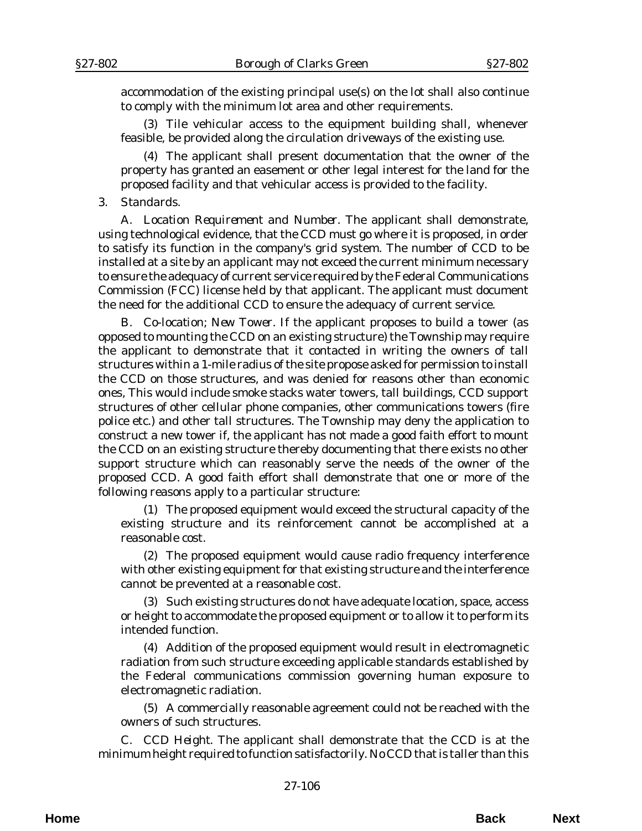accommodation of the existing principal use(s) on the lot shall also continue to comply with the minimum lot area and other requirements.

(3) Tile vehicular access to the equipment building shall, whenever feasible, be provided along the circulation driveways of the existing use.

(4) The applicant shall present documentation that the owner of the property has granted an easement or other legal interest for the land for the proposed facility and that vehicular access is provided to the facility.

### 3. *Standards*.

A. *Location Requirement and Number*. The applicant shall demonstrate, using technological evidence, that the CCD must go where it is proposed, in order to satisfy its function in the company's grid system. The number of CCD to be installed at a site by an applicant may not exceed the current minimum necessary to ensure the adequacy of current service required by the Federal Communications Commission (FCC) license held by that applicant. The applicant must document the need for the additional CCD to ensure the adequacy of current service.

B. *Co-location; New Tower*. If the applicant proposes to build a tower (as opposed to mounting the CCD on an existing structure) the Township may require the applicant to demonstrate that it contacted in writing the owners of tall structures within a 1-mile radius of the site propose asked for permission to install the CCD on those structures, and was denied for reasons other than economic ones, This would include smoke stacks water towers, tall buildings, CCD support structures of other cellular phone companies, other communications towers (fire police etc.) and other tall structures. The Township may deny the application to construct a new tower if, the applicant has not made a good faith effort to mount the CCD on an existing structure thereby documenting that there exists no other support structure which can reasonably serve the needs of the owner of the proposed CCD. A good faith effort shall demonstrate that one or more of the following reasons apply to a particular structure:

(1) The proposed equipment would exceed the structural capacity of the existing structure and its reinforcement cannot be accomplished at a reasonable cost.

(2) The proposed equipment would cause radio frequency interference with other existing equipment for that existing structure and the interference cannot be prevented at a reasonable cost.

(3) Such existing structures do not have adequate location, space, access or height to accommodate the proposed equipment or to allow it to perform its intended function.

(4) Addition of the proposed equipment would result in electromagnetic radiation from such structure exceeding applicable standards established by the Federal communications commission governing human exposure to electromagnetic radiation.

(5) A commercially reasonable agreement could not be reached with the owners of such structures.

C. *CCD Height*. The applicant shall demonstrate that the CCD is at the minimum height required to function satisfactorily. No CCD that is taller than this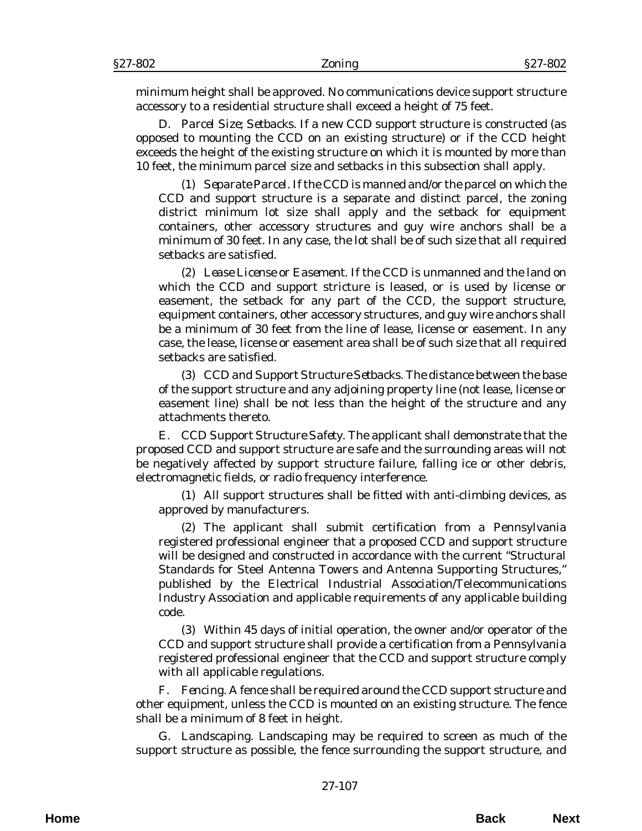minimum height shall be approved. No communications device support structure accessory to a residential structure shall exceed a height of 75 feet.

D. *Parcel Size; Setbacks*. If a new CCD support structure is constructed (as opposed to mounting the CCD on an existing structure) or if the CCD height exceeds the height of the existing structure on which it is mounted by more than 10 feet, the minimum parcel size and setbacks in this subsection shall apply.

(1) *Separate Parcel.* If the CCD is manned and/or the parcel on which the CCD and support structure is a separate and distinct parcel, the zoning district minimum lot size shall apply and the setback for equipment containers, other accessory structures and guy wire anchors shall be a minimum of 30 feet. In any case, the lot shall be of such size that all required setbacks are satisfied.

(2) *Lease License or Easement*. If the CCD is unmanned and the land on which the CCD and support stricture is leased, or is used by license or easement, the setback for any part of the CCD, the support structure, equipment containers, other accessory structures, and guy wire anchors shall be a minimum of 30 feet from the line of lease, license or easement. In any case, the lease, license or easement area shall be of such size that all required setbacks are satisfied.

(3) *CCD and Support Structure Setbacks.* The distance between the base of the support structure and any adjoining property line (not lease, license or easement line) shall be not less than the height of the structure and any attachments thereto.

E. *CCD Support Structure Safety*. The applicant shall demonstrate that the proposed CCD and support structure are safe and the surrounding areas will not be negatively affected by support structure failure, falling ice or other debris, electromagnetic fields, or radio frequency interference.

(1) All support structures shall be fitted with anti-climbing devices, as approved by manufacturers.

(2) The applicant shall submit certification from a Pennsylvania registered professional engineer that a proposed CCD and support structure will be designed and constructed in accordance with the current "Structural Standards for Steel Antenna Towers and Antenna Supporting Structures," published by the Electrical Industrial Association/Telecommunications Industry Association and applicable requirements of any applicable building code.

(3) Within 45 days of initial operation, the owner and/or operator of the CCD and support structure shall provide a certification from a Pennsylvania registered professional engineer that the CCD and support structure comply with all applicable regulations.

F. *Fencing.* A fence shall be required around the CCD support structure and other equipment, unless the CCD is mounted on an existing structure. The fence shall be a minimum of 8 feet in height.

G. *Landscaping*. Landscaping may be required to screen as much of the support structure as possible, the fence surrounding the support structure, and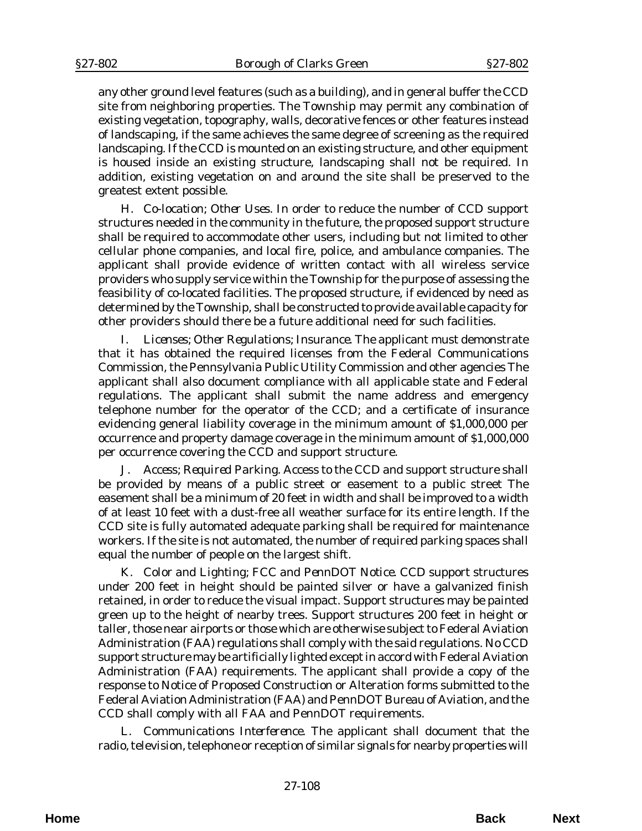any other ground level features (such as a building), and in general buffer the CCD site from neighboring properties. The Township may permit any combination of existing vegetation, topography, walls, decorative fences or other features instead of landscaping, if the same achieves the same degree of screening as the required landscaping. If the CCD is mounted on an existing structure, and other equipment is housed inside an existing structure, landscaping shall not be required. In addition, existing vegetation on and around the site shall be preserved to the greatest extent possible.

H. *Co-location; Other Uses*. In order to reduce the number of CCD support structures needed in the community in the future, the proposed support structure shall be required to accommodate other users, including but not limited to other cellular phone companies, and local fire, police, and ambulance companies. The applicant shall provide evidence of written contact with all wireless service providers who supply service within the Township for the purpose of assessing the feasibility of co-located facilities. The proposed structure, if evidenced by need as determined by the Township, shall be constructed to provide available capacity for other providers should there be a future additional need for such facilities.

I. *Licenses; Other Regulations; Insurance*. The applicant must demonstrate that it has obtained the required licenses from the Federal Communications Commission, the Pennsylvania Public Utility Commission and other agencies The applicant shall also document compliance with all applicable state and Federal regulations. The applicant shall submit the name address and emergency telephone number for the operator of the CCD; and a certificate of insurance evidencing general liability coverage in the minimum amount of \$1,000,000 per occurrence and property damage coverage in the minimum amount of \$1,000,000 per occurrence covering the CCD and support structure.

J. *Access; Required Parking*. Access to the CCD and support structure shall be provided by means of a public street or easement to a public street The easement shall be a minimum of 20 feet in width and shall be improved to a width of at least 10 feet with a dust-free all weather surface for its entire length. If the CCD site is fully automated adequate parking shall be required for maintenance workers. If the site is not automated, the number of required parking spaces shall equal the number of people on the largest shift.

K. *Color and Lighting; FCC and PennDOT Notice*. CCD support structures under 200 feet in height should be painted silver or have a galvanized finish retained, in order to reduce the visual impact. Support structures may be painted green up to the height of nearby trees. Support structures 200 feet in height or taller, those near airports or those which are otherwise subject to Federal Aviation Administration (FAA) regulations shall comply with the said regulations. No CCD support structure may be artificially lighted except in accord with Federal Aviation Administration (FAA) requirements. The applicant shall provide a copy of the response to Notice of Proposed Construction or Alteration forms submitted to the Federal Aviation Administration (FAA) and PennDOT Bureau of Aviation, and the CCD shall comply with all FAA and PennDOT requirements.

L. *Communications Interference*. The applicant shall document that the radio, television, telephone or reception of similar signals for nearby properties will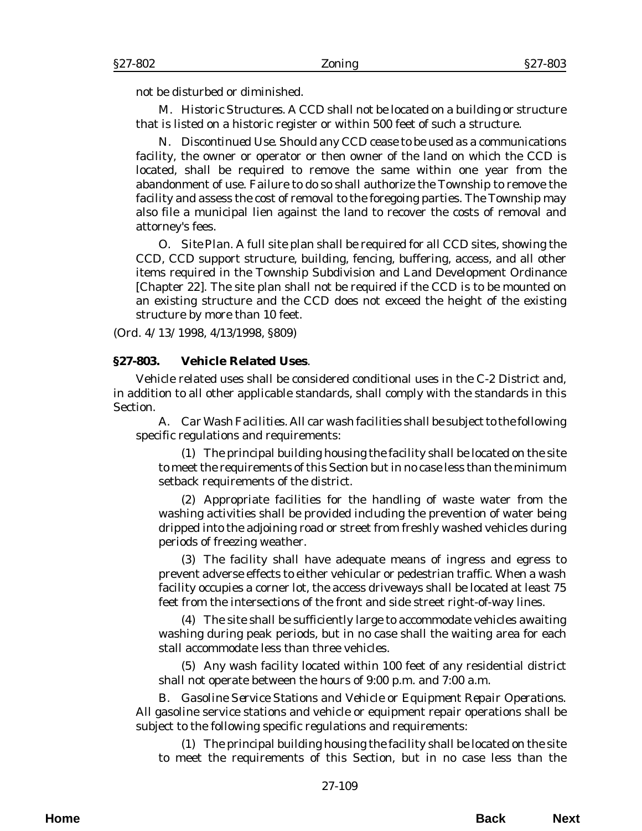not be disturbed or diminished.

M. *Historic Structures*. A CCD shall not be located on a building or structure that is listed on a historic register or within 500 feet of such a structure.

N. *Discontinued Use.* Should any CCD cease to be used as a communications facility, the owner or operator or then owner of the land on which the CCD is located, shall be required to remove the same within one year from the abandonment of use. Failure to do so shall authorize the Township to remove the facility and assess the cost of removal to the foregoing parties. The Township may also file a municipal lien against the land to recover the costs of removal and attorney's fees.

O. *Site Plan.* A full site plan shall be required for all CCD sites, showing the CCD, CCD support structure, building, fencing, buffering, access, and all other items required in the Township Subdivision and Land Development Ordinance [Chapter 22]. The site plan shall not be required if the CCD is to be mounted on an existing structure and the CCD does not exceed the height of the existing structure by more than 10 feet.

(*Ord. 4/13/1998*, 4/13/1998, §809)

#### **§27-803. Vehicle Related Uses**.

Vehicle related uses shall be considered conditional uses in the C-2 District and, in addition to all other applicable standards, shall comply with the standards in this Section.

A. *Car Wash Facilities*. All car wash facilities shall be subject to the following specific regulations and requirements:

(1) The principal building housing the facility shall be located on the site to meet the requirements of this Section but in no case less than the minimum setback requirements of the district.

(2) Appropriate facilities for the handling of waste water from the washing activities shall be provided including the prevention of water being dripped into the adjoining road or street from freshly washed vehicles during periods of freezing weather.

(3) The facility shall have adequate means of ingress and egress to prevent adverse effects to either vehicular or pedestrian traffic. When a wash facility occupies a corner lot, the access driveways shall be located at least 75 feet from the intersections of the front and side street right-of-way lines.

(4) The site shall be sufficiently large to accommodate vehicles awaiting washing during peak periods, but in no case shall the waiting area for each stall accommodate less than three vehicles.

(5) Any wash facility located within 100 feet of any residential district shall not operate between the hours of 9:00 p.m. and 7:00 a.m.

B. *Gasoline Service Stations and Vehicle or Equipment Repair Operations*. All gasoline service stations and vehicle or equipment repair operations shall be subject to the following specific regulations and requirements:

(1) The principal building housing the facility shall be located on the site to meet the requirements of this Section, but in no case less than the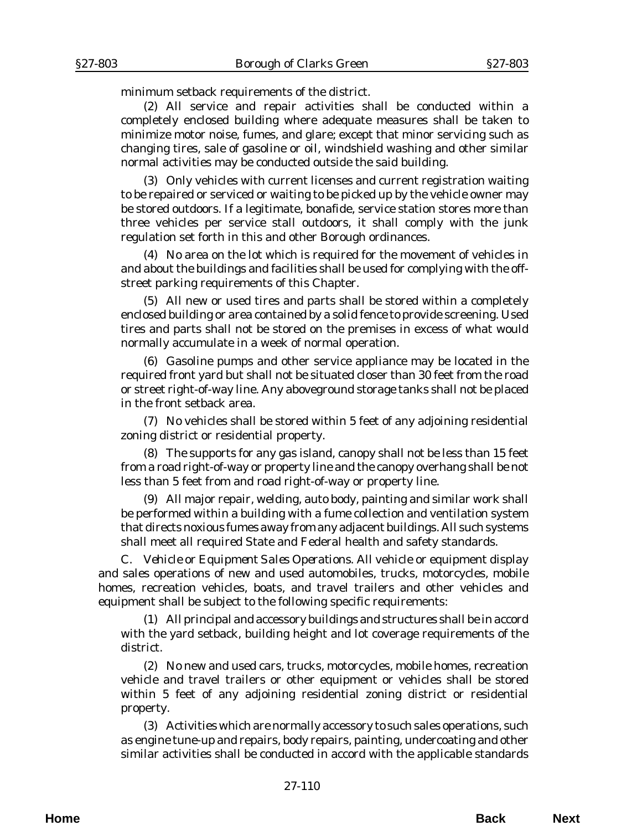minimum setback requirements of the district.

(2) All service and repair activities shall be conducted within a completely enclosed building where adequate measures shall be taken to minimize motor noise, fumes, and glare; except that minor servicing such as changing tires, sale of gasoline or oil, windshield washing and other similar normal activities may be conducted outside the said building.

(3) Only vehicles with current licenses and current registration waiting to be repaired or serviced or waiting to be picked up by the vehicle owner may be stored outdoors. If a legitimate, bonafide, service station stores more than three vehicles per service stall outdoors, it shall comply with the junk regulation set forth in this and other Borough ordinances.

(4) No area on the lot which is required for the movement of vehicles in and about the buildings and facilities shall be used for complying with the offstreet parking requirements of this Chapter.

(5) All new or used tires and parts shall be stored within a completely enclosed building or area contained by a solid fence to provide screening. Used tires and parts shall not be stored on the premises in excess of what would normally accumulate in a week of normal operation.

(6) Gasoline pumps and other service appliance may be located in the required front yard but shall not be situated closer than 30 feet from the road or street right-of-way line. Any aboveground storage tanks shall not be placed in the front setback area.

(7) No vehicles shall be stored within 5 feet of any adjoining residential zoning district or residential property.

(8) The supports for any gas island, canopy shall not be less than 15 feet from a road right-of-way or property line and the canopy overhang shall be not less than 5 feet from and road right-of-way or property line.

(9) All major repair, welding, auto body, painting and similar work shall be performed within a building with a fume collection and ventilation system that directs noxious fumes away from any adjacent buildings. All such systems shall meet all required State and Federal health and safety standards.

C. *Vehicle or Equipment Sales Operations*. All vehicle or equipment display and sales operations of new and used automobiles, trucks, motorcycles, mobile homes, recreation vehicles, boats, and travel trailers and other vehicles and equipment shall be subject to the following specific requirements:

(1) All principal and accessory buildings and structures shall be in accord with the yard setback, building height and lot coverage requirements of the district.

(2) No new and used cars, trucks, motorcycles, mobile homes, recreation vehicle and travel trailers or other equipment or vehicles shall be stored within 5 feet of any adjoining residential zoning district or residential property.

(3) Activities which are normally accessory to such sales operations, such as engine tune-up and repairs, body repairs, painting, undercoating and other similar activities shall be conducted in accord with the applicable standards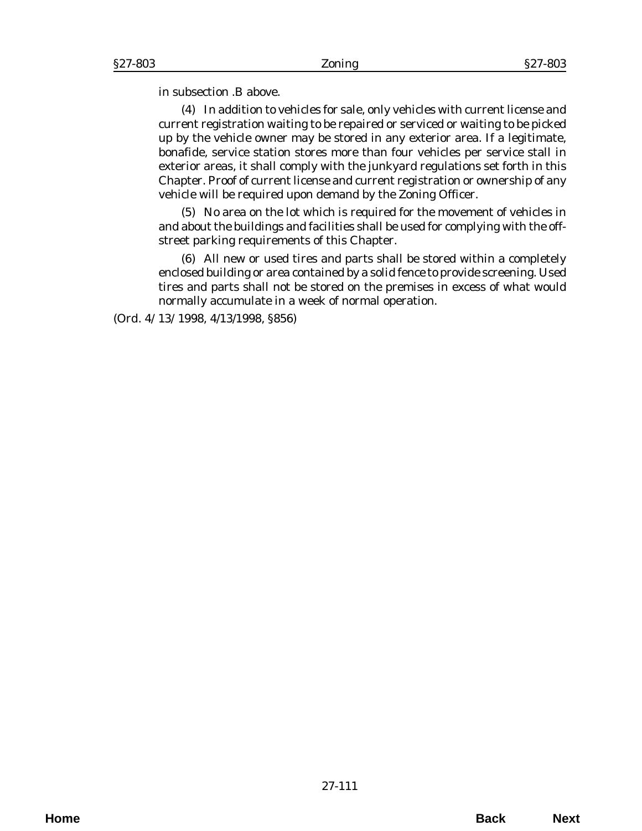in subsection .B above.

(4) In addition to vehicles for sale, only vehicles with current license and current registration waiting to be repaired or serviced or waiting to be picked up by the vehicle owner may be stored in any exterior area. If a legitimate, bonafide, service station stores more than four vehicles per service stall in exterior areas, it shall comply with the junkyard regulations set forth in this Chapter. Proof of current license and current registration or ownership of any vehicle will be required upon demand by the Zoning Officer.

(5) No area on the lot which is required for the movement of vehicles in and about the buildings and facilities shall be used for complying with the offstreet parking requirements of this Chapter.

(6) All new or used tires and parts shall be stored within a completely enclosed building or area contained by a solid fence to provide screening. Used tires and parts shall not be stored on the premises in excess of what would normally accumulate in a week of normal operation.

(*Ord. 4/13/1998*, 4/13/1998, §856)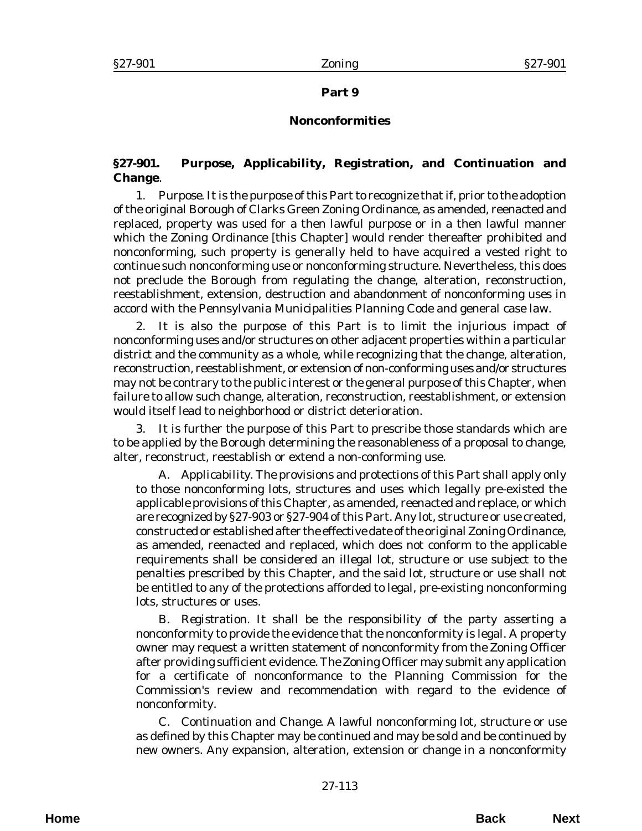## **Part 9**

# **Nonconformities**

# **§27-901. Purpose, Applicability, Registration, and Continuation and Change**.

1. *Purpose.* It is the purpose of this Part to recognize that if, prior to the adoption of the original Borough of Clarks Green Zoning Ordinance, as amended, reenacted and replaced, property was used for a then lawful purpose or in a then lawful manner which the Zoning Ordinance [this Chapter] would render thereafter prohibited and nonconforming, such property is generally held to have acquired a vested right to continue such nonconforming use or nonconforming structure. Nevertheless, this does not preclude the Borough from regulating the change, alteration, reconstruction, reestablishment, extension, destruction and abandonment of nonconforming uses in accord with the Pennsylvania Municipalities Planning Code and general case law.

2. It is also the purpose of this Part is to limit the injurious impact of nonconforming uses and/or structures on other adjacent properties within a particular district and the community as a whole, while recognizing that the change, alteration, reconstruction, reestablishment, or extension of non-conforming uses and/or structures may not be contrary to the public interest or the general purpose of this Chapter, when failure to allow such change, alteration, reconstruction, reestablishment, or extension would itself lead to neighborhood or district deterioration.

3. It is further the purpose of this Part to prescribe those standards which are to be applied by the Borough determining the reasonableness of a proposal to change, alter, reconstruct, reestablish or extend a non-conforming use.

A. *Applicability*. The provisions and protections of this Part shall apply only to those nonconforming lots, structures and uses which legally pre-existed the applicable provisions of this Chapter, as amended, reenacted and replace, or which are recognized by §27-903 or §27-904 of this Part. Any lot, structure or use created, constructed or established after the effective date of the original Zoning Ordinance, as amended, reenacted and replaced, which does not conform to the applicable requirements shall be considered an illegal lot, structure or use subject to the penalties prescribed by this Chapter, and the said lot, structure or use shall not be entitled to any of the protections afforded to legal, pre-existing nonconforming lots, structures or uses.

B. *Registration*. It shall be the responsibility of the party asserting a nonconformity to provide the evidence that the nonconformity is legal. A property owner may request a written statement of nonconformity from the Zoning Officer after providing sufficient evidence. The Zoning Officer may submit any application for a certificate of nonconformance to the Planning Commission for the Commission's review and recommendation with regard to the evidence of nonconformity.

C. *Continuation and Change.* A lawful nonconforming lot, structure or use as defined by this Chapter may be continued and may be sold and be continued by new owners. Any expansion, alteration, extension or change in a nonconformity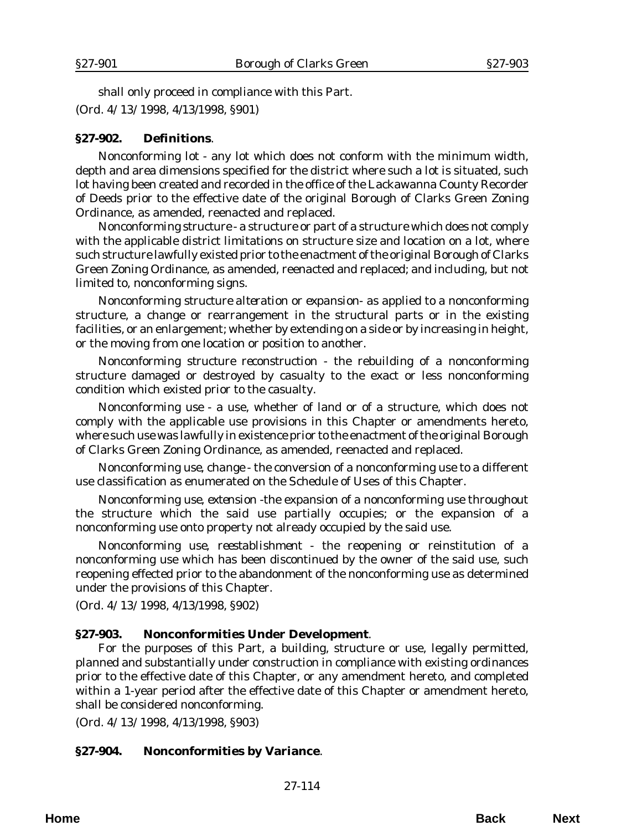shall only proceed in compliance with this Part. (*Ord. 4/13/1998*, 4/13/1998, §901)

### **§27-902. Definitions**.

*Nonconforming lot* - any lot which does not conform with the minimum width, depth and area dimensions specified for the district where such a lot is situated, such lot having been created and recorded in the office of the Lackawanna County Recorder of Deeds prior to the effective date of the original Borough of Clarks Green Zoning Ordinance, as amended, reenacted and replaced.

*Nonconforming structure* - a structure or part of a structure which does not comply with the applicable district limitations on structure size and location on a lot, where such structure lawfully existed prior to the enactment of the original Borough of Clarks Green Zoning Ordinance, as amended, reenacted and replaced; and including, but not limited to, nonconforming signs.

*Nonconforming structure alteration or expansion*- as applied to a nonconforming structure, a change or rearrangement in the structural parts or in the existing facilities, or an enlargement; whether by extending on a side or by increasing in height, or the moving from one location or position to another.

*Nonconforming structure reconstruction* - the rebuilding of a nonconforming structure damaged or destroyed by casualty to the exact or less nonconforming condition which existed prior to the casualty.

*Nonconforming use* - a use, whether of land or of a structure, which does not comply with the applicable use provisions in this Chapter or amendments hereto, where such use was lawfully in existence prior to the enactment of the original Borough of Clarks Green Zoning Ordinance, as amended, reenacted and replaced.

*Nonconforming use, change* - the conversion of a nonconforming use to a different use classification as enumerated on the Schedule of Uses of this Chapter.

*Nonconforming use, extension* -the expansion of a nonconforming use throughout the structure which the said use partially occupies; or the expansion of a nonconforming use onto property not already occupied by the said use.

*Nonconforming use, reestablishment* - the reopening or reinstitution of a nonconforming use which has been discontinued by the owner of the said use, such reopening effected prior to the abandonment of the nonconforming use as determined under the provisions of this Chapter.

(*Ord. 4/13/1998*, 4/13/1998, §902)

### **§27-903. Nonconformities Under Development**.

For the purposes of this Part, a building, structure or use, legally permitted, planned and substantially under construction in compliance with existing ordinances prior to the effective date of this Chapter, or any amendment hereto, and completed within a 1-year period after the effective date of this Chapter or amendment hereto, shall be considered nonconforming.

(*Ord. 4/13/1998*, 4/13/1998, §903)

### **§27-904. Nonconformities by Variance**.

27-114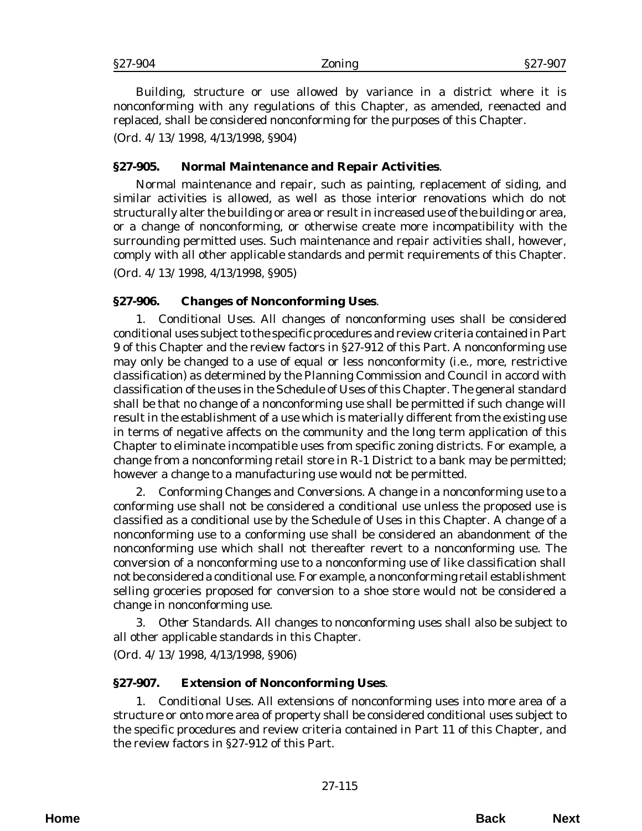Building, structure or use allowed by variance in a district where it is nonconforming with any regulations of this Chapter, as amended, reenacted and replaced, shall be considered nonconforming for the purposes of this Chapter.

(*Ord. 4/13/1998*, 4/13/1998, §904)

## **§27-905. Normal Maintenance and Repair Activities**.

Normal maintenance and repair, such as painting, replacement of siding, and similar activities is allowed, as well as those interior renovations which do not structurally alter the building or area or result in increased use of the building or area, or a change of nonconforming, or otherwise create more incompatibility with the surrounding permitted uses. Such maintenance and repair activities shall, however, comply with all other applicable standards and permit requirements of this Chapter.

(*Ord. 4/13/1998*, 4/13/1998, §905)

## **§27-906. Changes of Nonconforming Uses**.

1. *Conditional Uses*. All changes of nonconforming uses shall be considered conditional uses subject to the specific procedures and review criteria contained in Part 9 of this Chapter and the review factors in §27-912 of this Part. A nonconforming use may only be changed to a use of equal or less nonconformity (i.e., more, restrictive classification) as determined by the Planning Commission and Council in accord with classification of the uses in the Schedule of Uses of this Chapter. The general standard shall be that no change of a nonconforming use shall be permitted if such change will result in the establishment of a use which is materially different from the existing use in terms of negative affects on the community and the long term application of this Chapter to eliminate incompatible uses from specific zoning districts. For example, a change from a nonconforming retail store in R-1 District to a bank may be permitted; however a change to a manufacturing use would not be permitted.

2. *Conforming Changes and Conversions.* A change in a nonconforming use to a conforming use shall not be considered a conditional use unless the proposed use is classified as a conditional use by the Schedule of Uses in this Chapter. A change of a nonconforming use to a conforming use shall be considered an abandonment of the nonconforming use which shall not thereafter revert to a nonconforming use. The conversion of a nonconforming use to a nonconforming use of like classification shall not be considered a conditional use. For example, a nonconforming retail establishment selling groceries proposed for conversion to a shoe store would not be considered a change in nonconforming use.

3. *Other Standards*. All changes to nonconforming uses shall also be subject to all other applicable standards in this Chapter.

(*Ord. 4/13/1998*, 4/13/1998, §906)

## **§27-907. Extension of Nonconforming Uses**.

1. *Conditional Uses.* All extensions of nonconforming uses into more area of a structure or onto more area of property shall be considered conditional uses subject to the specific procedures and review criteria contained in Part 11 of this Chapter, and the review factors in §27-912 of this Part.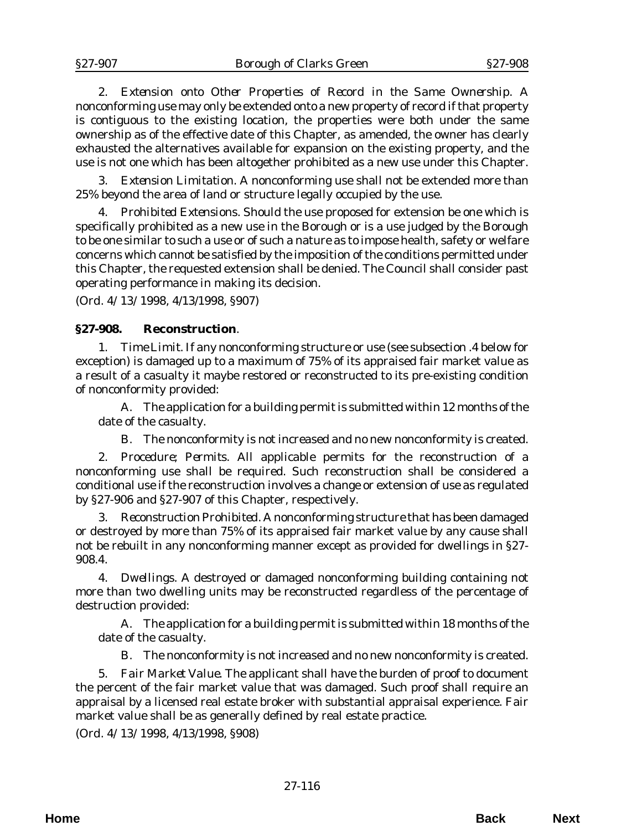2. *Extension onto Other Properties of Record in the Same Ownership*. A nonconforming use may only be extended onto a new property of record if that property is contiguous to the existing location, the properties were both under the same ownership as of the effective date of this Chapter, as amended, the owner has clearly exhausted the alternatives available for expansion on the existing property, and the use is not one which has been altogether prohibited as a new use under this Chapter.

3. *Extension Limitation*. A nonconforming use shall not be extended more than 25% beyond the area of land or structure legally occupied by the use.

4. *Prohibited Extensions*. Should the use proposed for extension be one which is specifically prohibited as a new use in the Borough or is a use judged by the Borough to be one similar to such a use or of such a nature as to impose health, safety or welfare concerns which cannot be satisfied by the imposition of the conditions permitted under this Chapter, the requested extension shall be denied. The Council shall consider past operating performance in making its decision.

(*Ord. 4/13/1998*, 4/13/1998, §907)

## **§27-908. Reconstruction**.

1. *Time Limit.* If any nonconforming structure or use (see subsection .4 below for exception) is damaged up to a maximum of 75% of its appraised fair market value as a result of a casualty it maybe restored or reconstructed to its pre-existing condition of nonconformity provided:

A. The application for a building permit is submitted within 12 months of the date of the casualty.

B. The nonconformity is not increased and no new nonconformity is created.

2. *Procedure; Permits*. All applicable permits for the reconstruction of a nonconforming use shall be required. Such reconstruction shall be considered a conditional use if the reconstruction involves a change or extension of use as regulated by §27-906 and §27-907 of this Chapter, respectively.

3. *Reconstruction Prohibited*. A nonconforming structure that has been damaged or destroyed by more than 75% of its appraised fair market value by any cause shall not be rebuilt in any nonconforming manner except as provided for dwellings in §27- 908.4.

4. *Dwellings*. A destroyed or damaged nonconforming building containing not more than two dwelling units may be reconstructed regardless of the percentage of destruction provided:

A. The application for a building permit is submitted within 18 months of the date of the casualty.

B. The nonconformity is not increased and no new nonconformity is created.

5. *Fair Market Value*. The applicant shall have the burden of proof to document the percent of the fair market value that was damaged. Such proof shall require an appraisal by a licensed real estate broker with substantial appraisal experience. Fair market value shall be as generally defined by real estate practice.

(*Ord. 4/13/1998*, 4/13/1998, §908)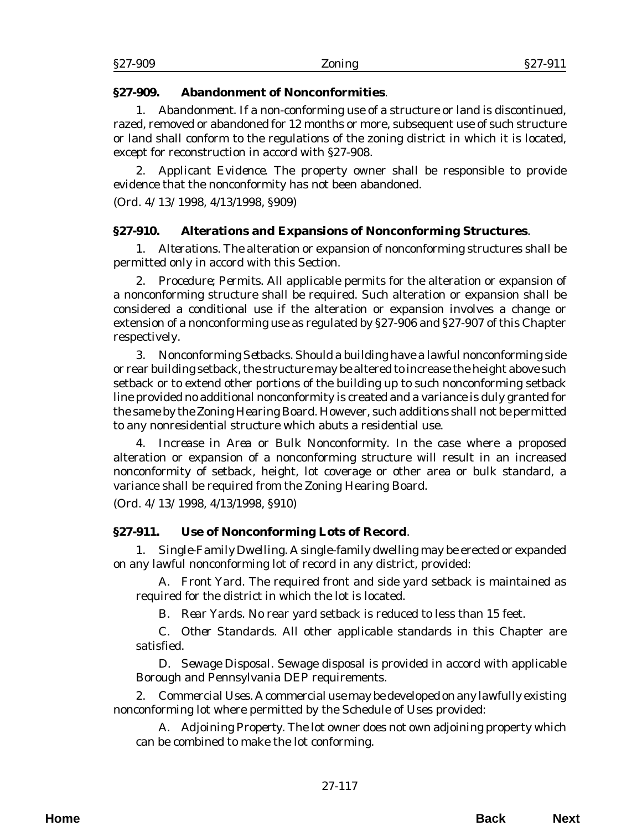## **§27-909. Abandonment of Nonconformities**.

1. *Abandonment*. If a non-conforming use of a structure or land is discontinued, razed, removed or abandoned for 12 months or more, subsequent use of such structure or land shall conform to the regulations of the zoning district in which it is located, except for reconstruction in accord with §27-908.

2. *Applicant Evidence*. The property owner shall be responsible to provide evidence that the nonconformity has not been abandoned.

(*Ord. 4/13/1998*, 4/13/1998, §909)

# **§27-910. Alterations and Expansions of Nonconforming Structures**.

1. *Alterations*. The alteration or expansion of nonconforming structures shall be permitted only in accord with this Section.

2. *Procedure; Permits*. All applicable permits for the alteration or expansion of a nonconforming structure shall be required. Such alteration or expansion shall be considered a conditional use if the alteration or expansion involves a change or extension of a nonconforming use as regulated by §27-906 and §27-907 of this Chapter respectively.

3. *Nonconforming Setbacks*. Should a building have a lawful nonconforming side or rear building setback, the structure may be altered to increase the height above such setback or to extend other portions of the building up to such nonconforming setback line provided no additional nonconformity is created and a variance is duly granted for the same by the Zoning Hearing Board. However, such additions shall not be permitted to any nonresidential structure which abuts a residential use.

4. *Increase in Area or Bulk Nonconformity*. In the case where a proposed alteration or expansion of a nonconforming structure will result in an increased nonconformity of setback, height, lot coverage or other area or bulk standard, a variance shall be required from the Zoning Hearing Board.

(*Ord. 4/13/1998*, 4/13/1998, §910)

# **§27-911. Use of Nonconforming Lots of Record**.

1. *Single-Family Dwelling*. A single-family dwelling may be erected or expanded on any lawful nonconforming lot of record in any district, provided:

A. *Front Yard.* The required front and side yard setback is maintained as required for the district in which the lot is located.

B. *Rear Yards*. No rear yard setback is reduced to less than 15 feet.

C. *Other Standards*. All other applicable standards in this Chapter are satisfied.

D. *Sewage Disposal*. Sewage disposal is provided in accord with applicable Borough and Pennsylvania DEP requirements.

2. *Commercial Uses*. A commercial use may be developed on any lawfully existing nonconforming lot where permitted by the Schedule of Uses provided:

A. *Adjoining Property.* The lot owner does not own adjoining property which can be combined to make the lot conforming.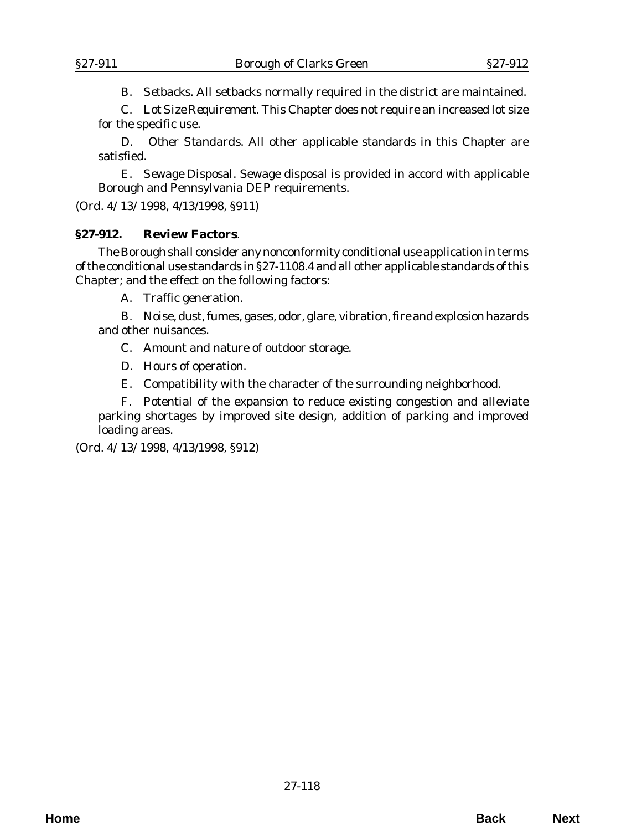B. *Setbacks*. All setbacks normally required in the district are maintained.

C. *Lot Size Requirement*. This Chapter does not require an increased lot size for the specific use.

D. *Other Standards*. All other applicable standards in this Chapter are satisfied.

E. *Sewage Disposal*. Sewage disposal is provided in accord with applicable Borough and Pennsylvania DEP requirements.

(*Ord. 4/13/1998*, 4/13/1998, §911)

### **§27-912. Review Factors**.

The Borough shall consider any nonconformity conditional use application in terms of the conditional use standards in §27-1108.4 and all other applicable standards of this Chapter; and the effect on the following factors:

A. Traffic generation.

B. Noise, dust, fumes, gases, odor, glare, vibration, fire and explosion hazards and other nuisances.

C. Amount and nature of outdoor storage.

D. Hours of operation.

E. Compatibility with the character of the surrounding neighborhood.

F. Potential of the expansion to reduce existing congestion and alleviate parking shortages by improved site design, addition of parking and improved loading areas.

(*Ord. 4/13/1998*, 4/13/1998, §912)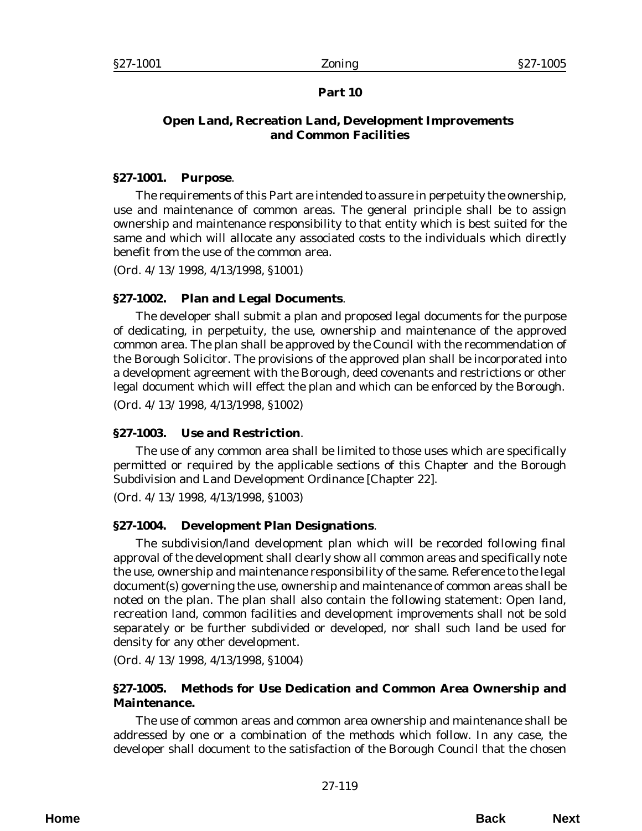# **Part 10**

# **Open Land, Recreation Land, Development Improvements and Common Facilities**

## **§27-1001. Purpose**.

The requirements of this Part are intended to assure in perpetuity the ownership, use and maintenance of common areas. The general principle shall be to assign ownership and maintenance responsibility to that entity which is best suited for the same and which will allocate any associated costs to the individuals which directly benefit from the use of the common area.

(*Ord. 4/13/1998*, 4/13/1998, §1001)

# **§27-1002. Plan and Legal Documents**.

The developer shall submit a plan and proposed legal documents for the purpose of dedicating, in perpetuity, the use, ownership and maintenance of the approved common area. The plan shall be approved by the Council with the recommendation of the Borough Solicitor. The provisions of the approved plan shall be incorporated into a development agreement with the Borough, deed covenants and restrictions or other legal document which will effect the plan and which can be enforced by the Borough.

(*Ord. 4/13/1998*, 4/13/1998, §1002)

# **§27-1003. Use and Restriction**.

The use of any common area shall be limited to those uses which are specifically permitted or required by the applicable sections of this Chapter and the Borough Subdivision and Land Development Ordinance [Chapter 22].

(*Ord. 4/13/1998*, 4/13/1998, §1003)

# **§27-1004. Development Plan Designations**.

The subdivision/land development plan which will be recorded following final approval of the development shall clearly show all common areas and specifically note the use, ownership and maintenance responsibility of the same. Reference to the legal document(s) governing the use, ownership and maintenance of common areas shall be noted on the plan. The plan shall also contain the following statement: Open land, recreation land, common facilities and development improvements shall not be sold separately or be further subdivided or developed, nor shall such land be used for density for any other development.

(*Ord. 4/13/1998*, 4/13/1998, §1004)

# **§27-1005. Methods for Use Dedication and Common Area Ownership and Maintenance.**

The use of common areas and common area ownership and maintenance shall be addressed by one or a combination of the methods which follow. In any case, the developer shall document to the satisfaction of the Borough Council that the chosen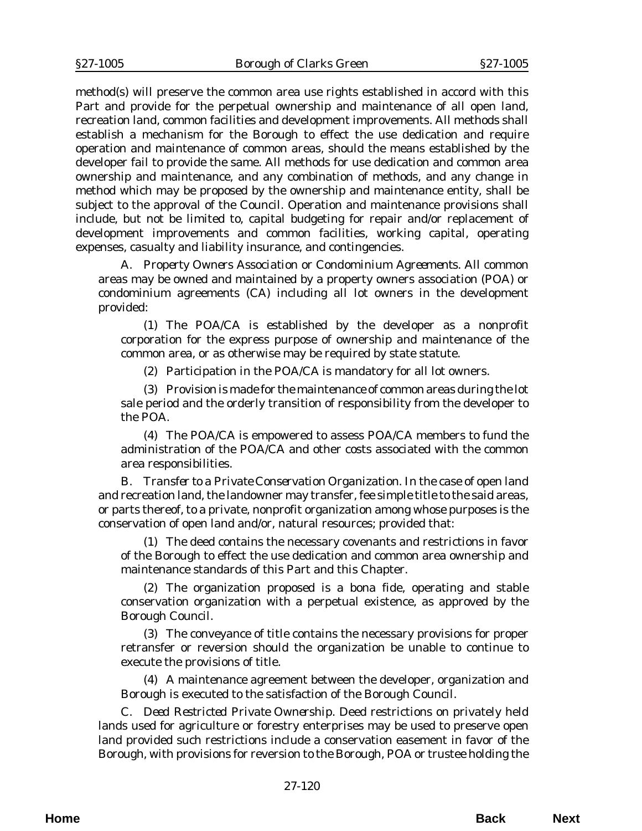method(s) will preserve the common area use rights established in accord with this Part and provide for the perpetual ownership and maintenance of all open land, recreation land, common facilities and development improvements. All methods shall establish a mechanism for the Borough to effect the use dedication and require operation and maintenance of common areas, should the means established by the developer fail to provide the same. All methods for use dedication and common area ownership and maintenance, and any combination of methods, and any change in method which may be proposed by the ownership and maintenance entity, shall be subject to the approval of the Council. Operation and maintenance provisions shall include, but not be limited to, capital budgeting for repair and/or replacement of development improvements and common facilities, working capital, operating expenses, casualty and liability insurance, and contingencies.

A. *Property Owners Association or Condominium Agreements*. All common areas may be owned and maintained by a property owners association (POA) or condominium agreements (CA) including all lot owners in the development provided:

(1) The POA/CA is established by the developer as a nonprofit corporation for the express purpose of ownership and maintenance of the common area, or as otherwise may be required by state statute.

(2) Participation in the POA/CA is mandatory for all lot owners.

(3) Provision is made for the maintenance of common areas during the lot sale period and the orderly transition of responsibility from the developer to the POA.

(4) The POA/CA is empowered to assess POA/CA members to fund the administration of the POA/CA and other costs associated with the common area responsibilities.

B. *Transfer to a Private Conservation Organization*. In the case of open land and recreation land, the landowner may transfer, fee simple title to the said areas, or parts thereof, to a private, nonprofit organization among whose purposes is the conservation of open land and/or, natural resources; provided that:

(1) The deed contains the necessary covenants and restrictions in favor of the Borough to effect the use dedication and common area ownership and maintenance standards of this Part and this Chapter.

(2) The organization proposed is a bona fide, operating and stable conservation organization with a perpetual existence, as approved by the Borough Council.

(3) The conveyance of title contains the necessary provisions for proper retransfer or reversion should the organization be unable to continue to execute the provisions of title.

(4) A maintenance agreement between the developer, organization and Borough is executed to the satisfaction of the Borough Council.

C. *Deed Restricted Private Ownership*. Deed restrictions on privately held lands used for agriculture or forestry enterprises may be used to preserve open land provided such restrictions include a conservation easement in favor of the Borough, with provisions for reversion to the Borough, POA or trustee holding the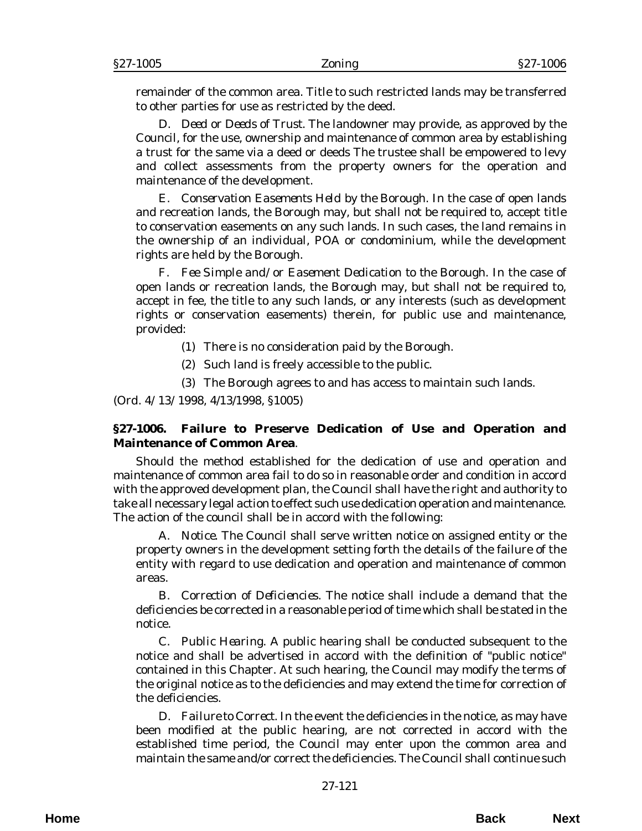remainder of the common area. Title to such restricted lands may be transferred to other parties for use as restricted by the deed.

D. *Deed or Deeds of Trust.* The landowner may provide, as approved by the Council, for the use, ownership and maintenance of common area by establishing a trust for the same via a deed or deeds The trustee shall be empowered to levy and collect assessments from the property owners for the operation and maintenance of the development.

E. *Conservation Easements Held by the Borough*. In the case of open lands and recreation lands, the Borough may, but shall not be required to, accept title to conservation easements on any such lands. In such cases, the land remains in the ownership of an individual, POA or condominium, while the development rights are held by the Borough.

F. *Fee Simple and/or Easement Dedication to the Borough.* In the case of open lands or recreation lands, the Borough may, but shall not be required to, accept in fee, the title to any such lands, or any interests (such as development rights or conservation easements) therein, for public use and maintenance, provided:

- (1) There is no consideration paid by the Borough.
- (2) Such land is freely accessible to the public.
- (3) The Borough agrees to and has access to maintain such lands.

(*Ord. 4/13/1998*, 4/13/1998, §1005)

## **§27-1006. Failure to Preserve Dedication of Use and Operation and Maintenance of Common Area**.

Should the method established for the dedication of use and operation and maintenance of common area fail to do so in reasonable order and condition in accord with the approved development plan, the Council shall have the right and authority to take all necessary legal action to effect such use dedication operation and maintenance. The action of the council shall be in accord with the following:

A. *Notice*. The Council shall serve written notice on assigned entity or the property owners in the development setting forth the details of the failure of the entity with regard to use dedication and operation and maintenance of common areas.

B. *Correction of Deficiencies*. The notice shall include a demand that the deficiencies be corrected in a reasonable period of time which shall be stated in the notice.

C. *Public Hearing*. A public hearing shall be conducted subsequent to the notice and shall be advertised in accord with the definition of "public notice" contained in this Chapter. At such hearing, the Council may modify the terms of the original notice as to the deficiencies and may extend the time for correction of the deficiencies.

D. *Failure to Correct*. In the event the deficiencies in the notice, as may have been modified at the public hearing, are not corrected in accord with the established time period, the Council may enter upon the common area and maintain the same and/or correct the deficiencies. The Council shall continue such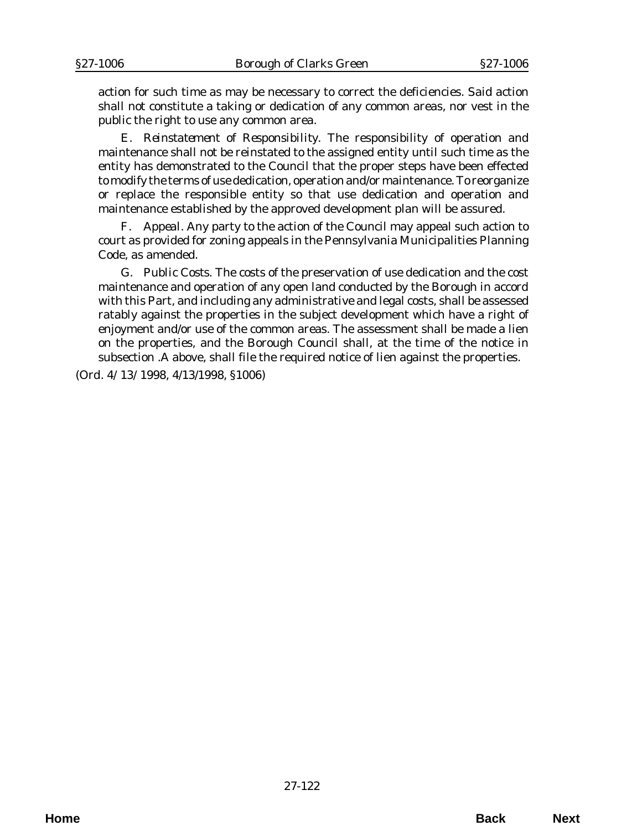action for such time as may be necessary to correct the deficiencies. Said action shall not constitute a taking or dedication of any common areas, nor vest in the public the right to use any common area.

E. *Reinstatement of Responsibility.* The responsibility of operation and maintenance shall not be reinstated to the assigned entity until such time as the entity has demonstrated to the Council that the proper steps have been effected to modify the terms of use dedication, operation and/or maintenance. To reorganize or replace the responsible entity so that use dedication and operation and maintenance established by the approved development plan will be assured.

F. *Appeal*. Any party to the action of the Council may appeal such action to court as provided for zoning appeals in the Pennsylvania Municipalities Planning Code, as amended.

G. *Public Costs*. The costs of the preservation of use dedication and the cost maintenance and operation of any open land conducted by the Borough in accord with this Part, and including any administrative and legal costs, shall be assessed ratably against the properties in the subject development which have a right of enjoyment and/or use of the common areas. The assessment shall be made a lien on the properties, and the Borough Council shall, at the time of the notice in subsection .A above, shall file the required notice of lien against the properties.

(*Ord. 4/13/1998*, 4/13/1998, §1006)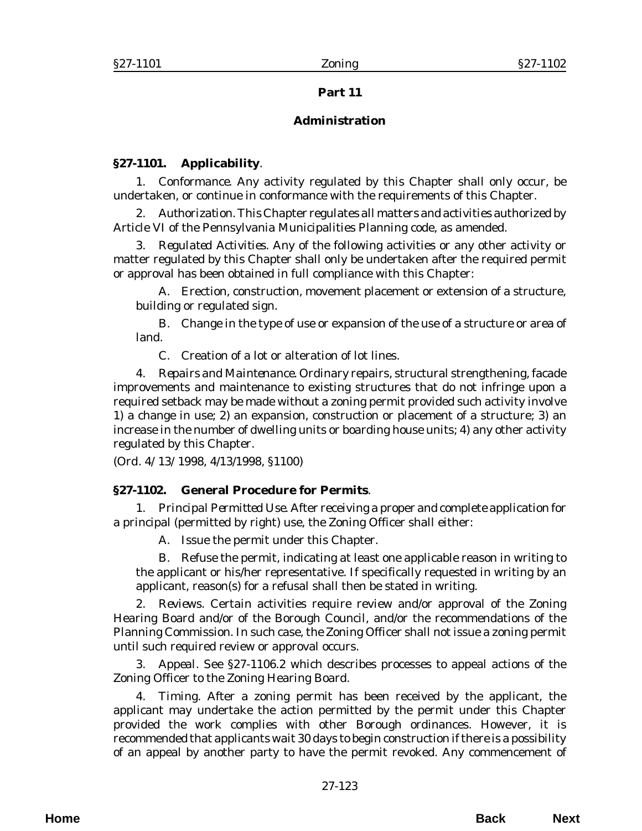## **Part 11**

# **Administration**

# **§27-1101. Applicability**.

1. *Conformance.* Any activity regulated by this Chapter shall only occur, be undertaken, or continue in conformance with the requirements of this Chapter.

2. *Authorization.* This Chapter regulates all matters and activities authorized by Article VI of the Pennsylvania Municipalities Planning code, as amended.

3. *Regulated Activities*. Any of the following activities or any other activity or matter regulated by this Chapter shall only be undertaken after the required permit or approval has been obtained in full compliance with this Chapter:

A. Erection, construction, movement placement or extension of a structure, building or regulated sign.

B. Change in the type of use or expansion of the use of a structure or area of land.

C. Creation of a lot or alteration of lot lines.

4. *Repairs and Maintenance*. Ordinary repairs, structural strengthening, facade improvements and maintenance to existing structures that do not infringe upon a required setback may be made without a zoning permit provided such activity involve 1) a change in use; 2) an expansion, construction or placement of a structure; 3) an increase in the number of dwelling units or boarding house units; 4) any other activity regulated by this Chapter.

(*Ord. 4/13/1998*, 4/13/1998, §1100)

## **§27-1102. General Procedure for Permits**.

1. *Principal Permitted Use*. After receiving a proper and complete application for a principal (permitted by right) use, the Zoning Officer shall either:

A. Issue the permit under this Chapter.

B. Refuse the permit, indicating at least one applicable reason in writing to the applicant or his/her representative. If specifically requested in writing by an applicant, reason(s) for a refusal shall then be stated in writing.

2. *Reviews*. Certain activities require review and/or approval of the Zoning Hearing Board and/or of the Borough Council, and/or the recommendations of the Planning Commission. In such case, the Zoning Officer shall not issue a zoning permit until such required review or approval occurs.

3. *Appeal*. See §27-1106.2 which describes processes to appeal actions of the Zoning Officer to the Zoning Hearing Board.

4. *Timing*. After a zoning permit has been received by the applicant, the applicant may undertake the action permitted by the permit under this Chapter provided the work complies with other Borough ordinances. However, it is recommended that applicants wait 30 days to begin construction if there is a possibility of an appeal by another party to have the permit revoked. Any commencement of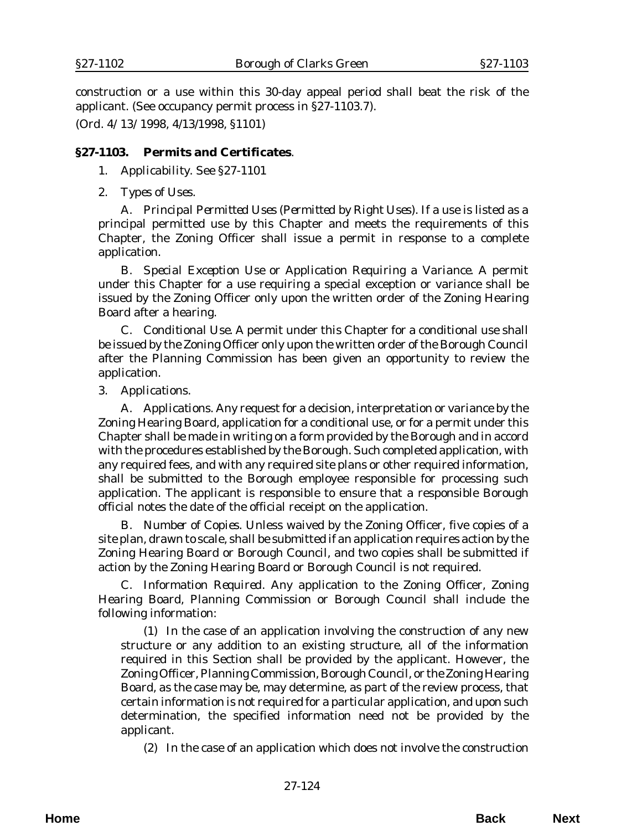construction or a use within this 30-day appeal period shall beat the risk of the applicant. (See occupancy permit process in §27-1103.7).

(*Ord. 4/13/1998*, 4/13/1998, §1101)

## **§27-1103. Permits and Certificates**.

### 1*. Applicability*. See §27-1101

2. *Types of Uses*.

A. *Principal Permitted Uses (Permitted by Right Uses).* If a use is listed as a principal permitted use by this Chapter and meets the requirements of this Chapter, the Zoning Officer shall issue a permit in response to a complete application.

B. *Special Exception Use or Application Requiring a Variance*. A permit under this Chapter for a use requiring a special exception or variance shall be issued by the Zoning Officer only upon the written order of the Zoning Hearing Board after a hearing.

C. *Conditional Use.* A permit under this Chapter for a conditional use shall be issued by the Zoning Officer only upon the written order of the Borough Council after the Planning Commission has been given an opportunity to review the application.

3. *Applications*.

A. *Applications*. Any request for a decision, interpretation or variance by the Zoning Hearing Board, application for a conditional use, or for a permit under this Chapter shall be made in writing on a form provided by the Borough and in accord with the procedures established by the Borough. Such completed application, with any required fees, and with any required site plans or other required information, shall be submitted to the Borough employee responsible for processing such application. The applicant is responsible to ensure that a responsible Borough official notes the date of the official receipt on the application.

B. *Number of Copies*. Unless waived by the Zoning Officer, five copies of a site plan, drawn to scale, shall be submitted if an application requires action by the Zoning Hearing Board or Borough Council, and two copies shall be submitted if action by the Zoning Hearing Board or Borough Council is not required.

C. *Information Required*. Any application to the Zoning Officer, Zoning Hearing Board, Planning Commission or Borough Council shall include the following information:

(1) In the case of an application involving the construction of any new structure or any addition to an existing structure, all of the information required in this Section shall be provided by the applicant. However, the Zoning Officer, Planning Commission, Borough Council, or the Zoning Hearing Board, as the case may be, may determine, as part of the review process, that certain information is not required for a particular application, and upon such determination, the specified information need not be provided by the applicant.

(2) In the case of an application which does not involve the construction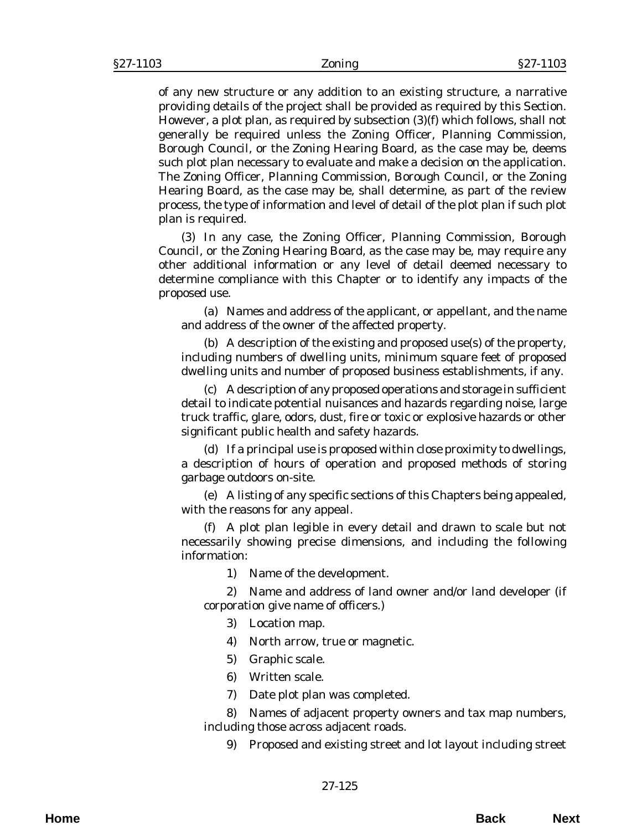of any new structure or any addition to an existing structure, a narrative providing details of the project shall be provided as required by this Section. However, a plot plan, as required by subsection (3)(f) which follows, shall not generally be required unless the Zoning Officer, Planning Commission, Borough Council, or the Zoning Hearing Board, as the case may be, deems such plot plan necessary to evaluate and make a decision on the application. The Zoning Officer, Planning Commission, Borough Council, or the Zoning Hearing Board, as the case may be, shall determine, as part of the review process, the type of information and level of detail of the plot plan if such plot plan is required.

(3) In any case, the Zoning Officer, Planning Commission, Borough Council, or the Zoning Hearing Board, as the case may be, may require any other additional information or any level of detail deemed necessary to determine compliance with this Chapter or to identify any impacts of the proposed use.

(a) Names and address of the applicant, or appellant, and the name and address of the owner of the affected property.

(b) A description of the existing and proposed use(s) of the property, including numbers of dwelling units, minimum square feet of proposed dwelling units and number of proposed business establishments, if any.

(c) A description of any proposed operations and storage in sufficient detail to indicate potential nuisances and hazards regarding noise, large truck traffic, glare, odors, dust, fire or toxic or explosive hazards or other significant public health and safety hazards.

(d) If a principal use is proposed within close proximity to dwellings, a description of hours of operation and proposed methods of storing garbage outdoors on-site.

(e) A listing of any specific sections of this Chapters being appealed, with the reasons for any appeal.

(f) A plot plan legible in every detail and drawn to scale but not necessarily showing precise dimensions, and including the following information:

1) Name of the development.

2) Name and address of land owner and/or land developer (if corporation give name of officers.)

- 3) Location map.
- 4) North arrow, true or magnetic.
- 5) Graphic scale.
- 6) Written scale.
- 7) Date plot plan was completed.

8) Names of adjacent property owners and tax map numbers, including those across adjacent roads.

9) Proposed and existing street and lot layout including street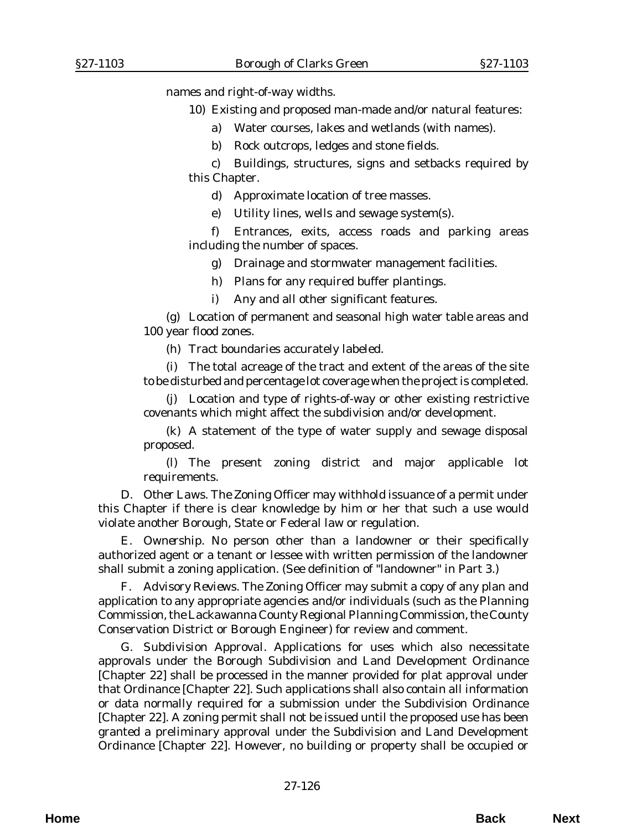names and right-of-way widths.

- 10) Existing and proposed man-made and/or natural features:
	- a) Water courses, lakes and wetlands (with names).
	- b) Rock outcrops, ledges and stone fields.

c) Buildings, structures, signs and setbacks required by this Chapter.

d) Approximate location of tree masses.

e) Utility lines, wells and sewage system(s).

f) Entrances, exits, access roads and parking areas including the number of spaces.

g) Drainage and stormwater management facilities.

- h) Plans for any required buffer plantings.
- i) Any and all other significant features.

(g) Location of permanent and seasonal high water table areas and 100 year flood zones.

(h) Tract boundaries accurately labeled.

(i) The total acreage of the tract and extent of the areas of the site to be disturbed and percentage lot coverage when the project is completed.

(j) Location and type of rights-of-way or other existing restrictive covenants which might affect the subdivision and/or development.

(k) A statement of the type of water supply and sewage disposal proposed.

(l) The present zoning district and major applicable lot requirements.

D. *Other Laws*. The Zoning Officer may withhold issuance of a permit under this Chapter if there is clear knowledge by him or her that such a use would violate another Borough, State or Federal law or regulation.

E. *Ownership.* No person other than a landowner or their specifically authorized agent or a tenant or lessee with written permission of the landowner shall submit a zoning application. (See definition of "landowner" in Part 3.)

F. *Advisory Reviews.* The Zoning Officer may submit a copy of any plan and application to any appropriate agencies and/or individuals (such as the Planning Commission, the Lackawanna County Regional Planning Commission, the County Conservation District or Borough Engineer) for review and comment.

G. *Subdivision Approval*. Applications for uses which also necessitate approvals under the Borough Subdivision and Land Development Ordinance [Chapter 22] shall be processed in the manner provided for plat approval under that Ordinance [Chapter 22]. Such applications shall also contain all information or data normally required for a submission under the Subdivision Ordinance [Chapter 22]. A zoning permit shall not be issued until the proposed use has been granted a preliminary approval under the Subdivision and Land Development Ordinance [Chapter 22]. However, no building or property shall be occupied or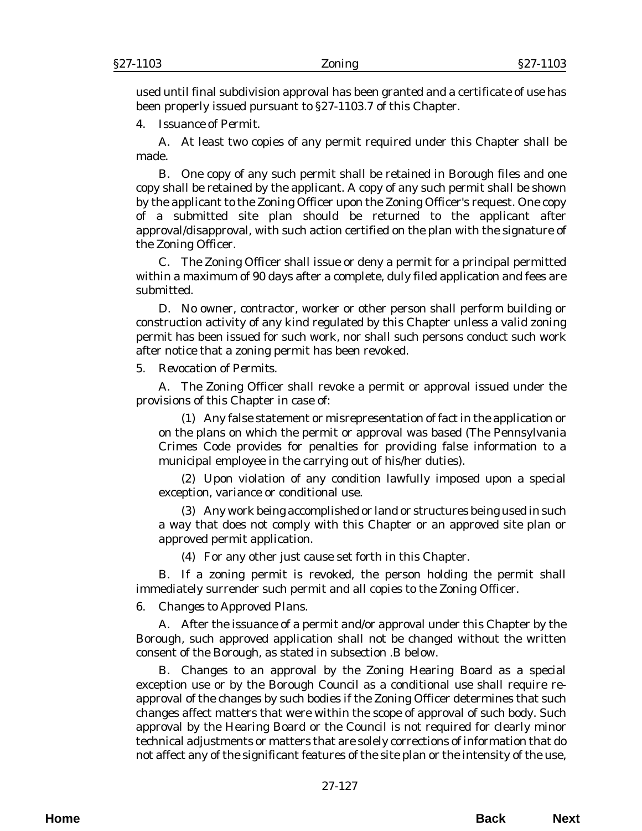used until final subdivision approval has been granted and a certificate of use has been properly issued pursuant to §27-1103.7 of this Chapter.

4. *Issuance of Permit*.

A. At least two copies of any permit required under this Chapter shall be made.

B. One copy of any such permit shall be retained in Borough files and one copy shall be retained by the applicant. A copy of any such permit shall be shown by the applicant to the Zoning Officer upon the Zoning Officer's request. One copy of a submitted site plan should be returned to the applicant after approval/disapproval, with such action certified on the plan with the signature of the Zoning Officer.

C. The Zoning Officer shall issue or deny a permit for a principal permitted within a maximum of 90 days after a complete, duly filed application and fees are submitted.

D. No owner, contractor, worker or other person shall perform building or construction activity of any kind regulated by this Chapter unless a valid zoning permit has been issued for such work, nor shall such persons conduct such work after notice that a zoning permit has been revoked.

#### 5. *Revocation of Permits*.

A. The Zoning Officer shall revoke a permit or approval issued under the provisions of this Chapter in case of:

(1) Any false statement or misrepresentation of fact in the application or on the plans on which the permit or approval was based (The Pennsylvania Crimes Code provides for penalties for providing false information to a municipal employee in the carrying out of his/her duties).

(2) Upon violation of any condition lawfully imposed upon a special exception, variance or conditional use.

(3) Any work being accomplished or land or structures being used in such a way that does not comply with this Chapter or an approved site plan or approved permit application.

(4) For any other just cause set forth in this Chapter.

B. If a zoning permit is revoked, the person holding the permit shall immediately surrender such permit and all copies to the Zoning Officer.

6. *Changes to Approved Plans*.

A. After the issuance of a permit and/or approval under this Chapter by the Borough, such approved application shall not be changed without the written consent of the Borough, as stated in subsection .B below.

B. Changes to an approval by the Zoning Hearing Board as a special exception use or by the Borough Council as a conditional use shall require reapproval of the changes by such bodies if the Zoning Officer determines that such changes affect matters that were within the scope of approval of such body. Such approval by the Hearing Board or the Council is not required for clearly minor technical adjustments or matters that are solely corrections of information that do not affect any of the significant features of the site plan or the intensity of the use,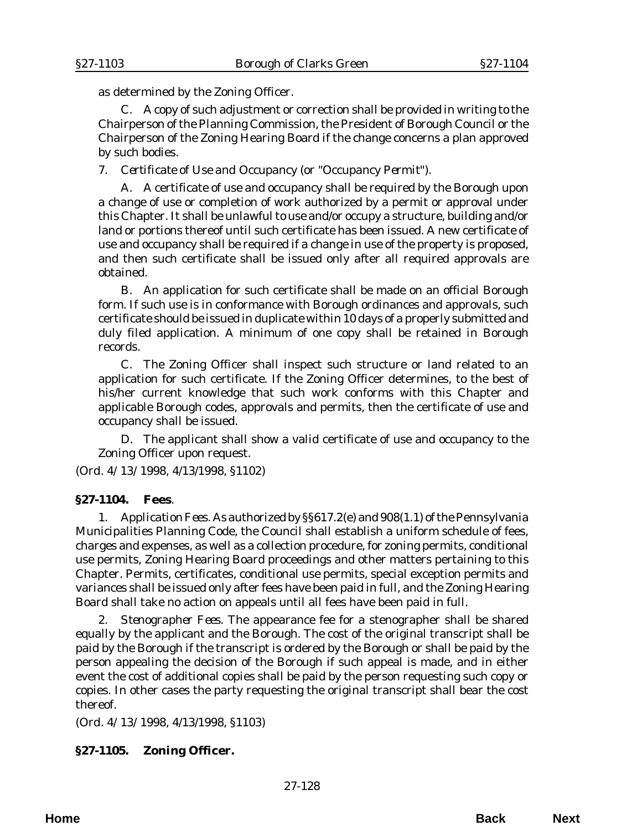as determined by the Zoning Officer.

C. A copy of such adjustment or correction shall be provided in writing to the Chairperson of the Planning Commission, the President of Borough Council or the Chairperson of the Zoning Hearing Board if the change concerns a plan approved by such bodies.

7. *Certificate of Use and Occupancy (or "Occupancy Permit").*

A. A certificate of use and occupancy shall be required by the Borough upon a change of use or completion of work authorized by a permit or approval under this Chapter. It shall be unlawful to use and/or occupy a structure, building and/or land or portions thereof until such certificate has been issued. A new certificate of use and occupancy shall be required if a change in use of the property is proposed, and then such certificate shall be issued only after all required approvals are obtained.

B. An application for such certificate shall be made on an official Borough form. If such use is in conformance with Borough ordinances and approvals, such certificate should be issued in duplicate within 10 days of a properly submitted and duly filed application. A minimum of one copy shall be retained in Borough records.

C. The Zoning Officer shall inspect such structure or land related to an application for such certificate. If the Zoning Officer determines, to the best of his/her current knowledge that such work conforms with this Chapter and applicable Borough codes, approvals and permits, then the certificate of use and occupancy shall be issued.

D. The applicant shall show a valid certificate of use and occupancy to the Zoning Officer upon request.

(*Ord. 4/13/1998*, 4/13/1998, §1102)

### **§27-1104. Fees**.

1. *Application Fees*. As authorized by §§617.2(e) and 908(1.1) of the Pennsylvania Municipalities Planning Code, the Council shall establish a uniform schedule of fees, charges and expenses, as well as a collection procedure, for zoning permits, conditional use permits, Zoning Hearing Board proceedings and other matters pertaining to this Chapter. Permits, certificates, conditional use permits, special exception permits and variances shall be issued only after fees have been paid in full, and the Zoning Hearing Board shall take no action on appeals until all fees have been paid in full.

2. *Stenographer Fees*. The appearance fee for a stenographer shall be shared equally by the applicant and the Borough. The cost of the original transcript shall be paid by the Borough if the transcript is ordered by the Borough or shall be paid by the person appealing the decision of the Borough if such appeal is made, and in either event the cost of additional copies shall be paid by the person requesting such copy or copies. In other cases the party requesting the original transcript shall bear the cost thereof.

(*Ord. 4/13/1998*, 4/13/1998, §1103)

## **§27-1105. Zoning Officer.**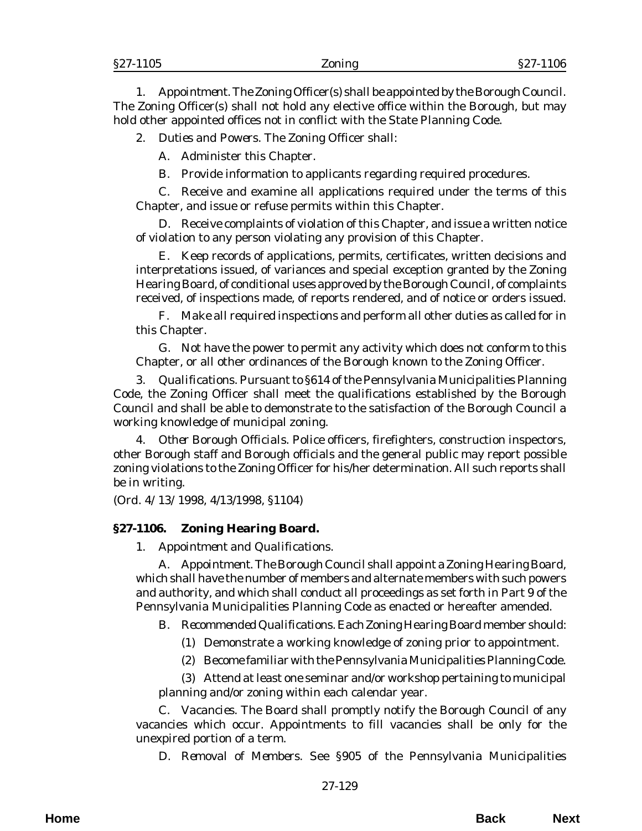1. *Appointment*. The Zoning Officer(s) shall be appointed by the Borough Council. The Zoning Officer(s) shall not hold any elective office within the Borough, but may hold other appointed offices not in conflict with the State Planning Code.

2. *Duties and Powers*. The Zoning Officer shall:

A. Administer this Chapter.

B. Provide information to applicants regarding required procedures.

C. Receive and examine all applications required under the terms of this Chapter, and issue or refuse permits within this Chapter.

D. Receive complaints of violation of this Chapter, and issue a written notice of violation to any person violating any provision of this Chapter.

E. Keep records of applications, permits, certificates, written decisions and interpretations issued, of variances and special exception granted by the Zoning Hearing Board, of conditional uses approved by the Borough Council, of complaints received, of inspections made, of reports rendered, and of notice or orders issued.

F. Make all required inspections and perform all other duties as called for in this Chapter.

G. Not have the power to permit any activity which does not conform to this Chapter, or all other ordinances of the Borough known to the Zoning Officer.

3. *Qualifications*. Pursuant to §614 of the Pennsylvania Municipalities Planning Code, the Zoning Officer shall meet the qualifications established by the Borough Council and shall be able to demonstrate to the satisfaction of the Borough Council a working knowledge of municipal zoning.

4. *Other Borough Officials.* Police officers, firefighters, construction inspectors, other Borough staff and Borough officials and the general public may report possible zoning violations to the Zoning Officer for his/her determination. All such reports shall be in writing.

(*Ord. 4/13/1998*, 4/13/1998, §1104)

## **§27-1106. Zoning Hearing Board.**

1. *Appointment and Qualifications*.

A. *Appointment.* The Borough Council shall appoint a Zoning Hearing Board, which shall have the number of members and alternate members with such powers and authority, and which shall conduct all proceedings as set forth in Part 9 of the Pennsylvania Municipalities Planning Code as enacted or hereafter amended.

B. *Recommended Qualifications.* Each Zoning Hearing Board member should:

- (1) Demonstrate a working knowledge of zoning prior to appointment.
- (2) Become familiar with the Pennsylvania Municipalities Planning Code.

(3) Attend at least one seminar and/or workshop pertaining to municipal planning and/or zoning within each calendar year.

C. *Vacancies.* The Board shall promptly notify the Borough Council of any vacancies which occur. Appointments to fill vacancies shall be only for the unexpired portion of a term.

D. *Removal of Members.* See §905 of the Pennsylvania Municipalities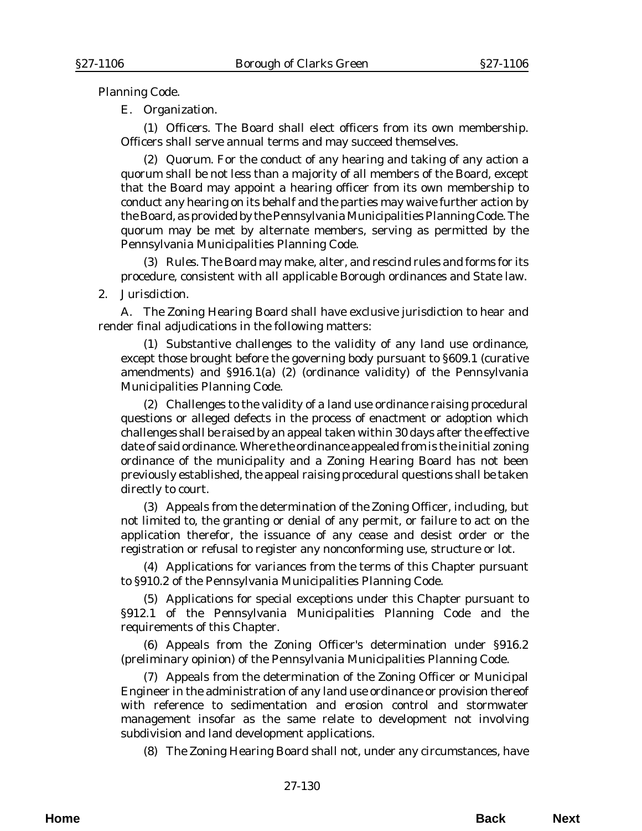Planning Code.

E. *Organization.* 

(1) *Officers*. The Board shall elect officers from its own membership. Officers shall serve annual terms and may succeed themselves.

(2) *Quorum.* For the conduct of any hearing and taking of any action a quorum shall be not less than a majority of all members of the Board, except that the Board may appoint a hearing officer from its own membership to conduct any hearing on its behalf and the parties may waive further action by the Board, as provided by the Pennsylvania Municipalities Planning Code. The quorum may be met by alternate members, serving as permitted by the Pennsylvania Municipalities Planning Code.

(3) *Rules.* The Board may make, alter, and rescind rules and forms for its procedure, consistent with all applicable Borough ordinances and State law.

## 2. *Jurisdiction*.

A. The Zoning Hearing Board shall have exclusive jurisdiction to hear and render final adjudications in the following matters:

(1) Substantive challenges to the validity of any land use ordinance, except those brought before the governing body pursuant to §609.1 (curative amendments) and §916.1(a) (2) (ordinance validity) of the Pennsylvania Municipalities Planning Code.

(2) Challenges to the validity of a land use ordinance raising procedural questions or alleged defects in the process of enactment or adoption which challenges shall be raised by an appeal taken within 30 days after the effective date of said ordinance. Where the ordinance appealed from is the initial zoning ordinance of the municipality and a Zoning Hearing Board has not been previously established, the appeal raising procedural questions shall be taken directly to court.

 (3) Appeals from the determination of the Zoning Officer, including, but not limited to, the granting or denial of any permit, or failure to act on the application therefor, the issuance of any cease and desist order or the registration or refusal to register any nonconforming use, structure or lot.

(4) Applications for variances from the terms of this Chapter pursuant to §910.2 of the Pennsylvania Municipalities Planning Code.

(5) Applications for special exceptions under this Chapter pursuant to §912.1 of the Pennsylvania Municipalities Planning Code and the requirements of this Chapter.

(6) Appeals from the Zoning Officer's determination under §916.2 (preliminary opinion) of the Pennsylvania Municipalities Planning Code.

(7) Appeals from the determination of the Zoning Officer or Municipal Engineer in the administration of any land use ordinance or provision thereof with reference to sedimentation and erosion control and stormwater management insofar as the same relate to development not involving subdivision and land development applications.

(8) The Zoning Hearing Board shall not, under any circumstances, have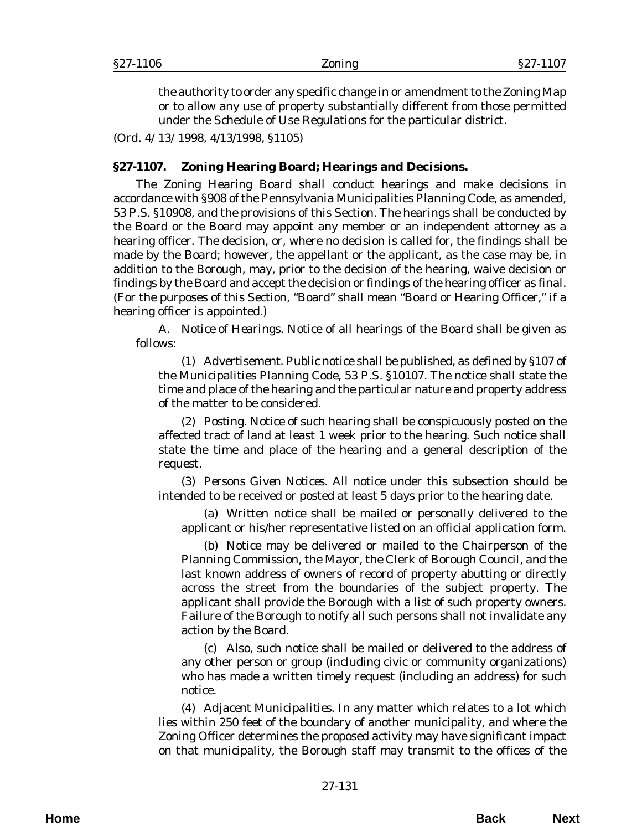the authority to order any specific change in or amendment to the Zoning Map or to allow any use of property substantially different from those permitted under the Schedule of Use Regulations for the particular district.

(*Ord. 4/13/1998*, 4/13/1998, §1105)

### **§27-1107. Zoning Hearing Board; Hearings and Decisions.**

The Zoning Hearing Board shall conduct hearings and make decisions in accordance with §908 of the Pennsylvania Municipalities Planning Code, as amended, 53 P.S. §10908, and the provisions of this Section. The hearings shall be conducted by the Board or the Board may appoint any member or an independent attorney as a hearing officer. The decision, or, where no decision is called for, the findings shall be made by the Board; however, the appellant or the applicant, as the case may be, in addition to the Borough, may, prior to the decision of the hearing, waive decision or findings by the Board and accept the decision or findings of the hearing officer as final. (For the purposes of this Section, "Board" shall mean "Board or Hearing Officer," if a hearing officer is appointed.)

A. *Notice of Hearings*. Notice of all hearings of the Board shall be given as follows:

(1) *Advertisement*. Public notice shall be published, as defined by §107 of the Municipalities Planning Code, 53 P.S. §10107. The notice shall state the time and place of the hearing and the particular nature and property address of the matter to be considered.

(2) *Posting*. Notice of such hearing shall be conspicuously posted on the affected tract of land at least 1 week prior to the hearing. Such notice shall state the time and place of the hearing and a general description of the request.

(3) *Persons Given Notices*. All notice under this subsection should be intended to be received or posted at least 5 days prior to the hearing date.

(a) Written notice shall be mailed or personally delivered to the applicant or his/her representative listed on an official application form.

(b) Notice may be delivered or mailed to the Chairperson of the Planning Commission, the Mayor, the Clerk of Borough Council, and the last known address of owners of record of property abutting or directly across the street from the boundaries of the subject property. The applicant shall provide the Borough with a list of such property owners. Failure of the Borough to notify all such persons shall not invalidate any action by the Board.

(c) Also, such notice shall be mailed or delivered to the address of any other person or group (including civic or community organizations) who has made a written timely request (including an address) for such notice.

(4) *Adjacent Municipalities*. In any matter which relates to a lot which lies within 250 feet of the boundary of another municipality, and where the Zoning Officer determines the proposed activity may have significant impact on that municipality, the Borough staff may transmit to the offices of the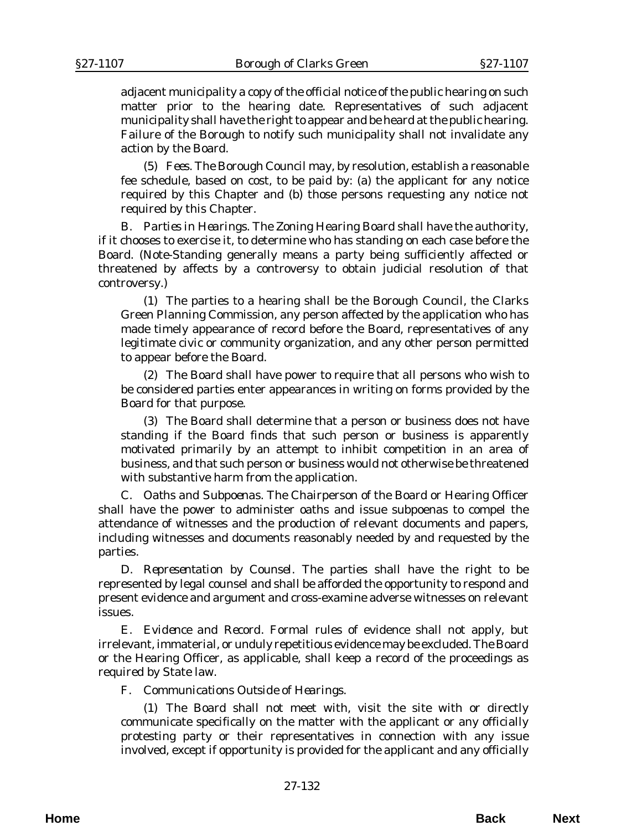adjacent municipality a copy of the official notice of the public hearing on such matter prior to the hearing date. Representatives of such adjacent municipality shall have the right to appear and be heard at the public hearing. Failure of the Borough to notify such municipality shall not invalidate any action by the Board.

(5) *Fees*. The Borough Council may, by resolution, establish a reasonable fee schedule, based on cost, to be paid by: (a) the applicant for any notice required by this Chapter and (b) those persons requesting any notice not required by this Chapter.

B. *Parties in Hearings*. The Zoning Hearing Board shall have the authority, if it chooses to exercise it, to determine who has standing on each case before the Board. (Note-Standing generally means a party being sufficiently affected or threatened by affects by a controversy to obtain judicial resolution of that controversy.)

(1) The parties to a hearing shall be the Borough Council, the Clarks Green Planning Commission, any person affected by the application who has made timely appearance of record before the Board, representatives of any legitimate civic or community organization, and any other person permitted to appear before the Board.

(2) The Board shall have power to require that all persons who wish to be considered parties enter appearances in writing on forms provided by the Board for that purpose.

(3) The Board shall determine that a person or business does not have standing if the Board finds that such person or business is apparently motivated primarily by an attempt to inhibit competition in an area of business, and that such person or business would not otherwise be threatened with substantive harm from the application.

C. *Oaths and Subpoenas*. The Chairperson of the Board or Hearing Officer shall have the power to administer oaths and issue subpoenas to compel the attendance of witnesses and the production of relevant documents and papers, including witnesses and documents reasonably needed by and requested by the parties.

D. *Representation by Counsel*. The parties shall have the right to be represented by legal counsel and shall be afforded the opportunity to respond and present evidence and argument and cross-examine adverse witnesses on relevant issues.

E. *Evidence and Record*. Formal rules of evidence shall not apply, but irrelevant, immaterial, or unduly repetitious evidence may be excluded. The Board or the Hearing Officer, as applicable, shall keep a record of the proceedings as required by State law.

F. *Communications Outside of Hearings*.

(1) The Board shall not meet with, visit the site with or directly communicate specifically on the matter with the applicant or any officially protesting party or their representatives in connection with any issue involved, except if opportunity is provided for the applicant and any officially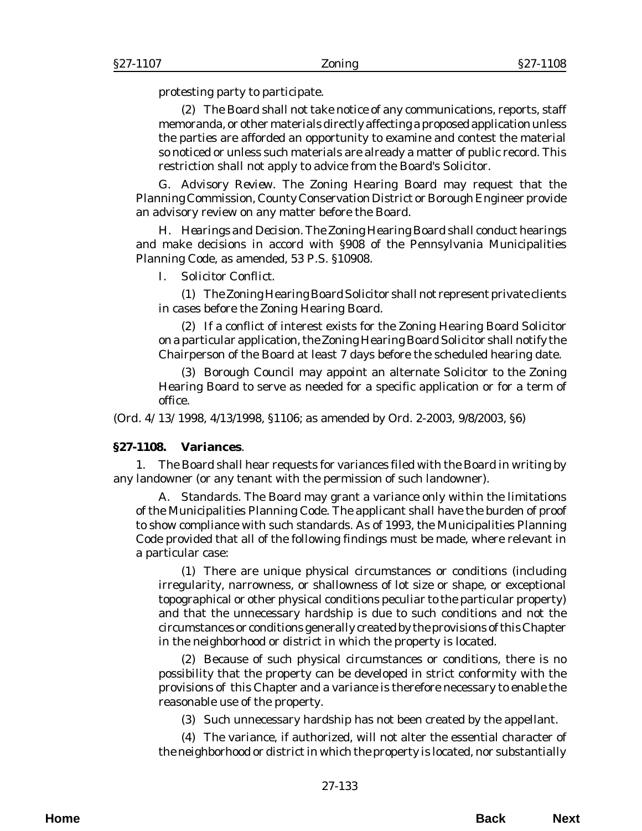protesting party to participate.

(2) The Board shall not take notice of any communications, reports, staff memoranda, or other materials directly affecting a proposed application unless the parties are afforded an opportunity to examine and contest the material so noticed or unless such materials are already a matter of public record. This restriction shall not apply to advice from the Board's Solicitor.

G. *Advisory Review*. The Zoning Hearing Board may request that the Planning Commission, County Conservation District or Borough Engineer provide an advisory review on any matter before the Board.

H. *Hearings and Decision*. The Zoning Hearing Board shall conduct hearings and make decisions in accord with §908 of the Pennsylvania Municipalities Planning Code, as amended, 53 P.S. §10908.

I. *Solicitor Conflict*.

(1) The Zoning Hearing Board Solicitor shall not represent private clients in cases before the Zoning Hearing Board.

(2) If a conflict of interest exists for the Zoning Hearing Board Solicitor on a particular application, the Zoning Hearing Board Solicitor shall notify the Chairperson of the Board at least 7 days before the scheduled hearing date.

(3) Borough Council may appoint an alternate Solicitor to the Zoning Hearing Board to serve as needed for a specific application or for a term of office.

(*Ord. 4/13/1998*, 4/13/1998, §1106; as amended by *Ord. 2-2003*, 9/8/2003, §6)

#### **§27-1108. Variances**.

1. The Board shall hear requests for variances filed with the Board in writing by any landowner (or any tenant with the permission of such landowner).

A. *Standards*. The Board may grant a variance only within the limitations of the Municipalities Planning Code. The applicant shall have the burden of proof to show compliance with such standards. As of 1993, the Municipalities Planning Code provided that all of the following findings must be made, where relevant in a particular case:

(1) There are unique physical circumstances or conditions (including irregularity, narrowness, or shallowness of lot size or shape, or exceptional topographical or other physical conditions peculiar to the particular property) and that the unnecessary hardship is due to such conditions and not the circumstances or conditions generally created by the provisions of this Chapter in the neighborhood or district in which the property is located.

(2) Because of such physical circumstances or conditions, there is no possibility that the property can be developed in strict conformity with the provisions of this Chapter and a variance is therefore necessary to enable the reasonable use of the property.

(3) Such unnecessary hardship has not been created by the appellant.

(4) The variance, if authorized, will not alter the essential character of the neighborhood or district in which the property is located, nor substantially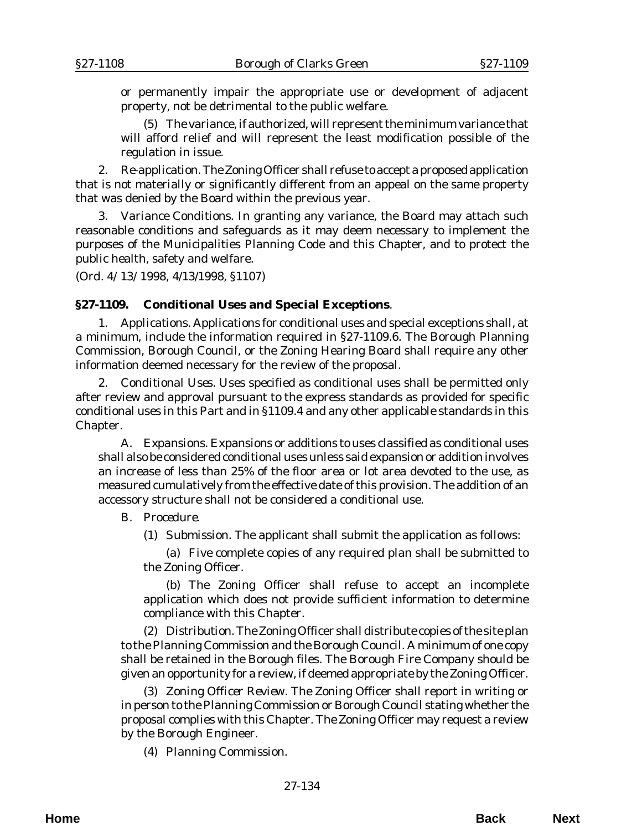or permanently impair the appropriate use or development of adjacent property, not be detrimental to the public welfare.

(5) The variance, if authorized, will represent the minimum variance that will afford relief and will represent the least modification possible of the regulation in issue.

2. *Re-application.* The Zoning Officer shall refuse to accept a proposed application that is not materially or significantly different from an appeal on the same property that was denied by the Board within the previous year.

3. *Variance Conditions*. In granting any variance, the Board may attach such reasonable conditions and safeguards as it may deem necessary to implement the purposes of the Municipalities Planning Code and this Chapter, and to protect the public health, safety and welfare.

(*Ord. 4/13/1998*, 4/13/1998, §1107)

### **§27-1109. Conditional Uses and Special Exceptions**.

1. *Applications*. Applications for conditional uses and special exceptions shall, at a minimum, include the information required in §27-1109.6. The Borough Planning Commission, Borough Council, or the Zoning Hearing Board shall require any other information deemed necessary for the review of the proposal.

2. *Conditional Uses*. Uses specified as conditional uses shall be permitted only after review and approval pursuant to the express standards as provided for specific conditional uses in this Part and in §1109.4 and any other applicable standards in this Chapter.

A. *Expansions*. Expansions or additions to uses classified as conditional uses shall also be considered conditional uses unless said expansion or addition involves an increase of less than 25% of the floor area or lot area devoted to the use, as measured cumulatively from the effective date of this provision. The addition of an accessory structure shall not be considered a conditional use.

#### B. *Procedure*.

(1) *Submission*. The applicant shall submit the application as follows:

(a) Five complete copies of any required plan shall be submitted to the Zoning Officer.

(b) The Zoning Officer shall refuse to accept an incomplete application which does not provide sufficient information to determine compliance with this Chapter.

(2) *Distribution*. The Zoning Officer shall distribute copies of the site plan to the Planning Commission and the Borough Council. A minimum of one copy shall be retained in the Borough files. The Borough Fire Company should be given an opportunity for a review, if deemed appropriate by the Zoning Officer.

(3) *Zoning Officer Review*. The Zoning Officer shall report in writing or in person to the Planning Commission or Borough Council stating whether the proposal complies with this Chapter. The Zoning Officer may request a review by the Borough Engineer.

(4) *Planning Commission*.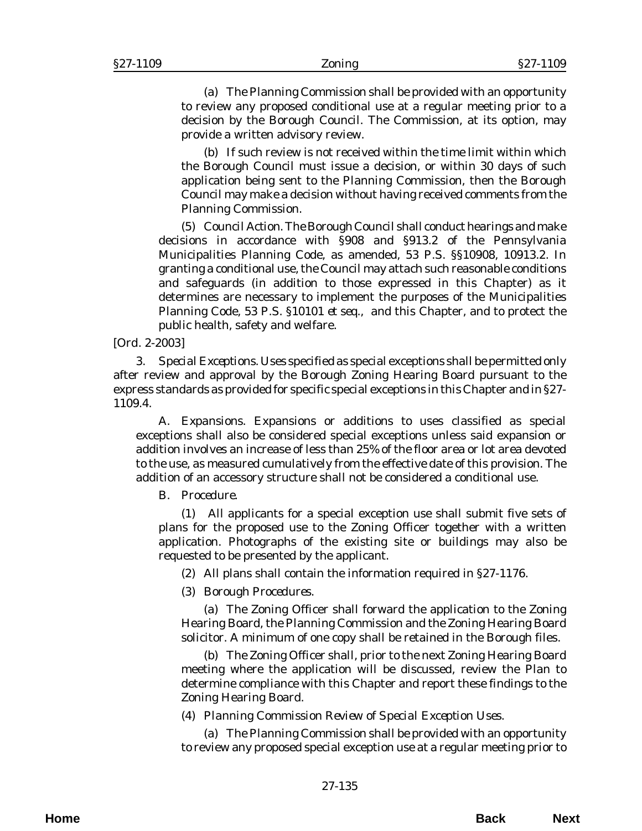(a) The Planning Commission shall be provided with an opportunity to review any proposed conditional use at a regular meeting prior to a decision by the Borough Council. The Commission, at its option, may provide a written advisory review.

(b) If such review is not received within the time limit within which the Borough Council must issue a decision, or within 30 days of such application being sent to the Planning Commission, then the Borough Council may make a decision without having received comments from the Planning Commission.

(5) *Council Action*. The Borough Council shall conduct hearings and make decisions in accordance with §908 and §913.2 of the Pennsylvania Municipalities Planning Code, as amended, 53 P.S. §§10908, 10913.2. In granting a conditional use, the Council may attach such reasonable conditions and safeguards (in addition to those expressed in this Chapter) as it determines are necessary to implement the purposes of the Municipalities Planning Code, 53 P.S. §10101 *et seq*., and this Chapter, and to protect the public health, safety and welfare.

### [*Ord. 2-2003*]

3. *Special Exceptions.* Uses specified as special exceptions shall be permitted only after review and approval by the Borough Zoning Hearing Board pursuant to the express standards as provided for specific special exceptions in this Chapter and in §27- 1109.4.

A. *Expansions.* Expansions or additions to uses classified as special exceptions shall also be considered special exceptions unless said expansion or addition involves an increase of less than 25% of the floor area or lot area devoted to the use, as measured cumulatively from the effective date of this provision. The addition of an accessory structure shall not be considered a conditional use.

### B. *Procedure*.

(1) All applicants for a special exception use shall submit five sets of plans for the proposed use to the Zoning Officer together with a written application. Photographs of the existing site or buildings may also be requested to be presented by the applicant.

(2) All plans shall contain the information required in §27-1176.

(3) *Borough Procedures*.

(a) The Zoning Officer shall forward the application to the Zoning Hearing Board, the Planning Commission and the Zoning Hearing Board solicitor. A minimum of one copy shall be retained in the Borough files.

(b) The Zoning Officer shall, prior to the next Zoning Hearing Board meeting where the application will be discussed, review the Plan to determine compliance with this Chapter and report these findings to the Zoning Hearing Board.

(4) *Planning Commission Review of Special Exception Uses*.

(a) The Planning Commission shall be provided with an opportunity to review any proposed special exception use at a regular meeting prior to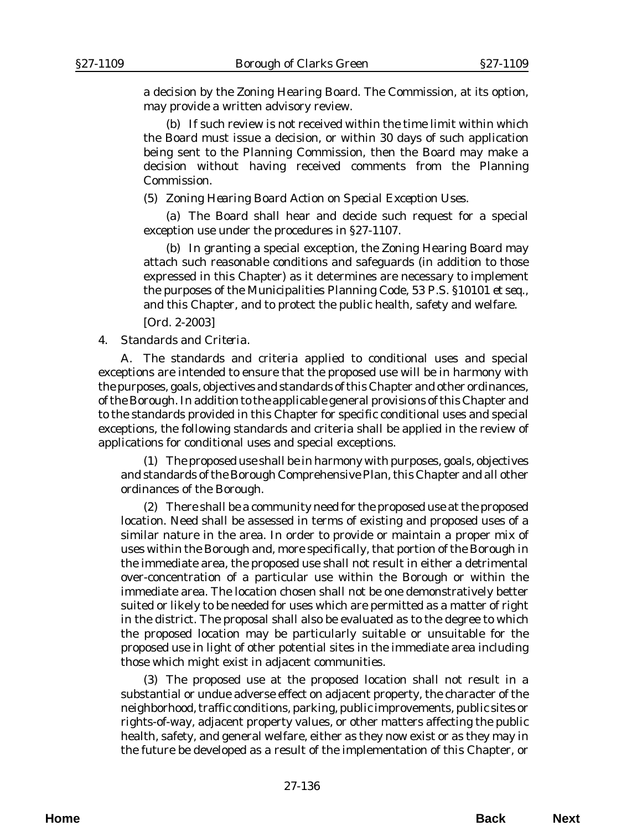a decision by the Zoning Hearing Board. The Commission, at its option, may provide a written advisory review.

(b) If such review is not received within the time limit within which the Board must issue a decision, or within 30 days of such application being sent to the Planning Commission, then the Board may make a decision without having received comments from the Planning Commission.

(5) *Zoning Hearing Board Action on Special Exception Uses.*

(a) The Board shall hear and decide such request for a special exception use under the procedures in §27-1107.

(b) In granting a special exception, the Zoning Hearing Board may attach such reasonable conditions and safeguards (in addition to those expressed in this Chapter) as it determines are necessary to implement the purposes of the Municipalities Planning Code, 53 P.S. §10101 *et seq*., and this Chapter, and to protect the public health, safety and welfare.

[*Ord. 2-2003*]

## 4. *Standards and Criteria.*

A. The standards and criteria applied to conditional uses and special exceptions are intended to ensure that the proposed use will be in harmony with the purposes, goals, objectives and standards of this Chapter and other ordinances, of the Borough. In addition to the applicable general provisions of this Chapter and to the standards provided in this Chapter for specific conditional uses and special exceptions, the following standards and criteria shall be applied in the review of applications for conditional uses and special exceptions.

(1) The proposed use shall be in harmony with purposes, goals, objectives and standards of the Borough Comprehensive Plan, this Chapter and all other ordinances of the Borough.

(2) There shall be a community need for the proposed use at the proposed location. Need shall be assessed in terms of existing and proposed uses of a similar nature in the area. In order to provide or maintain a proper mix of uses within the Borough and, more specifically, that portion of the Borough in the immediate area, the proposed use shall not result in either a detrimental over-concentration of a particular use within the Borough or within the immediate area. The location chosen shall not be one demonstratively better suited or likely to be needed for uses which are permitted as a matter of right in the district. The proposal shall also be evaluated as to the degree to which the proposed location may be particularly suitable or unsuitable for the proposed use in light of other potential sites in the immediate area including those which might exist in adjacent communities.

(3) The proposed use at the proposed location shall not result in a substantial or undue adverse effect on adjacent property, the character of the neighborhood, traffic conditions, parking, public improvements, public sites or rights-of-way, adjacent property values, or other matters affecting the public health, safety, and general welfare, either as they now exist or as they may in the future be developed as a result of the implementation of this Chapter, or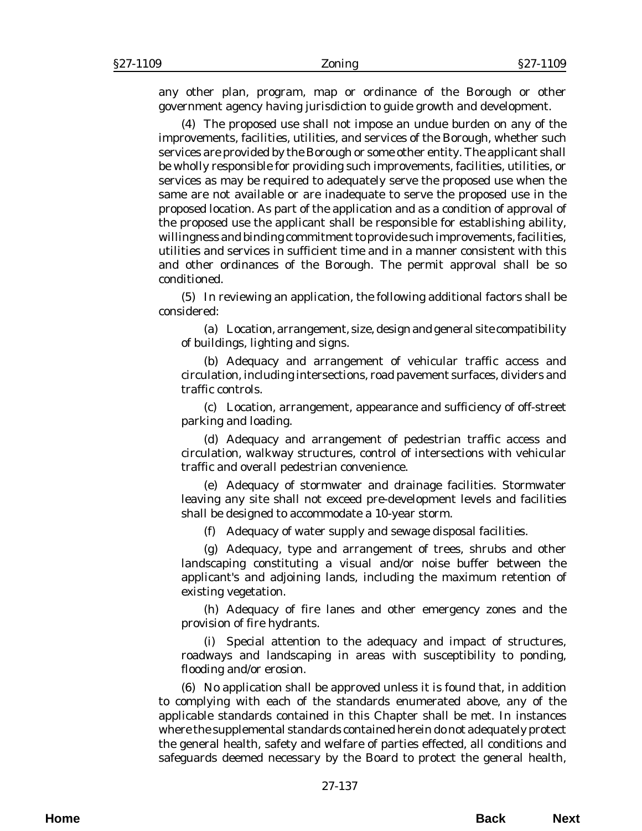any other plan, program, map or ordinance of the Borough or other government agency having jurisdiction to guide growth and development.

(4) The proposed use shall not impose an undue burden on any of the improvements, facilities, utilities, and services of the Borough, whether such services are provided by the Borough or some other entity. The applicant shall be wholly responsible for providing such improvements, facilities, utilities, or services as may be required to adequately serve the proposed use when the same are not available or are inadequate to serve the proposed use in the proposed location. As part of the application and as a condition of approval of the proposed use the applicant shall be responsible for establishing ability, willingness and binding commitment to provide such improvements, facilities, utilities and services in sufficient time and in a manner consistent with this and other ordinances of the Borough. The permit approval shall be so conditioned.

(5) In reviewing an application, the following additional factors shall be considered:

(a) Location, arrangement, size, design and general site compatibility of buildings, lighting and signs.

(b) Adequacy and arrangement of vehicular traffic access and circulation, including intersections, road pavement surfaces, dividers and traffic controls.

(c) Location, arrangement, appearance and sufficiency of off-street parking and loading.

(d) Adequacy and arrangement of pedestrian traffic access and circulation, walkway structures, control of intersections with vehicular traffic and overall pedestrian convenience.

(e) Adequacy of stormwater and drainage facilities. Stormwater leaving any site shall not exceed pre-development levels and facilities shall be designed to accommodate a 10-year storm.

(f) Adequacy of water supply and sewage disposal facilities.

(g) Adequacy, type and arrangement of trees, shrubs and other landscaping constituting a visual and/or noise buffer between the applicant's and adjoining lands, including the maximum retention of existing vegetation.

(h) Adequacy of fire lanes and other emergency zones and the provision of fire hydrants.

(i) Special attention to the adequacy and impact of structures, roadways and landscaping in areas with susceptibility to ponding, flooding and/or erosion.

(6) No application shall be approved unless it is found that, in addition to complying with each of the standards enumerated above, any of the applicable standards contained in this Chapter shall be met. In instances where the supplemental standards contained herein do not adequately protect the general health, safety and welfare of parties effected, all conditions and safeguards deemed necessary by the Board to protect the general health,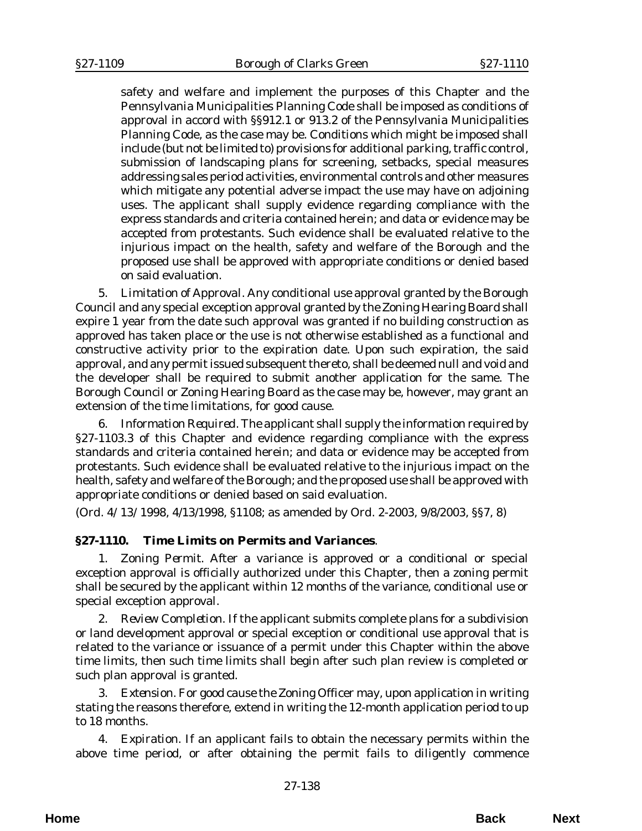safety and welfare and implement the purposes of this Chapter and the Pennsylvania Municipalities Planning Code shall be imposed as conditions of approval in accord with §§912.1 or 913.2 of the Pennsylvania Municipalities Planning Code, as the case may be. Conditions which might be imposed shall include (but not be limited to) provisions for additional parking, traffic control, submission of landscaping plans for screening, setbacks, special measures addressing sales period activities, environmental controls and other measures which mitigate any potential adverse impact the use may have on adjoining uses. The applicant shall supply evidence regarding compliance with the express standards and criteria contained herein; and data or evidence may be accepted from protestants. Such evidence shall be evaluated relative to the injurious impact on the health, safety and welfare of the Borough and the proposed use shall be approved with appropriate conditions or denied based on said evaluation.

5. *Limitation of Approval*. Any conditional use approval granted by the Borough Council and any special exception approval granted by the Zoning Hearing Board shall expire 1 year from the date such approval was granted if no building construction as approved has taken place or the use is not otherwise established as a functional and constructive activity prior to the expiration date. Upon such expiration, the said approval, and any permit issued subsequent thereto, shall be deemed null and void and the developer shall be required to submit another application for the same. The Borough Council or Zoning Hearing Board as the case may be, however, may grant an extension of the time limitations, for good cause.

6. *Information Required*. The applicant shall supply the information required by §27-1103.3 of this Chapter and evidence regarding compliance with the express standards and criteria contained herein; and data or evidence may be accepted from protestants. Such evidence shall be evaluated relative to the injurious impact on the health, safety and welfare of the Borough; and the proposed use shall be approved with appropriate conditions or denied based on said evaluation.

(*Ord. 4/13/1998*, 4/13/1998, §1108; as amended by *Ord. 2-2003*, 9/8/2003, §§7, 8)

## **§27-1110. Time Limits on Permits and Variances**.

1. *Zoning Permit.* After a variance is approved or a conditional or special exception approval is officially authorized under this Chapter, then a zoning permit shall be secured by the applicant within 12 months of the variance, conditional use or special exception approval.

2. *Review Completion*. If the applicant submits complete plans for a subdivision or land development approval or special exception or conditional use approval that is related to the variance or issuance of a permit under this Chapter within the above time limits, then such time limits shall begin after such plan review is completed or such plan approval is granted.

3. *Extension*. For good cause the Zoning Officer may, upon application in writing stating the reasons therefore, extend in writing the 12-month application period to up to 18 months.

4. *Expiration*. If an applicant fails to obtain the necessary permits within the above time period, or after obtaining the permit fails to diligently commence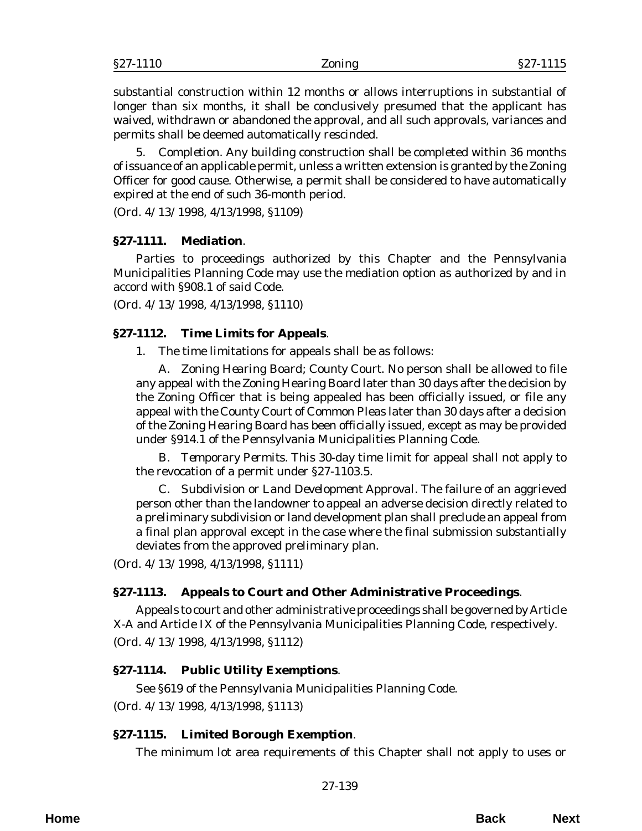substantial construction within 12 months or allows interruptions in substantial of longer than six months, it shall be conclusively presumed that the applicant has waived, withdrawn or abandoned the approval, and all such approvals, variances and permits shall be deemed automatically rescinded.

5. *Completion*. Any building construction shall be completed within 36 months of issuance of an applicable permit, unless a written extension is granted by the Zoning Officer for good cause. Otherwise, a permit shall be considered to have automatically expired at the end of such 36-month period.

(*Ord. 4/13/1998*, 4/13/1998, §1109)

#### **§27-1111. Mediation**.

Parties to proceedings authorized by this Chapter and the Pennsylvania Municipalities Planning Code may use the mediation option as authorized by and in accord with §908.1 of said Code.

(*Ord. 4/13/1998*, 4/13/1998, §1110)

#### **§27-1112. Time Limits for Appeals**.

1. The time limitations for appeals shall be as follows:

A. *Zoning Hearing Board; County Court.* No person shall be allowed to file any appeal with the Zoning Hearing Board later than 30 days after the decision by the Zoning Officer that is being appealed has been officially issued, or file any appeal with the County Court of Common Pleas later than 30 days after a decision of the Zoning Hearing Board has been officially issued, except as may be provided under §914.1 of the Pennsylvania Municipalities Planning Code.

B. *Temporary Permits.* This 30-day time limit for appeal shall not apply to the revocation of a permit under §27-1103.5.

C. *Subdivision or Land Development Approval*. The failure of an aggrieved person other than the landowner to appeal an adverse decision directly related to a preliminary subdivision or land development plan shall preclude an appeal from a final plan approval except in the case where the final submission substantially deviates from the approved preliminary plan.

(*Ord. 4/13/1998*, 4/13/1998, §1111)

### **§27-1113. Appeals to Court and Other Administrative Proceedings**.

Appeals to court and other administrative proceedings shall be governed by Article X-A and Article IX of the Pennsylvania Municipalities Planning Code, respectively. (*Ord. 4/13/1998*, 4/13/1998, §1112)

### **§27-1114. Public Utility Exemptions**.

See §619 of the Pennsylvania Municipalities Planning Code.

(*Ord. 4/13/1998*, 4/13/1998, §1113)

### **§27-1115. Limited Borough Exemption**.

The minimum lot area requirements of this Chapter shall not apply to uses or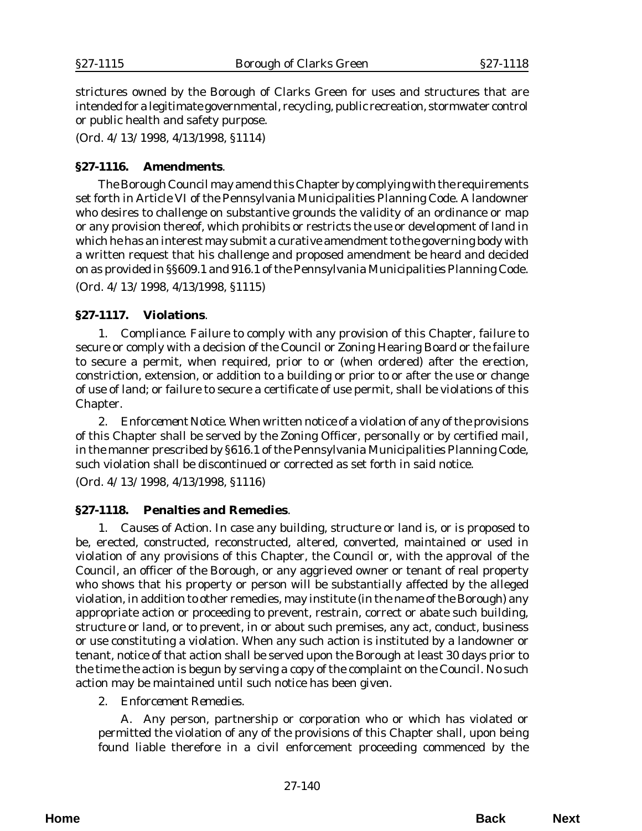strictures owned by the Borough of Clarks Green for uses and structures that are intended for a legitimate governmental, recycling, public recreation, stormwater control or public health and safety purpose.

(*Ord. 4/13/1998*, 4/13/1998, §1114)

### **§27-1116. Amendments**.

The Borough Council may amend this Chapter by complying with the requirements set forth in Article VI of the Pennsylvania Municipalities Planning Code. A landowner who desires to challenge on substantive grounds the validity of an ordinance or map or any provision thereof, which prohibits or restricts the use or development of land in which he has an interest may submit a curative amendment to the governing body with a written request that his challenge and proposed amendment be heard and decided on as provided in §§609.1 and 916.1 of the Pennsylvania Municipalities Planning Code. (*Ord. 4/13/1998*, 4/13/1998, §1115)

## **§27-1117. Violations**.

1. *Compliance*. Failure to comply with any provision of this Chapter, failure to secure or comply with a decision of the Council or Zoning Hearing Board or the failure to secure a permit, when required, prior to or (when ordered) after the erection, constriction, extension, or addition to a building or prior to or after the use or change of use of land; or failure to secure a certificate of use permit, shall be violations of this Chapter.

2. *Enforcement Notice*. When written notice of a violation of any of the provisions of this Chapter shall be served by the Zoning Officer, personally or by certified mail, in the manner prescribed by §616.1 of the Pennsylvania Municipalities Planning Code, such violation shall be discontinued or corrected as set forth in said notice.

(*Ord. 4/13/1998*, 4/13/1998, §1116)

### **§27-1118. Penalties and Remedies**.

1. *Causes of Action.* In case any building, structure or land is, or is proposed to be, erected, constructed, reconstructed, altered, converted, maintained or used in violation of any provisions of this Chapter, the Council or, with the approval of the Council, an officer of the Borough, or any aggrieved owner or tenant of real property who shows that his property or person will be substantially affected by the alleged violation, in addition to other remedies, may institute (in the name of the Borough) any appropriate action or proceeding to prevent, restrain, correct or abate such building, structure or land, or to prevent, in or about such premises, any act, conduct, business or use constituting a violation. When any such action is instituted by a landowner or tenant, notice of that action shall be served upon the Borough at least 30 days prior to the time the action is begun by serving a copy of the complaint on the Council. No such action may be maintained until such notice has been given.

2. *Enforcement Remedies*.

A. Any person, partnership or corporation who or which has violated or permitted the violation of any of the provisions of this Chapter shall, upon being found liable therefore in a civil enforcement proceeding commenced by the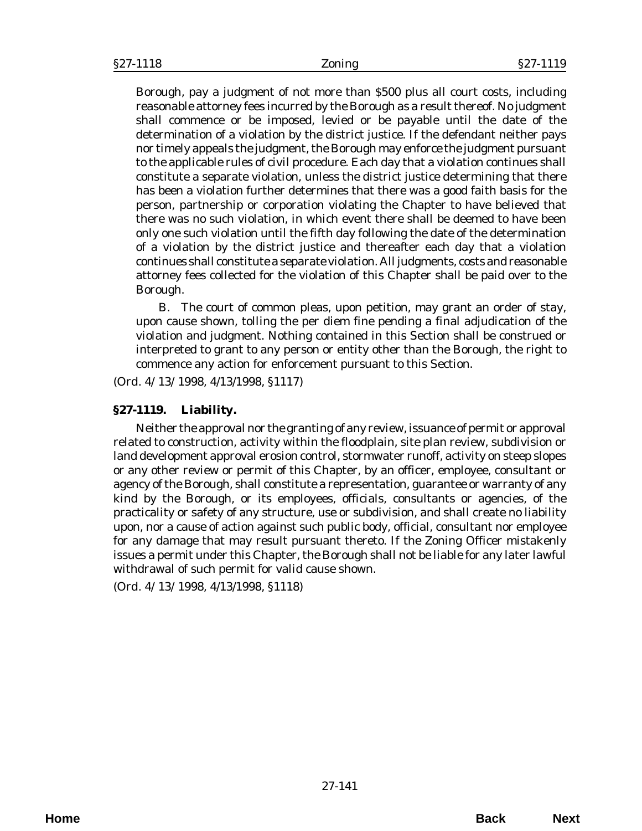Borough, pay a judgment of not more than \$500 plus all court costs, including reasonable attorney fees incurred by the Borough as a result thereof. No judgment shall commence or be imposed, levied or be payable until the date of the determination of a violation by the district justice. If the defendant neither pays nor timely appeals the judgment, the Borough may enforce the judgment pursuant to the applicable rules of civil procedure. Each day that a violation continues shall constitute a separate violation, unless the district justice determining that there has been a violation further determines that there was a good faith basis for the person, partnership or corporation violating the Chapter to have believed that there was no such violation, in which event there shall be deemed to have been only one such violation until the fifth day following the date of the determination of a violation by the district justice and thereafter each day that a violation continues shall constitute a separate violation. All judgments, costs and reasonable attorney fees collected for the violation of this Chapter shall be paid over to the Borough.

B. The court of common pleas, upon petition, may grant an order of stay, upon cause shown, tolling the per diem fine pending a final adjudication of the violation and judgment. Nothing contained in this Section shall be construed or interpreted to grant to any person or entity other than the Borough, the right to commence any action for enforcement pursuant to this Section.

(*Ord. 4/13/1998*, 4/13/1998, §1117)

#### **§27-1119. Liability.**

Neither the approval nor the granting of any review, issuance of permit or approval related to construction, activity within the floodplain, site plan review, subdivision or land development approval erosion control, stormwater runoff, activity on steep slopes or any other review or permit of this Chapter, by an officer, employee, consultant or agency of the Borough, shall constitute a representation, guarantee or warranty of any kind by the Borough, or its employees, officials, consultants or agencies, of the practicality or safety of any structure, use or subdivision, and shall create no liability upon, nor a cause of action against such public body, official, consultant nor employee for any damage that may result pursuant thereto. If the Zoning Officer mistakenly issues a permit under this Chapter, the Borough shall not be liable for any later lawful withdrawal of such permit for valid cause shown.

(*Ord. 4/13/1998*, 4/13/1998, §1118)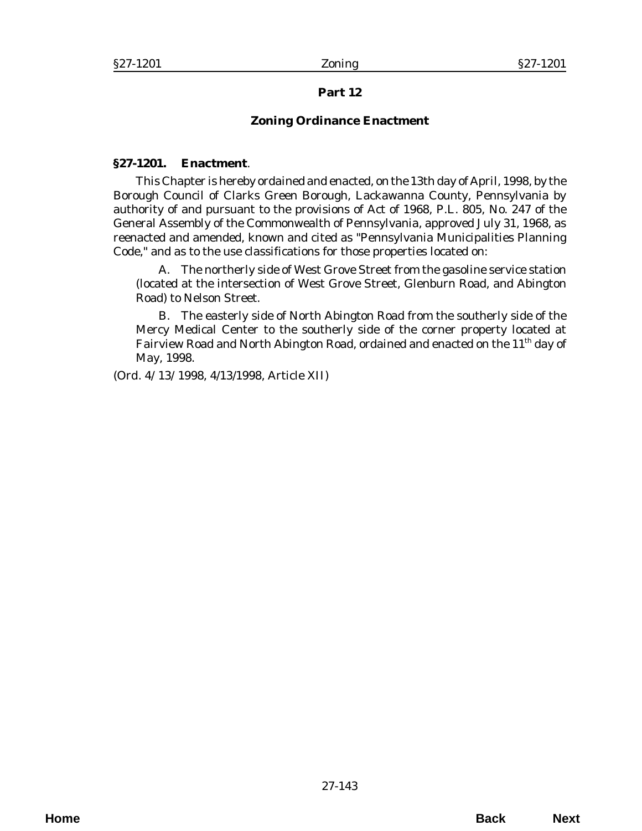# **Part 12**

# **Zoning Ordinance Enactment**

## **§27-1201. Enactment**.

This Chapter is hereby ordained and enacted, on the 13th day of April, 1998, by the Borough Council of Clarks Green Borough, Lackawanna County, Pennsylvania by authority of and pursuant to the provisions of Act of 1968, P.L. 805, No. 247 of the General Assembly of the Commonwealth of Pennsylvania, approved July 31, 1968, as reenacted and amended, known and cited as "Pennsylvania Municipalities Planning Code," and as to the use classifications for those properties located on:

A. The northerly side of West Grove Street from the gasoline service station (located at the intersection of West Grove Street, Glenburn Road, and Abington Road) to Nelson Street.

B. The easterly side of North Abington Road from the southerly side of the Mercy Medical Center to the southerly side of the corner property located at Fairview Road and North Abington Road, ordained and enacted on the 11<sup>th</sup> day of May, 1998.

(*Ord. 4/13/1998*, 4/13/1998, Article XII)